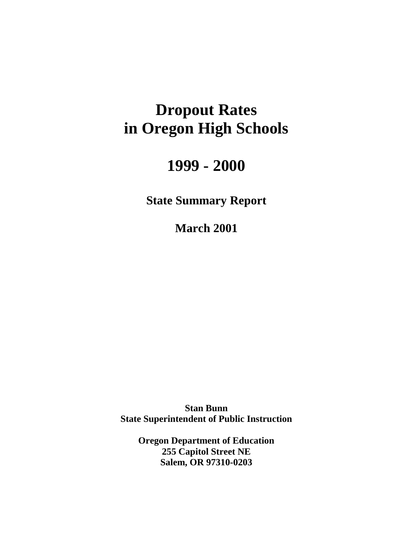# **Dropout Rates in Oregon High Schools**

# **1999 - 2000**

**State Summary Report** 

**March 2001** 

**Stan Bunn State Superintendent of Public Instruction** 

> **Oregon Department of Education 255 Capitol Street NE Salem, OR 97310-0203**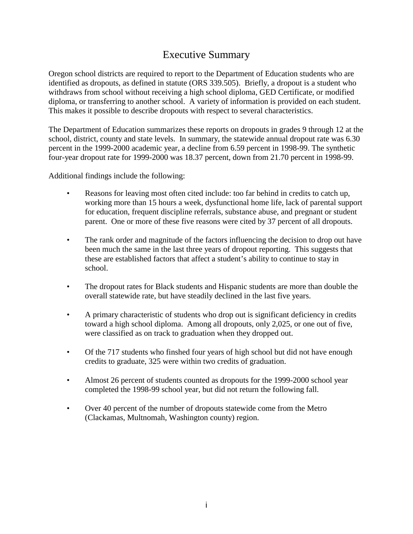# Executive Summary

Oregon school districts are required to report to the Department of Education students who are identified as dropouts, as defined in statute (ORS 339.505). Briefly, a dropout is a student who withdraws from school without receiving a high school diploma, GED Certificate, or modified diploma, or transferring to another school. A variety of information is provided on each student. This makes it possible to describe dropouts with respect to several characteristics.

The Department of Education summarizes these reports on dropouts in grades 9 through 12 at the school, district, county and state levels. In summary, the statewide annual dropout rate was 6.30 percent in the 1999-2000 academic year, a decline from 6.59 percent in 1998-99. The synthetic four-year dropout rate for 1999-2000 was 18.37 percent, down from 21.70 percent in 1998-99.

Additional findings include the following:

- Reasons for leaving most often cited include: too far behind in credits to catch up, working more than 15 hours a week, dysfunctional home life, lack of parental support for education, frequent discipline referrals, substance abuse, and pregnant or student parent. One or more of these five reasons were cited by 37 percent of all dropouts.
- The rank order and magnitude of the factors influencing the decision to drop out have been much the same in the last three years of dropout reporting. This suggests that these are established factors that affect a student's ability to continue to stay in school.
- The dropout rates for Black students and Hispanic students are more than double the overall statewide rate, but have steadily declined in the last five years.
- A primary characteristic of students who drop out is significant deficiency in credits toward a high school diploma. Among all dropouts, only 2,025, or one out of five, were classified as on track to graduation when they dropped out.
- Of the 717 students who finshed four years of high school but did not have enough credits to graduate, 325 were within two credits of graduation.
- Almost 26 percent of students counted as dropouts for the 1999-2000 school year completed the 1998-99 school year, but did not return the following fall.
- Over 40 percent of the number of dropouts statewide come from the Metro (Clackamas, Multnomah, Washington county) region.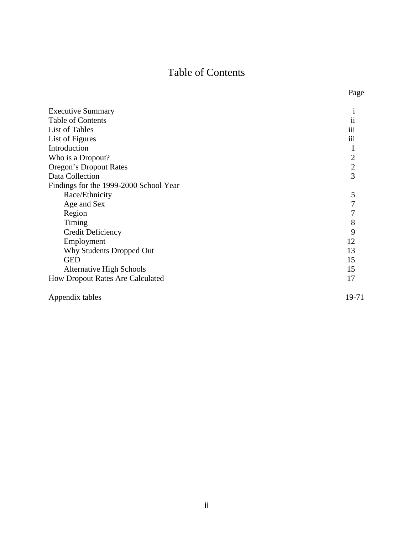# Table of Contents

| <b>Executive Summary</b>                |                |
|-----------------------------------------|----------------|
| Table of Contents                       | $\mathbf{ii}$  |
| List of Tables                          | iii            |
| List of Figures                         | iii            |
| Introduction                            |                |
| Who is a Dropout?                       | $\overline{c}$ |
| Oregon's Dropout Rates                  | $\overline{2}$ |
| Data Collection                         | $\overline{3}$ |
| Findings for the 1999-2000 School Year  |                |
| Race/Ethnicity                          | 5              |
| Age and Sex                             |                |
| Region                                  |                |
| Timing                                  | 8              |
| <b>Credit Deficiency</b>                | 9              |
| Employment                              | 12             |
| Why Students Dropped Out                | 13             |
| <b>GED</b>                              | 15             |
| <b>Alternative High Schools</b>         | 15             |
| <b>How Dropout Rates Are Calculated</b> | 17             |
| Appendix tables                         | 19-71          |

Page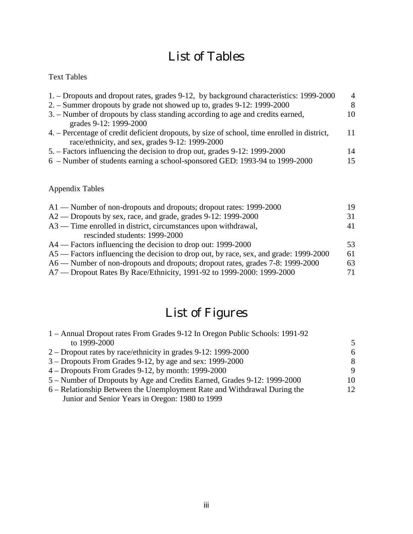# List of Tables

## Text Tables

| 1. – Dropouts and dropout rates, grades 9-12, by background characteristics: 1999-2000      | $\overline{4}$ |
|---------------------------------------------------------------------------------------------|----------------|
| 2. – Summer dropouts by grade not showed up to, grades 9-12: 1999-2000                      | 8              |
| 3. – Number of dropouts by class standing according to age and credits earned,              | 10             |
| grades 9-12: 1999-2000                                                                      |                |
| 4. – Percentage of credit deficient dropouts, by size of school, time enrolled in district, | 11             |
| race/ethnicity, and sex, grades 9-12: 1999-2000                                             |                |
| 5. – Factors influencing the decision to drop out, grades 9-12: 1999-2000                   | 14             |
| 6 – Number of students earning a school-sponsored GED: 1993-94 to 1999-2000                 | 15             |
|                                                                                             |                |

## Appendix Tables

| 19 |
|----|
| 31 |
| 41 |
|    |
| 53 |
| 61 |
| 63 |
| 71 |
|    |

# List of Figures

| 1 – Annual Dropout rates From Grades 9-12 In Oregon Public Schools: 1991-92 |     |
|-----------------------------------------------------------------------------|-----|
| to 1999-2000                                                                | .5  |
| 2 – Dropout rates by race/ethnicity in grades $9-12:1999-2000$              | 6   |
| 3 – Dropouts From Grades 9-12, by age and sex: 1999-2000                    | 8   |
| $4 -$ Dropouts From Grades 9-12, by month: 1999-2000                        | 9   |
| 5 – Number of Dropouts by Age and Credits Earned, Grades 9-12: 1999-2000    | 10  |
| 6 – Relationship Between the Unemployment Rate and Withdrawal During the    | 12. |
| Junior and Senior Years in Oregon: 1980 to 1999                             |     |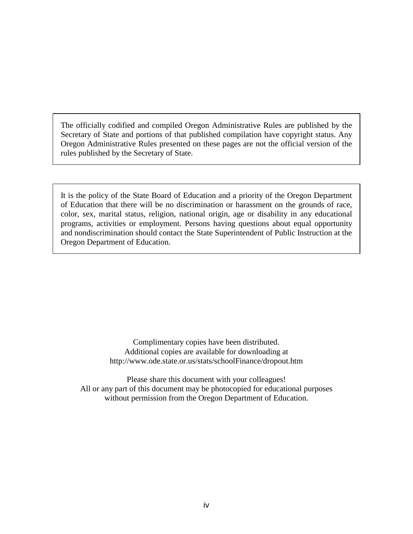The officially codified and compiled Oregon Administrative Rules are published by the Secretary of State and portions of that published compilation have copyright status. Any Oregon Administrative Rules presented on these pages are not the official version of the rules published by the Secretary of State.

It is the policy of the State Board of Education and a priority of the Oregon Department of Education that there will be no discrimination or harassment on the grounds of race, color, sex, marital status, religion, national origin, age or disability in any educational programs, activities or employment. Persons having questions about equal opportunity and nondiscrimination should contact the State Superintendent of Public Instruction at the Oregon Department of Education.

> Complimentary copies have been distributed. Additional copies are available for downloading at http://www.ode.state.or.us/stats/schoolFinance/dropout.htm

Please share this document with your colleagues! All or any part of this document may be photocopied for educational purposes without permission from the Oregon Department of Education.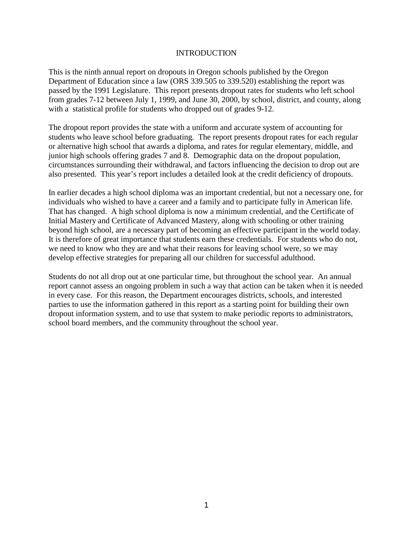#### INTRODUCTION

This is the ninth annual report on dropouts in Oregon schools published by the Oregon Department of Education since a law (ORS 339.505 to 339.520) establishing the report was passed by the 1991 Legislature. This report presents dropout rates for students who left school from grades 7-12 between July 1, 1999, and June 30, 2000, by school, district, and county, along with a statistical profile for students who dropped out of grades 9-12.

The dropout report provides the state with a uniform and accurate system of accounting for students who leave school before graduating. The report presents dropout rates for each regular or alternative high school that awards a diploma, and rates for regular elementary, middle, and junior high schools offering grades 7 and 8. Demographic data on the dropout population, circumstances surrounding their withdrawal, and factors influencing the decision to drop out are also presented. This year's report includes a detailed look at the credit deficiency of dropouts.

In earlier decades a high school diploma was an important credential, but not a necessary one, for individuals who wished to have a career and a family and to participate fully in American life. That has changed. A high school diploma is now a minimum credential, and the Certificate of Initial Mastery and Certificate of Advanced Mastery, along with schooling or other training beyond high school, are a necessary part of becoming an effective participant in the world today. It is therefore of great importance that students earn these credentials. For students who do not, we need to know who they are and what their reasons for leaving school were, so we may develop effective strategies for preparing all our children for successful adulthood.

Students do not all drop out at one particular time, but throughout the school year. An annual report cannot assess an ongoing problem in such a way that action can be taken when it is needed in every case. For this reason, the Department encourages districts, schools, and interested parties to use the information gathered in this report as a starting point for building their own dropout information system, and to use that system to make periodic reports to administrators, school board members, and the community throughout the school year.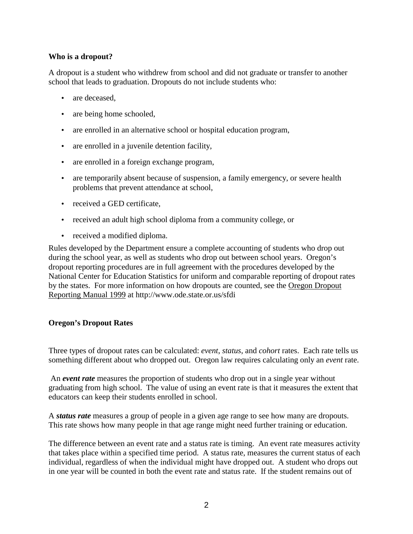## **Who is a dropout?**

A dropout is a student who withdrew from school and did not graduate or transfer to another school that leads to graduation. Dropouts do not include students who:

- are deceased.
- are being home schooled,
- are enrolled in an alternative school or hospital education program,
- are enrolled in a juvenile detention facility,
- are enrolled in a foreign exchange program,
- are temporarily absent because of suspension, a family emergency, or severe health problems that prevent attendance at school,
- received a GED certificate,
- received an adult high school diploma from a community college, or
- received a modified diploma.

Rules developed by the Department ensure a complete accounting of students who drop out during the school year, as well as students who drop out between school years. Oregon's dropout reporting procedures are in full agreement with the procedures developed by the National Center for Education Statistics for uniform and comparable reporting of dropout rates by the states. For more information on how dropouts are counted, see the Oregon Dropout Reporting Manual 1999 at http://www.ode.state.or.us/sfdi

#### **Oregon's Dropout Rates**

Three types of dropout rates can be calculated: *event*, *status*, and *cohort* rates. Each rate tells us something different about who dropped out. Oregon law requires calculating only an *event* rate.

 An *event rate* measures the proportion of students who drop out in a single year without graduating from high school. The value of using an event rate is that it measures the extent that educators can keep their students enrolled in school.

A *status rate* measures a group of people in a given age range to see how many are dropouts. This rate shows how many people in that age range might need further training or education.

The difference between an event rate and a status rate is timing. An event rate measures activity that takes place within a specified time period. A status rate, measures the current status of each individual, regardless of when the individual might have dropped out. A student who drops out in one year will be counted in both the event rate and status rate. If the student remains out of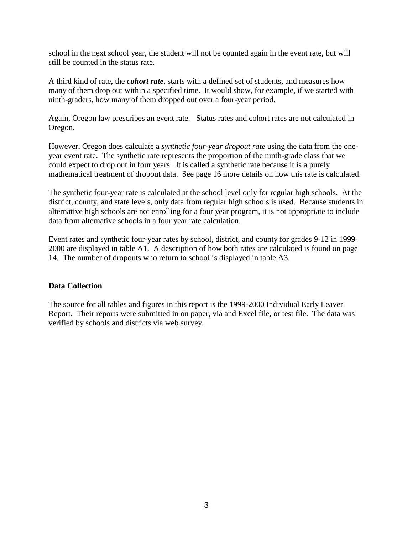school in the next school year, the student will not be counted again in the event rate, but will still be counted in the status rate.

A third kind of rate, the *cohort rate*, starts with a defined set of students, and measures how many of them drop out within a specified time. It would show, for example, if we started with ninth-graders, how many of them dropped out over a four-year period.

Again, Oregon law prescribes an event rate. Status rates and cohort rates are not calculated in Oregon.

However, Oregon does calculate a *synthetic four-year dropout rate* using the data from the oneyear event rate. The synthetic rate represents the proportion of the ninth-grade class that we could expect to drop out in four years. It is called a synthetic rate because it is a purely mathematical treatment of dropout data. See page 16 more details on how this rate is calculated.

The synthetic four-year rate is calculated at the school level only for regular high schools. At the district, county, and state levels, only data from regular high schools is used. Because students in alternative high schools are not enrolling for a four year program, it is not appropriate to include data from alternative schools in a four year rate calculation.

Event rates and synthetic four-year rates by school, district, and county for grades 9-12 in 1999- 2000 are displayed in table A1. A description of how both rates are calculated is found on page 14. The number of dropouts who return to school is displayed in table A3.

#### **Data Collection**

The source for all tables and figures in this report is the 1999-2000 Individual Early Leaver Report. Their reports were submitted in on paper, via and Excel file, or test file. The data was verified by schools and districts via web survey.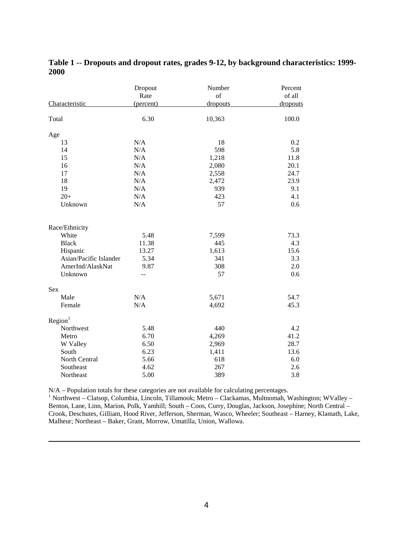| Characteristic         | Dropout<br>Rate<br>(percent) | Number<br>of<br>dropouts | Percent<br>of all<br>dropouts |
|------------------------|------------------------------|--------------------------|-------------------------------|
| Total                  | 6.30                         | 10,363                   | 100.0                         |
| Age                    |                              |                          |                               |
| 13                     | N/A                          | 18                       | 0.2                           |
| 14                     | N/A                          | 598                      | 5.8                           |
| 15                     | N/A                          | 1,218                    | 11.8                          |
| 16                     | N/A                          | 2,080                    | 20.1                          |
| 17                     | N/A                          | 2,558                    | 24.7                          |
| 18                     | N/A                          | 2,472                    | 23.9                          |
| 19                     | N/A                          | 939                      | 9.1                           |
| $20+$                  | N/A                          | 423                      | 4.1                           |
| Unknown                | N/A                          | 57                       | 0.6                           |
| Race/Ethnicity         |                              |                          |                               |
| White                  | 5.48                         | 7,599                    | 73.3                          |
| <b>Black</b>           | 11.38                        | 445                      | 4.3                           |
| Hispanic               | 13.27                        | 1,613                    | 15.6                          |
| Asian/Pacific Islander | 5.34                         | 341                      | 3.3                           |
| AmerInd/AlaskNat       | 9.87                         | 308                      | 2.0                           |
| Unknown                | $\overline{a}$               | 57                       | 0.6                           |
| Sex                    |                              |                          |                               |
| Male                   | N/A                          | 5,671                    | 54.7                          |
| Female                 | N/A                          | 4,692                    | 45.3                          |
| Region <sup>1</sup>    |                              |                          |                               |
| Northwest              | 5.48                         | 440                      | 4.2                           |
| Metro                  | 6.70                         | 4,269                    | 41.2                          |
| W Valley               | 6.50                         | 2,969                    | 28.7                          |
| South                  | 6.23                         | 1,411                    | 13.6                          |
| North Central          | 5.66                         | 618                      | 6.0                           |
| Southeast              | 4.62                         | 267                      | 2.6                           |
| Northeast              | 5.00                         | 389                      | 3.8                           |

**Table 1 -- Dropouts and dropout rates, grades 9-12, by background characteristics: 1999- 2000** 

N/A – Population totals for these categories are not available for calculating percentages.

<sup>1</sup> Northwest – Clatsop, Columbia, Lincoln, Tillamook; Metro – Clackamas, Multnomah, Washington; WValley – Benton, Lane, Linn, Marion, Polk, Yamhill; South – Coos, Curry, Douglas, Jackson, Josephine; North Central – Crook, Deschutes, Gilliam, Hood River, Jefferson, Sherman, Wasco, Wheeler; Southeast – Harney, Klamath, Lake, Malheur; Northeast – Baker, Grant, Morrow, Umatilla, Union, Wallowa.

\_\_\_\_\_\_\_\_\_\_\_\_\_\_\_\_\_\_\_\_\_\_\_\_\_\_\_\_\_\_\_\_\_\_\_\_\_\_\_\_\_\_\_\_\_\_\_\_\_\_\_\_\_\_\_\_\_\_\_\_\_\_\_\_\_\_\_\_\_\_\_\_\_\_\_\_\_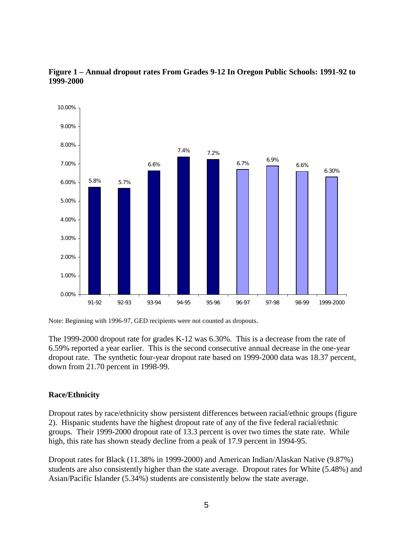

## **Figure 1 – Annual dropout rates From Grades 9-12 In Oregon Public Schools: 1991-92 to 1999-2000**

Note: Beginning with 1996-97, GED recipients were not counted as dropouts.

The 1999-2000 dropout rate for grades K-12 was 6.30%. This is a decrease from the rate of 6.59% reported a year earlier. This is the second consecutive annual decrease in the one-year dropout rate. The synthetic four-year dropout rate based on 1999-2000 data was 18.37 percent, down from 21.70 percent in 1998-99.

## **Race/Ethnicity**

Dropout rates by race/ethnicity show persistent differences between racial/ethnic groups (figure 2). Hispanic students have the highest dropout rate of any of the five federal racial/ethnic groups. Their 1999-2000 dropout rate of 13.3 percent is over two times the state rate. While high, this rate has shown steady decline from a peak of 17.9 percent in 1994-95.

Dropout rates for Black (11.38% in 1999-2000) and American Indian/Alaskan Native (9.87%) students are also consistently higher than the state average. Dropout rates for White (5.48%) and Asian/Pacific Islander (5.34%) students are consistently below the state average.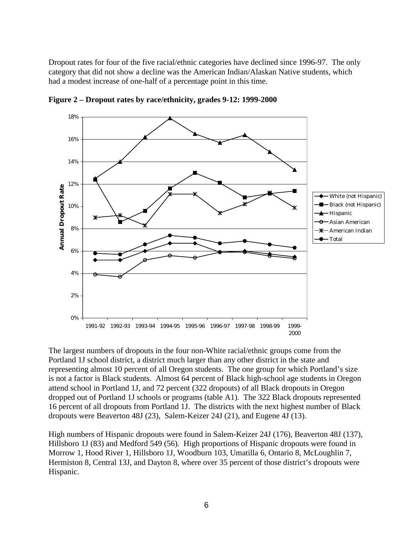Dropout rates for four of the five racial/ethnic categories have declined since 1996-97. The only category that did not show a decline was the American Indian/Alaskan Native students, which had a modest increase of one-half of a percentage point in this time.



**Figure 2 – Dropout rates by race/ethnicity, grades 9-12: 1999-2000** 

The largest numbers of dropouts in the four non-White racial/ethnic groups come from the Portland 1J school district, a district much larger than any other district in the state and representing almost 10 percent of all Oregon students. The one group for which Portland's size is not a factor is Black students. Almost 64 percent of Black high-school age students in Oregon attend school in Portland 1J, and 72 percent (322 dropouts) of all Black dropouts in Oregon dropped out of Portland 1J schools or programs (table A1). The 322 Black dropouts represented 16 percent of all dropouts from Portland 1J. The districts with the next highest number of Black dropouts were Beaverton 48J (23), Salem-Keizer 24J (21), and Eugene 4J (13).

High numbers of Hispanic dropouts were found in Salem-Keizer 24J (176), Beaverton 48J (137), Hillsboro 1J (83) and Medford 549 (56). High proportions of Hispanic dropouts were found in Morrow 1, Hood River 1, Hillsboro 1J, Woodburn 103, Umatilla 6, Ontario 8, McLoughlin 7, Hermiston 8, Central 13J, and Dayton 8, where over 35 percent of those district's dropouts were Hispanic.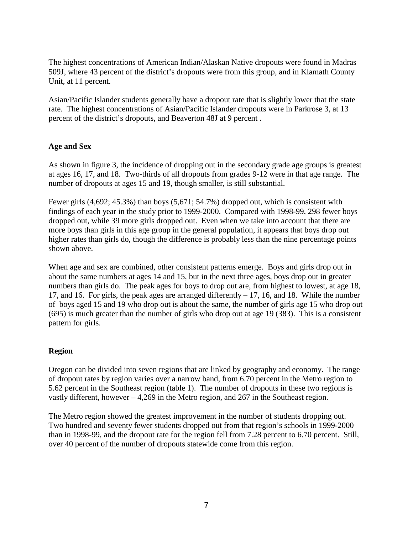The highest concentrations of American Indian/Alaskan Native dropouts were found in Madras 509J, where 43 percent of the district's dropouts were from this group, and in Klamath County Unit, at 11 percent.

Asian/Pacific Islander students generally have a dropout rate that is slightly lower that the state rate. The highest concentrations of Asian/Pacific Islander dropouts were in Parkrose 3, at 13 percent of the district's dropouts, and Beaverton 48J at 9 percent .

## **Age and Sex**

As shown in figure 3, the incidence of dropping out in the secondary grade age groups is greatest at ages 16, 17, and 18. Two-thirds of all dropouts from grades 9-12 were in that age range. The number of dropouts at ages 15 and 19, though smaller, is still substantial.

Fewer girls (4,692; 45.3%) than boys (5,671; 54.7%) dropped out, which is consistent with findings of each year in the study prior to 1999-2000. Compared with 1998-99, 298 fewer boys dropped out, while 39 more girls dropped out. Even when we take into account that there are more boys than girls in this age group in the general population, it appears that boys drop out higher rates than girls do, though the difference is probably less than the nine percentage points shown above.

When age and sex are combined, other consistent patterns emerge. Boys and girls drop out in about the same numbers at ages 14 and 15, but in the next three ages, boys drop out in greater numbers than girls do. The peak ages for boys to drop out are, from highest to lowest, at age 18, 17, and 16. For girls, the peak ages are arranged differently – 17, 16, and 18. While the number of boys aged 15 and 19 who drop out is about the same, the number of girls age 15 who drop out (695) is much greater than the number of girls who drop out at age 19 (383). This is a consistent pattern for girls.

#### **Region**

Oregon can be divided into seven regions that are linked by geography and economy. The range of dropout rates by region varies over a narrow band, from 6.70 percent in the Metro region to 5.62 percent in the Southeast region (table 1). The number of dropouts in these two regions is vastly different, however – 4,269 in the Metro region, and 267 in the Southeast region.

The Metro region showed the greatest improvement in the number of students dropping out. Two hundred and seventy fewer students dropped out from that region's schools in 1999-2000 than in 1998-99, and the dropout rate for the region fell from 7.28 percent to 6.70 percent. Still, over 40 percent of the number of dropouts statewide come from this region.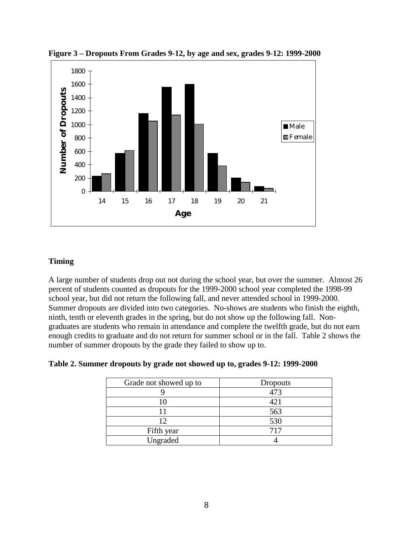

**Figure 3 – Dropouts From Grades 9-12, by age and sex, grades 9-12: 1999-2000**

## **Timing**

A large number of students drop out not during the school year, but over the summer. Almost 26 percent of students counted as dropouts for the 1999-2000 school year completed the 1998-99 school year, but did not return the following fall, and never attended school in 1999-2000. Summer dropouts are divided into two categories. No-shows are students who finish the eighth, ninth, tenth or eleventh grades in the spring, but do not show up the following fall. Nongraduates are students who remain in attendance and complete the twelfth grade, but do not earn enough credits to graduate and do not return for summer school or in the fall. Table 2 shows the number of summer dropouts by the grade they failed to show up to.

| Grade not showed up to | <b>Dropouts</b> |
|------------------------|-----------------|
|                        | 473             |
|                        | 421             |
|                        | 563             |
| 12                     | 530             |
| Fifth year             | 717             |
| Ungraded               |                 |

**Table 2. Summer dropouts by grade not showed up to, grades 9-12: 1999-2000**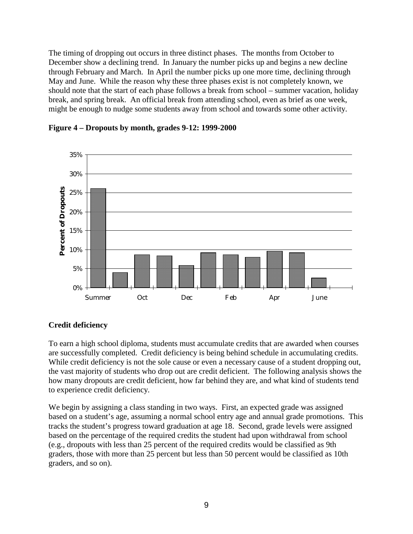The timing of dropping out occurs in three distinct phases. The months from October to December show a declining trend. In January the number picks up and begins a new decline through February and March. In April the number picks up one more time, declining through May and June. While the reason why these three phases exist is not completely known, we should note that the start of each phase follows a break from school – summer vacation, holiday break, and spring break. An official break from attending school, even as brief as one week, might be enough to nudge some students away from school and towards some other activity.



**Figure 4 – Dropouts by month, grades 9-12: 1999-2000** 

## **Credit deficiency**

To earn a high school diploma, students must accumulate credits that are awarded when courses are successfully completed. Credit deficiency is being behind schedule in accumulating credits. While credit deficiency is not the sole cause or even a necessary cause of a student dropping out, the vast majority of students who drop out are credit deficient. The following analysis shows the how many dropouts are credit deficient, how far behind they are, and what kind of students tend to experience credit deficiency.

We begin by assigning a class standing in two ways. First, an expected grade was assigned based on a student's age, assuming a normal school entry age and annual grade promotions. This tracks the student's progress toward graduation at age 18. Second, grade levels were assigned based on the percentage of the required credits the student had upon withdrawal from school (e.g., dropouts with less than 25 percent of the required credits would be classified as 9th graders, those with more than 25 percent but less than 50 percent would be classified as 10th graders, and so on).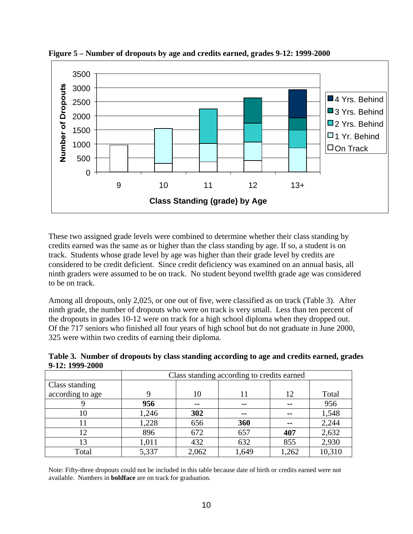

**Figure 5 – Number of dropouts by age and credits earned, grades 9-12: 1999-2000**

These two assigned grade levels were combined to determine whether their class standing by credits earned was the same as or higher than the class standing by age. If so, a student is on track. Students whose grade level by age was higher than their grade level by credits are considered to be credit deficient. Since credit deficiency was examined on an annual basis, all ninth graders were assumed to be on track. No student beyond twelfth grade age was considered to be on track.

Among all dropouts, only 2,025, or one out of five, were classified as on track (Table 3). After ninth grade, the number of dropouts who were on track is very small. Less than ten percent of the dropouts in grades 10-12 were on track for a high school diploma when they dropped out. Of the 717 seniors who finished all four years of high school but do not graduate in June 2000, 325 were within two credits of earning their diploma.

**Table 3. Number of dropouts by class standing according to age and credits earned, grades 9-12: 1999-2000** 

|                  | Class standing according to credits earned |       |       |               |        |
|------------------|--------------------------------------------|-------|-------|---------------|--------|
| Class standing   |                                            |       |       |               |        |
| according to age |                                            | 10    | 11    | 12            | Total  |
|                  | 956                                        | --    | $- -$ | $\sim$ $\sim$ | 956    |
| 10               | 1,246                                      | 302   | $- -$ | $\sim$ $\sim$ | 1,548  |
|                  | 1,228                                      | 656   | 360   | $- -$         | 2,244  |
| 12.              | 896                                        | 672   | 657   | 407           | 2,632  |
| 13               | 1,011                                      | 432   | 632   | 855           | 2,930  |
| Total            | 5,337                                      | 2,062 | 1,649 | 1,262         | 10,310 |

Note: Fifty-three dropouts could not be included in this table because date of birth or credits earned were not available. Numbers in **boldface** are on track for graduation.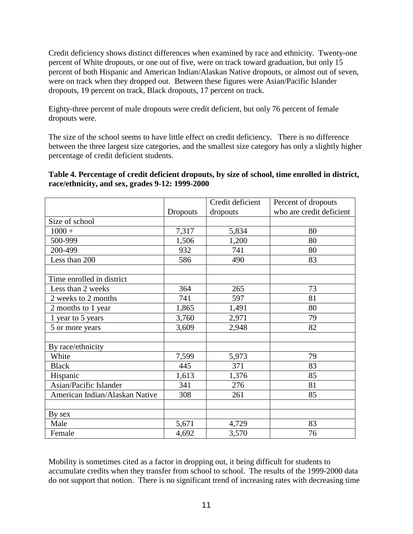Credit deficiency shows distinct differences when examined by race and ethnicity. Twenty-one percent of White dropouts, or one out of five, were on track toward graduation, but only 15 percent of both Hispanic and American Indian/Alaskan Native dropouts, or almost out of seven, were on track when they dropped out. Between these figures were Asian/Pacific Islander dropouts, 19 percent on track, Black dropouts, 17 percent on track.

Eighty-three percent of male dropouts were credit deficient, but only 76 percent of female dropouts were.

The size of the school seems to have little effect on credit deficiency. There is no difference between the three largest size categories, and the smallest size category has only a slightly higher percentage of credit deficient students.

## **Table 4. Percentage of credit deficient dropouts, by size of school, time enrolled in district, race/ethnicity, and sex, grades 9-12: 1999-2000**

|                                |          | Credit deficient | Percent of dropouts      |
|--------------------------------|----------|------------------|--------------------------|
|                                | Dropouts | dropouts         | who are credit deficient |
| Size of school                 |          |                  |                          |
| $1000 +$                       | 7,317    | 5,834            | 80                       |
| 500-999                        | 1,506    | 1,200            | 80                       |
| 200-499                        | 932      | 741              | 80                       |
| Less than 200                  | 586      | 490              | 83                       |
|                                |          |                  |                          |
| Time enrolled in district      |          |                  |                          |
| Less than 2 weeks              | 364      | 265              | 73                       |
| 2 weeks to 2 months            | 741      | 597              | 81                       |
| 2 months to 1 year             | 1,865    | 1,491            | 80                       |
| 1 year to 5 years              | 3,760    | 2,971            | 79                       |
| 5 or more years                | 3,609    | 2,948            | 82                       |
|                                |          |                  |                          |
| By race/ethnicity              |          |                  |                          |
| White                          | 7,599    | 5,973            | 79                       |
| <b>Black</b>                   | 445      | 371              | 83                       |
| Hispanic                       | 1,613    | 1,376            | 85                       |
| Asian/Pacific Islander         | 341      | 276              | 81                       |
| American Indian/Alaskan Native | 308      | 261              | 85                       |
|                                |          |                  |                          |
| By sex                         |          |                  |                          |
| Male                           | 5,671    | 4,729            | 83                       |
| Female                         | 4,692    | 3,570            | 76                       |

Mobility is sometimes cited as a factor in dropping out, it being difficult for students to accumulate credits when they transfer from school to school. The results of the 1999-2000 data do not support that notion. There is no significant trend of increasing rates with decreasing time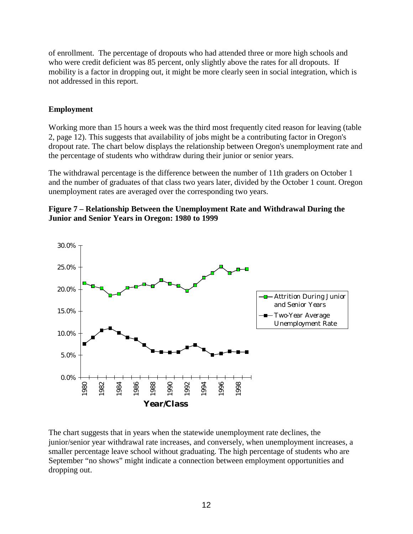of enrollment. The percentage of dropouts who had attended three or more high schools and who were credit deficient was 85 percent, only slightly above the rates for all dropouts. If mobility is a factor in dropping out, it might be more clearly seen in social integration, which is not addressed in this report.

## **Employment**

Working more than 15 hours a week was the third most frequently cited reason for leaving (table 2, page 12). This suggests that availability of jobs might be a contributing factor in Oregon's dropout rate. The chart below displays the relationship between Oregon's unemployment rate and the percentage of students who withdraw during their junior or senior years.

The withdrawal percentage is the difference between the number of 11th graders on October 1 and the number of graduates of that class two years later, divided by the October 1 count. Oregon unemployment rates are averaged over the corresponding two years.





The chart suggests that in years when the statewide unemployment rate declines, the junior/senior year withdrawal rate increases, and conversely, when unemployment increases, a smaller percentage leave school without graduating. The high percentage of students who are September "no shows" might indicate a connection between employment opportunities and dropping out.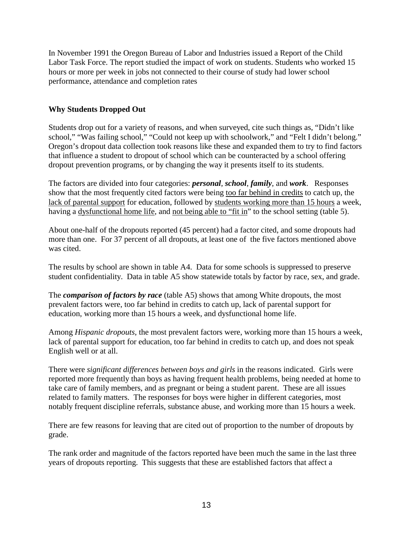In November 1991 the Oregon Bureau of Labor and Industries issued a Report of the Child Labor Task Force. The report studied the impact of work on students. Students who worked 15 hours or more per week in jobs not connected to their course of study had lower school performance, attendance and completion rates

## **Why Students Dropped Out**

Students drop out for a variety of reasons, and when surveyed, cite such things as, "Didn't like school," "Was failing school," "Could not keep up with schoolwork," and "Felt I didn't belong." Oregon's dropout data collection took reasons like these and expanded them to try to find factors that influence a student to dropout of school which can be counteracted by a school offering dropout prevention programs, or by changing the way it presents itself to its students.

The factors are divided into four categories: *personal*, *school*, *family*, and *work*. Responses show that the most frequently cited factors were being too far behind in credits to catch up, the lack of parental support for education, followed by students working more than 15 hours a week, having a dysfunctional home life, and not being able to "fit in" to the school setting (table 5).

About one-half of the dropouts reported (45 percent) had a factor cited, and some dropouts had more than one. For 37 percent of all dropouts, at least one of the five factors mentioned above was cited.

The results by school are shown in table A4. Data for some schools is suppressed to preserve student confidentiality. Data in table A5 show statewide totals by factor by race, sex, and grade.

The *comparison of factors by race* (table A5) shows that among White dropouts, the most prevalent factors were, too far behind in credits to catch up, lack of parental support for education, working more than 15 hours a week, and dysfunctional home life.

Among *Hispanic dropouts*, the most prevalent factors were, working more than 15 hours a week, lack of parental support for education, too far behind in credits to catch up, and does not speak English well or at all.

There were *significant differences between boys and girls* in the reasons indicated. Girls were reported more frequently than boys as having frequent health problems, being needed at home to take care of family members, and as pregnant or being a student parent. These are all issues related to family matters. The responses for boys were higher in different categories, most notably frequent discipline referrals, substance abuse, and working more than 15 hours a week.

There are few reasons for leaving that are cited out of proportion to the number of dropouts by grade.

The rank order and magnitude of the factors reported have been much the same in the last three years of dropouts reporting. This suggests that these are established factors that affect a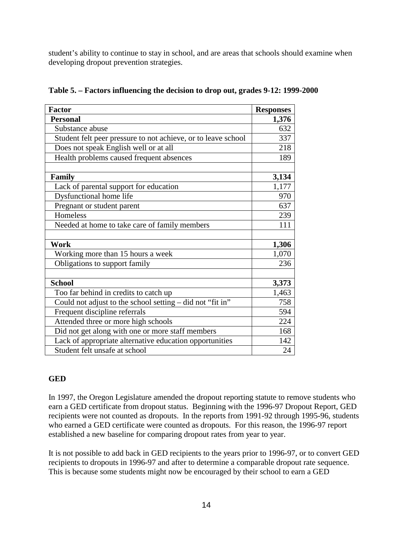student's ability to continue to stay in school, and are areas that schools should examine when developing dropout prevention strategies.

| <b>Factor</b>                                                 | <b>Responses</b> |
|---------------------------------------------------------------|------------------|
| <b>Personal</b>                                               | 1,376            |
| Substance abuse                                               | 632              |
| Student felt peer pressure to not achieve, or to leave school | 337              |
| Does not speak English well or at all                         | 218              |
| Health problems caused frequent absences                      | 189              |
|                                                               |                  |
| <b>Family</b>                                                 | 3,134            |
| Lack of parental support for education                        | 1,177            |
| Dysfunctional home life                                       | 970              |
| Pregnant or student parent                                    | 637              |
| Homeless                                                      | 239              |
| Needed at home to take care of family members                 | 111              |
|                                                               |                  |
| Work                                                          | 1,306            |
| Working more than 15 hours a week                             | 1,070            |
| Obligations to support family                                 | 236              |
|                                                               |                  |
| <b>School</b>                                                 | 3,373            |
| Too far behind in credits to catch up                         | 1,463            |
| Could not adjust to the school setting – did not "fit in"     | 758              |
| Frequent discipline referrals                                 | 594              |
| Attended three or more high schools                           | 224              |
| Did not get along with one or more staff members              | 168              |
| Lack of appropriate alternative education opportunities       | 142              |
| Student felt unsafe at school                                 | 24               |

|  |  |  | Table 5. – Factors influencing the decision to drop out, grades 9-12: 1999-2000 |  |
|--|--|--|---------------------------------------------------------------------------------|--|
|  |  |  |                                                                                 |  |

## **GED**

In 1997, the Oregon Legislature amended the dropout reporting statute to remove students who earn a GED certificate from dropout status. Beginning with the 1996-97 Dropout Report, GED recipients were not counted as dropouts. In the reports from 1991-92 through 1995-96, students who earned a GED certificate were counted as dropouts. For this reason, the 1996-97 report established a new baseline for comparing dropout rates from year to year.

It is not possible to add back in GED recipients to the years prior to 1996-97, or to convert GED recipients to dropouts in 1996-97 and after to determine a comparable dropout rate sequence. This is because some students might now be encouraged by their school to earn a GED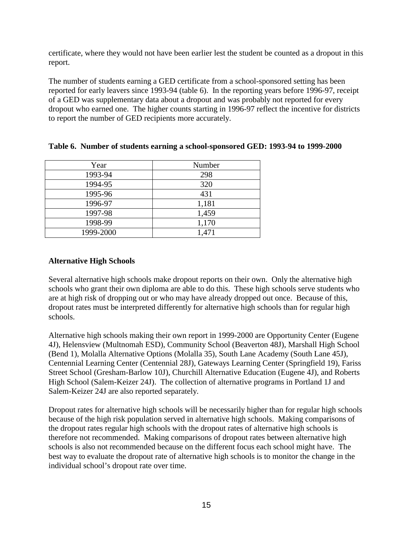certificate, where they would not have been earlier lest the student be counted as a dropout in this report.

The number of students earning a GED certificate from a school-sponsored setting has been reported for early leavers since 1993-94 (table 6). In the reporting years before 1996-97, receipt of a GED was supplementary data about a dropout and was probably not reported for every dropout who earned one. The higher counts starting in 1996-97 reflect the incentive for districts to report the number of GED recipients more accurately.

| Year      | Number |
|-----------|--------|
| 1993-94   | 298    |
| 1994-95   | 320    |
| 1995-96   | 431    |
| 1996-97   | 1,181  |
| 1997-98   | 1,459  |
| 1998-99   | 1,170  |
| 1999-2000 | 1,471  |

#### **Table 6. Number of students earning a school-sponsored GED: 1993-94 to 1999-2000**

## **Alternative High Schools**

Several alternative high schools make dropout reports on their own. Only the alternative high schools who grant their own diploma are able to do this. These high schools serve students who are at high risk of dropping out or who may have already dropped out once. Because of this, dropout rates must be interpreted differently for alternative high schools than for regular high schools.

Alternative high schools making their own report in 1999-2000 are Opportunity Center (Eugene 4J), Helensview (Multnomah ESD), Community School (Beaverton 48J), Marshall High School (Bend 1), Molalla Alternative Options (Molalla 35), South Lane Academy (South Lane 45J), Centennial Learning Center (Centennial 28J), Gateways Learning Center (Springfield 19), Fariss Street School (Gresham-Barlow 10J), Churchill Alternative Education (Eugene 4J), and Roberts High School (Salem-Keizer 24J). The collection of alternative programs in Portland 1J and Salem-Keizer 24J are also reported separately.

Dropout rates for alternative high schools will be necessarily higher than for regular high schools because of the high risk population served in alternative high schools. Making comparisons of the dropout rates regular high schools with the dropout rates of alternative high schools is therefore not recommended. Making comparisons of dropout rates between alternative high schools is also not recommended because on the different focus each school might have. The best way to evaluate the dropout rate of alternative high schools is to monitor the change in the individual school's dropout rate over time.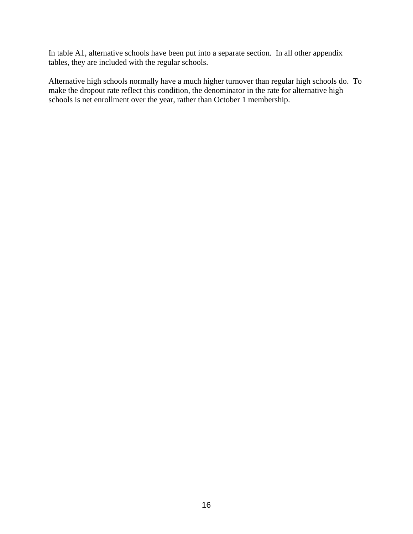In table A1, alternative schools have been put into a separate section. In all other appendix tables, they are included with the regular schools.

Alternative high schools normally have a much higher turnover than regular high schools do. To make the dropout rate reflect this condition, the denominator in the rate for alternative high schools is net enrollment over the year, rather than October 1 membership.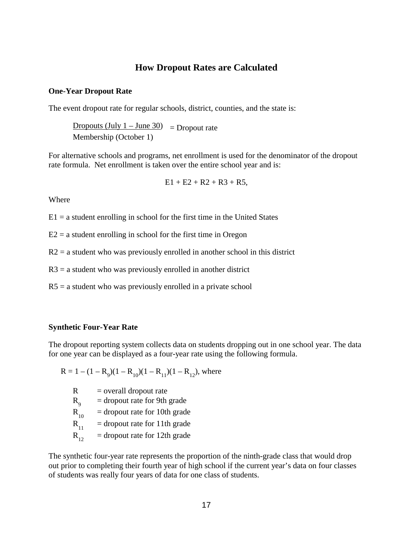## **How Dropout Rates are Calculated**

#### **One-Year Dropout Rate**

The event dropout rate for regular schools, district, counties, and the state is:

Dropouts (July  $1 -$  June 30) = Dropout rate Membership (October 1)

For alternative schools and programs, net enrollment is used for the denominator of the dropout rate formula. Net enrollment is taken over the entire school year and is:

$$
E1 + E2 + R2 + R3 + R5,
$$

**Where** 

 $E1 = a$  student enrolling in school for the first time in the United States

 $E2 = a$  student enrolling in school for the first time in Oregon

 $R2$  = a student who was previously enrolled in another school in this district

 $R3$  = a student who was previously enrolled in another district

 $R5$  = a student who was previously enrolled in a private school

#### **Synthetic Four-Year Rate**

The dropout reporting system collects data on students dropping out in one school year. The data for one year can be displayed as a four-year rate using the following formula.

$$
R = 1 - (1 - R9)(1 - R10)(1 - R11)(1 - R12), where
$$

 $R =$  overall dropout rate

 $R_{0}$ = dropout rate for 9th grade

 $R_{10}$  = dropout rate for 10th grade

 $R_{11}$  = dropout rate for 11th grade

 $R_{12}$  = dropout rate for 12th grade

The synthetic four-year rate represents the proportion of the ninth-grade class that would drop out prior to completing their fourth year of high school if the current year's data on four classes of students was really four years of data for one class of students.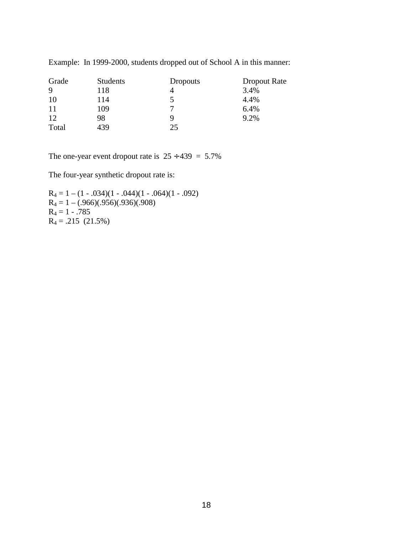| Grade | <b>Students</b> | <b>Dropouts</b> | Dropout Rate |
|-------|-----------------|-----------------|--------------|
| 9     | 118             |                 | 3.4%         |
| 10    | 114             |                 | 4.4%         |
| 11    | 109             | −               | 6.4%         |
| 12    | 98              | 9               | 9.2%         |
| Total | 439             | 25              |              |

Example: In 1999-2000, students dropped out of School A in this manner:

The one-year event dropout rate is  $25 \div 439 = 5.7\%$ 

The four-year synthetic dropout rate is:

 $R_4 = 1 - (1 - .034)(1 - .044)(1 - .064)(1 - .092)$  $R_4 = 1 - (.966)(.956)(.936)(.908)$  $R_4 = 1 - .785$  $R_4 = .215$  (21.5%)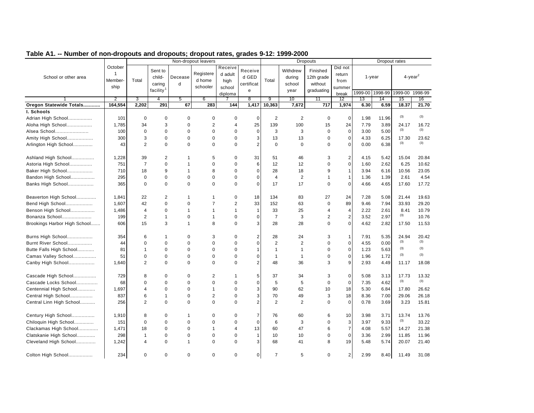|                              |                                 |                          |                                                      |              | Non-dropout leavers             |                                      |                                     |                          |                                      | <b>Dropouts</b>                                 |                                     |            | Dropout rates        |                                   |             |
|------------------------------|---------------------------------|--------------------------|------------------------------------------------------|--------------|---------------------------------|--------------------------------------|-------------------------------------|--------------------------|--------------------------------------|-------------------------------------------------|-------------------------------------|------------|----------------------|-----------------------------------|-------------|
| School or other area         | October<br>1<br>Member-<br>ship | Total                    | Sent to<br>child-<br>caring<br>facility <sup>1</sup> | Decease<br>d | Registere<br>d home<br>schooler | Receive<br>d adult<br>high<br>school | Receive<br>d GED<br>certificat<br>e | Total                    | Withdrew<br>during<br>school<br>year | Finished<br>12th grade<br>without<br>graduating | Did not<br>return<br>from<br>summer | 1999-00    | $1$ -year<br>1998-99 | $4$ -year <sup>2</sup><br>1999-00 | 1998-99     |
|                              |                                 |                          |                                                      |              |                                 | diploma                              |                                     |                          |                                      |                                                 | break                               |            |                      |                                   |             |
| Oregon Statewide Totals      | 2<br>164,554                    | 3<br>2,202               | 4<br>291                                             | 5<br>67      | 6<br>283                        | 144                                  | $\overline{8}$<br>1,417             | $\overline{9}$<br>10,363 | 10<br>7,672                          | 11<br>717                                       | 12<br>1,974                         | 13<br>6.30 | 14<br>6.59           | 15<br>18.37                       | 16<br>21.70 |
| I. Schools                   |                                 |                          |                                                      |              |                                 |                                      |                                     |                          |                                      |                                                 |                                     |            |                      |                                   |             |
| Adrian High School           | 101                             | 0                        | $\Omega$                                             | $\Omega$     | $\mathbf 0$                     | $\mathbf 0$                          | 0                                   | $\sqrt{2}$               | $\overline{c}$                       | $\mathbf 0$                                     | $\mathbf 0$                         | 1.98       | 11.96                | (3)                               | (3)         |
| Aloha High School            | 1.785                           | 34                       | 3                                                    | $\mathbf 0$  | $\overline{2}$                  | $\overline{4}$                       | 25                                  | 139                      | 100                                  | 15                                              | 24                                  | 7.79       | 3.89                 | 24.17                             | 16.72       |
| Alsea School                 | 100                             | $\mathbf 0$              | $\Omega$                                             | $\mathbf 0$  | $\mathbf 0$                     | $\mathbf 0$                          | $\mathbf 0$                         | 3                        | 3                                    | $\mathbf 0$                                     | $\mathbf 0$                         | 3.00       | 5.00                 | (3)                               | (3)         |
| Amity High School            | 300                             | 3                        | $\mathbf 0$                                          | $\mathbf 0$  | $\mathbf 0$                     | $\mathbf 0$                          | 3                                   | 13                       | 13                                   | $\mathbf 0$                                     | $\mathbf 0$                         | 4.33       | 6.25                 | 17.30                             | 23.62       |
| Arlington High School        | 43                              | $\overline{2}$           | $\Omega$                                             | $\Omega$     | $\Omega$                        | $\Omega$                             | $\overline{2}$                      | $\mathbf 0$              | $\Omega$                             | $\Omega$                                        | $\Omega$                            | 0.00       | 6.38                 | (3)                               | (3)         |
|                              |                                 |                          |                                                      |              |                                 |                                      |                                     |                          |                                      |                                                 |                                     |            |                      |                                   |             |
| Ashland High School          | 1,228                           | 39                       | 2                                                    | 1            | 5                               | 0                                    | 31                                  | 51                       | 46                                   | 3                                               | $\overline{2}$                      | 4.15       | 5.42                 | 15.04                             | 20.84       |
| Astoria High School          | 751                             | $\overline{7}$           | $\Omega$                                             | 1            | $\Omega$                        | $\Omega$                             | 6                                   | 12                       | 12                                   | $\Omega$                                        | $\mathbf 0$                         | 1.60       | 2.62                 | 6.25                              | 10.62       |
| Baker High School            | 710                             | 18                       | 9                                                    | $\mathbf{1}$ | 8                               | $\mathbf 0$                          | $\mathbf 0$                         | 28                       | 18                                   | 9                                               | $\mathbf{1}$                        | 3.94       | 6.16                 | 10.56                             | 23.05       |
| Bandon High School           | 295                             | $\mathbf 0$              | $\mathbf 0$                                          | $\mathbf 0$  | $\mathbf 0$                     | $\mathbf 0$                          | $\Omega$                            | $\overline{4}$           | $\overline{2}$                       | $\mathbf{1}$                                    | $\mathbf{1}$                        | 1.36       | 1.39                 | 2.61                              | 4.54        |
| Banks High School            | 365                             | $\mathbf 0$              | $\mathbf 0$                                          | $\mathbf 0$  | $\Omega$                        | $\mathbf 0$                          | $\mathbf 0$                         | 17                       | 17                                   | 0                                               | $\mathbf 0$                         | 4.66       | 4.65                 | 17.60                             | 17.72       |
|                              |                                 |                          |                                                      |              |                                 |                                      |                                     |                          |                                      |                                                 |                                     |            |                      |                                   |             |
| Beaverton High School        | 1,841                           | 22                       | $\overline{2}$                                       | 1            | $\mathbf{1}$                    | $\mathbf 0$                          | 18                                  | 134                      | 83                                   | 27                                              | 24                                  | 7.28       | 5.08                 | 21.44                             | 19.63       |
| Bend High School             | 1,607                           | 42                       | $\mathbf 0$                                          | $\mathbf 0$  | $\overline{7}$                  | $\overline{2}$                       | 33                                  | 152                      | 63                                   | $\mathbf 0$                                     | 89                                  | 9.46       | 7.94                 | 33.93                             | 29.20       |
| Benson High School           | 1,486                           | $\overline{4}$           | $\mathbf 0$                                          | $\mathbf{1}$ | $\mathbf{1}$                    | $\mathbf{1}$                         | 1                                   | 33                       | 25                                   | 4                                               | $\overline{4}$                      | 2.22       | 2.61                 | 8.41                              | 10.79       |
| Bonanza School               | 199                             | $\overline{2}$           | $\mathbf 1$                                          | $\mathbf 0$  | 1                               | $\mathbf 0$                          | 0                                   | $\overline{7}$           | 3                                    | $\overline{2}$                                  | $\overline{c}$                      | 3.52       | 2.97                 | (3)                               | 10.76       |
| Brookings Harbor High School | 606                             | 15                       | 3                                                    | 1            | 8                               | $\mathbf 0$                          | 3                                   | 28                       | 28                                   | $\mathbf 0$                                     | $\mathbf 0$                         | 4.62       | 2.82                 | 17.50                             | 11.53       |
|                              |                                 |                          |                                                      |              |                                 |                                      |                                     |                          |                                      |                                                 |                                     |            |                      |                                   |             |
| Burns High School            | 354                             | 6                        | -1                                                   | $\Omega$     | 3                               | $\mathbf 0$                          | $\overline{2}$                      | 28                       | 24                                   | 3                                               | $\mathbf{1}$                        | 7.91       | 5.35                 | 24.94                             | 20.42       |
| Burnt River School           | 44                              | $\mathbf 0$              | $\mathbf 0$                                          | $\mathbf 0$  | $\mathbf 0$                     | $\mathbf 0$                          | $\mathbf 0$                         | $\overline{2}$           | 2                                    | $\mathbf 0$                                     | $\mathbf 0$                         | 4.55       | 0.00                 | (3)                               | (3)         |
| Butte Falls High School      | 81                              | 1                        | $\mathbf 0$                                          | $\mathbf 0$  | $\mathbf 0$                     | $\mathbf 0$                          | 1                                   | $\mathbf{1}$             | $\mathbf{1}$                         | 0                                               | $\mathbf 0$                         | 1.23       | 5.63                 | (3)                               | (3)         |
| Camas Valley School          | 51                              | $\mathbf 0$              | $\mathbf 0$                                          | $\mathbf 0$  | $\mathbf 0$                     | $\mathbf 0$                          | $\mathbf 0$                         | $\mathbf{1}$             | $\mathbf{1}$                         | 0                                               | $\mathbf 0$                         | 1.96       | 1.72                 | (3)                               | (3)         |
| Canby High School            | 1,640                           | $\overline{2}$           | $\Omega$                                             | $\Omega$     | $\Omega$                        | $\Omega$                             | $\overline{2}$                      | 48                       | 36                                   | 3                                               | 9                                   | 2.93       | 4.49                 | 11.17                             | 18.08       |
|                              |                                 |                          |                                                      |              |                                 |                                      |                                     |                          |                                      |                                                 |                                     |            |                      |                                   |             |
| Cascade High School          | 729                             | 8                        | 0                                                    | $\mathbf 0$  | 2                               | $\mathbf 1$                          | 5                                   | 37                       | 34                                   | 3                                               | $\mathbf 0$                         | 5.08       | 3.13                 | 17.73                             | 13.32       |
| Cascade Locks School         | 68                              | $\mathbf 0$              | $\mathbf 0$                                          | $\mathbf 0$  | $\mathbf 0$                     | $\mathbf 0$                          | $\mathbf 0$                         | 5                        | 5                                    | $\mathbf 0$                                     | $\mathbf 0$                         | 7.35       | 4.62                 | (3)                               | (3)         |
| Centennial High School       | 1,697                           | $\overline{4}$           | $\Omega$                                             | $\mathbf 0$  | 1                               | 0                                    | 3                                   | 90                       | 62                                   | 10                                              | 18                                  | 5.30       | 6.84                 | 17.80                             | 26.62       |
| Central High School          | 837                             | 6                        | $\mathbf{1}$                                         | $\mathbf 0$  | $\overline{2}$                  | $\mathbf 0$                          | 3                                   | 70                       | 49                                   | 3                                               | 18                                  | 8.36       | 7.00                 | 29.06                             | 26.18       |
| Central Linn High School     | 256                             | $\overline{2}$           | $\Omega$                                             | $\mathbf 0$  | $\Omega$                        | $\mathbf 0$                          | $\overline{2}$                      | 2                        | $\overline{2}$                       | $\Omega$                                        | $\mathbf 0$                         | 0.78       | 3.69                 | 3.23                              | 15.81       |
|                              |                                 |                          |                                                      |              |                                 |                                      |                                     |                          |                                      |                                                 |                                     |            |                      |                                   |             |
| Century High School          | 1,910                           | 8                        | $\mathbf 0$                                          | 1            | 0                               | 0                                    | 7                                   | 76                       | 60                                   | 6                                               | 10                                  | 3.98       | 3.71                 | 13.74                             | 13.76       |
| Chiloquin High School        | 151                             | 0                        | $\mathbf 0$                                          | 0            | $\mathbf 0$                     | $\mathbf 0$                          | $\mathbf 0$                         | 6                        | 3                                    | 0                                               | 3                                   | 3.97       | 9.33                 | (3)                               | 33.22       |
| Clackamas High School        | 1,471                           | 18                       | $\Omega$                                             | $\Omega$     | $\mathbf{1}$                    | $\overline{4}$                       | 13                                  | 60                       | 47                                   | 6                                               | $\overline{7}$                      | 4.08       | 5.57                 | 14.27                             | 21.38       |
| Clatskanie High School       | 298                             | $\mathbf{1}$             | $\mathbf 0$                                          | $\Omega$     | $\mathbf 0$                     | $\mathbf 0$                          | $\mathbf{1}$                        | 10                       | 10                                   | $\mathbf 0$                                     | $\mathbf 0$                         | 3.36       | 2.99                 | 11.85                             | 11.96       |
| Cleveland High School        | 1,242                           | $\overline{\mathcal{A}}$ | $\mathbf 0$                                          | 1            | $\mathbf 0$                     | $\Omega$                             | 3                                   | 68                       | 41                                   | 8                                               | 19                                  | 5.48       | 5.74                 | 20.07                             | 21.40       |
| Colton High School           | 234                             | $\Omega$                 | $\mathbf 0$                                          | $\Omega$     | $\mathbf 0$                     | 0                                    | $\mathbf 0$                         | $\overline{7}$           | 5                                    | $\mathbf 0$                                     | $\overline{2}$                      | 2.99       | 8.40                 | 11.49                             | 31.08       |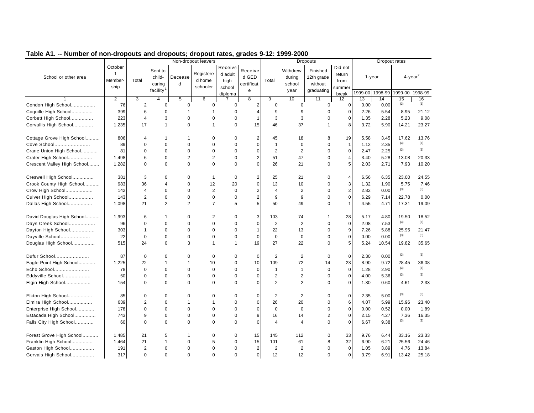|                             |                                            |                |                             |                | Non-dropout leavers             |                            |                                |                |                              | <b>Dropouts</b>                   |                           |                 |       | Dropout rates |                        |
|-----------------------------|--------------------------------------------|----------------|-----------------------------|----------------|---------------------------------|----------------------------|--------------------------------|----------------|------------------------------|-----------------------------------|---------------------------|-----------------|-------|---------------|------------------------|
| School or other area        | October<br>$\mathbf{1}$<br>Member-<br>ship | Total          | Sent to<br>child-<br>caring | Decease<br>d   | Registere<br>d home<br>schooler | Receive<br>d adult<br>high | Receive<br>d GED<br>certificat | Total          | Withdrew<br>during<br>school | Finished<br>12th grade<br>without | Did not<br>return<br>from | $1 - year$      |       |               | $4$ -year <sup>2</sup> |
|                             |                                            |                | facility <sup>1</sup>       |                |                                 | school<br>diploma          | e                              |                | year                         | graduating                        | summer<br>break           | 1999-00 1998-99 |       | 1999-00       | 1998-99                |
|                             | $\overline{2}$                             | 3              | 4                           | 5              | 6                               |                            | $\overline{8}$                 | 9              | 10                           | 11                                | 12                        | 13              | 14    | 15            | 16                     |
| Condon High School          | 76                                         | $\overline{2}$ | $\mathbf 0$                 | $\mathbf 0$    | $\mathbf 0$                     | $\Omega$                   | $\overline{2}$                 | $\mathbf 0$    | $\mathbf 0$                  | $\mathbf 0$                       | $\mathbf 0$               | 0.00            | 0.00  | (3)           | (3)                    |
| Coquille High School        | 399                                        | 6              | $\mathbf 0$                 | $\mathbf{1}$   | $\overline{1}$                  | 0                          | $\overline{4}$                 | 9              | 9                            | $\mathbf 0$                       | $\mathbf 0$               | 2.26            | 5.54  | 8.95          | 21.12                  |
| Corbett High School         | 223                                        | $\overline{4}$ | 3                           | $\mathbf 0$    | $\mathbf 0$                     | 0                          | $\mathbf{1}$                   | 3              | 3                            | $\mathbf 0$                       | $\mathbf 0$               | 1.35            | 2.28  | 5.23          | 9.08                   |
| Corvallis High School       | 1,235                                      | 17             | $\mathbf{1}$                | $\mathbf 0$    | $\mathbf{1}$                    | 0                          | 15                             | 46             | 37                           | $\mathbf{1}$                      | 8                         | 3.72            | 5.90  | 14.21         | 23.27                  |
| Cottage Grove High School   | 806                                        | $\overline{4}$ | $\mathbf{1}$                | $\mathbf{1}$   | $\mathbf 0$                     | 0                          | $\overline{2}$                 | 45             | 18                           | 8                                 | 19                        | 5.58            | 3.45  | 17.62         | 13.76                  |
| Cove School                 | 89                                         | $\Omega$       | $\Omega$                    | $\Omega$       | $\Omega$                        | $\Omega$                   | $\Omega$                       | $\overline{1}$ | $\mathbf 0$                  | $\Omega$                          | $\overline{1}$            | 1.12            | 2.35  | (3)           | (3)                    |
| Crane Union High School     | 81                                         | $\mathbf 0$    | $\mathbf 0$                 | $\mathbf 0$    | $\mathbf 0$                     | 0                          | $\mathbf 0$                    | $\overline{2}$ | $\overline{2}$               | $\mathbf 0$                       | $\mathbf 0$               | 2.47            | 2.25  | (3)           | (3)                    |
| Crater High School          | 1,498                                      | 6              | $\mathbf 0$                 | $\overline{2}$ | $\overline{2}$                  | $\mathbf 0$                | $\overline{2}$                 | 51             | 47                           | $\pmb{0}$                         | $\overline{4}$            | 3.40            | 5.28  | 13.08         | 20.33                  |
| Crescent Valley High School | 1,282                                      | $\mathbf 0$    | $\mathbf 0$                 | $\mathbf 0$    | $\mathbf 0$                     | $\mathbf 0$                | $\Omega$                       | 26             | 21                           | $\mathbf 0$                       | 5                         | 2.03            | 2.71  | 7.93          | 10.20                  |
| Creswell High School        | 381                                        | 3              | $\mathbf 0$                 | $\mathbf 0$    | $\mathbf{1}$                    | $\mathbf 0$                | $\overline{2}$                 | 25             | 21                           | $\Omega$                          | $\overline{4}$            | 6.56            | 6.35  | 23.00         | 24.55                  |
| Crook County High School    | 983                                        | 36             | $\overline{4}$              | $\mathbf 0$    | 12                              | 20                         | $\mathbf 0$                    | 13             | 10                           | $\mathbf 0$                       | 3                         | 1.32            | 1.90  | 5.75          | 7.46                   |
| Crow High School            | 142                                        | $\overline{4}$ | $\mathbf 0$                 | $\mathbf 0$    | $\overline{2}$                  | $\mathbf 0$                | $\overline{2}$                 | $\overline{4}$ | 2                            | $\mathbf 0$                       | $\overline{2}$            | 2.82            | 0.00  | (3)           | (3)                    |
| Culver High School          | 143                                        | $\overline{2}$ | $\mathbf 0$                 | $\mathbf 0$    | $\mathbf 0$                     | 0                          | $\overline{c}$                 | 9              | 9                            | $\mathbf 0$                       | $\mathbf 0$               | 6.29            | 7.14  | 22.78         | 0.00                   |
| Dallas High School          | 1,098                                      | 21             | 2                           | $\overline{2}$ | $\overline{7}$                  | 5                          | 5                              | 50             | 49                           | $\mathbf 0$                       | $\mathbf 1$               | 4.55            | 4.71  | 17.31         | 19.09                  |
| David Douglas High School   | 1,993                                      | 6              | $\mathbf{1}$                | $\Omega$       | $\overline{2}$                  | 0                          | 3                              | 103            | 74                           | $\mathbf 1$                       | 28                        | 5.17            | 4.80  | 19.50         | 18.52                  |
| Days Creek School           | 96                                         | $\mathbf 0$    | $\mathbf 0$                 | $\mathbf 0$    | $\mathbf 0$                     | 0                          | $\mathbf 0$                    | $\overline{2}$ | $\overline{2}$               | $\mathbf 0$                       | $\mathbf 0$               | 2.08            | 7.53  | (3)           | (3)                    |
| Dayton High School          | 303                                        | $\mathbf{1}$   | $\mathbf 0$                 | $\mathbf 0$    | $\mathbf 0$                     | $\mathbf 0$                | 1                              | 22             | 13                           | $\mathsf 0$                       | 9                         | 7.26            | 5.88  | 25.95         | 21.47                  |
| Dayville School             | 22                                         | $\mathbf 0$    | $\mathbf 0$                 | $\mathbf 0$    | $\mathbf 0$                     | $\mathbf 0$                | $\mathbf 0$                    | $\mathbf 0$    | 0                            | $\mathbf 0$                       | 0                         | 0.00            | 0.00  | (3)           | (3)                    |
| Douglas High School         | 515                                        | 24             | $\mathbf 0$                 | 3              | $\mathbf{1}$                    | $\overline{1}$             | 19                             | 27             | 22                           | $\Omega$                          | 5                         | 5.24            | 10.54 | 19.82         | 35.65                  |
| Dufur School                | 87                                         | $\mathbf 0$    | $\mathbf 0$                 | $\mathbf 0$    | $\mathbf 0$                     | 0                          | $\mathbf 0$                    | $\overline{2}$ | $\overline{2}$               | $\mathbf 0$                       | $\mathbf{0}$              | 2.30            | 0.00  | (3)           | (3)                    |
| Eagle Point High School     | 1,225                                      | 22             | $\mathbf{1}$                | $\overline{1}$ | 10                              | 0                          | 10                             | 109            | 72                           | 14                                | 23                        | 8.90            | 9.72  | 28.45         | 36.08                  |
| Echo School                 | 78                                         | $\mathbf 0$    | $\mathbf 0$                 | $\mathbf 0$    | $\mathbf 0$                     | 0                          | $\mathbf 0$                    | $\overline{1}$ | $\mathbf{1}$                 | $\mathbf 0$                       | $\mathbf 0$               | 1.28            | 2.90  | (3)           | (3)                    |
| Eddyville School            | 50                                         | $\mathbf 0$    | $\mathbf 0$                 | $\mathbf 0$    | $\mathbf 0$                     | 0                          | $\mathbf 0$                    | $\overline{2}$ | $\overline{2}$               | $\mathbf 0$                       | $\mathbf 0$               | 4.00            | 5.36  | (3)           | (3)                    |
| Elgin High School           | 154                                        | $\mathbf 0$    | $\mathbf 0$                 | $\mathbf 0$    | $\mathbf 0$                     | 0                          | $\mathbf 0$                    | 2              | $\overline{2}$               | $\mathbf 0$                       | $\mathbf 0$               | 1.30            | 0.60  | 4.61          | 2.33                   |
| Elkton High School          | 85                                         | $\mathbf 0$    | $\mathbf 0$                 | $\mathbf 0$    | $\mathbf 0$                     | 0                          | $\mathbf 0$                    | $\overline{2}$ | $\overline{2}$               | $\mathbf 0$                       | $\mathbf 0$               | 2.35            | 5.00  | (3)           | (3)                    |
| Elmira High School          | 639                                        | $\overline{2}$ | $\mathbf 0$                 | $\mathbf{1}$   | $\mathbf{1}$                    | 0                          | $\mathbf 0$                    | 26             | 20                           | $\mathbf 0$                       | 6                         | 4.07            | 5.99  | 15.96         | 23.40                  |
| Enterprise High School      | 178                                        | $\mathbf 0$    | $\mathbf 0$                 | $\mathbf 0$    | $\mathbf 0$                     | $\mathbf 0$                | $\Omega$                       | $\mathbf 0$    | $\mathbf 0$                  | $\mathbf 0$                       | $\mathbf{0}$              | 0.00            | 0.52  | 0.00          | 1.89                   |
| Estacada High School        | 743                                        | 9              | $\mathbf 0$                 | $\mathbf 0$    | $\mathbf 0$                     | 0                          | 9                              | 16             | 14                           | $\overline{2}$                    | $\mathbf 0$               | 2.15            | 4.27  | 7.36          | 16.35                  |
| Falls City High School      | 60                                         | $\Omega$       | $\Omega$                    | $\Omega$       | $\Omega$                        | $\Omega$                   | $\Omega$                       | $\overline{4}$ | 4                            | $\Omega$                          | $\Omega$                  | 6.67            | 9.38  | (3)           | (3)                    |
| Forest Grove High School    | 1,485                                      | 21             | 5                           | $\mathbf{1}$   | $\mathbf 0$                     | 0                          | 15                             | 145            | 112                          | $\mathbf 0$                       | 33                        | 9.76            | 6.44  | 33.16         | 23.33                  |
| Franklin High School        | 1,464                                      | 21             | $\mathbf{1}$                | $\mathbf 0$    | 5                               | 0                          | 15                             | 101            | 61                           | 8                                 | 32                        | 6.90            | 6.21  | 25.56         | 24.46                  |
| Gaston High School          | 191                                        | $\overline{2}$ | $\mathbf 0$                 | $\mathbf 0$    | $\mathbf 0$                     | $\mathbf 0$                | $\overline{2}$                 | $\overline{2}$ | 2                            | $\mathbf 0$                       | $\mathbf 0$               | 1.05            | 3.89  | 4.76          | 13.84                  |
| Gervais High School         | 317                                        | $\mathbf 0$    | $\mathbf 0$                 | $\mathbf 0$    | $\mathbf 0$                     | 0                          | $\overline{0}$                 | 12             | 12                           | $\mathbf 0$                       | $\mathbf 0$               | 3.79            | 6.91  | 13.42         | 25.18                  |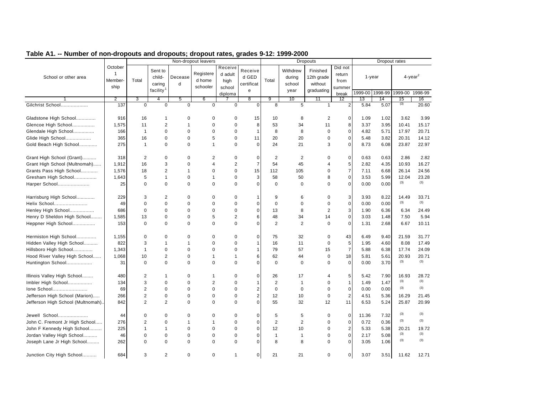|                                    |                                            |                |                                                      |              | Non-dropout leavers             |                                      |                                     |                |                                      | <b>Dropouts</b>                                 |                                     |           | Dropout rates   |                        |         |
|------------------------------------|--------------------------------------------|----------------|------------------------------------------------------|--------------|---------------------------------|--------------------------------------|-------------------------------------|----------------|--------------------------------------|-------------------------------------------------|-------------------------------------|-----------|-----------------|------------------------|---------|
| School or other area               | October<br>$\mathbf{1}$<br>Member-<br>ship | Total          | Sent to<br>child-<br>caring<br>facility <sup>1</sup> | Decease<br>d | Registere<br>d home<br>schooler | Receive<br>d adult<br>high<br>school | Receive<br>d GED<br>certificat<br>e | Total          | Withdrew<br>during<br>school<br>year | Finished<br>12th grade<br>without<br>graduating | Did not<br>return<br>from<br>summer | $1$ -year |                 | $4$ -year <sup>2</sup> |         |
|                                    |                                            |                |                                                      |              |                                 | diploma                              |                                     |                |                                      |                                                 | break                               |           | 1999-00 1998-99 | 1999-00                | 1998-99 |
|                                    | $\overline{2}$                             | 3              | 4                                                    | 5            | 6                               |                                      | 8                                   | 9              | 10                                   | 11                                              | 12                                  | 13        | 14              | 15<br>(3)              | 16      |
| Gilchrist School                   | 137                                        | $\mathbf 0$    | $\mathbf 0$                                          | $\mathbf 0$  | $\mathbf 0$                     | $\Omega$                             | $\Omega$                            | 8              | 5                                    | $\mathbf{1}$                                    | 2                                   | 5.84      | 5.07            |                        | 20.60   |
| Gladstone High School              | 916                                        | 16             | 1                                                    | 0            | $\mathbf 0$                     | $\mathbf 0$                          | 15                                  | 10             | 8                                    | $\overline{2}$                                  | 0                                   | 1.09      | 1.02            | 3.62                   | 3.99    |
| Glencoe High School                | 1,575                                      | 11             | 2                                                    | 1            | $\mathbf 0$                     | $\Omega$                             | 8                                   | 53             | 34                                   | 11                                              | 8                                   | 3.37      | 3.95            | 10.41                  | 15.17   |
| Glendale High School               | 166                                        | $\mathbf{1}$   | $\Omega$                                             | 0            | $\Omega$                        | $\mathbf 0$                          | $\mathbf{1}$                        | 8              | 8                                    | $\mathbf 0$                                     | $\mathbf 0$                         | 4.82      | 5.71            | 17.97                  | 20.71   |
| Glide High School                  | 365                                        | 16             | $\mathbf 0$                                          | 0            | 5                               | $\mathbf 0$                          | 11                                  | 20             | 20                                   | $\mathbf 0$                                     | $\mathbf 0$                         | 5.48      | 3.82            | 20.31                  | 14.12   |
| Gold Beach High School             | 275                                        | 1              | $\Omega$                                             | 0            | $\mathbf{1}$                    | $\mathbf 0$                          | $\mathbf 0$                         | 24             | 21                                   | 3                                               | $\mathbf 0$                         | 8.73      | 6.08            | 23.87                  | 22.97   |
| Grant High School (Grant)          | 318                                        | 2              | $\mathbf 0$                                          | $\Omega$     | $\overline{2}$                  | 0                                    | $\mathbf 0$                         | 2              | 2                                    | 0                                               | $\mathbf 0$                         | 0.63      | 0.63            | 2.86                   | 2.82    |
| Grant High School (Multnomah)      | 1,912                                      | 16             | 3                                                    | $\Omega$     | $\overline{4}$                  | $\overline{2}$                       | $\overline{7}$                      | 54             | 45                                   | $\overline{4}$                                  | 5                                   | 2.82      | 4.35            | 10.93                  | 16.27   |
| Grants Pass High School            | 1,576                                      | 18             | $\overline{2}$                                       | 1            | $\mathbf 0$                     | $\mathbf 0$                          | 15                                  | 112            | 105                                  | $\mathbf 0$                                     | $\overline{7}$                      | 7.11      | 6.68            | 26.14                  | 24.56   |
| Gresham High School                | 1,643                                      | 5              | $\mathbf{1}$                                         | 0            | $\mathbf{1}$                    | $\mathbf 0$                          | 3                                   | 58             | 50                                   | 8                                               | $\mathbf 0$                         | 3.53      | 5.99            | 12.04                  | 23.28   |
| Harper School                      | 25                                         | $\mathbf 0$    | $\mathbf 0$                                          | 0            | $\mathbf 0$                     | $\mathbf 0$                          | $\mathbf 0$                         | $\mathbf 0$    | $\mathbf 0$                          | $\Omega$                                        | $\mathbf 0$                         | 0.00      | 0.00            | (3)                    | (3)     |
| Harrisburg High School             | 229                                        | 3              | $\overline{2}$                                       | 0            | $\mathbf 0$                     | $\mathbf 0$                          | 1                                   | 9              | 6                                    | $\mathbf 0$                                     | 3                                   | 3.93      | 8.22            | 14.49                  | 33.71   |
| Helix School                       | 49                                         | $\mathbf 0$    | $\mathbf 0$                                          | 0            | $\mathbf 0$                     | $\mathbf 0$                          | $\mathbf 0$                         | $\mathbf 0$    | $\mathbf 0$                          | $\mathbf 0$                                     | $\mathbf 0$                         | 0.00      | 0.00            | (3)                    | (3)     |
| Henley High School                 | 686                                        | $\mathbf 0$    | $\mathbf 0$                                          | $\Omega$     | $\mathbf 0$                     | $\mathbf 0$                          | $\mathbf 0$                         | 13             | 8                                    | 2                                               | 3                                   | 1.90      | 6.36            | 6.34                   | 24.49   |
| Henry D Sheldon High School        | 1,585                                      | 13             | $\mathbf 0$                                          | 0            | 5                               | 2                                    | 6                                   | 48             | 34                                   | 14                                              | 0                                   | 3.03      | 1.48            | 7.50                   | 5.94    |
| Heppner High School                | 153                                        | $\mathbf 0$    | $\mathbf 0$                                          | 0            | $\mathbf 0$                     | $\mathbf 0$                          | $\overline{0}$                      | 2              | 2                                    | $\mathbf 0$                                     | $\mathbf 0$                         | 1.31      | 2.68            | 6.67                   | 10.11   |
| Hermiston High School              | 1,155                                      | $\Omega$       | $\mathbf 0$                                          | $\Omega$     | $\mathbf 0$                     | $\mathbf 0$                          | $\mathbf 0$                         | 75             | 32                                   | $\mathbf 0$                                     | 43                                  | 6.49      | 9.40            | 21.59                  | 31.77   |
| Hidden Valley High School          | 822                                        | 3              | $\mathbf{1}$                                         | 1            | $\mathbf 0$                     | $\mathbf 0$                          | $\mathbf{1}$                        | 16             | 11                                   | $\mathbf 0$                                     | $\sqrt{5}$                          | 1.95      | 4.60            | 8.08                   | 17.49   |
| Hillsboro High School              | 1,343                                      | $\mathbf{1}$   | $\mathbf 0$                                          | 0            | $\mathbf 0$                     | $\mathbf 0$                          | 1                                   | 79             | 57                                   | 15                                              | $\overline{7}$                      | 5.88      | 6.38            | 17.74                  | 24.09   |
| Hood River Valley High School      | 1,068                                      | 10             | $\overline{2}$                                       | 0            | $\mathbf{1}$                    | $\mathbf{1}$                         | 6                                   | 62             | 44                                   | $\mathbf 0$                                     | 18                                  | 5.81      | 5.61            | 20.93                  | 20.71   |
| Huntington School                  | 31                                         | $\Omega$       | $\Omega$                                             | $\Omega$     | $\Omega$                        | $\Omega$                             | $\overline{0}$                      | $\mathbf 0$    | $\Omega$                             | $\Omega$                                        | $\mathbf 0$                         | 0.00      | 3.70            | (3)                    | (3)     |
| Illinois Valley High School        | 480                                        | 2              | $\mathbf{1}$                                         | 0            | $\mathbf{1}$                    | 0                                    | $\mathbf 0$                         | 26             | 17                                   | 4                                               | 5                                   | 5.42      | 7.90            | 16.93                  | 28.72   |
| Imbler High School                 | 134                                        | 3              | $\mathbf 0$                                          | $\Omega$     | $\overline{2}$                  | $\mathbf 0$                          | 1                                   | $\overline{2}$ | $\mathbf{1}$                         | $\mathbf 0$                                     | $\mathbf{1}$                        | 1.49      | 1.47            | (3)                    | (3)     |
| Ione School                        | 69                                         | $\overline{c}$ | $\mathbf 0$                                          | 0            | $\mathbf 0$                     | 0                                    | 2                                   | $\mathbf 0$    | 0                                    | $\mathbf 0$                                     | $\mathbf 0$                         | 0.00      | 0.00            | (3)                    | (3)     |
| Jefferson High School (Marion)     | 266                                        | $\overline{2}$ | $\mathbf 0$                                          | 0            | $\mathbf 0$                     | $\mathbf 0$                          | $\overline{2}$                      | 12             | 10                                   | $\mathbf 0$                                     | $\overline{2}$                      | 4.51      | 5.36            | 16.29                  | 21.45   |
|                                    | 842                                        | $\overline{2}$ | $\overline{2}$                                       | 0            | $\mathbf 0$                     | $\Omega$                             | $\overline{0}$                      | 55             | 32                                   | 12                                              |                                     | 6.53      |                 | 25.87                  |         |
| Jefferson High School (Multnomah). |                                            |                |                                                      |              |                                 |                                      |                                     |                |                                      |                                                 | 11                                  |           | 5.24            |                        | 20.99   |
| Jewell School                      | 44                                         | 0              | $\mathbf 0$                                          | 0            | $\mathbf 0$                     | 0                                    | $\mathbf 0$                         | 5              | 5                                    | 0                                               | $\mathbf 0$                         | 11.36     | 7.32            | (3)                    | (3)     |
| John C. Fremont Jr High School     | 276                                        | $\overline{c}$ | $\mathbf 0$                                          | 1            | $\mathbf{1}$                    | 0                                    | 0                                   | $\overline{2}$ | 2                                    | $\mathbf 0$                                     | $\mathbf 0$                         | 0.72      | 0.36            | (3)                    | (3)     |
| John F Kennedy High School         | 225                                        | $\mathbf{1}$   | $\mathbf{1}$                                         | $\Omega$     | $\Omega$                        | $\Omega$                             | $\Omega$                            | 12             | 10                                   | $\mathbf 0$                                     | $\overline{2}$                      | 5.33      | 5.38            | 20.21                  | 19.72   |
| Jordan Valley High School          | 46                                         | $\mathbf 0$    | $\mathbf 0$                                          | 0            | $\mathbf 0$                     | $\mathbf 0$                          | $\mathbf 0$                         | $\mathbf{1}$   | $\mathbf{1}$                         | $\mathbf 0$                                     | 0                                   | 2.17      | 5.08            | (3)                    | (3)     |
| Joseph Lane Jr High School         | 262                                        | $\mathbf 0$    | $\mathbf 0$                                          | 0            | $\mathbf 0$                     | $\Omega$                             | $\Omega$                            | 8              | 8                                    | $\Omega$                                        | $\mathbf 0$                         | 3.05      | 1.06            | (3)                    | (3)     |
| Junction City High School          | 684                                        | 3              | 2                                                    | 0            | $\mathbf 0$                     | $\mathbf 1$                          | $\overline{0}$                      | 21             | 21                                   | $\mathbf 0$                                     | $\mathbf 0$                         | 3.07      | 3.51            | 11.62                  | 12.71   |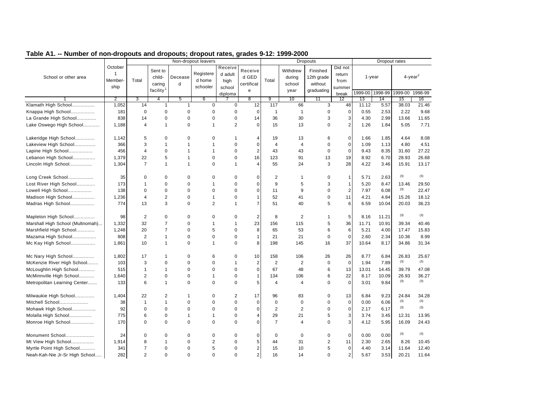|                                  |                                    |                |                             |                | Non-dropout leavers |                            |                                |                |                              | <b>Dropouts</b>                   |                           |       |                 | Dropout rates |                        |
|----------------------------------|------------------------------------|----------------|-----------------------------|----------------|---------------------|----------------------------|--------------------------------|----------------|------------------------------|-----------------------------------|---------------------------|-------|-----------------|---------------|------------------------|
| School or other area             | October<br>$\mathbf{1}$<br>Member- | Total          | Sent to<br>child-<br>caring | Decease<br>d   | Registere<br>d home | Receive<br>d adult<br>high | Receive<br>d GED<br>certificat | Total          | Withdrew<br>during<br>school | Finished<br>12th grade<br>without | Did not<br>return<br>from |       | $1 - year$      |               | $4$ -year <sup>2</sup> |
|                                  | ship                               |                | facility <sup>1</sup>       |                | schooler            | school                     | $\mathbf{e}$                   |                | year                         | graduating                        | summer                    |       | 1999-00 1998-99 | 1999-00       | 1998-99                |
|                                  | $\overline{2}$                     | 3              | 4                           | 5              | 6                   | diploma                    | 8                              | 9              | 10                           | 11                                | break<br>12               | 13    | 14              | 15            | 16                     |
| Klamath High School              | 1,052                              | 14             | $\mathbf{1}$                | $\mathbf{1}$   | $\mathbf 0$         | $\mathbf 0$                | 12                             | 117            | 66                           | 3                                 | 48                        | 11.12 | 5.57            | 38.03         | 21.46                  |
| Knappa High School               | 181                                | $\mathbf 0$    | $\mathbf 0$                 | $\mathbf 0$    | $\mathbf 0$         | 0                          | $\mathbf 0$                    | $\mathbf 1$    | $\overline{1}$               | 0                                 | $\mathbf 0$               | 0.55  | 2.53            | 2.22          | 9.68                   |
| La Grande High School            | 838                                | 14             | $\Omega$                    | $\Omega$       | $\mathbf 0$         | 0                          | 14                             | 36             | 30                           | 3                                 | 3                         | 4.30  | 2.99            | 13.66         | 11.65                  |
| Lake Oswego High School          | 1,188                              | $\overline{4}$ | $\mathbf{1}$                | $\Omega$       | $\mathbf{1}$        | $\overline{2}$             | $\Omega$                       | 15             | 13                           | $\Omega$                          | $\overline{2}$            | 1.26  | 1.84            | 5.05          | 7.71                   |
|                                  |                                    |                |                             |                |                     |                            |                                |                |                              |                                   |                           |       |                 |               |                        |
| Lakeridge High School            | 1,142                              | 5              | $\mathbf 0$                 | $\mathbf 0$    | $\mathbf 0$         | 1                          | 4                              | 19             | 13                           | 6                                 | $\mathbf 0$               | 1.66  | 1.85            | 4.64          | 8.08                   |
| Lakeview High School             | 366                                | 3              | $\mathbf{1}$                | $\mathbf{1}$   | $\overline{1}$      | $\mathbf 0$                | $\mathbf 0$                    | $\overline{4}$ | $\overline{4}$               | $\mathbf 0$                       | $\mathbf{0}$              | 1.09  | 1.13            | 4.80          | 4.51                   |
| Lapine High School               | 456                                | $\overline{4}$ | $\mathbf 0$                 | $\overline{1}$ | $\mathbf{1}$        | $\mathbf 0$                | $\overline{2}$                 | 43             | 43                           | $\mathbf 0$                       | $\mathbf{0}$              | 9.43  | 8.35            | 31.60         | 27.22                  |
| Lebanon High School              | 1,379                              | 22             | 5                           | $\mathbf{1}$   | $\mathbf 0$         | 0                          | 16                             | 123            | 91                           | 13                                | 19                        | 8.92  | 6.70            | 28.93         | 26.68                  |
| Lincoln High School              | 1,304                              | $\overline{7}$ | $\mathbf{1}$                | $\overline{1}$ | $\mathbf 0$         | $\overline{1}$             | $\overline{4}$                 | 55             | 24                           | 3                                 | 28                        | 4.22  | 3.46            | 15.91         | 13.17                  |
|                                  |                                    |                |                             |                |                     |                            |                                |                |                              |                                   |                           |       |                 | (3)           | (3)                    |
| Long Creek School                | 35                                 | 0              | $\Omega$                    | $\Omega$       | $\Omega$            | $\Omega$                   | $\Omega$                       | 2              | $\mathbf{1}$                 | $\mathbf 0$                       | $\overline{1}$            | 5.71  | 2.63            |               |                        |
| Lost River High School           | 173                                | $\mathbf{1}$   | $\mathbf 0$                 | $\mathbf 0$    | $\overline{1}$      | $\mathbf 0$                | $\Omega$                       | 9              | 5                            | 3                                 | $\mathbf{1}$              | 5.20  | 8.47            | 13.46<br>(3)  | 29.50                  |
| Lowell High School               | 138                                | $\Omega$       | $\mathbf 0$                 | $\Omega$       | $\mathbf 0$         | 0                          | $\mathbf 0$                    | 11             | 9                            | $\mathbf 0$                       | $\overline{2}$            | 7.97  | 6.08            |               | 22.47                  |
| Madison High School              | 1,236                              | $\overline{4}$ | $\overline{2}$              | $\mathbf 0$    | $\mathbf{1}$        | 0                          | 1                              | 52             | 41                           | $\mathbf 0$                       | 11                        | 4.21  | 4.84            | 15.26         | 18.12                  |
| Madras High School               | 774                                | 13             | 3                           | $\mathbf 0$    | $\overline{2}$      | $\overline{1}$             | $\overline{7}$                 | 51             | 40                           | 5                                 | 6                         | 6.59  | 10.04           | 20.03         | 36.23                  |
| Mapleton High School             | 98                                 | 2              | $\mathbf 0$                 | $\mathbf 0$    | $\mathbf 0$         | 0                          | $\overline{2}$                 | 8              | $\overline{2}$               | $\mathbf{1}$                      | 5                         | 8.16  | 11.21           | (3)           | (3)                    |
| Marshall High School (Multnomah) | 1,332                              | 32             | $\overline{7}$              | $\mathbf 0$    | $\mathbf{1}$        | $\overline{1}$             | 23                             | 156            | 115                          | 5                                 | 36                        | 11.71 | 10.91           | 39.34         | 40.46                  |
| Marshfield High School           | 1,248                              | 20             | $\overline{7}$              | $\mathbf 0$    | 5                   | 0                          | 8                              | 65             | 53                           | 6                                 | 6                         | 5.21  | 4.00            | 17.47         | 15.83                  |
| Mazama High School               | 808                                | $\overline{2}$ | $\mathbf{1}$                | $\mathbf 0$    | $\mathbf 0$         | 0                          |                                | 21             | 21                           | $\mathbf 0$                       | $\mathbf 0$               | 2.60  | 2.34            | 10.36         | 8.99                   |
| Mc Kay High School               | 1,861                              | 10             | $\mathbf{1}$                | $\mathbf 0$    | $\mathbf{1}$        | 0                          | 8                              | 198            | 145                          | 16                                | 37                        | 10.64 | 8.17            | 34.86         | 31.34                  |
| Mc Nary High School              | 1,802                              | 17             | $\mathbf 1$                 | $\mathbf 0$    | 6                   | $\mathbf 0$                | 10                             | 158            | 106                          | 26                                | 26                        | 8.77  | 6.84            | 26.83         | 25.67                  |
| McKenzie River High School       | 103                                | 3              | $\mathbf 0$                 | $\mathbf 0$    | $\mathbf 0$         | $\overline{1}$             | $\overline{c}$                 | $\sqrt{2}$     | $\overline{2}$               | $\mathbf 0$                       | $\mathbf 0$               | 1.94  | 7.89            | (3)           | (3)                    |
| McLoughlin High School           | 515                                | $\mathbf{1}$   | $\mathbf{1}$                | $\mathbf 0$    | $\mathbf 0$         | $\mathbf 0$                | $\mathbf 0$                    | 67             | 48                           | 6                                 | 13                        | 13.01 | 14.45           | 39.79         | 47.08                  |
| McMinnville High School          | 1,640                              | $\overline{2}$ | $\mathbf 0$                 | $\mathbf 0$    | $\mathbf{1}$        | 0                          | $\mathbf{1}$                   | 134            | 106                          | 6                                 | 22                        | 8.17  | 10.09           | 26.93         | 36.27                  |
| Metropolitan Learning Center     | 133                                | 6              | $\mathbf{1}$                | $\mathbf 0$    | $\mathbf 0$         | 0                          | 5                              | $\overline{4}$ | 4                            | $\mathbf 0$                       | $\mathbf 0$               | 3.01  | 9.84            | (3)           | (3)                    |
|                                  |                                    |                |                             |                |                     |                            |                                |                |                              |                                   |                           |       |                 |               |                        |
| Milwaukie High School            | 1,404                              | 22             | 2                           | 1              | $\mathbf 0$         | $\overline{2}$             | 17                             | 96             | 83                           | 0                                 | 13                        | 6.84  | 9.23            | 24.84         | 34.28                  |
| Mitchell School                  | 38                                 | $\mathbf{1}$   | $\mathbf{1}$                | $\mathbf 0$    | $\mathbf 0$         | 0                          | $\Omega$                       | $\mathbf 0$    | $\mathbf 0$                  | $\mathbf 0$                       | $\mathbf 0$               | 0.00  | 6.06            | (3)           | (3)                    |
| Mohawk High School               | 92                                 | $\Omega$       | $\Omega$                    | $\Omega$       | $\Omega$            | $\mathbf 0$                | $\Omega$                       | $\overline{2}$ | $\overline{2}$               | $\mathbf 0$                       | $\mathbf 0$               | 2.17  | 6.17            | (3)           | (3)                    |
| Molalla High School              | 775                                | 6              | $\mathbf 0$                 | $\mathbf{1}$   | $\mathbf{1}$        | 0                          | $\overline{4}$                 | 29             | 21                           | 5                                 | 3                         | 3.74  | 3.45            | 12.31         | 13.95                  |
| Monroe High School               | 170                                | $\mathbf 0$    | $\mathbf 0$                 | $\mathbf 0$    | $\mathbf 0$         | 0                          | $\Omega$                       | $\overline{7}$ | 4                            | $\mathbf 0$                       | 3                         | 4.12  | 5.95            | 16.09         | 24.43                  |
| Monument School                  | 24                                 | $\mathbf 0$    | $\mathbf 0$                 | $\mathbf 0$    | $\mathbf 0$         | 0                          | $\mathbf 0$                    | $\mathbf 0$    | $\mathbf 0$                  | $\mathbf 0$                       | $\overline{0}$            | 0.00  | 0.00            | (3)           | (3)                    |
| Mt View High School              | 1,914                              | 8              | $\mathbf{1}$                | $\mathbf 0$    | $\overline{2}$      | 0                          | 5                              | 44             | 31                           | $\overline{2}$                    | 11                        | 2.30  | 2.65            | 8.26          | 10.45                  |
| Myrtle Point High School         | 341                                | $\overline{7}$ | $\mathbf 0$                 | $\mathbf 0$    | 5                   | 0                          | 2 <sub>1</sub>                 | 15             | 10                           | 5                                 | $\mathbf 0$               | 4.40  | 3.14            | 11.64         | 12.40                  |
| Neah-Kah-Nie Jr-Sr High School   | 282                                | $\overline{2}$ | $\mathbf 0$                 | $\mathbf 0$    | $\mathbf 0$         | 0                          | $\overline{2}$                 | 16             | 14                           | $\mathbf 0$                       | $\overline{\mathbf{c}}$   | 5.67  | 3.53            | 20.21         | 11.64                  |
|                                  |                                    |                |                             |                |                     |                            |                                |                |                              |                                   |                           |       |                 |               |                        |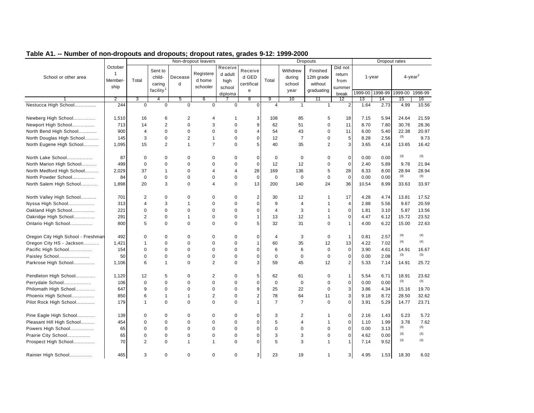|                                    |                                            |                         |                                                      |                | Non-dropout leavers             |                                      |                                     |                |                                      | <b>Dropouts</b>                                 |                                     |            | Dropout rates   |                        |              |
|------------------------------------|--------------------------------------------|-------------------------|------------------------------------------------------|----------------|---------------------------------|--------------------------------------|-------------------------------------|----------------|--------------------------------------|-------------------------------------------------|-------------------------------------|------------|-----------------|------------------------|--------------|
| School or other area               | October<br>$\mathbf{1}$<br>Member-<br>ship | Total                   | Sent to<br>child-<br>caring<br>facility <sup>1</sup> | Decease<br>d   | Registere<br>d home<br>schooler | Receive<br>d adult<br>high<br>school | Receive<br>d GED<br>certificat<br>e | Total          | Withdrew<br>during<br>school<br>year | Finished<br>12th grade<br>without<br>graduating | Did not<br>return<br>from<br>summer | $1 - year$ |                 | $4$ -year <sup>2</sup> |              |
|                                    |                                            |                         |                                                      |                |                                 | diploma                              |                                     |                |                                      |                                                 | break                               |            | 1999-00 1998-99 | 1999-00 1998-99        |              |
|                                    | $\overline{2}$                             | 3                       | 4                                                    | 5              | 6                               |                                      | $\overline{8}$                      | 9              | 10                                   | 11                                              | 12                                  | 13         | 14              | 15                     | 16           |
| Nestucca High School               | 244                                        | $\mathbf 0$             | $\mathbf 0$                                          | $\mathbf 0$    | $\mathbf 0$                     | $\Omega$                             | $\Omega$                            | $\overline{4}$ | $\mathbf{1}$                         | $\mathbf{1}$                                    | $\overline{2}$                      | 1.64       | 2.73            | 4.99                   | 10.56        |
| Newberg High School                | 1,510                                      | 16                      | 6                                                    | $\mathbf 2$    | 4                               | $\mathbf 1$                          | 3                                   | 108            | 85                                   | 5                                               | 18                                  | 7.15       | 5.94            | 24.64                  | 21.59        |
| Newport High School                | 713                                        | 14                      | $\overline{2}$                                       | $\mathbf 0$    | 3                               | $\mathbf 0$                          | 9                                   | 62             | 51                                   | $\mathbf 0$                                     | 11                                  | 8.70       | 7.80            | 30.76                  | 28.36        |
| North Bend High School             | 900                                        | 4                       | 0                                                    | $\mathbf 0$    | $\mathbf 0$                     | $\mathbf 0$                          | $\overline{4}$                      | 54             | 43                                   | $\mathbf 0$                                     | 11                                  | 6.00       | 5.40            | 22.38                  | 20.97        |
| North Douglas High School          | 145                                        | 3                       | $\mathbf 0$                                          | $\overline{2}$ | $\mathbf{1}$                    | 0                                    | $\mathbf 0$                         | 12             | $\overline{7}$                       | $\mathbf 0$                                     | 5                                   | 8.28       | 2.56            | (3)                    | 9.73         |
| North Eugene High School           | 1,095                                      | 15                      | $\overline{2}$                                       | $\mathbf{1}$   | $\overline{7}$                  | $\Omega$                             | 5                                   | 40             | 35                                   | $\overline{2}$                                  | 3                                   | 3.65       | 4.16            | 13.65                  | 16.42        |
| North Lake School                  | 87                                         | $\mathbf 0$             | $\mathbf 0$                                          | $\mathbf 0$    | $\mathbf 0$                     | 0                                    | $\mathbf 0$                         | $\mathbf 0$    | $\mathbf 0$                          | $\mathbf 0$                                     | $\mathbf 0$                         | 0.00       | 0.00            | (3)                    | (3)          |
| North Marion High School           | 499                                        | $\Omega$                | $\mathbf 0$                                          | $\mathbf 0$    | $\mathbf 0$                     | 0                                    | $\mathbf 0$                         | 12             | 12                                   | $\mathbf 0$                                     | $\mathbf{0}$                        | 2.40       | 5.89            | 9.78                   | 21.94        |
| North Medford High School          | 2,029                                      | 37                      | $\mathbf{1}$                                         | $\Omega$       | $\overline{4}$                  | 4                                    | 28                                  | 169            | 136                                  | 5                                               | 28                                  | 8.33       | 8.00            | 28.94                  | 28.94        |
| North Powder School                | 84                                         | $\mathbf 0$             | $\mathbf 0$                                          | $\mathbf 0$    | $\mathbf 0$                     | $\mathbf 0$                          | $\mathbf 0$                         | $\mathbf 0$    | $\mathbf 0$                          | $\mathbf 0$                                     | $\mathbf 0$                         | 0.00       | 0.00            | (3)                    | (3)          |
|                                    | 1,898                                      | 20                      | 3                                                    | $\mathbf 0$    | $\overline{4}$                  | $\Omega$                             | 13                                  | 200            | 140                                  | 24                                              | 36                                  | 10.54      | 8.99            | 33.63                  | 33.97        |
| North Salem High School            |                                            |                         |                                                      |                |                                 |                                      |                                     |                |                                      |                                                 |                                     |            |                 |                        |              |
| North Valley High School           | 701                                        | 2                       | $\mathbf 0$                                          | $\mathbf 0$    | $\mathbf 0$                     | $\mathbf 0$                          | $\overline{2}$                      | 30             | 12                                   | $\mathbf{1}$                                    | 17                                  | 4.28       | 4.74            | 13.81                  | 17.52        |
| Nyssa High School                  | 313                                        | 4                       | 3                                                    | 1              | $\mathbf 0$                     | $\mathbf 0$                          | $\mathbf 0$                         | 9              | $\overline{4}$                       | 1                                               | $\overline{a}$                      | 2.88       | 5.56            | 9.67                   | 20.59        |
| Oakland High School                | 221                                        | $\Omega$                | $\mathbf 0$                                          | $\Omega$       | $\Omega$                        | 0                                    | $\mathbf 0$                         | $\overline{4}$ | 3                                    | $\mathbf{1}$                                    | $\mathbf{0}$                        | 1.81       | 3.10            | 5.87                   | 13.56        |
| Oakridge High School               | 291                                        | $\overline{2}$          | $\Omega$                                             | $\mathbf{1}$   | $\mathbf 0$                     | 0                                    | $\mathbf{1}$                        | 13             | 12                                   | $\mathbf{1}$                                    | $\mathbf 0$                         | 4.47       | 6.12            | 15.72                  | 23.52        |
| Ontario High School                | 800                                        | 5                       | $\Omega$                                             | $\mathbf 0$    | $\mathbf 0$                     | $\Omega$                             | 5                                   | 32             | 31                                   | $\Omega$                                        | $\mathbf{1}$                        | 4.00       | 6.22            | 15.00                  | 22.63        |
| Oregon City High School - Freshman | 492                                        | $\Omega$                | $\mathbf 0$                                          | $\mathbf 0$    | $\mathbf 0$                     | 0                                    | $\mathbf 0$                         | $\overline{4}$ | 3                                    |                                                 | $\overline{1}$                      | 0.81       | 2.57            | (4)                    | (4)          |
|                                    |                                            |                         |                                                      |                |                                 |                                      |                                     |                |                                      | 0                                               |                                     |            |                 | (4)                    | (4)          |
| Oregon City HS - Jackson           | 1,421                                      | $\mathbf 1$<br>$\Omega$ | $\mathbf 0$<br>$\Omega$                              | 0<br>$\Omega$  | $\mathbf 0$                     | 0                                    | $\mathbf{1}$<br>$\Omega$            | 60             | 35<br>6                              | 12                                              | 13                                  | 4.22       | 7.02            |                        |              |
| Pacific High School                | 154                                        |                         |                                                      |                | $\mathbf 0$                     | 0                                    |                                     | 6              |                                      | $\mathbf 0$                                     | $\mathbf 0$                         | 3.90       | 4.61            | 14.91<br>(3)           | 16.67<br>(3) |
| Paisley School                     | 50                                         | $\mathbf 0$             | $\mathbf 0$                                          | $\mathbf 0$    | $\mathbf 0$                     | 0                                    | $\Omega$                            | $\mathbf 0$    | $\mathbf 0$                          | $\mathbf 0$                                     | $\mathbf 0$                         | 0.00       | 2.08            |                        |              |
| Parkrose High School               | 1,106                                      | 6                       | $\mathbf{1}$                                         | $\Omega$       | $\overline{2}$                  | 0                                    | 3                                   | 59             | 45                                   | 12                                              | $\overline{2}$                      | 5.33       | 7.14            | 14.91                  | 25.72        |
| Pendleton High School              | 1,120                                      | 12                      | 5                                                    | 0              | $\overline{c}$                  | 0                                    | 5                                   | 62             | 61                                   | 0                                               | $\overline{1}$                      | 5.54       | 6.71            | 18.91                  | 23.62        |
| Perrydale School                   | 106                                        | $\Omega$                | $\mathbf 0$                                          | $\Omega$       | $\Omega$                        | 0                                    | $\mathbf 0$                         | $\mathbf 0$    | $\mathbf 0$                          | $\mathbf 0$                                     | $\mathbf{0}$                        | 0.00       | 0.00            | (3)                    | (3)          |
| Philomath High School              | 647                                        | 9                       | $\Omega$                                             | $\Omega$       | $\mathbf 0$                     | $\Omega$                             | 9                                   | 25             | 22                                   | $\Omega$                                        | 3                                   | 3.86       | 4.34            | 15.16                  | 19.70        |
| Phoenix High School                | 850                                        | 6                       | $\mathbf{1}$                                         | $\mathbf{1}$   | $\overline{2}$                  | 0                                    | $\overline{2}$                      | 78             | 64                                   | 11                                              | 3                                   | 9.18       | 8.72            | 28.50                  | 32.62        |
| Pilot Rock High School             | 179                                        | $\mathbf{1}$            | $\mathbf 0$                                          | $\mathbf 0$    | $\mathbf 0$                     | 0                                    | $\mathbf{1}$                        | $\overline{7}$ | $\overline{7}$                       | $\mathbf 0$                                     | $\Omega$                            | 3.91       | 5.29            | 14.77                  | 23.71        |
|                                    | 139                                        |                         |                                                      |                | $\mathbf 0$                     |                                      | 0                                   |                | 2                                    | 1                                               |                                     | 2.16       |                 |                        |              |
| Pine Eagle High School             | 454                                        | 0<br>$\mathbf 0$        | 0<br>$\mathbf 0$                                     | 0<br>$\Omega$  | $\Omega$                        | 0<br>0                               | $\Omega$                            | 3<br>5         | 4                                    | $\mathbf{1}$                                    | $\mathbf 0$<br>$\mathbf{0}$         | 1.10       | 1.43<br>1.99    | 5.23<br>3.78           | 5.72<br>7.62 |
| Pleasant Hill High School          |                                            | $\mathbf 0$             | $\mathbf 0$                                          | $\mathbf 0$    | $\mathbf 0$                     | 0                                    | $\Omega$                            | $\mathbf 0$    | $\mathbf 0$                          | $\mathbf 0$                                     | $\mathbf{0}$                        |            | 3.13            | (3)                    | (3)          |
| Powers High School                 | 65                                         | $\mathbf 0$             | $\mathbf 0$                                          | $\mathbf 0$    | $\mathbf 0$                     | 0                                    | $\mathbf 0$                         |                | 3                                    | $\mathbf 0$                                     | $\mathbf 0$                         | 0.00       |                 | (3)                    | (3)          |
| Prairie City School                | 65                                         |                         |                                                      |                |                                 |                                      |                                     | 3              |                                      |                                                 |                                     | 4.62       | 0.00            | (3)                    | (3)          |
| Prospect High School               | 70                                         | $\overline{2}$          | $\mathbf 0$                                          | $\mathbf{1}$   | $\mathbf{1}$                    | $\Omega$                             | $\Omega$                            | 5              | 3                                    | $\mathbf{1}$                                    | $\mathbf 1$                         | 7.14       | 9.52            |                        |              |
| Rainier High School                | 465                                        | 3                       | $\mathbf 0$                                          | $\mathbf 0$    | $\mathbf 0$                     | 0                                    | 3                                   | 23             | 19                                   | $\mathbf 1$                                     | 3                                   | 4.95       | 1.53            | 18.30                  | 6.02         |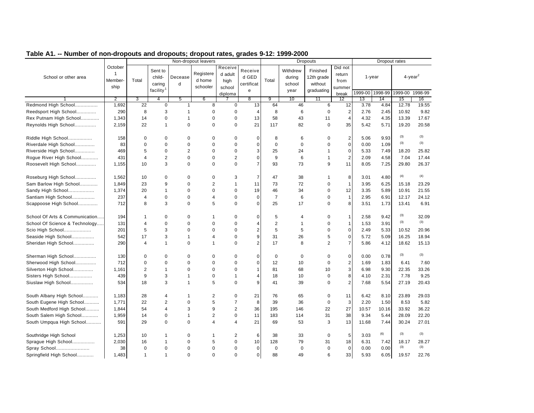|                                |                                            |                |                                                      |              | Non-dropout leavers             |                                      |                                     |                |                                      | <b>Dropouts</b>                                 |                                     |       | Dropout rates   |         |                        |
|--------------------------------|--------------------------------------------|----------------|------------------------------------------------------|--------------|---------------------------------|--------------------------------------|-------------------------------------|----------------|--------------------------------------|-------------------------------------------------|-------------------------------------|-------|-----------------|---------|------------------------|
| School or other area           | October<br>$\mathbf{1}$<br>Member-<br>ship | Total          | Sent to<br>child-<br>caring<br>facility <sup>1</sup> | Decease<br>d | Registere<br>d home<br>schooler | Receive<br>d adult<br>high<br>school | Receive<br>d GED<br>certificat<br>e | Total          | Withdrew<br>during<br>school<br>year | Finished<br>12th grade<br>without<br>graduating | Did not<br>return<br>from<br>summer |       | $1 - year$      |         | $4$ -year <sup>2</sup> |
|                                |                                            |                |                                                      |              |                                 | diploma                              |                                     |                |                                      |                                                 | break                               |       | 1999-00 1998-99 | 1999-00 | 1998-99                |
|                                | $\overline{2}$                             | 3              | 4                                                    | 5            | 6                               |                                      | 8                                   | 9              | 10                                   | 11                                              | 12                                  | 13    | 14              | 15      | 16                     |
| Redmond High School            | 1.692                                      | 22             | $\mathbf 0$                                          | $\mathbf{1}$ | 8                               | $\mathbf 0$                          | 13                                  | 64             | 46                                   | 6                                               | 12                                  | 3.78  | 4.84            | 12.78   | 19.55                  |
| Reedsport High School          | 290                                        | 8              | 3                                                    | $\mathbf{1}$ | $\mathbf 0$                     | $\mathbf 0$                          | $\overline{4}$                      | 8              | 6                                    | $\mathbf 0$                                     | $\overline{2}$                      | 2.76  | 2.45            | 10.92   | 9.82                   |
| Rex Putnam High School         | 1,343                                      | 14             | 0                                                    | $\mathbf{1}$ | $\mathbf 0$                     | $\pmb{0}$                            | 13                                  | 58             | 43                                   | 11                                              | $\overline{4}$                      | 4.32  | 4.35            | 13.39   | 17.67                  |
| Reynolds High School           | 2,159                                      | 22             | $\mathbf{1}$                                         | $\mathbf 0$  | $\mathbf 0$                     | $\mathbf 0$                          | 21                                  | 117            | 82                                   | 0                                               | 35                                  | 5.42  | 5.71            | 19.20   | 20.58                  |
| Riddle High School             | 158                                        | $\Omega$       | 0                                                    | $\mathbf 0$  | $\mathbf 0$                     | $\mathbf 0$                          | $\mathbf 0$                         | 8              | 6                                    | 0                                               | $\overline{2}$                      | 5.06  | 9.93            | (3)     | (3)                    |
| Riverdale High School          | 83                                         | $\Omega$       | $\Omega$                                             | $\Omega$     | $\Omega$                        | $\Omega$                             | $\Omega$                            | $\mathbf 0$    | $\Omega$                             | $\Omega$                                        | $\Omega$                            | 0.00  | 1.09            | (3)     | (3)                    |
| Riverside High School          | 469                                        | 5              | 0                                                    | 2            | $\mathbf 0$                     | $\mathbf 0$                          | 3                                   | 25             | 24                                   | 1                                               | 0                                   | 5.33  | 7.49            | 18.20   | 25.82                  |
| Rogue River High School        | 431                                        | $\overline{4}$ | $\overline{2}$                                       | $\mathbf 0$  | $\mathbf 0$                     | $\overline{2}$                       | $\mathbf 0$                         | 9              | 6                                    | $\mathbf{1}$                                    | 2                                   | 2.09  | 4.58            | 7.04    | 17.44                  |
| Roosevelt High School          | 1,155                                      | 10             | 3                                                    | $\mathbf 0$  | $\mathbf 0$                     | $\mathbf 0$                          | $\overline{7}$                      | 93             | 73                                   | 9                                               | 11                                  | 8.05  | 7.25            | 29.80   | 26.37                  |
| Roseburg High School           | 1,562                                      | 10             | 0                                                    | $\mathbf 0$  | $\mathbf 0$                     | 3                                    | $\overline{7}$                      | 47             | 38                                   | 1                                               | 8                                   | 3.01  | 4.80            | (4)     | (4)                    |
| Sam Barlow High School         | 1,849                                      | 23             | 9                                                    | $\mathbf 0$  | $\overline{2}$                  | $\mathbf{1}$                         | 11                                  | 73             | 72                                   | 0                                               | -1                                  | 3.95  | 6.25            | 15.18   | 23.29                  |
| Sandy High School              | 1,374                                      | 20             | $\mathbf{1}$                                         | $\mathbf 0$  | $\mathbf 0$                     | $\mathbf 0$                          | 19                                  | 46             | 34                                   | 0                                               | 12                                  | 3.35  | 5.89            | 10.91   | 21.55                  |
| Santiam High School            | 237                                        | $\overline{4}$ | 0                                                    | $\mathbf 0$  | $\overline{4}$                  | $\mathbf 0$                          | $\mathbf 0$                         | $\overline{7}$ | 6                                    | 0                                               | $\overline{1}$                      | 2.95  | 6.91            | 12.17   | 24.12                  |
| Scappoose High School          | 712                                        | 8              | 3                                                    | $\mathbf 0$  | 5                               | $\mathbf 0$                          | $\mathbf 0$                         | 25             | 17                                   | 0                                               | 8                                   | 3.51  | 1.73            | 13.41   | 6.91                   |
|                                |                                            |                |                                                      |              |                                 |                                      |                                     |                |                                      |                                                 |                                     |       |                 |         |                        |
| School Of Arts & Communication | 194                                        | $\mathbf{1}$   | 0                                                    | $\Omega$     | $\overline{1}$                  | $\mathbf 0$                          | $\Omega$                            | 5              | 4                                    | 0                                               | $\overline{1}$                      | 2.58  | 9.42            | (3)     | 32.09                  |
| School Of Science & Technology | 131                                        | $\overline{4}$ | 0                                                    | $\mathbf 0$  | $\mathbf 0$                     | $\mathbf 0$                          | $\overline{4}$                      | $\overline{2}$ | $\mathbf{1}$                         | 0                                               | $\overline{1}$                      | 1.53  | 3.91            | (3)     | (3)                    |
| Scio High School               | 201                                        | 5              | 3                                                    | $\mathbf 0$  | $\mathbf 0$                     | $\mathbf 0$                          | $\overline{2}$                      | 5              | 5                                    | $\mathbf 0$                                     | $\Omega$                            | 2.49  | 5.33            | 10.52   | 20.96                  |
| Seaside High School            | 542                                        | 17             | 3                                                    | $\mathbf{1}$ | $\overline{4}$                  | $\mathbf 0$                          | 9                                   | 31             | 26                                   | 5                                               | $\mathbf 0$                         | 5.72  | 5.09            | 16.25   | 18.94                  |
| Sheridan High School           | 290                                        | $\overline{4}$ | 1                                                    | $\mathbf 0$  | $\overline{1}$                  | $\Omega$                             | $\overline{2}$                      | 17             | 8                                    | 2                                               | $\overline{7}$                      | 5.86  | 4.12            | 18.62   | 15.13                  |
| Sherman High School            | 130                                        | $\mathbf 0$    | 0                                                    | $\mathbf 0$  | $\mathbf 0$                     | $\mathbf 0$                          | $\mathbf 0$                         | $\mathbf 0$    | 0                                    | 0                                               | $\mathbf 0$                         | 0.00  | 0.78            | (3)     | (3)                    |
| Sherwood High School           | 712                                        | $\mathbf 0$    | 0                                                    | $\mathbf 0$  | $\mathbf 0$                     | $\mathbf 0$                          | $\mathbf 0$                         | 12             | 10                                   | $\mathbf 0$                                     | $\overline{2}$                      | 1.69  | 1.83            | 6.41    | 7.60                   |
| Silverton High School          | 1,161                                      | $\overline{2}$ | $\mathbf{1}$                                         | $\Omega$     | $\mathbf 0$                     | $\mathbf 0$                          | 1                                   | 81             | 68                                   | 10                                              | 3                                   | 6.98  | 9.30            | 22.35   | 33.26                  |
| Sisters High School            | 439                                        | 9              | 3                                                    | $\mathbf{1}$ | $\mathbf 0$                     | 1                                    | $\overline{4}$                      | 18             | 10                                   | $\mathbf 0$                                     | 8                                   | 4.10  | 2.31            | 7.78    | 9.25                   |
| Siuslaw High School            | 534                                        | 18             | 3                                                    | $\mathbf{1}$ | 5                               | $\mathbf 0$                          | 9                                   | 41             | 39                                   | 0                                               | $\overline{2}$                      | 7.68  | 5.54            | 27.19   | 20.43                  |
| South Albany High School       | 1,183                                      | 28             | 4                                                    | $\mathbf{1}$ | $\overline{2}$                  | $\mathbf 0$                          | 21                                  | 76             | 65                                   | $\mathbf 0$                                     | 11                                  | 6.42  | 8.10            | 23.89   | 29.03                  |
| South Eugene High School       | 1,771                                      | 22             | $\overline{c}$                                       | $\mathbf 0$  | 5                               | $\overline{7}$                       | 8                                   | 39             | 36                                   | $\mathbf 0$                                     | 3                                   | 2.20  | 1.50            | 8.53    | 5.82                   |
| South Medford High School      | 1,844                                      | 54             | $\overline{4}$                                       | 3            | 9                               | $\overline{c}$                       | 36                                  | 195            | 146                                  | 22                                              | 27                                  | 10.57 | 10.16           | 33.92   | 36.22                  |
| South Salem High School        | 1,959                                      | 14             | 0                                                    | $\mathbf{1}$ | $\sqrt{2}$                      | $\pmb{0}$                            | 11                                  | 183            | 114                                  | 31                                              | 38                                  | 9.34  | 5.44            | 28.09   | 22.20                  |
| South Umpqua High School       | 591                                        | 29             | $\Omega$                                             | $\Omega$     | $\overline{4}$                  | $\overline{4}$                       | 21                                  | 69             | 53                                   | 3                                               | 13                                  | 11.68 | 7.44            | 30.24   | 27.01                  |
| Southridge High School         | 1,253                                      | 10             | $\mathbf{1}$                                         | $\mathbf 0$  | $\overline{1}$                  | $\overline{c}$                       | 6                                   | 38             | 33                                   | $\mathbf 0$                                     | 5                                   | 3.03  | (6)             | (3)     | (3)                    |
| Sprague High School            | 2,030                                      | 16             | 1                                                    | $\mathbf 0$  | 5                               | $\mathbf 0$                          | 10                                  | 128            | 79                                   | 31                                              | 18                                  | 6.31  | 7.42            | 18.17   | 28.27                  |
| Spray School                   | 38                                         | $\mathbf 0$    | 0                                                    | $\mathbf 0$  | $\mathbf 0$                     | $\mathbf 0$                          | $\mathbf 0$                         | $\mathbf 0$    | 0                                    | $\mathbf 0$                                     | $\mathbf{0}$                        | 0.00  | 0.00            | (3)     | (3)                    |
|                                |                                            | $\mathbf{1}$   | $\mathbf{1}$                                         | $\mathbf 0$  | $\mathbf 0$                     | $\Omega$                             |                                     | 88             | 49                                   | 6                                               |                                     | 5.93  |                 |         | 22.76                  |
| Springfield High School        | 1,483                                      |                |                                                      |              |                                 |                                      | $\mathbf 0$                         |                |                                      |                                                 | 33                                  |       | 6.05            | 19.57   |                        |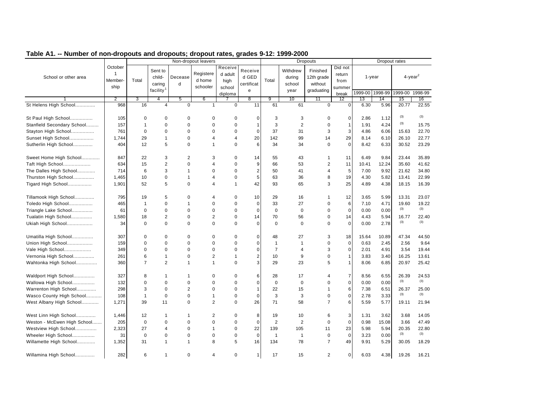|                             |                                            |                |                                                      |                | Non-dropout leavers             |                                      |                                             |                                |                                      | <b>Dropouts</b>                                 |                                     |           | Dropout rates   |                     |       |
|-----------------------------|--------------------------------------------|----------------|------------------------------------------------------|----------------|---------------------------------|--------------------------------------|---------------------------------------------|--------------------------------|--------------------------------------|-------------------------------------------------|-------------------------------------|-----------|-----------------|---------------------|-------|
| School or other area        | October<br>$\mathbf{1}$<br>Member-<br>ship | Total          | Sent to<br>child-<br>caring<br>facility <sup>1</sup> | Decease<br>d   | Registere<br>d home<br>schooler | Receive<br>d adult<br>high<br>school | Receive<br>d GED<br>certificat<br>${\bf e}$ | Total                          | Withdrew<br>during<br>school<br>year | Finished<br>12th grade<br>without<br>graduating | Did not<br>return<br>from<br>summer | $1$ -year |                 | 4-year <sup>2</sup> |       |
|                             |                                            |                |                                                      |                |                                 | diploma                              |                                             |                                |                                      |                                                 | break                               |           | 1999-00 1998-99 | 1999-00 1998-99     |       |
|                             | $\overline{2}$                             | 3              | $\overline{4}$                                       | 5              | 6                               |                                      | 8                                           | 9                              | 10                                   | 11                                              | $12 \overline{ }$                   | 13        | 14              | 15                  | 16    |
| St Helens High School       | 968                                        | 16             | $\overline{4}$                                       | $\mathbf 0$    | $\mathbf{1}$                    | $\Omega$                             | 11                                          | 61                             | 61                                   | $\Omega$                                        | $\Omega$                            | 6.30      | 5.96            | 20.77               | 22.55 |
| St Paul High School         | 105                                        | $\mathbf 0$    | $\mathbf 0$                                          | 0              | $\mathbf 0$                     | $\mathbf 0$                          | 0                                           | 3                              | 3                                    | $\mathbf 0$                                     | $\mathbf 0$                         | 2.86      | 1.12            | (3)                 | (3)   |
| Stanfield Secondary School  | 157                                        | 1              | $\mathbf 0$                                          | 0              | $\mathbf 0$                     | $\mathbf 0$                          | 1                                           | 3                              | $\overline{2}$                       | $\mathbf 0$                                     | $\mathbf{1}$                        | 1.91      | 4.24            | (3)                 | 15.75 |
| Stayton High School         | 761                                        | 0              | $\mathbf 0$                                          | 0              | $\mathbf 0$                     | $\mathbf 0$                          | $\mathbf 0$                                 | 37                             | 31                                   | 3                                               | 3                                   | 4.86      | 6.06            | 15.63               | 22.70 |
| Sunset High School          | 1,744                                      | 29             | $\mathbf{1}$                                         | 0              | $\overline{4}$                  | $\overline{4}$                       | 20                                          | 142                            | 99                                   | 14                                              | 29                                  | 8.14      | 6.10            | 26.10               | 22.77 |
| Sutherlin High School       | 404                                        | 12             | 5                                                    | $\Omega$       | $\mathbf{1}$                    | $\Omega$                             | 6                                           | 34                             | 34                                   | $\Omega$                                        | $\Omega$                            | 8.42      | 6.33            | 30.52               | 23.29 |
| Sweet Home High School      | 847                                        | 22             | 3                                                    | 2              | 3                               | $\mathbf 0$                          | 14                                          | 55                             | 43                                   | $\mathbf{1}$                                    | 11                                  | 6.49      | 9.84            | 23.44               | 35.89 |
| Taft High School            | 634                                        | 15             | $\overline{2}$                                       | 0              | $\overline{4}$                  | $\mathbf 0$                          | 9                                           | 66                             | 53                                   | $\overline{c}$                                  | 11                                  | 10.41     | 12.24           | 35.60               | 41.62 |
|                             | 714                                        | 6              | 3                                                    | 1              | $\Omega$                        | $\mathbf 0$                          | $\overline{2}$                              | 50                             | 41                                   | $\overline{4}$                                  | 5                                   | 7.00      | 9.92            | 21.62               | 34.80 |
| The Dalles High School      | 1,465                                      | 10             | $\mathbf 0$                                          | $\mathbf{1}$   | $\overline{4}$                  | $\mathbf 0$                          | 5                                           | 63                             | 36                                   | 8                                               | 19                                  | 4.30      | 5.82            | 13.41               | 22.99 |
| Thurston High School        |                                            |                |                                                      |                | $\overline{4}$                  | $\overline{1}$                       |                                             |                                |                                      |                                                 |                                     |           |                 |                     |       |
| Tigard High School          | 1,901                                      | 52             | 5                                                    | 0              |                                 |                                      | 42                                          | 93                             | 65                                   | 3                                               | 25                                  | 4.89      | 4.38            | 18.15               | 16.39 |
| Tillamook High School       | 795                                        | 19             | 5                                                    | 0              | $\overline{4}$                  | $\mathbf 0$                          | 10                                          | 29                             | 16                                   | $\mathbf{1}$                                    | 12                                  | 3.65      | 5.99            | 13.31               | 23.07 |
| Toledo High School          | 465                                        | 1              | $\mathbf 0$                                          | 1              | $\mathbf 0$                     | $\mathbf 0$                          | $\mathbf 0$                                 | 33                             | 27                                   | $\mathbf 0$                                     | 6                                   | 7.10      | 4.71            | 19.60               | 19.22 |
| Triangle Lake School        | 61                                         | $\mathbf 0$    | $\mathbf 0$                                          | $\Omega$       | $\mathbf 0$                     | $\mathbf 0$                          | $\mathbf 0$                                 | $\mathbf 0$                    | $\mathbf 0$                          | $\mathbf 0$                                     | $\mathbf 0$                         | 0.00      | 0.00            | (3)                 | (3)   |
| Tualatin High School        | 1,580                                      | 18             | $\overline{2}$                                       | $\Omega$       | $\overline{2}$                  | $\mathbf 0$                          | 14                                          | 70                             | 56                                   | $\mathbf 0$                                     | 14                                  | 4.43      | 5.94            | 16.77               | 22.40 |
| Ukiah High School           | 34                                         | $\mathbf 0$    | $\Omega$                                             | 0              | $\mathbf 0$                     | $\Omega$                             | $\overline{0}$                              | $\mathbf 0$                    | $\mathbf 0$                          | $\Omega$                                        | $\mathbf 0$                         | 0.00      | 2.78            | (3)                 | (3)   |
| Umatilla High School        | 307                                        | $\Omega$       | $\mathbf 0$                                          | $\Omega$       | $\mathbf 0$                     | $\mathbf 0$                          | $\mathbf 0$                                 | 48                             | 27                                   | 3                                               | 18                                  | 15.64     | 10.89           | 47.34               | 44.50 |
|                             | 159                                        | $\Omega$       | $\mathbf 0$                                          | 0              | $\mathbf 0$                     | 0                                    | $\overline{0}$                              |                                | $\mathbf{1}$                         | $\mathbf 0$                                     |                                     | 0.63      |                 | 2.56                | 9.64  |
| Union High School           | 349                                        | $\Omega$       | $\Omega$                                             | $\Omega$       | $\mathbf 0$                     | $\mathbf 0$                          | $\Omega$                                    | $\mathbf{1}$<br>$\overline{7}$ | $\overline{4}$                       | 3                                               | 0<br>$\mathbf 0$                    | 2.01      | 2.45<br>4.91    | 3.54                | 19.44 |
| Vale High School            |                                            |                | $\mathbf{1}$                                         |                |                                 | $\overline{1}$                       |                                             |                                |                                      |                                                 |                                     |           |                 |                     |       |
| Vernonia High School        | 261                                        | 6              |                                                      | 0              | $\overline{2}$                  |                                      | $\overline{2}$                              | 10                             | 9                                    | $\mathbf 0$                                     | $\mathbf{1}$                        | 3.83      | 3.40            | 16.25               | 13.61 |
| Wahtonka High School        | 360                                        | $\overline{7}$ | $\overline{2}$                                       | 1              | $\mathbf{1}$                    | $\Omega$                             | $\mathbf{3}$                                | 29                             | 23                                   | 5                                               | $\mathbf{1}$                        | 8.06      | 6.85            | 20.97               | 25.42 |
| Waldport High School        | 327                                        | 8              | -1                                                   | 1              | 0                               | 0                                    | 6                                           | 28                             | 17                                   | 4                                               | $\overline{7}$                      | 8.56      | 6.55            | 26.39               | 24.53 |
| Wallowa High School         | 132                                        | $\mathbf 0$    | $\mathbf 0$                                          | 0              | $\mathbf 0$                     | $\mathbf 0$                          | $\mathbf 0$                                 | $\mathbf 0$                    | $\mathbf 0$                          | $\mathbf 0$                                     | $\mathbf 0$                         | 0.00      | 0.00            | (3)                 | (3)   |
| Warrenton High School       | 298                                        | 3              | $\Omega$                                             | $\overline{2}$ | $\Omega$                        | $\mathbf 0$                          | 1                                           | 22                             | 15                                   | $\mathbf{1}$                                    | 6                                   | 7.38      | 6.51            | 26.37               | 25.00 |
| Wasco County High School    | 108                                        | $\mathbf{1}$   | $\mathbf 0$                                          | $\mathbf 0$    | $\mathbf{1}$                    | $\mathbf 0$                          | $\overline{0}$                              | 3                              | 3                                    | $\mathbf 0$                                     | $\mathbf 0$                         | 2.78      | 3.33            | (3)                 | (3)   |
| West Albany High School     | 1,271                                      | 39             | 11                                                   | 0              | 2                               | $\mathbf 0$                          | 26                                          | 71                             | 58                                   | $\overline{7}$                                  | 6                                   | 5.59      | 5.77            | 19.11               | 21.94 |
| West Linn High School       | 1,446                                      | 12             | 1                                                    | 1              | $\overline{2}$                  | 0                                    | 8                                           | 19                             | 10                                   | 6                                               | 3                                   | 1.31      | 3.62            | 3.68                | 14.05 |
| Weston - McEwen High School | 205                                        | $\mathbf 0$    | $\mathbf 0$                                          | $\Omega$       | $\Omega$                        | $\mathbf 0$                          | $\mathbf 0$                                 | 2                              | 2                                    | $\mathbf 0$                                     | $\mathbf 0$                         | 0.98      | 15.08           | 3.66                | 47.49 |
| Westview High School        | 2,323                                      | 27             | $\overline{4}$                                       | 0              | $\mathbf{1}$                    | $\mathbf 0$                          | 22                                          | 139                            | 105                                  | 11                                              | 23                                  | 5.98      | 5.94            | 20.35               | 22.80 |
|                             | 31                                         | $\mathbf 0$    | $\mathbf 0$                                          | $\Omega$       | $\mathbf 0$                     | $\pmb{0}$                            | $\mathbf{0}$                                | $\mathbf{1}$                   | $\mathbf{1}$                         | $\mathbf 0$                                     | $\mathbf 0$                         | 3.23      | 0.00            | (3)                 | (3)   |
| Wheeler High School         |                                            | 31             |                                                      |                | 8                               | 5                                    |                                             | 134                            | 78                                   | $\overline{7}$                                  |                                     |           |                 | 30.05               |       |
| Willamette High School      | 1,352                                      |                | $\mathbf{1}$                                         | 1              |                                 |                                      | 16                                          |                                |                                      |                                                 | 49                                  | 9.91      | 5.29            |                     | 18.29 |
| Willamina High School       | 282                                        | 6              | $\mathbf{1}$                                         | 0              | $\overline{4}$                  | 0                                    | 1                                           | 17                             | 15                                   | 2                                               | $\mathbf 0$                         | 6.03      | 4.38            | 19.26               | 16.21 |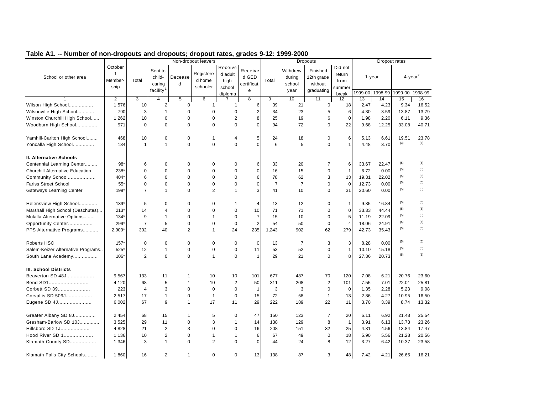| rable AT. -- Number or non-dropouts and dropouts, dropout rates, grades 5-12. 1999-2000 |                         |                |                       |                | Non-dropout leavers |                         |                |                |                | Dropouts       |                   |            |         | Dropout rates          |         |
|-----------------------------------------------------------------------------------------|-------------------------|----------------|-----------------------|----------------|---------------------|-------------------------|----------------|----------------|----------------|----------------|-------------------|------------|---------|------------------------|---------|
|                                                                                         | October<br>$\mathbf{1}$ |                | Sent to               |                | Registere           | Receive<br>d adult      | Receive        |                | Withdrew       | Finished       | Did not<br>return |            |         |                        |         |
| School or other area                                                                    | Member-                 | Total          | child-                | Decease        | d home              | high                    | d GED          | Total          | during         | 12th grade     | from              | $1 - year$ |         | $4$ -year <sup>2</sup> |         |
|                                                                                         | ship                    |                | caring                | d              | schooler            | school                  | certificat     |                | school         | without        | summer            |            |         |                        |         |
|                                                                                         |                         |                | facility <sup>1</sup> |                |                     | diploma                 | e              |                | year           | graduating     | break             | 1999-00    | 1998-99 | 1999-00                | 1998-99 |
|                                                                                         | $\overline{2}$          | 3              | 4                     | 5              | 6                   |                         | $\overline{8}$ | 9              | 10             | 11             | 12                | 13         | 14      | 15                     | 16      |
| Wilson High School                                                                      | 1,576                   | 10             | 2                     | $\mathbf 0$    | $\mathbf{1}$        | 1                       | 6              | 39             | 21             | 0              | 18                | 2.47       | 4.23    | 9.34                   | 16.52   |
| Wilsonville High School                                                                 | 790                     | 3              | $\mathbf{1}$          | $\Omega$       | $\mathbf 0$         | 0                       | 2              | 34             | 23             | 5              | 6                 | 4.30       | 3.59    | 13.87                  | 13.79   |
| Winston Churchill High School                                                           | 1,262                   | 10             | $\mathbf 0$           | $\Omega$       | $\mathbf 0$         | $\overline{c}$          | 8              | 25             | 19             | 6              | $\Omega$          | 1.98       | 2.20    | 6.11                   | 9.36    |
| Woodburn High School                                                                    | 971                     | $\mathbf 0$    | $\Omega$              | $\mathbf 0$    | $\mathbf 0$         | 0                       | $\Omega$       | 94             | 72             | $\Omega$       | 22                | 9.68       | 12.25   | 33.08                  | 40.71   |
| Yamhill-Carlton High School                                                             | 468                     | 10             | 0                     | 0              | $\mathbf{1}$        | 4                       | 5              | 24             | 18             | 0              | 6                 | 5.13       | 6.61    | 19.51                  | 23.78   |
| Yoncalla High School                                                                    | 134                     | $\mathbf{1}$   | 1                     | $\mathbf 0$    | $\mathbf 0$         | $\mathbf 0$             | $\overline{0}$ | 6              | 5              | $\mathbf 0$    | $\overline{1}$    | 4.48       | 3.70    | (3)                    | (3)     |
| <b>II. Alternative Schools</b>                                                          |                         |                |                       |                |                     |                         |                |                |                |                |                   |            |         |                        |         |
| Centennial Learning Center                                                              | $98*$                   | 6              | $\Omega$              | $\Omega$       | $\mathbf 0$         | 0                       | 6              | 33             | 20             | $\overline{7}$ | 6                 | 33.67      | 22.47   | (5)                    | (5)     |
| <b>Churchill Alternative Education</b>                                                  | 238*                    | 0              | $\mathbf 0$           | 0              | $\mathbf 0$         | 0                       | $\overline{0}$ | 16             | 15             | 0              | $\mathbf{1}$      | 6.72       | 0.00    | (5)                    | (5)     |
| Community School                                                                        | 404*                    | 6              | $\mathbf 0$           | $\mathbf 0$    | $\mathbf 0$         | 0                       | 6              | 78             | 62             | 3              | 13                | 19.31      | 22.02   | (5)                    | (5)     |
| <b>Fariss Street School</b>                                                             | $55*$                   | $\pmb{0}$      | $\mathbf 0$           | $\mathbf 0$    | $\mathbf 0$         | 0                       | $\mathbf 0$    | $\overline{7}$ | $\overline{7}$ | $\mathbf 0$    | $\mathbf 0$       | 12.73      | 0.00    | (5)                    | (5)     |
| Gateways Learning Center                                                                | 199*                    | $\overline{7}$ | $\mathbf{1}$          | $\Omega$       | 2                   | $\mathbf{1}$            | 3              | 41             | 10             | $\mathbf 0$    | 31                | 20.60      | 0.00    | (5)                    | (5)     |
| Helensview High School                                                                  | $139*$                  | 5              | $\Omega$              | $\mathbf 0$    | $\mathbf 0$         | $\mathbf{1}$            | $\overline{4}$ | 13             | 12             | $\Omega$       | $\mathbf{1}$      | 9.35       | 16.84   | (5)                    | (5)     |
| Marshall High School (Deschutes)                                                        | $213*$                  | 14             | 4                     | $\mathbf 0$    | $\mathbf 0$         | 0                       | 10             | 71             | 71             | $\mathbf 0$    | $\mathbf 0$       | 33.33      | 44.44   | (5)                    | (5)     |
| Molalla Alternative Options                                                             | $134*$                  | 9              | 1                     | $\mathbf 0$    | $\mathbf{1}$        | 0                       | $\overline{7}$ | 15             | 10             | $\Omega$       | 5                 | 11.19      | 22.09   | (5)                    | (5)     |
| Opportunity Center                                                                      | 299*                    | 7              | 5                     | $\Omega$       | $\mathbf 0$         | $\mathbf 0$             | $\overline{2}$ | 54             | 50             | 0              | $\overline{4}$    | 18.06      | 24.91   | (5)                    | (5)     |
| PPS Alternative Programs                                                                | 2,909*                  | 302            | 40                    | $\overline{2}$ | $\mathbf{1}$        | 24                      | 235            | 1,243          | 902            | 62             | 279               | 42.73      | 35.43   | (5)                    | (5)     |
| Roberts HSC                                                                             | $157*$                  | $\pmb{0}$      | $\mathbf 0$           | 0              | $\mathbf 0$         | 0                       | $\mathbf 0$    | 13             | $\overline{7}$ | 3              | 3                 | 8.28       | 0.00    | (5)                    | (5)     |
| Salem-Keizer Alternative Programs                                                       | $525*$                  | 12             | 1                     | 0              | $\mathbf 0$         | 0                       | 11             | 53             | 52             | 0              | $\mathbf{1}$      | 10.10      | 15.18   | (5)                    | (5)     |
| South Lane Academy                                                                      | 106*                    | $\overline{2}$ | 0                     | $\mathbf 0$    | $\mathbf{1}$        | $\mathbf 0$             | -1             | 29             | 21             | $\mathbf 0$    | 8                 | 27.36      | 20.73   | (5)                    | (5)     |
| <b>III. School Districts</b>                                                            |                         |                |                       |                |                     |                         |                |                |                |                |                   |            |         |                        |         |
| Beaverton SD 48J                                                                        | 9,567                   | 133            | 11                    | -1             | 10                  | 10                      | 101            | 677            | 487            | 70             | 120               | 7.08       | 6.21    | 20.76                  | 23.60   |
| Bend SD1                                                                                | 4,120                   | 68             | 5                     | $\mathbf{1}$   | 10                  | $\overline{\mathbf{c}}$ | 50             | 311            | 208            | $\sqrt{2}$     | 101               | 7.55       | 7.01    | 22.01                  | 25.81   |
| Corbett SD 39                                                                           | 223                     | 4              | 3                     | 0              | $\mathbf 0$         | 0                       | $\overline{1}$ | 3              | 3              | $\mathbf 0$    | $\mathbf 0$       | 1.35       | 2.28    | 5.23                   | 9.08    |
| Corvallis SD 509J                                                                       | 2,517                   | 17             | $\mathbf{1}$          | $\mathbf 0$    | $\mathbf{1}$        | 0                       | 15             | 72             | 58             | $\mathbf{1}$   | 13                | 2.86       | 4.27    | 10.95                  | 16.50   |
| Eugene SD 4J                                                                            | 6,002                   | 67             | 9                     | $\overline{1}$ | 17                  | 11                      | 29             | 222            | 189            | 22             | 11                | 3.70       | 3.39    | 8.74                   | 13.32   |
| Greater Albany SD 8J                                                                    | 2,454                   | 68             | 15                    | $\mathbf{1}$   | 5                   | $\mathbf 0$             | 47             | 150            | 123            | $\overline{7}$ | 20                | 6.11       | 6.92    | 21.48                  | 25.54   |
| Gresham-Barlow SD 10J                                                                   | 3,525                   | 29             | 11                    | 0              | 3                   | $\mathbf{1}$            | 14             | 138            | 129            | 8              | $\mathbf{1}$      | 3.91       | 6.13    | 13.73                  | 23.26   |
| Hillsboro SD 1J                                                                         | 4,828                   | 21             | 2                     | 3              | $\mathbf 0$         | 0                       | 16             | 208            | 151            | 32             | 25                | 4.31       | 4.56    | 13.84                  | 17.47   |
| Hood River SD 1                                                                         | 1,136                   | 10             | $\overline{c}$        | $\mathbf 0$    | $\mathbf{1}$        | 1                       | 6              | 67             | 49             | $\pmb{0}$      | 18                | 5.90       | 5.56    | 21.28                  | 20.56   |
| Klamath County SD                                                                       | 1,346                   | 3              | $\mathbf{1}$          | $\mathbf 0$    | 2                   | $\mathbf 0$             | 0              | 44             | 24             | 8              | 12                | 3.27       | 6.42    | 10.37                  | 23.58   |
| Klamath Falls City Schools                                                              | 1,860                   | 16             | $\overline{2}$        | $\mathbf{1}$   | $\mathbf 0$         | $\mathbf 0$             | 13             | 138            | 87             | 3              | 48                | 7.42       | 4.21    | 26.65                  | 16.21   |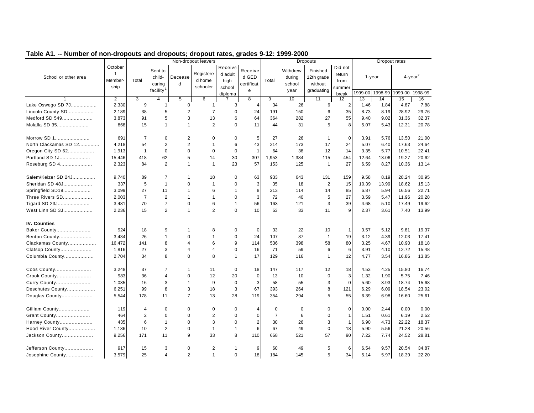|                       |                                 |                |                                                      |                | Non-dropout leavers             |                                      |                                     |                |                                      | <b>Dropouts</b>                                 |                                     |         | Dropout rates |         |                        |
|-----------------------|---------------------------------|----------------|------------------------------------------------------|----------------|---------------------------------|--------------------------------------|-------------------------------------|----------------|--------------------------------------|-------------------------------------------------|-------------------------------------|---------|---------------|---------|------------------------|
| School or other area  | October<br>1<br>Member-<br>ship | Total          | Sent to<br>child-<br>caring<br>facility <sup>1</sup> | Decease<br>d   | Registere<br>d home<br>schooler | Receive<br>d adult<br>high<br>school | Receive<br>d GED<br>certificat<br>e | Total          | Withdrew<br>during<br>school<br>year | Finished<br>12th grade<br>without<br>graduating | Did not<br>return<br>from<br>summer |         | $1 - year$    |         | $4$ -year <sup>2</sup> |
|                       |                                 |                |                                                      |                |                                 | diploma                              |                                     |                |                                      |                                                 | break                               | 1999-00 | 1998-99       | 1999-00 | 1998-99                |
| Lake Oswego SD 7J     | $\overline{2}$<br>2,330         | 3              | $\overline{4}$                                       | 5              | 6                               | 3                                    | 8<br>$\overline{4}$                 | 9<br>34        | 10                                   | 11                                              | 12 <sup>2</sup>                     | 13      | 14            | 15      | 16                     |
|                       |                                 | 9              | $\mathbf{1}$                                         | $\mathbf 0$    | $\mathbf{1}$                    |                                      |                                     |                | 26                                   | 6                                               | $\overline{2}$                      | 1.46    | 1.84          | 4.87    | 7.88                   |
| Lincoln County SD     | 2,189                           | 38             | 5                                                    | $\overline{2}$ | $\overline{7}$                  | $\mathbf 0$                          | 24                                  | 191            | 150                                  | 6                                               | 35                                  | 8.73    | 8.19          | 28.92   | 29.76                  |
| Medford SD 549        | 3,873                           | 91             | 5                                                    | 3              | 13                              | 6                                    | 64                                  | 364            | 282                                  | 27                                              | 55                                  | 9.40    | 9.02          | 31.36   | 32.37                  |
| Molalla SD 35         | 868                             | 15             | $\mathbf{1}$                                         | $\mathbf{1}$   | $\overline{2}$                  | $\Omega$                             | 11                                  | 44             | 31                                   | 5                                               | 8                                   | 5.07    | 5.43          | 12.31   | 20.78                  |
| Morrow SD 1           | 691                             | $\overline{7}$ | $\mathbf 0$                                          | 2              | $\mathbf 0$                     | $\mathbf 0$                          | 5                                   | 27             | 26                                   | $\mathbf{1}$                                    | $\mathbf 0$                         | 3.91    | 5.76          | 13.50   | 21.00                  |
| North Clackamas SD 12 | 4,218                           | 54             | 2                                                    | $\overline{2}$ | $\mathbf{1}$                    | 6                                    | 43                                  | 214            | 173                                  | 17                                              | 24                                  | 5.07    | 6.40          | 17.63   | 24.64                  |
| Oregon City SD 62     | 1,913                           | $\mathbf{1}$   | $\mathbf 0$                                          | $\overline{0}$ | $\mathbf 0$                     | $\mathbf 0$                          | $\mathbf{1}$                        | 64             | 38                                   | 12                                              | 14                                  | 3.35    | 5.77          | 10.51   | 22.41                  |
| Portland SD 1J        | 15,446                          | 418            | 62                                                   | 5              | 14                              | 30                                   | 307                                 | 1.953          | 1,384                                | 115                                             | 454                                 | 12.64   | 13.06         | 19.27   | 20.62                  |
| Roseburg SD 4         | 2,323                           | 84             | 2                                                    | $\mathbf{1}$   | $\mathbf{1}$                    | 23                                   | 57                                  | 153            | 125                                  | $\overline{1}$                                  | 27                                  | 6.59    | 8.27          | 10.36   | 13.14                  |
| Salem/Keizer SD 24J   | 9,740                           | 89             | 7                                                    | $\mathbf{1}$   | 18                              | $\mathbf 0$                          | 63                                  | 933            | 643                                  | 131                                             | 159                                 | 9.58    | 8.19          | 28.24   | 30.95                  |
| Sheridan SD 48J       | 337                             | 5              | $\mathbf{1}$                                         | $\Omega$       | $\mathbf{1}$                    | $\mathbf 0$                          | 3                                   | 35             | 18                                   | $\overline{2}$                                  | 15                                  | 10.39   | 13.99         | 18.62   | 15.13                  |
| Springfield SD19      | 3.099                           | 27             | 11                                                   | 1              | 6                               | $\mathbf{1}$                         | 8                                   | 213            | 114                                  | 14                                              | 85                                  | 6.87    | 5.94          | 16.56   | 22.71                  |
| Three Rivers SD       | 2,003                           | $\overline{7}$ | $\overline{2}$                                       | $\mathbf{1}$   | $\mathbf{1}$                    | $\Omega$                             | 3                                   | 72             | 40                                   | 5                                               | 27                                  | 3.59    | 5.47          | 11.96   | 20.28                  |
| Tigard SD 23J         | 3,481                           | 70             | $\overline{7}$                                       | $\Omega$       | 6                               | $\overline{1}$                       | 56                                  | 163            | 121                                  | 3                                               | 39                                  | 4.68    | 5.10          | 17.49   | 19.62                  |
| West Linn SD 3J       | 2,236                           | 15             | 2                                                    | $\mathbf{1}$   | 2                               | $\mathbf 0$                          | 10                                  | 53             | 33                                   | 11                                              | 9                                   | 2.37    | 3.61          | 7.40    | 13.99                  |
| <b>IV. Counties</b>   |                                 |                |                                                      |                |                                 |                                      |                                     |                |                                      |                                                 |                                     |         |               |         |                        |
| Baker County          | 924                             | 18             | 9                                                    | 1              | 8                               | $\mathbf 0$                          | $\mathbf 0$                         | 33             | 22                                   | 10                                              | $\mathbf{1}$                        | 3.57    | 5.12          | 9.81    | 19.37                  |
| Benton County         | 3,434                           | 26             | $\mathbf{1}$                                         | 0              | $\mathbf{1}$                    | $\mathbf 0$                          | 24                                  | 107            | 87                                   | $\mathbf{1}$                                    | 19                                  | 3.12    | 4.39          | 12.03   | 17.41                  |
| Clackamas County      | 16,472                          | 141            | 8                                                    | 4              | 6                               | 9                                    | 114                                 | 536            | 398                                  | 58                                              | 80                                  | 3.25    | 4.67          | 10.90   | 18.18                  |
| Clatsop County        | 1,816                           | 27             | 3                                                    | 4              | $\overline{4}$                  | $\mathbf 0$                          | 16                                  | 71             | 59                                   | 6                                               | 6                                   | 3.91    | 4.10          | 12.72   | 15.48                  |
| Columbia County       | 2,704                           | 34             | 8                                                    | 0              | 8                               | $\overline{1}$                       | 17                                  | 129            | 116                                  | $\mathbf{1}$                                    | 12                                  | 4.77    | 3.54          | 16.86   | 13.85                  |
| Coos County           | 3,248                           | 37             | $\overline{7}$                                       | 1              | 11                              | $\mathbf 0$                          | 18                                  | 147            | 117                                  | 12                                              | 18                                  | 4.53    | 4.25          | 15.80   | 16.74                  |
| Crook County          | 983                             | 36             | $\overline{4}$                                       | 0              | 12                              | 20                                   | $\mathbf 0$                         | 13             | 10                                   | $\mathbf 0$                                     | 3                                   | 1.32    | 1.90          | 5.75    | 7.46                   |
| Curry County          | 1,035                           | 16             | 3                                                    | $\mathbf{1}$   | 9                               | $\mathbf 0$                          | 3                                   | 58             | 55                                   | 3                                               | $\mathbf 0$                         | 5.60    | 3.93          | 18.74   | 15.68                  |
| Deschutes County      | 6,251                           | 99             | 8                                                    | 3              | 18                              | 3                                    | 67                                  | 393            | 264                                  | 8                                               | 121                                 | 6.29    | 6.09          | 18.54   | 23.02                  |
| Douglas County        | 5,544                           | 178            | 11                                                   | $\overline{7}$ | 13                              | 28                                   | 119                                 | 354            | 294                                  | 5                                               | 55                                  | 6.39    | 6.98          | 16.60   | 25.61                  |
| Gilliam County        | 119                             | $\overline{4}$ | $\mathbf 0$                                          | 0              | $\mathbf 0$                     | $\mathbf 0$                          | $\overline{4}$                      | $\mathbf 0$    | $\mathbf 0$                          | $\mathbf 0$                                     | $\mathbf 0$                         | 0.00    | 2.44          | 0.00    | 0.00                   |
| Grant County          | 464                             | $\overline{2}$ | $\Omega$                                             | 0              | $\overline{2}$                  | $\mathbf 0$                          | $\mathbf 0$                         | $\overline{7}$ | 6                                    | $\mathbf 0$                                     | $\mathbf{1}$                        | 1.51    | 0.61          | 6.19    | 2.52                   |
| Harney County         | 435                             | 6              | $\mathbf{1}$                                         | 0              | 3                               | $\mathbf 0$                          | 2                                   | 30             | 26                                   | 3                                               | $\mathbf{1}$                        | 6.90    | 4.73          | 22.22   | 18.37                  |
| Hood River County     | 1,136                           | 10             | 2                                                    | $\overline{0}$ | $\mathbf{1}$                    | $\overline{1}$                       | 6                                   | 67             | 49                                   | $\Omega$                                        | 18                                  | 5.90    | 5.56          | 21.28   | 20.56                  |
| Jackson County        | 9,256                           | 171            | 11                                                   | 9              | 33                              | 8                                    | 110                                 | 668            | 521                                  | 57                                              | 90                                  | 7.22    | 7.74          | 24.52   | 28.81                  |
| Jefferson County      | 917                             | 15             | 3                                                    | 0              | $\overline{2}$                  | $\overline{1}$                       | 9                                   | 60             | 49                                   | 5                                               | 6                                   | 6.54    | 9.57          | 20.54   | 34.87                  |
| Josephine County      | 3,579                           | 25             | 4                                                    | $\overline{2}$ | $\mathbf{1}$                    | $\mathbf 0$                          | 18                                  | 184            | 145                                  | 5                                               | 34                                  | 5.14    | 5.97          | 18.39   | 22.20                  |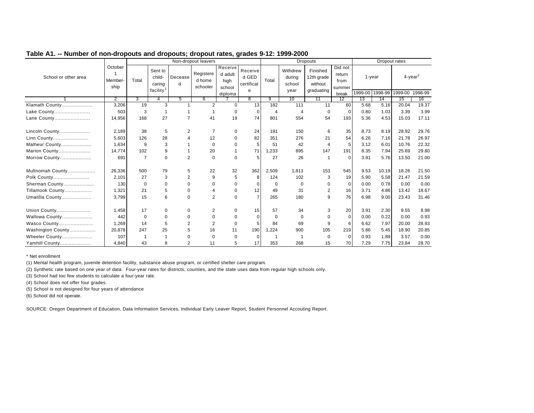|                      |                            |                |                                                      |                | Non-dropout leavers             |                                      |                                     |                |                                      | <b>Dropouts</b>                                 |                                     |         | Dropout rates        |                                           |       |
|----------------------|----------------------------|----------------|------------------------------------------------------|----------------|---------------------------------|--------------------------------------|-------------------------------------|----------------|--------------------------------------|-------------------------------------------------|-------------------------------------|---------|----------------------|-------------------------------------------|-------|
| School or other area | October<br>Member-<br>ship | Total          | Sent to<br>child-<br>caring<br>facility <sup>1</sup> | Decease<br>d   | Registere<br>d home<br>schooler | Receive<br>d adult<br>high<br>school | Receive<br>d GED<br>certificat<br>e | Total          | Withdrew<br>during<br>school<br>year | Finished<br>12th grade<br>without<br>graduating | Did not<br>return<br>from<br>summer | 1999-00 | $1$ -year<br>1998-99 | $4$ -year <sup>2</sup><br>1999-00 1998-99 |       |
|                      | $\overline{2}$             | 3              | 4                                                    | 5              | 6                               | diploma                              | 8                                   | 9              | 10                                   | 11                                              | break<br>12                         | 13      | 14                   | 15                                        | 16    |
| Klamath County       | 3,206                      | 19             | 3                                                    |                | $\overline{2}$                  | $\Omega$                             | 13                                  | 182            | 111                                  | 11                                              | 60                                  | 5.68    | 5.16                 | 20.04                                     | 19.37 |
| Lake County          | 503                        | 3              |                                                      |                |                                 | $\mathbf 0$                          | $\mathbf 0$                         | $\overline{4}$ | 4                                    | $\Omega$                                        | $\mathbf 0$                         | 0.80    | 1.03                 | 3.39                                      | 3.99  |
| Lane County          | 14,956                     | 168            | 27                                                   | 7              | 41                              | 19                                   | 74                                  | 801            | 554                                  | 54                                              | 193                                 | 5.36    | 4.53                 | 15.03                                     | 17.11 |
| Lincoln County       | 2,189                      | 38             | 5                                                    | 2              | $\overline{7}$                  | $\mathbf 0$                          | 24                                  | 191            | 150                                  | 6                                               | 35                                  | 8.73    | 8.19                 | 28.92                                     | 29.76 |
| Linn County          | 5,603                      | 126            | 28                                                   | 4              | 12                              | $\Omega$                             | 82                                  | 351            | 276                                  | 21                                              | 54                                  | 6.26    | 7.16                 | 21.78                                     | 26.97 |
| Malheur County       | 1,634                      | 9              | 3                                                    |                | $\mathbf 0$                     | $\Omega$                             | 5                                   | 51             | 42                                   |                                                 | 5                                   | 3.12    | 6.01                 | 10.76                                     | 22.32 |
| Marion County        | 14,774                     | 102            | 9                                                    |                | 20                              |                                      | 71                                  | .233           | 895                                  | 147                                             | 191                                 | 8.35    | 7.94                 | 25.69                                     | 29.80 |
| Morrow County        | 691                        | $\overline{7}$ | $\Omega$                                             | 2              | $\Omega$                        | $\Omega$                             | 5                                   | 27             | 26                                   |                                                 | $\Omega$                            | 3.91    | 5.76                 | 13.50                                     | 21.00 |
| Multnomah County     | 26,336                     | 500            | 79                                                   | 5              | 22                              | 32                                   | 362                                 | 2,509          | 1,811                                | 153                                             | 545                                 | 9.53    | 10.19                | 18.26                                     | 21.50 |
| Polk County          | 2,101                      | 27             | 3                                                    | 2              | 9                               | 5                                    | 8                                   | 124            | 102                                  | 3                                               | 19                                  | 5.90    | 5.58                 | 21.47                                     | 21.59 |
| Sherman County       | 130                        | $\Omega$       | $\Omega$                                             | $\Omega$       | $\Omega$                        | $\Omega$                             | $\Omega$                            | $\Omega$       | $\Omega$                             | $\Omega$                                        | $\Omega$                            | 0.00    | 0.78                 | 0.00                                      | 0.00  |
| Tillamook County     | 1,321                      | 21             | 5                                                    | $\Omega$       |                                 | $\mathbf 0$                          | 12                                  | 49             | 31                                   | 2                                               | 16                                  | 3.71    | 4.86                 | 13.42                                     | 18.67 |
| Umatilla County      | 3,799                      | 15             | 6                                                    | $\Omega$       | $\overline{2}$                  | $\Omega$                             | $\overline{7}$                      | 265            | 180                                  | 9                                               | 76                                  | 6.98    | 9.00                 | 23.43                                     | 31.46 |
| Union County         | 1,458                      | 17             | 0                                                    | 0              | 2                               | $\Omega$                             | 15                                  | 57             | 34                                   | 3                                               | 20                                  | 3.91    | 2.30                 | 9.55                                      | 8.98  |
| Wallowa County       | 442                        | $\Omega$       | $\Omega$                                             | $\Omega$       | 0                               | $\Omega$                             | $\Omega$                            | $\mathbf 0$    | $\Omega$                             |                                                 | $\Omega$                            | 0.00    | 0.22                 | 0.00                                      | 0.93  |
| Wasco County         | 1,269                      | 14             | 5                                                    | $\overline{2}$ | $\overline{2}$                  | $\mathbf 0$                          | 5                                   | 84             | 69                                   |                                                 | 6                                   | 6.62    | 7.97                 | 20.00                                     | 28.93 |
| Washington County    | 20,878                     | 247            | 25                                                   | 5              | 16                              | 11                                   | 190                                 | ,224           | 900                                  | 105                                             | 219                                 | 5.86    | 5.45                 | 18.90                                     | 20.85 |
| Wheeler County       | 107                        |                |                                                      | 0              | $\mathbf 0$                     | $\mathbf 0$                          | $\mathbf 0$                         |                |                                      | $\Omega$                                        | 0                                   | 0.93    | 1.89                 | 3.57                                      | 0.00  |
| Yamhill County       | 4.840                      | 43             | 8                                                    | 2              | 11                              | 5                                    | 17                                  | 353            | 268                                  | 15                                              | 70                                  | 7.29    | 7.75                 | 23.84                                     | 28.70 |

\* Net enrollment

(1) Mental health program, juvenile detention facility, substance abuse program, or certified shelter care program.

(2) Synthetic rate based on one year of data. Four-year rates for districts, counties, and the state uses data from regular high schools only.

(3) School had too few students to calculate a four-year rate.

(4) School does not offer four grades.

(5) School is not designed for four years of attendance

(6) School did not operate.

SOURCE: Oregon Department of Education, Data Information Services, Individual Early Leaver Report, Student Personnel Accouting Report.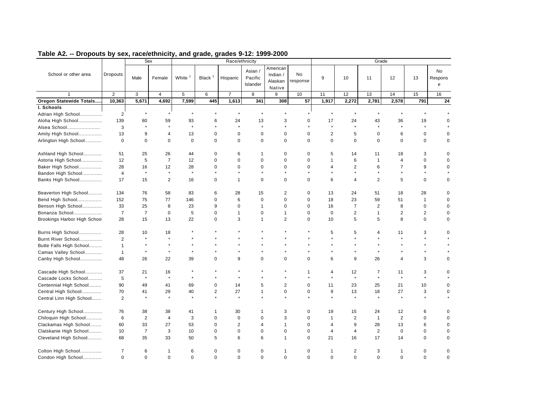|                              |                |                | Sex                     |                      |                    | Race/ethnicity |                                |                                           |                       |                          |                         |                | Grade          |                |                    |
|------------------------------|----------------|----------------|-------------------------|----------------------|--------------------|----------------|--------------------------------|-------------------------------------------|-----------------------|--------------------------|-------------------------|----------------|----------------|----------------|--------------------|
| School or other area         | Dropouts       | Male           | Female                  | White <sup>1</sup>   | Black <sup>1</sup> | Hispanic       | Asian /<br>Pacific<br>Islander | American<br>Indian /<br>Alaskan<br>Native | <b>No</b><br>response | 9                        | 10                      | 11             | 12             | 13             | No<br>Respons<br>e |
|                              | $\overline{2}$ | 3              | $\overline{\mathbf{4}}$ | 5                    | 6                  | $\overline{7}$ | 8                              | 9                                         | 10                    | 11                       | 12                      | 13             | 14             | 15             | 16                 |
| Oregon Statewide Totals      | 10,363         | 5,671          | 4,692                   | 7,599                | 445                | 1,613          | 341                            | 308                                       | 57                    | 1,917                    | 2,272                   | 2,781          | 2,578          | 791            | 24                 |
| I. Schools                   |                |                |                         |                      |                    |                |                                |                                           |                       |                          |                         |                |                |                |                    |
| Adrian High School           | $\overline{2}$ | $\star$        | $\star$                 | $\star$              |                    | $\star$        | $\star$                        |                                           |                       |                          | $\star$                 | $\star$        | $\star$        |                |                    |
| Aloha High School            | 139            | 80             | 59                      | 93                   | 6                  | 24             | 13                             | 3                                         | 0                     | 17                       | 24                      | 43             | 36             | 19             | $\mathbf 0$        |
| Alsea School                 | 3              | $\star$        | $\star$                 | $\star$              |                    | $\star$        | $\star$                        | $\star$                                   |                       | $\star$                  | $\star$                 | $\star$        | $\star$        | $\star$        |                    |
| Amity High School            | 13             | 9              | 4                       | 13                   | $\mathbf 0$        | 0              | $\mathbf 0$                    | $\mathbf 0$                               | $\mathbf 0$           | $\overline{2}$           | 5                       | $\mathbf 0$    | 6              | $\mathbf 0$    | 0                  |
| Arlington High School        | $\mathbf 0$    | $\mathbf 0$    | $\mathbf 0$             | $\mathbf 0$          | $\mathbf 0$        | 0              | $\mathbf 0$                    | $\mathbf 0$                               | $\mathbf 0$           | $\mathbf 0$              | 0                       | $\mathbf 0$    | 0              | $\mathbf 0$    | 0                  |
| Ashland High School          | 51             | 25             | 26                      | 44                   | $\mathbf 0$        | 6              | -1                             | 0                                         | 0                     | 5                        | 14                      | 11             | 18             | 3              | $\mathbf 0$        |
| Astoria High School          | 12             | 5              | $\overline{7}$          | 12                   | $\Omega$           | $\Omega$       | $\mathbf 0$                    | $\Omega$                                  | $\mathbf 0$           | 1                        | 6                       | $\overline{1}$ | $\overline{4}$ | $\mathbf 0$    | $\Omega$           |
| Baker High School            | 28             | 16             | 12                      | 28                   | $\Omega$           | $\Omega$       | $\mathbf 0$                    | $\mathbf 0$                               | $\Omega$              | $\overline{\mathcal{A}}$ | $\overline{2}$          | 6              | $\overline{7}$ | 9              | $\mathbf 0$        |
| Bandon High School           | $\overline{4}$ | $\star$        | $\star$                 | $\star$              | $\star$            | $\star$        |                                |                                           |                       |                          | $\star$                 |                | $\star$        | $\star$        |                    |
| Banks High School            | 17             | 15             | 2                       | 16                   | $\mathbf 0$        | $\mathbf{1}$   | $\mathbf 0$                    | $\mathbf 0$                               | $\mathbf 0$           | 6                        | $\overline{\mathbf{4}}$ | 2              | 5              | $\mathbf 0$    | $\mathbf 0$        |
| Beaverton High School        | 134            | 76             | 58                      | 83                   | 6                  | 28             | 15                             | 2                                         | $\mathbf 0$           | 13                       | 24                      | 51             | 18             | 28             | $\Omega$           |
| Bend High School             | 152            | 75             | 77                      | 146                  | $\mathbf 0$        | 6              | $\mathbf 0$                    | $\Omega$                                  | $\mathbf 0$           | 18                       | 23                      | 59             | 51             | 1              | $\Omega$           |
| Benson High School           | 33             | 25             | 8                       | 23                   | 9                  | 0              | $\mathbf{1}$                   | $\mathbf 0$                               | $\mathbf 0$           | 16                       | $\overline{7}$          | 2              | 8              | $\mathbf 0$    | $\mathbf 0$        |
| Bonanza School               | $\overline{7}$ | $\overline{7}$ | $\mathbf 0$             | 5                    | $\mathbf 0$        | $\mathbf{1}$   | $\mathbf 0$                    | $\mathbf{1}$                              | $\mathbf 0$           | $\mathbf 0$              | $\overline{2}$          | $\mathbf{1}$   | $\overline{2}$ | $\overline{2}$ | $\mathbf 0$        |
| Brookings Harbor High School | 28             | 15             | 13                      | 22                   | $\mathbf 0$        | 3              | $\mathbf{1}$                   | 2                                         | $\mathbf 0$           | 10                       | 5                       | 5              | 8              | $\mathbf 0$    | $\mathbf 0$        |
| Burns High School            | 28             | 10             | 18                      |                      |                    |                |                                |                                           |                       | 5                        | 5                       | 4              | 11             | 3              | $\mathbf 0$        |
| Burnt River School           | $\overline{2}$ | $\star$        | $\star$                 |                      |                    |                |                                | $\star$                                   | $\star$               | $\star$                  | $\star$                 | $\star$        | $\star$        | $\star$        |                    |
| Butte Falls High School      | $\mathbf{1}$   |                |                         |                      |                    |                |                                |                                           |                       |                          |                         |                |                | $\star$        |                    |
| Camas Valley School          | $\mathbf{1}$   | $\star$        | $\star$                 | $\star$              |                    |                |                                |                                           |                       |                          | $\star$                 | $\star$        | $\star$        | $\star$        |                    |
| Canby High School            | 48             | 26             | 22                      | 39                   | $\Omega$           | 9              | $\Omega$                       | $\Omega$                                  | $\Omega$              | 6                        | 9                       | 26             | $\overline{4}$ | 3              | $\mathbf 0$        |
| Cascade High School          | 37             | 21             | 16                      |                      |                    | $\star$        |                                | $\star$                                   | $\mathbf{1}$          | $\overline{\mathcal{A}}$ | 12                      | $\overline{7}$ | 11             | 3              | $\Omega$           |
| Cascade Locks School         | 5              | $\star$        | $\star$                 | $\ddot{\phantom{a}}$ |                    | $\star$        |                                |                                           |                       |                          | $\star$                 | $\star$        | $\star$        | $\star$        |                    |
| Centennial High School       | 90             | 49             | 41                      | 69                   | $\mathbf 0$        | 14             | 5                              | $\overline{2}$                            | $\mathbf 0$           | 11                       | 23                      | 25             | 21             | 10             | $\mathbf 0$        |
| Central High School          | 70             | 41             | 29                      | 40                   | $\overline{2}$     | 27             | $\mathbf{1}$                   | $\mathbf 0$                               | $\mathbf 0$           | 9                        | 13                      | 18             | 27             | 3              | $\Omega$           |
| Central Linn High School     | 2              |                | $\star$                 | $\ddot{\phantom{a}}$ |                    | $\star$        |                                |                                           |                       |                          | $\star$                 |                | $\star$        | $\star$        |                    |
| Century High School          | 76             | 38             | 38                      | 41                   | 1                  | 30             | 1                              | 3                                         | $\mathbf 0$           | 19                       | 15                      | 24             | 12             | 6              | $\mathbf 0$        |
| Chiloquin High School        | 6              | 2              | $\overline{4}$          | 3                    | $\mathbf 0$        | 0              | $\mathbf 0$                    | 3                                         | $\mathbf 0$           | 1                        | $\overline{2}$          | $\mathbf{1}$   | 2              | $\mathbf 0$    | $\Omega$           |
| Clackamas High School        | 60             | 33             | 27                      | 53                   | $\mathbf 0$        | $\overline{c}$ | $\overline{4}$                 | $\mathbf{1}$                              | $\mathbf 0$           | $\overline{\mathcal{A}}$ | 9                       | 28             | 13             | 6              | $\Omega$           |
| Clatskanie High School       | 10             | $\overline{7}$ | 3                       | 10                   | $\mathbf 0$        | 0              | $\mathbf 0$                    | $\mathbf 0$                               | 0                     | 4                        | $\overline{4}$          | 2              | $\pmb{0}$      | 0              | 0                  |
| Cleveland High School        | 68             | 35             | 33                      | 50                   | 5                  | 6              | 6                              | $\mathbf{1}$                              | $\Omega$              | 21                       | 16                      | 17             | 14             | $\mathbf 0$    | $\Omega$           |
| Colton High School           | $\overline{7}$ | 6              | -1                      | 6                    | $\Omega$           | 0              | $\mathbf 0$                    | 1                                         | 0                     | 1                        | 2                       | 3              | 1              | 0              | $\mathbf 0$        |
| Condon High School           | $\mathbf 0$    | $\mathbf 0$    | $\mathbf 0$             | $\mathbf 0$          | $\mathbf 0$        | 0              | $\mathbf 0$                    | $\mathbf 0$                               | $\mathbf 0$           | $\mathbf 0$              | 0                       | $\mathbf 0$    | $\mathbf 0$    | $\mathbf 0$    | $\mathbf 0$        |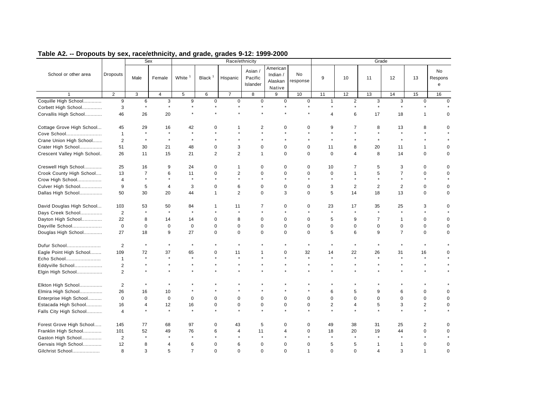|                             |                         |                | Sex            |                |                |                | Race/ethnicity                 |                                           |                |                          |                         |                | Grade          |                |                    |
|-----------------------------|-------------------------|----------------|----------------|----------------|----------------|----------------|--------------------------------|-------------------------------------------|----------------|--------------------------|-------------------------|----------------|----------------|----------------|--------------------|
| School or other area        | <b>Dropouts</b>         | Male           | Female         | White          | Black $1$      | Hispanic       | Asian /<br>Pacific<br>Islander | American<br>Indian /<br>Alaskan<br>Native | No<br>response | 9                        | 10                      | 11             | 12             | 13             | No<br>Respons<br>e |
|                             | $\overline{2}$          | 3              | $\overline{4}$ | $\,$ 5 $\,$    | 6              | $\overline{7}$ | 8                              | 9                                         | 10             | 11                       | 12                      | 13             | 14             | 15             | 16                 |
| Coquille High School        | 9                       | 6              | 3              | 9              | $\mathbf 0$    | $\mathbf 0$    | $\mathbf 0$                    | $\mathbf 0$                               | $\mathbf 0$    | $\mathbf{1}$             | $\overline{2}$          | 3              | 3              | $\mathbf 0$    | $\Omega$           |
| Corbett High School         | 3                       | $\star$        | $\star$        | $\star$        |                | $\star$        |                                | $\star$                                   | $\star$        |                          | $\star$                 | $\star$        | $\star$        |                |                    |
| Corvallis High School       | 46                      | 26             | 20             |                |                |                |                                |                                           |                | $\overline{\mathcal{A}}$ | 6                       | 17             | 18             | 1              | $\mathbf 0$        |
| Cottage Grove High School   | 45                      | 29             | 16             | 42             | $\Omega$       |                | 2                              | $\Omega$                                  | $\Omega$       | 9                        | 7                       | 8              | 13             | 8              |                    |
| Cove School                 | $\overline{1}$          | $\star$        | $\star$        |                |                |                |                                |                                           |                |                          |                         |                | $\star$        |                |                    |
| Crane Union High School     | $\overline{2}$          | $\star$        | $\star$        | $\star$        |                |                |                                |                                           |                |                          |                         |                | $\star$        |                |                    |
| Crater High School          | 51                      | 30             | 21             | 48             | $\mathbf 0$    | 3              | $\mathbf 0$                    | $\mathbf 0$                               | $\mathbf 0$    | 11                       | 8                       | 20             | 11             | $\mathbf{1}$   | $\mathbf 0$        |
| Crescent Valley High School | 26                      | 11             | 15             | 21             | $\overline{2}$ | $\overline{c}$ | $\mathbf{1}$                   | $\Omega$                                  | $\Omega$       | $\Omega$                 | $\overline{\mathbf{4}}$ | 8              | 14             | $\mathbf 0$    | $\Omega$           |
| Creswell High School        | 25                      | 16             | 9              | 24             | 0              | 1              | $\mathbf 0$                    | $\mathbf 0$                               | $\mathbf 0$    | 10                       | 7                       | 5              | 3              | $\mathbf 0$    | $\Omega$           |
| Crook County High School    | 13                      | $\overline{7}$ | 6              | 11             | $\Omega$       | $\overline{c}$ | $\Omega$                       | $\Omega$                                  | $\mathbf 0$    | $\mathbf 0$              | 1                       | 5              | $\overline{7}$ | $\Omega$       | $\Omega$           |
| Crow High School            | $\overline{\mathbf{4}}$ | $\star$        | $\star$        | $\star$        |                | $\star$        |                                |                                           |                |                          | $\star$                 |                | $\star$        |                |                    |
| Culver High School          | 9                       | 5              | $\overline{4}$ | 3              | $\mathbf 0$    | 6              | $\mathbf 0$                    | $\mathbf 0$                               | $\mathbf 0$    | 3                        | $\overline{2}$          | 2              | 2              | $\mathbf 0$    | $\mathbf 0$        |
| Dallas High School          | 50                      | 30             | 20             | 44             | 1              | $\overline{c}$ | $\mathbf 0$                    | 3                                         | $\mathbf 0$    | 5                        | 14                      | 18             | 13             | $\mathbf 0$    | $\mathbf 0$        |
| David Douglas High School   | 103                     | 53             | 50             | 84             | 1              | 11             | 7                              | 0                                         | 0              | 23                       | 17                      | 35             | 25             | 3              | $\Omega$           |
| Days Creek School           | $\overline{2}$          | $\star$        | $\star$        | $\star$        |                | $\star$        |                                |                                           |                |                          | $\star$                 | $\star$        | $\star$        |                |                    |
| Dayton High School          | 22                      | 8              | 14             | 14             | $\mathbf 0$    | 8              | $\mathbf 0$                    | $\mathbf 0$                               | $\mathbf 0$    | 5                        | 9                       | $\overline{7}$ | $\mathbf{1}$   | $\mathbf 0$    | $\mathbf 0$        |
| Dayville School             | $\mathbf 0$             | $\mathbf 0$    | $\mathbf 0$    | $\mathbf 0$    | $\mathbf 0$    | 0              | $\mathbf 0$                    | $\mathbf 0$                               | $\mathbf 0$    | $\mathbf 0$              | 0                       | $\mathbf 0$    | $\pmb{0}$      | $\mathbf 0$    | $\Omega$           |
| Douglas High School         | 27                      | 18             | 9              | 27             | $\mathbf 0$    | $\mathbf 0$    | $\mathbf 0$                    | $\Omega$                                  | $\mathbf 0$    | 5                        | 6                       | 9              | $\overline{7}$ | $\mathbf 0$    | $\Omega$           |
| Dufur School                | $\overline{2}$          | $\star$        | $\star$        | $\star$        |                |                |                                |                                           |                |                          | $\star$                 |                |                |                |                    |
| Eagle Point High School     | 109                     | 72             | 37             | 65             | $\Omega$       | 11             |                                | $\mathbf 0$                               | 32             | 14                       | 22                      | 26             | 31             | 16             | $\Omega$           |
| Echo School                 | $\mathbf{1}$            |                | $\star$        | $\star$        |                | $\star$        |                                | $\star$                                   | $\star$        | $\star$                  | $\star$                 | $\star$        | $\star$        | $\star$        |                    |
| Eddyville School            | $\overline{c}$          |                |                |                |                |                |                                |                                           |                |                          | $\star$                 | $\star$        |                | $\star$        |                    |
| Elgin High School           | $\overline{2}$          |                |                |                |                |                |                                |                                           |                |                          |                         |                |                |                |                    |
| Elkton High School          | $\overline{2}$          |                |                |                |                |                |                                |                                           |                |                          |                         |                |                |                |                    |
| Elmira High School          | 26                      | 16             | 10             |                |                |                |                                |                                           |                | 6                        | 5                       | 9              | 6              | $\mathbf 0$    | $\Omega$           |
| Enterprise High School      | $\mathbf 0$             | $\mathbf 0$    | $\mathbf 0$    | $\mathbf 0$    | $\Omega$       | 0              | $\mathbf 0$                    | $\mathbf 0$                               | $\mathbf 0$    | $\Omega$                 | $\Omega$                | $\mathbf 0$    | $\mathbf 0$    | $\mathbf 0$    | $\mathbf 0$        |
| Estacada High School        | 16                      | $\overline{4}$ | 12             | 16             | 0              | 0              | $\mathbf 0$                    | 0                                         | $\mathbf 0$    | $\overline{c}$           | 4                       | 5              | 3              | $\overline{2}$ | 0                  |
| Falls City High School      | $\overline{4}$          |                | $\star$        |                |                | $\star$        |                                |                                           |                |                          |                         |                | $\star$        | $\star$        |                    |
| Forest Grove High School    | 145                     | 77             | 68             | 97             | $\Omega$       | 43             | 5                              | $\Omega$                                  | $\Omega$       | 49                       | 38                      | 31             | 25             | 2              | $\Omega$           |
| Franklin High School        | 101                     | 52             | 49             | 76             | 6              | 4              | 11                             | 4                                         | $\mathbf 0$    | 18                       | 20                      | 19             | 44             | $\mathbf 0$    | $\Omega$           |
| Gaston High School          | $\overline{2}$          | $\star$        | $\star$        | $\star$        |                |                |                                |                                           |                |                          | $\star$                 |                | $\star$        |                |                    |
| Gervais High School         | 12                      | 8              | 4              | 6              | $\Omega$       | 6              | $\mathbf 0$                    | $\Omega$                                  | $\Omega$       | 5                        | 5                       | -1             | 1              | $\Omega$       | $\mathbf 0$        |
| Gilchrist School            | 8                       | 3              | 5              | $\overline{7}$ | $\mathbf 0$    | 0              | $\mathbf 0$                    | $\Omega$                                  | $\mathbf{1}$   | $\mathbf 0$              | 0                       | $\overline{4}$ | 3              | 1              | $\mathbf 0$        |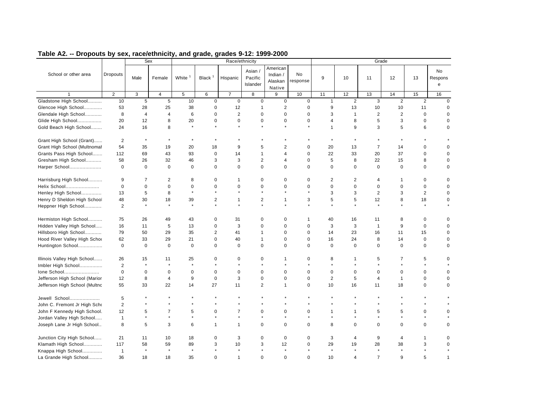|                               |                 |                | Sex            |             |                         | Race/ethnicity |                              |                                           |                |                |              |                | Grade          |                |                           |
|-------------------------------|-----------------|----------------|----------------|-------------|-------------------------|----------------|------------------------------|-------------------------------------------|----------------|----------------|--------------|----------------|----------------|----------------|---------------------------|
| School or other area          | <b>Dropouts</b> | Male           | Female         | White       | Black $1$               | Hispanic       | Asian<br>Pacific<br>Islander | American<br>Indian /<br>Alaskan<br>Native | No<br>response | 9              | 10           | 11             | 12             | 13             | <b>No</b><br>Respons<br>e |
|                               | $\overline{2}$  | 3              | $\overline{4}$ | 5           | 6                       | $\overline{7}$ | 8                            | 9                                         | 10             | 11             | 12           | 13             | 14             | 15             | 16                        |
| Gladstone High School         | 10              | 5              | 5              | 10          | 0                       | $\mathsf 0$    | $\mathbf 0$                  | $\mathbf 0$                               | $\mathbf 0$    | $\mathbf{1}$   | 2            | 3              | $\overline{2}$ | $\overline{2}$ | $\Omega$                  |
| Glencoe High School           | 53              | 28             | 25             | 38          | $\mathbf 0$             | 12             | $\mathbf{1}$                 | 2                                         | $\mathbf 0$    | 9              | 13           | 10             | 10             | 11             | $\mathbf 0$               |
| Glendale High School          | 8               | $\overline{4}$ | $\overline{4}$ | 6           | $\mathbf 0$             | $\overline{2}$ | $\mathbf 0$                  | $\mathbf 0$                               | $\mathbf 0$    | 3              | $\mathbf{1}$ | 2              | $\overline{2}$ | $\mathbf 0$    | $\mathbf 0$               |
| Glide High School             | 20              | 12             | 8              | 20          | $\mathbf 0$             | 0              | $\mathbf 0$                  | $\mathbf 0$                               | $\mathbf 0$    | 4              | 8            | 5              | 3              | $\mathbf 0$    | $\mathbf 0$               |
| Gold Beach High School        | 24              | 16             | 8              | $\star$     |                         | $\star$        | $\star$                      | $\star$                                   | $\star$        | $\mathbf{1}$   | 9            | 3              | 5              | 6              | $\mathbf 0$               |
| Grant High School (Grant)     | $\overline{2}$  |                |                | $\star$     |                         |                |                              |                                           |                |                |              |                | $\star$        |                |                           |
| Grant High School (Multnomal  | 54              | 35             | 19             | 20          | 18                      | 9              | 5                            | $\overline{2}$                            | $\mathbf 0$    | 20             | 13           | $\overline{7}$ | 14             | $\mathbf 0$    | $\mathbf 0$               |
| Grants Pass High School       | 112             | 69             | 43             | 93          | 0                       | 14             | $\mathbf 1$                  | $\overline{4}$                            | $\mathbf 0$    | 22             | 33           | 20             | 37             | $\mathbf 0$    | $\mathbf 0$               |
| Gresham High School           | 58              | 26             | 32             | 46          | 3                       | 3              | 2                            | $\overline{4}$                            | $\mathbf 0$    | 5              | 8            | 22             | 15             | 8              | $\mathbf 0$               |
| Harper School                 | $\mathbf 0$     | $\mathbf 0$    | $\mathbf 0$    | $\mathbf 0$ | $\mathbf 0$             | 0              | $\mathbf 0$                  | $\mathbf 0$                               | $\Omega$       | $\Omega$       | 0            | $\Omega$       | $\mathbf 0$    | $\mathbf 0$    | $\Omega$                  |
| Harrisburg High School        | 9               | $\overline{7}$ | 2              | 8           | $\mathbf 0$             | $\mathbf{1}$   | $\mathbf 0$                  | $\mathbf 0$                               | $\mathbf 0$    | $\overline{2}$ | 2            | $\overline{4}$ | $\mathbf 1$    | $\mathbf 0$    | $\mathbf 0$               |
| Helix School                  | $\mathbf 0$     | $\mathbf 0$    | $\mathbf 0$    | $\mathbf 0$ | $\Omega$                | 0              | $\mathbf 0$                  | $\Omega$                                  | $\Omega$       | $\Omega$       | 0            | $\mathbf 0$    | $\mathbf 0$    | $\mathbf 0$    | $\mathsf 0$               |
| Henley High School            | 13              | 5              | 8              | $\star$     | $\star$                 | $\star$        | $\star$                      |                                           |                | 3              | 3            | 2              | 3              | $\overline{2}$ | $\mathbf 0$               |
| Henry D Sheldon High School   | 48              | 30             | 18             | 39          | $\overline{\mathbf{c}}$ | 1              | $\overline{c}$               | $\mathbf{1}$                              | 3              | 5              | 5            | 12             | 8              | 18             | $\mathbf 0$               |
| Heppner High School           | $\overline{2}$  |                | $\star$        |             | $\star$                 | $\star$        | ä.                           |                                           |                |                | $\star$      | $\star$        | ¥.             |                |                           |
| Hermiston High School         | 75              | 26             | 49             | 43          | 0                       | 31             | 0                            | 0                                         | $\mathbf 1$    | 40             | 16           | 11             | 8              | 0              | 0                         |
| Hidden Valley High School     | 16              | 11             | 5              | 13          | $\mathbf 0$             | 3              | $\Omega$                     | $\mathbf 0$                               | $\mathbf 0$    | 3              | 3            | $\mathbf{1}$   | 9              | $\mathbf 0$    | $\mathbf 0$               |
| Hillsboro High School         | 79              | 50             | 29             | 35          | $\overline{2}$          | 41             | $\mathbf 1$                  | $\mathbf 0$                               | $\mathbf 0$    | 14             | 23           | 16             | 11             | 15             | 0                         |
| Hood River Valley High Schod  | 62              | 33             | 29             | 21          | 0                       | 40             | $\overline{1}$               | $\mathbf 0$                               | $\mathbf 0$    | 16             | 24           | 8              | 14             | $\mathbf 0$    | 0                         |
| Huntington School             | $\mathbf 0$     | $\mathbf 0$    | $\mathbf 0$    | 0           | 0                       | $\mathbf 0$    | $\mathbf 0$                  | $\mathbf 0$                               | $\mathbf 0$    | $\mathbf 0$    | $\mathbf 0$  | $\mathbf 0$    | $\mathbf 0$    | $\mathbf 0$    | 0                         |
| Illinois Valley High School   | 26              | 15             | 11             | 25          | $\mathbf 0$             | 0              | $\mathbf 0$                  | $\mathbf{1}$                              | 0              | 8              | 1            | 5              | 7              | 5              | $\mathbf 0$               |
| Imbler High School            | 2               | $\star$        | $\star$        | $\star$     |                         | $\star$        |                              |                                           |                |                |              |                |                | $\star$        |                           |
| Ione School                   | $\mathbf 0$     | $\mathbf 0$    | $\mathbf 0$    | $\mathbf 0$ | $\mathbf 0$             | 0              | $\Omega$                     | $\Omega$                                  | $\Omega$       | $\Omega$       | 0            | $\Omega$       | $\mathbf 0$    | $\mathbf 0$    | $\mathbf 0$               |
| Jefferson High School (Marior | 12              | 8              | $\overline{4}$ | 9           | $\mathbf 0$             | 3              | $\Omega$                     | $\Omega$                                  | $\mathbf 0$    | $\overline{2}$ | 5            | $\overline{4}$ | $\mathbf{1}$   | $\mathbf 0$    | $\mathbf 0$               |
| Jefferson High School (Multnc | 55              | 33             | 22             | 14          | 27                      | 11             | 2                            | $\mathbf{1}$                              | $\mathbf 0$    | 10             | 16           | 11             | 18             | $\mathbf 0$    | $\mathbf 0$               |
| Jewell School                 | 5               |                |                |             |                         |                |                              |                                           |                |                |              |                |                |                |                           |
| John C. Fremont Jr High Scho  | $\overline{2}$  |                |                |             |                         |                |                              |                                           |                |                |              |                |                |                |                           |
| John F Kennedy High School.   | 12              | 5              | $\overline{7}$ | 5           | $\mathbf 0$             | $\overline{7}$ | $\mathbf 0$                  | $\mathbf 0$                               | $\mathbf 0$    | 1              | $\mathbf{1}$ | 5              | 5              | $\mathbf 0$    | $\mathbf 0$               |
| Jordan Valley High School     | $\mathbf{1}$    | $\star$        | $\star$        | $\star$     | $\star$                 | $\star$        | $\star$                      | $\star$                                   |                |                | $\star$      | $\star$        | $\star$        | $\star$        |                           |
| Joseph Lane Jr High School    | 8               | 5              | 3              | 6           | $\mathbf{1}$            | $\mathbf{1}$   | $\mathbf 0$                  | $\mathbf 0$                               | $\mathbf 0$    | 8              | 0            | $\mathbf 0$    | 0              | $\pmb{0}$      | $\Omega$                  |
| Junction City High School     | 21              | 11             | 10             | 18          | $\mathbf 0$             | 3              | $\mathbf 0$                  | 0                                         | 0              | 3              | 4            | 9              | 4              | 1              | $\mathbf 0$               |
| Klamath High School           | 117             | 58             | 59             | 89          | 3                       | 10             | 3                            | 12                                        | $\mathbf 0$    | 29             | 19           | 28             | 38             | 3              | $\Omega$                  |
| Knappa High School            | $\overline{1}$  | $\star$        | $\star$        | $\star$     |                         | $\star$        |                              |                                           |                |                |              | $\star$        | $\star$        |                |                           |
| La Grande High School         | 36              | 18             | 18             | 35          | $\mathbf 0$             | $\mathbf{1}$   | $\mathbf 0$                  | $\mathbf 0$                               | $\mathbf 0$    | 10             | 4            | $\overline{7}$ | 9              | 5              | -1                        |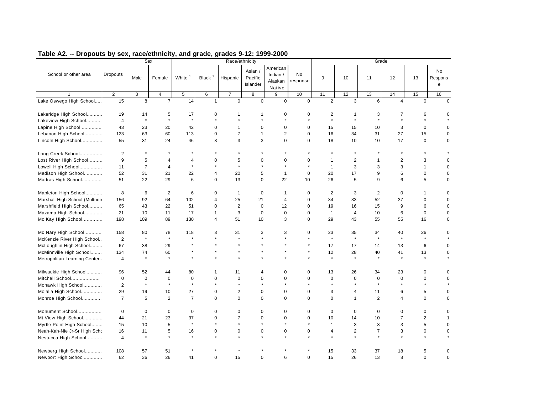| American<br>Asian /<br><b>No</b><br>School or other area<br>No<br>Dropouts<br>Indian /<br>White <sup>1</sup><br>Black <sup>1</sup><br>Pacific<br>9<br>Male<br>Hispanic<br>10<br>12<br>13<br>Female<br>11<br>Respons<br>Alaskan<br>response<br>Islander<br>e<br>Native<br>$\overline{2}$<br>3<br>$\overline{4}$<br>5<br>6<br>$\overline{7}$<br>8<br>9<br>10<br>11<br>12<br>13<br>14<br>15<br>16<br>Lake Oswego High School<br>8<br>$\overline{7}$<br>14<br>$\mathbf 0$<br>$\mathbf 0$<br>15<br>$\mathbf 0$<br>$\mathbf 0$<br>$\overline{2}$<br>3<br>6<br>$\overline{4}$<br>$\mathbf 0$<br>$\Omega$<br>$\mathbf{1}$<br>Lakeridge High School<br>19<br>5<br>17<br>0<br>$\mathbf 0$<br>0<br>2<br>$\overline{7}$<br>6<br>$\mathbf 0$<br>14<br>1<br>$\mathbf 1$<br>1<br>3<br>$\ddot{\phantom{a}}$<br>$\star$<br>$\star$<br>$\star$<br>$\ddot{\phantom{a}}$<br>$\star$<br>¥.<br>$\ddot{\phantom{0}}$<br>$\star$<br>$\ddot{\phantom{a}}$<br>÷<br>Lakeview High School<br>$\overline{4}$<br>3<br>$\mathbf 0$<br>Lapine High School<br>43<br>23<br>20<br>42<br>0<br>$\mathbf 0$<br>$\mathbf 0$<br>15<br>15<br>10<br>$\mathbf 1$<br>0<br>$\Omega$<br>63<br>60<br>113<br>$\overline{7}$<br>$\overline{2}$<br>$\mathbf 0$<br>34<br>31<br>27<br>15<br>Lebanon High School<br>123<br>$\mathbf 0$<br>$\mathbf{1}$<br>16<br>$\mathbf 0$<br>3<br>3<br>$\mathbf 0$<br>$\mathbf 0$<br>17<br>$\mathbf 0$<br>Lincoln High School<br>55<br>31<br>24<br>46<br>3<br>18<br>10<br>10<br>0<br>2<br>$\star$<br>Long Creek School<br>9<br>5<br>$\overline{2}$<br>$\overline{2}$<br>Lost River High School<br>5<br>$\mathbf 0$<br>$\mathbf 0$<br>$\Omega$<br>3<br>$\Omega$<br>4<br>$\Omega$<br>$\overline{1}$<br>4<br>1<br>$\star$<br>$\overline{7}$<br>$\star$<br>$\ddot{\phantom{a}}$<br>$\star$<br>$\star$<br>3<br>$\star$<br>3<br>3<br>$\mathbf{1}$<br>Lowell High School<br>11<br>$\overline{4}$<br>$\mathbf 0$<br>$\mathbf{1}$<br>20<br>6<br>$\mathbf 0$<br>Madison High School<br>52<br>31<br>21<br>22<br>5<br>$\Omega$<br>20<br>17<br>9<br>$\mathbf 0$<br>4<br>$\mathbf{1}$<br>6<br>Madras High School<br>51<br>22<br>29<br>$\mathbf 0$<br>13<br>$\mathbf 0$<br>22<br>10<br>26<br>5<br>9<br>6<br>5<br>$\Omega$<br>8<br>Mapleton High School<br>6<br>$\overline{2}$<br>6<br>0<br>$\mathbf{1}$<br>$\mathbf 0$<br>$\mathbf 0$<br>2<br>3<br>2<br>$\mathbf 0$<br>$\mathbf{1}$<br>$\Omega$<br>$\mathbf 1$<br>25<br>52<br>37<br>Marshall High School (Multnon<br>92<br>64<br>102<br>21<br>$\mathbf 0$<br>33<br>$\mathbf 0$<br>156<br>$\overline{4}$<br>34<br>$\Omega$<br>4<br>Marshfield High School<br>43<br>22<br>51<br>2<br>$\mathbf 0$<br>12<br>19<br>15<br>9<br>6<br>65<br>0<br>$\mathbf 0$<br>16<br>$\mathbf 0$<br>21<br>11<br>17<br>3<br>$\mathbf 0$<br>$\mathbf 0$<br>$\mathbf 0$<br>6<br>$\mathbf 0$<br>Mazama High School<br>10<br>$\mathbf{1}$<br>4<br>10<br>$\mathbf 0$<br>1<br>198<br>51<br>3<br>$\mathbf 0$<br>29<br>43<br>Mc Kay High School<br>109<br>89<br>130<br>4<br>10<br>55<br>55<br>16<br>0<br>Mc Nary High School<br>158<br>118<br>31<br>3<br>3<br>23<br>35<br>40<br>26<br>80<br>78<br>3<br>0<br>34<br>0<br>$\star$<br>$\star$<br>$\star$<br>$\star$<br>$\star$<br>$\star$<br>$\star$<br>$\star$<br>$\star$<br>$\overline{c}$<br>$\star$<br>McKenzie River High School<br>67<br>McLoughlin High School<br>38<br>29<br>17<br>17<br>13<br>6<br>0<br>14<br>60<br>McMinnville High School<br>134<br>74<br>12<br>28<br>40<br>41<br>13<br>$\mathbf 0$<br>$\star$<br>$\star$<br>$\star$<br>$\star$<br>$\star$<br>Metropolitan Learning Center<br>$\overline{4}$<br>Milwaukie High School<br>26<br>23<br>$\mathbf 0$<br>96<br>52<br>44<br>80<br>11<br>$\mathbf 0$<br>$\mathbf 0$<br>13<br>34<br>$\mathbf 0$<br>1<br>$\overline{4}$<br>$\mathbf 0$<br>Mitchell School<br>$\mathbf 0$<br>$\mathbf 0$<br>$\mathbf 0$<br>$\mathbf 0$<br>$\Omega$<br>$\mathbf 0$<br>$\Omega$<br>$\Omega$<br>$\Omega$<br>$\mathbf 0$<br>$\mathbf 0$<br>$\Omega$<br>$\mathbf 0$<br>$\Omega$<br>$\star$<br>$\star$<br>$\star$<br>$\star$<br>$\star$<br>$\star$<br>$\star$<br>$\star$<br>$\star$<br>$\star$<br>Mohawk High School<br>$\overline{2}$<br>Molalla High School<br>$\overline{2}$<br>$\mathbf 0$<br>3<br>5<br>29<br>19<br>10<br>27<br>$\mathbf 0$<br>$\mathbf 0$<br>$\mathbf 0$<br>4<br>11<br>6<br>0<br>$\mathbf 0$<br>$\mathbf 0$<br>Monroe High School<br>$\overline{7}$<br>5<br>$\overline{2}$<br>$\overline{7}$<br>0<br>$\Omega$<br>$\Omega$<br>$\Omega$<br>$\Omega$<br>$\mathbf{1}$<br>2<br>$\mathbf 0$<br>$\overline{4}$<br>Monument School<br>$\mathbf 0$<br>$\mathbf 0$<br>$\pmb{0}$<br>$\mathbf 0$<br>$\mathbf 0$<br>$\mathbf 0$<br>$\pmb{0}$<br>$\mathbf 0$<br>$\mathbf 0$<br>$\mathbf 0$<br>$\mathbf 0$<br>$\mathbf 0$<br>$\mathbf 0$<br>$\mathbf 0$<br>$\mathbf 0$<br>$\overline{7}$<br>$\overline{2}$<br>21<br>23<br>37<br>$\overline{7}$<br>$\mathbf 0$<br>10<br>Mt View High School<br>44<br>0<br>$\mathbf 0$<br>$\mathbf 0$<br>14<br>10<br>$\mathbf{1}$<br>$\star$<br>$\star$<br>5<br>Myrtle Point High School<br>15<br>5<br>3<br>3<br>3<br>10<br>$\mathbf{1}$<br>$\mathbf 0$<br>Neah-Kah-Nie Jr-Sr High Scho<br>5<br>$\overline{\mathbf{c}}$<br>3<br>$\mathbf 0$<br>16<br>11<br>16<br>0<br>0<br>0<br>$\mathbf 0$<br>0<br>4<br>$\overline{7}$<br>0<br>$\star$<br>$\star$<br>$\star$<br>$\star$<br>$\star$<br>Nestucca High School<br>$\overline{4}$<br>Newberg High School<br>57<br>51<br>15<br>33<br>37<br>18<br>$\mathbf 0$<br>108<br>5<br>36<br>26<br>13<br>8<br>$\mathbf 0$<br>Newport High School<br>62<br>41<br>0<br>15<br>0<br>6<br>$\mathbf 0$<br>15<br>26<br>$\mathbf 0$ |  | Sex |  | Race/ethnicity |  |  | Grade |  |  |
|----------------------------------------------------------------------------------------------------------------------------------------------------------------------------------------------------------------------------------------------------------------------------------------------------------------------------------------------------------------------------------------------------------------------------------------------------------------------------------------------------------------------------------------------------------------------------------------------------------------------------------------------------------------------------------------------------------------------------------------------------------------------------------------------------------------------------------------------------------------------------------------------------------------------------------------------------------------------------------------------------------------------------------------------------------------------------------------------------------------------------------------------------------------------------------------------------------------------------------------------------------------------------------------------------------------------------------------------------------------------------------------------------------------------------------------------------------------------------------------------------------------------------------------------------------------------------------------------------------------------------------------------------------------------------------------------------------------------------------------------------------------------------------------------------------------------------------------------------------------------------------------------------------------------------------------------------------------------------------------------------------------------------------------------------------------------------------------------------------------------------------------------------------------------------------------------------------------------------------------------------------------------------------------------------------------------------------------------------------------------------------------------------------------------------------------------------------------------------------------------------------------------------------------------------------------------------------------------------------------------------------------------------------------------------------------------------------------------------------------------------------------------------------------------------------------------------------------------------------------------------------------------------------------------------------------------------------------------------------------------------------------------------------------------------------------------------------------------------------------------------------------------------------------------------------------------------------------------------------------------------------------------------------------------------------------------------------------------------------------------------------------------------------------------------------------------------------------------------------------------------------------------------------------------------------------------------------------------------------------------------------------------------------------------------------------------------------------------------------------------------------------------------------------------------------------------------------------------------------------------------------------------------------------------------------------------------------------------------------------------------------------------------------------------------------------------------------------------------------------------------------------------------------------------------------------------------------------------------------------------------------------------------------------------------------------------------------------------------------------------------------------------------------------------------------------------------------------------------------------------------------------------------------------------------------------------------------------------------------------------------------------------------------------------------------------------------------------------------------------------------------------------------------------------------------------------------------------------------------------------------------------------------------------------------------------------------------------------------------------------------------------------------------------------------------------------------------------------------------------------------------------------------------------------------------------------------------------------------------------------------------------------------------------------------------------------------------------------------------------------------------------------------------------------------------------------------------------------------------------------------------------------------------------------------------------------|--|-----|--|----------------|--|--|-------|--|--|
|                                                                                                                                                                                                                                                                                                                                                                                                                                                                                                                                                                                                                                                                                                                                                                                                                                                                                                                                                                                                                                                                                                                                                                                                                                                                                                                                                                                                                                                                                                                                                                                                                                                                                                                                                                                                                                                                                                                                                                                                                                                                                                                                                                                                                                                                                                                                                                                                                                                                                                                                                                                                                                                                                                                                                                                                                                                                                                                                                                                                                                                                                                                                                                                                                                                                                                                                                                                                                                                                                                                                                                                                                                                                                                                                                                                                                                                                                                                                                                                                                                                                                                                                                                                                                                                                                                                                                                                                                                                                                                                                                                                                                                                                                                                                                                                                                                                                                                                                                                                                                                                                                                                                                                                                                                                                                                                                                                                                                                                                                                                                                                      |  |     |  |                |  |  |       |  |  |
|                                                                                                                                                                                                                                                                                                                                                                                                                                                                                                                                                                                                                                                                                                                                                                                                                                                                                                                                                                                                                                                                                                                                                                                                                                                                                                                                                                                                                                                                                                                                                                                                                                                                                                                                                                                                                                                                                                                                                                                                                                                                                                                                                                                                                                                                                                                                                                                                                                                                                                                                                                                                                                                                                                                                                                                                                                                                                                                                                                                                                                                                                                                                                                                                                                                                                                                                                                                                                                                                                                                                                                                                                                                                                                                                                                                                                                                                                                                                                                                                                                                                                                                                                                                                                                                                                                                                                                                                                                                                                                                                                                                                                                                                                                                                                                                                                                                                                                                                                                                                                                                                                                                                                                                                                                                                                                                                                                                                                                                                                                                                                                      |  |     |  |                |  |  |       |  |  |
|                                                                                                                                                                                                                                                                                                                                                                                                                                                                                                                                                                                                                                                                                                                                                                                                                                                                                                                                                                                                                                                                                                                                                                                                                                                                                                                                                                                                                                                                                                                                                                                                                                                                                                                                                                                                                                                                                                                                                                                                                                                                                                                                                                                                                                                                                                                                                                                                                                                                                                                                                                                                                                                                                                                                                                                                                                                                                                                                                                                                                                                                                                                                                                                                                                                                                                                                                                                                                                                                                                                                                                                                                                                                                                                                                                                                                                                                                                                                                                                                                                                                                                                                                                                                                                                                                                                                                                                                                                                                                                                                                                                                                                                                                                                                                                                                                                                                                                                                                                                                                                                                                                                                                                                                                                                                                                                                                                                                                                                                                                                                                                      |  |     |  |                |  |  |       |  |  |
|                                                                                                                                                                                                                                                                                                                                                                                                                                                                                                                                                                                                                                                                                                                                                                                                                                                                                                                                                                                                                                                                                                                                                                                                                                                                                                                                                                                                                                                                                                                                                                                                                                                                                                                                                                                                                                                                                                                                                                                                                                                                                                                                                                                                                                                                                                                                                                                                                                                                                                                                                                                                                                                                                                                                                                                                                                                                                                                                                                                                                                                                                                                                                                                                                                                                                                                                                                                                                                                                                                                                                                                                                                                                                                                                                                                                                                                                                                                                                                                                                                                                                                                                                                                                                                                                                                                                                                                                                                                                                                                                                                                                                                                                                                                                                                                                                                                                                                                                                                                                                                                                                                                                                                                                                                                                                                                                                                                                                                                                                                                                                                      |  |     |  |                |  |  |       |  |  |
|                                                                                                                                                                                                                                                                                                                                                                                                                                                                                                                                                                                                                                                                                                                                                                                                                                                                                                                                                                                                                                                                                                                                                                                                                                                                                                                                                                                                                                                                                                                                                                                                                                                                                                                                                                                                                                                                                                                                                                                                                                                                                                                                                                                                                                                                                                                                                                                                                                                                                                                                                                                                                                                                                                                                                                                                                                                                                                                                                                                                                                                                                                                                                                                                                                                                                                                                                                                                                                                                                                                                                                                                                                                                                                                                                                                                                                                                                                                                                                                                                                                                                                                                                                                                                                                                                                                                                                                                                                                                                                                                                                                                                                                                                                                                                                                                                                                                                                                                                                                                                                                                                                                                                                                                                                                                                                                                                                                                                                                                                                                                                                      |  |     |  |                |  |  |       |  |  |
|                                                                                                                                                                                                                                                                                                                                                                                                                                                                                                                                                                                                                                                                                                                                                                                                                                                                                                                                                                                                                                                                                                                                                                                                                                                                                                                                                                                                                                                                                                                                                                                                                                                                                                                                                                                                                                                                                                                                                                                                                                                                                                                                                                                                                                                                                                                                                                                                                                                                                                                                                                                                                                                                                                                                                                                                                                                                                                                                                                                                                                                                                                                                                                                                                                                                                                                                                                                                                                                                                                                                                                                                                                                                                                                                                                                                                                                                                                                                                                                                                                                                                                                                                                                                                                                                                                                                                                                                                                                                                                                                                                                                                                                                                                                                                                                                                                                                                                                                                                                                                                                                                                                                                                                                                                                                                                                                                                                                                                                                                                                                                                      |  |     |  |                |  |  |       |  |  |
|                                                                                                                                                                                                                                                                                                                                                                                                                                                                                                                                                                                                                                                                                                                                                                                                                                                                                                                                                                                                                                                                                                                                                                                                                                                                                                                                                                                                                                                                                                                                                                                                                                                                                                                                                                                                                                                                                                                                                                                                                                                                                                                                                                                                                                                                                                                                                                                                                                                                                                                                                                                                                                                                                                                                                                                                                                                                                                                                                                                                                                                                                                                                                                                                                                                                                                                                                                                                                                                                                                                                                                                                                                                                                                                                                                                                                                                                                                                                                                                                                                                                                                                                                                                                                                                                                                                                                                                                                                                                                                                                                                                                                                                                                                                                                                                                                                                                                                                                                                                                                                                                                                                                                                                                                                                                                                                                                                                                                                                                                                                                                                      |  |     |  |                |  |  |       |  |  |
|                                                                                                                                                                                                                                                                                                                                                                                                                                                                                                                                                                                                                                                                                                                                                                                                                                                                                                                                                                                                                                                                                                                                                                                                                                                                                                                                                                                                                                                                                                                                                                                                                                                                                                                                                                                                                                                                                                                                                                                                                                                                                                                                                                                                                                                                                                                                                                                                                                                                                                                                                                                                                                                                                                                                                                                                                                                                                                                                                                                                                                                                                                                                                                                                                                                                                                                                                                                                                                                                                                                                                                                                                                                                                                                                                                                                                                                                                                                                                                                                                                                                                                                                                                                                                                                                                                                                                                                                                                                                                                                                                                                                                                                                                                                                                                                                                                                                                                                                                                                                                                                                                                                                                                                                                                                                                                                                                                                                                                                                                                                                                                      |  |     |  |                |  |  |       |  |  |
|                                                                                                                                                                                                                                                                                                                                                                                                                                                                                                                                                                                                                                                                                                                                                                                                                                                                                                                                                                                                                                                                                                                                                                                                                                                                                                                                                                                                                                                                                                                                                                                                                                                                                                                                                                                                                                                                                                                                                                                                                                                                                                                                                                                                                                                                                                                                                                                                                                                                                                                                                                                                                                                                                                                                                                                                                                                                                                                                                                                                                                                                                                                                                                                                                                                                                                                                                                                                                                                                                                                                                                                                                                                                                                                                                                                                                                                                                                                                                                                                                                                                                                                                                                                                                                                                                                                                                                                                                                                                                                                                                                                                                                                                                                                                                                                                                                                                                                                                                                                                                                                                                                                                                                                                                                                                                                                                                                                                                                                                                                                                                                      |  |     |  |                |  |  |       |  |  |
|                                                                                                                                                                                                                                                                                                                                                                                                                                                                                                                                                                                                                                                                                                                                                                                                                                                                                                                                                                                                                                                                                                                                                                                                                                                                                                                                                                                                                                                                                                                                                                                                                                                                                                                                                                                                                                                                                                                                                                                                                                                                                                                                                                                                                                                                                                                                                                                                                                                                                                                                                                                                                                                                                                                                                                                                                                                                                                                                                                                                                                                                                                                                                                                                                                                                                                                                                                                                                                                                                                                                                                                                                                                                                                                                                                                                                                                                                                                                                                                                                                                                                                                                                                                                                                                                                                                                                                                                                                                                                                                                                                                                                                                                                                                                                                                                                                                                                                                                                                                                                                                                                                                                                                                                                                                                                                                                                                                                                                                                                                                                                                      |  |     |  |                |  |  |       |  |  |
|                                                                                                                                                                                                                                                                                                                                                                                                                                                                                                                                                                                                                                                                                                                                                                                                                                                                                                                                                                                                                                                                                                                                                                                                                                                                                                                                                                                                                                                                                                                                                                                                                                                                                                                                                                                                                                                                                                                                                                                                                                                                                                                                                                                                                                                                                                                                                                                                                                                                                                                                                                                                                                                                                                                                                                                                                                                                                                                                                                                                                                                                                                                                                                                                                                                                                                                                                                                                                                                                                                                                                                                                                                                                                                                                                                                                                                                                                                                                                                                                                                                                                                                                                                                                                                                                                                                                                                                                                                                                                                                                                                                                                                                                                                                                                                                                                                                                                                                                                                                                                                                                                                                                                                                                                                                                                                                                                                                                                                                                                                                                                                      |  |     |  |                |  |  |       |  |  |
|                                                                                                                                                                                                                                                                                                                                                                                                                                                                                                                                                                                                                                                                                                                                                                                                                                                                                                                                                                                                                                                                                                                                                                                                                                                                                                                                                                                                                                                                                                                                                                                                                                                                                                                                                                                                                                                                                                                                                                                                                                                                                                                                                                                                                                                                                                                                                                                                                                                                                                                                                                                                                                                                                                                                                                                                                                                                                                                                                                                                                                                                                                                                                                                                                                                                                                                                                                                                                                                                                                                                                                                                                                                                                                                                                                                                                                                                                                                                                                                                                                                                                                                                                                                                                                                                                                                                                                                                                                                                                                                                                                                                                                                                                                                                                                                                                                                                                                                                                                                                                                                                                                                                                                                                                                                                                                                                                                                                                                                                                                                                                                      |  |     |  |                |  |  |       |  |  |
|                                                                                                                                                                                                                                                                                                                                                                                                                                                                                                                                                                                                                                                                                                                                                                                                                                                                                                                                                                                                                                                                                                                                                                                                                                                                                                                                                                                                                                                                                                                                                                                                                                                                                                                                                                                                                                                                                                                                                                                                                                                                                                                                                                                                                                                                                                                                                                                                                                                                                                                                                                                                                                                                                                                                                                                                                                                                                                                                                                                                                                                                                                                                                                                                                                                                                                                                                                                                                                                                                                                                                                                                                                                                                                                                                                                                                                                                                                                                                                                                                                                                                                                                                                                                                                                                                                                                                                                                                                                                                                                                                                                                                                                                                                                                                                                                                                                                                                                                                                                                                                                                                                                                                                                                                                                                                                                                                                                                                                                                                                                                                                      |  |     |  |                |  |  |       |  |  |
|                                                                                                                                                                                                                                                                                                                                                                                                                                                                                                                                                                                                                                                                                                                                                                                                                                                                                                                                                                                                                                                                                                                                                                                                                                                                                                                                                                                                                                                                                                                                                                                                                                                                                                                                                                                                                                                                                                                                                                                                                                                                                                                                                                                                                                                                                                                                                                                                                                                                                                                                                                                                                                                                                                                                                                                                                                                                                                                                                                                                                                                                                                                                                                                                                                                                                                                                                                                                                                                                                                                                                                                                                                                                                                                                                                                                                                                                                                                                                                                                                                                                                                                                                                                                                                                                                                                                                                                                                                                                                                                                                                                                                                                                                                                                                                                                                                                                                                                                                                                                                                                                                                                                                                                                                                                                                                                                                                                                                                                                                                                                                                      |  |     |  |                |  |  |       |  |  |
|                                                                                                                                                                                                                                                                                                                                                                                                                                                                                                                                                                                                                                                                                                                                                                                                                                                                                                                                                                                                                                                                                                                                                                                                                                                                                                                                                                                                                                                                                                                                                                                                                                                                                                                                                                                                                                                                                                                                                                                                                                                                                                                                                                                                                                                                                                                                                                                                                                                                                                                                                                                                                                                                                                                                                                                                                                                                                                                                                                                                                                                                                                                                                                                                                                                                                                                                                                                                                                                                                                                                                                                                                                                                                                                                                                                                                                                                                                                                                                                                                                                                                                                                                                                                                                                                                                                                                                                                                                                                                                                                                                                                                                                                                                                                                                                                                                                                                                                                                                                                                                                                                                                                                                                                                                                                                                                                                                                                                                                                                                                                                                      |  |     |  |                |  |  |       |  |  |
|                                                                                                                                                                                                                                                                                                                                                                                                                                                                                                                                                                                                                                                                                                                                                                                                                                                                                                                                                                                                                                                                                                                                                                                                                                                                                                                                                                                                                                                                                                                                                                                                                                                                                                                                                                                                                                                                                                                                                                                                                                                                                                                                                                                                                                                                                                                                                                                                                                                                                                                                                                                                                                                                                                                                                                                                                                                                                                                                                                                                                                                                                                                                                                                                                                                                                                                                                                                                                                                                                                                                                                                                                                                                                                                                                                                                                                                                                                                                                                                                                                                                                                                                                                                                                                                                                                                                                                                                                                                                                                                                                                                                                                                                                                                                                                                                                                                                                                                                                                                                                                                                                                                                                                                                                                                                                                                                                                                                                                                                                                                                                                      |  |     |  |                |  |  |       |  |  |
|                                                                                                                                                                                                                                                                                                                                                                                                                                                                                                                                                                                                                                                                                                                                                                                                                                                                                                                                                                                                                                                                                                                                                                                                                                                                                                                                                                                                                                                                                                                                                                                                                                                                                                                                                                                                                                                                                                                                                                                                                                                                                                                                                                                                                                                                                                                                                                                                                                                                                                                                                                                                                                                                                                                                                                                                                                                                                                                                                                                                                                                                                                                                                                                                                                                                                                                                                                                                                                                                                                                                                                                                                                                                                                                                                                                                                                                                                                                                                                                                                                                                                                                                                                                                                                                                                                                                                                                                                                                                                                                                                                                                                                                                                                                                                                                                                                                                                                                                                                                                                                                                                                                                                                                                                                                                                                                                                                                                                                                                                                                                                                      |  |     |  |                |  |  |       |  |  |
|                                                                                                                                                                                                                                                                                                                                                                                                                                                                                                                                                                                                                                                                                                                                                                                                                                                                                                                                                                                                                                                                                                                                                                                                                                                                                                                                                                                                                                                                                                                                                                                                                                                                                                                                                                                                                                                                                                                                                                                                                                                                                                                                                                                                                                                                                                                                                                                                                                                                                                                                                                                                                                                                                                                                                                                                                                                                                                                                                                                                                                                                                                                                                                                                                                                                                                                                                                                                                                                                                                                                                                                                                                                                                                                                                                                                                                                                                                                                                                                                                                                                                                                                                                                                                                                                                                                                                                                                                                                                                                                                                                                                                                                                                                                                                                                                                                                                                                                                                                                                                                                                                                                                                                                                                                                                                                                                                                                                                                                                                                                                                                      |  |     |  |                |  |  |       |  |  |
|                                                                                                                                                                                                                                                                                                                                                                                                                                                                                                                                                                                                                                                                                                                                                                                                                                                                                                                                                                                                                                                                                                                                                                                                                                                                                                                                                                                                                                                                                                                                                                                                                                                                                                                                                                                                                                                                                                                                                                                                                                                                                                                                                                                                                                                                                                                                                                                                                                                                                                                                                                                                                                                                                                                                                                                                                                                                                                                                                                                                                                                                                                                                                                                                                                                                                                                                                                                                                                                                                                                                                                                                                                                                                                                                                                                                                                                                                                                                                                                                                                                                                                                                                                                                                                                                                                                                                                                                                                                                                                                                                                                                                                                                                                                                                                                                                                                                                                                                                                                                                                                                                                                                                                                                                                                                                                                                                                                                                                                                                                                                                                      |  |     |  |                |  |  |       |  |  |
|                                                                                                                                                                                                                                                                                                                                                                                                                                                                                                                                                                                                                                                                                                                                                                                                                                                                                                                                                                                                                                                                                                                                                                                                                                                                                                                                                                                                                                                                                                                                                                                                                                                                                                                                                                                                                                                                                                                                                                                                                                                                                                                                                                                                                                                                                                                                                                                                                                                                                                                                                                                                                                                                                                                                                                                                                                                                                                                                                                                                                                                                                                                                                                                                                                                                                                                                                                                                                                                                                                                                                                                                                                                                                                                                                                                                                                                                                                                                                                                                                                                                                                                                                                                                                                                                                                                                                                                                                                                                                                                                                                                                                                                                                                                                                                                                                                                                                                                                                                                                                                                                                                                                                                                                                                                                                                                                                                                                                                                                                                                                                                      |  |     |  |                |  |  |       |  |  |
|                                                                                                                                                                                                                                                                                                                                                                                                                                                                                                                                                                                                                                                                                                                                                                                                                                                                                                                                                                                                                                                                                                                                                                                                                                                                                                                                                                                                                                                                                                                                                                                                                                                                                                                                                                                                                                                                                                                                                                                                                                                                                                                                                                                                                                                                                                                                                                                                                                                                                                                                                                                                                                                                                                                                                                                                                                                                                                                                                                                                                                                                                                                                                                                                                                                                                                                                                                                                                                                                                                                                                                                                                                                                                                                                                                                                                                                                                                                                                                                                                                                                                                                                                                                                                                                                                                                                                                                                                                                                                                                                                                                                                                                                                                                                                                                                                                                                                                                                                                                                                                                                                                                                                                                                                                                                                                                                                                                                                                                                                                                                                                      |  |     |  |                |  |  |       |  |  |
|                                                                                                                                                                                                                                                                                                                                                                                                                                                                                                                                                                                                                                                                                                                                                                                                                                                                                                                                                                                                                                                                                                                                                                                                                                                                                                                                                                                                                                                                                                                                                                                                                                                                                                                                                                                                                                                                                                                                                                                                                                                                                                                                                                                                                                                                                                                                                                                                                                                                                                                                                                                                                                                                                                                                                                                                                                                                                                                                                                                                                                                                                                                                                                                                                                                                                                                                                                                                                                                                                                                                                                                                                                                                                                                                                                                                                                                                                                                                                                                                                                                                                                                                                                                                                                                                                                                                                                                                                                                                                                                                                                                                                                                                                                                                                                                                                                                                                                                                                                                                                                                                                                                                                                                                                                                                                                                                                                                                                                                                                                                                                                      |  |     |  |                |  |  |       |  |  |
|                                                                                                                                                                                                                                                                                                                                                                                                                                                                                                                                                                                                                                                                                                                                                                                                                                                                                                                                                                                                                                                                                                                                                                                                                                                                                                                                                                                                                                                                                                                                                                                                                                                                                                                                                                                                                                                                                                                                                                                                                                                                                                                                                                                                                                                                                                                                                                                                                                                                                                                                                                                                                                                                                                                                                                                                                                                                                                                                                                                                                                                                                                                                                                                                                                                                                                                                                                                                                                                                                                                                                                                                                                                                                                                                                                                                                                                                                                                                                                                                                                                                                                                                                                                                                                                                                                                                                                                                                                                                                                                                                                                                                                                                                                                                                                                                                                                                                                                                                                                                                                                                                                                                                                                                                                                                                                                                                                                                                                                                                                                                                                      |  |     |  |                |  |  |       |  |  |
|                                                                                                                                                                                                                                                                                                                                                                                                                                                                                                                                                                                                                                                                                                                                                                                                                                                                                                                                                                                                                                                                                                                                                                                                                                                                                                                                                                                                                                                                                                                                                                                                                                                                                                                                                                                                                                                                                                                                                                                                                                                                                                                                                                                                                                                                                                                                                                                                                                                                                                                                                                                                                                                                                                                                                                                                                                                                                                                                                                                                                                                                                                                                                                                                                                                                                                                                                                                                                                                                                                                                                                                                                                                                                                                                                                                                                                                                                                                                                                                                                                                                                                                                                                                                                                                                                                                                                                                                                                                                                                                                                                                                                                                                                                                                                                                                                                                                                                                                                                                                                                                                                                                                                                                                                                                                                                                                                                                                                                                                                                                                                                      |  |     |  |                |  |  |       |  |  |
|                                                                                                                                                                                                                                                                                                                                                                                                                                                                                                                                                                                                                                                                                                                                                                                                                                                                                                                                                                                                                                                                                                                                                                                                                                                                                                                                                                                                                                                                                                                                                                                                                                                                                                                                                                                                                                                                                                                                                                                                                                                                                                                                                                                                                                                                                                                                                                                                                                                                                                                                                                                                                                                                                                                                                                                                                                                                                                                                                                                                                                                                                                                                                                                                                                                                                                                                                                                                                                                                                                                                                                                                                                                                                                                                                                                                                                                                                                                                                                                                                                                                                                                                                                                                                                                                                                                                                                                                                                                                                                                                                                                                                                                                                                                                                                                                                                                                                                                                                                                                                                                                                                                                                                                                                                                                                                                                                                                                                                                                                                                                                                      |  |     |  |                |  |  |       |  |  |
|                                                                                                                                                                                                                                                                                                                                                                                                                                                                                                                                                                                                                                                                                                                                                                                                                                                                                                                                                                                                                                                                                                                                                                                                                                                                                                                                                                                                                                                                                                                                                                                                                                                                                                                                                                                                                                                                                                                                                                                                                                                                                                                                                                                                                                                                                                                                                                                                                                                                                                                                                                                                                                                                                                                                                                                                                                                                                                                                                                                                                                                                                                                                                                                                                                                                                                                                                                                                                                                                                                                                                                                                                                                                                                                                                                                                                                                                                                                                                                                                                                                                                                                                                                                                                                                                                                                                                                                                                                                                                                                                                                                                                                                                                                                                                                                                                                                                                                                                                                                                                                                                                                                                                                                                                                                                                                                                                                                                                                                                                                                                                                      |  |     |  |                |  |  |       |  |  |
|                                                                                                                                                                                                                                                                                                                                                                                                                                                                                                                                                                                                                                                                                                                                                                                                                                                                                                                                                                                                                                                                                                                                                                                                                                                                                                                                                                                                                                                                                                                                                                                                                                                                                                                                                                                                                                                                                                                                                                                                                                                                                                                                                                                                                                                                                                                                                                                                                                                                                                                                                                                                                                                                                                                                                                                                                                                                                                                                                                                                                                                                                                                                                                                                                                                                                                                                                                                                                                                                                                                                                                                                                                                                                                                                                                                                                                                                                                                                                                                                                                                                                                                                                                                                                                                                                                                                                                                                                                                                                                                                                                                                                                                                                                                                                                                                                                                                                                                                                                                                                                                                                                                                                                                                                                                                                                                                                                                                                                                                                                                                                                      |  |     |  |                |  |  |       |  |  |
|                                                                                                                                                                                                                                                                                                                                                                                                                                                                                                                                                                                                                                                                                                                                                                                                                                                                                                                                                                                                                                                                                                                                                                                                                                                                                                                                                                                                                                                                                                                                                                                                                                                                                                                                                                                                                                                                                                                                                                                                                                                                                                                                                                                                                                                                                                                                                                                                                                                                                                                                                                                                                                                                                                                                                                                                                                                                                                                                                                                                                                                                                                                                                                                                                                                                                                                                                                                                                                                                                                                                                                                                                                                                                                                                                                                                                                                                                                                                                                                                                                                                                                                                                                                                                                                                                                                                                                                                                                                                                                                                                                                                                                                                                                                                                                                                                                                                                                                                                                                                                                                                                                                                                                                                                                                                                                                                                                                                                                                                                                                                                                      |  |     |  |                |  |  |       |  |  |
|                                                                                                                                                                                                                                                                                                                                                                                                                                                                                                                                                                                                                                                                                                                                                                                                                                                                                                                                                                                                                                                                                                                                                                                                                                                                                                                                                                                                                                                                                                                                                                                                                                                                                                                                                                                                                                                                                                                                                                                                                                                                                                                                                                                                                                                                                                                                                                                                                                                                                                                                                                                                                                                                                                                                                                                                                                                                                                                                                                                                                                                                                                                                                                                                                                                                                                                                                                                                                                                                                                                                                                                                                                                                                                                                                                                                                                                                                                                                                                                                                                                                                                                                                                                                                                                                                                                                                                                                                                                                                                                                                                                                                                                                                                                                                                                                                                                                                                                                                                                                                                                                                                                                                                                                                                                                                                                                                                                                                                                                                                                                                                      |  |     |  |                |  |  |       |  |  |
|                                                                                                                                                                                                                                                                                                                                                                                                                                                                                                                                                                                                                                                                                                                                                                                                                                                                                                                                                                                                                                                                                                                                                                                                                                                                                                                                                                                                                                                                                                                                                                                                                                                                                                                                                                                                                                                                                                                                                                                                                                                                                                                                                                                                                                                                                                                                                                                                                                                                                                                                                                                                                                                                                                                                                                                                                                                                                                                                                                                                                                                                                                                                                                                                                                                                                                                                                                                                                                                                                                                                                                                                                                                                                                                                                                                                                                                                                                                                                                                                                                                                                                                                                                                                                                                                                                                                                                                                                                                                                                                                                                                                                                                                                                                                                                                                                                                                                                                                                                                                                                                                                                                                                                                                                                                                                                                                                                                                                                                                                                                                                                      |  |     |  |                |  |  |       |  |  |
|                                                                                                                                                                                                                                                                                                                                                                                                                                                                                                                                                                                                                                                                                                                                                                                                                                                                                                                                                                                                                                                                                                                                                                                                                                                                                                                                                                                                                                                                                                                                                                                                                                                                                                                                                                                                                                                                                                                                                                                                                                                                                                                                                                                                                                                                                                                                                                                                                                                                                                                                                                                                                                                                                                                                                                                                                                                                                                                                                                                                                                                                                                                                                                                                                                                                                                                                                                                                                                                                                                                                                                                                                                                                                                                                                                                                                                                                                                                                                                                                                                                                                                                                                                                                                                                                                                                                                                                                                                                                                                                                                                                                                                                                                                                                                                                                                                                                                                                                                                                                                                                                                                                                                                                                                                                                                                                                                                                                                                                                                                                                                                      |  |     |  |                |  |  |       |  |  |
|                                                                                                                                                                                                                                                                                                                                                                                                                                                                                                                                                                                                                                                                                                                                                                                                                                                                                                                                                                                                                                                                                                                                                                                                                                                                                                                                                                                                                                                                                                                                                                                                                                                                                                                                                                                                                                                                                                                                                                                                                                                                                                                                                                                                                                                                                                                                                                                                                                                                                                                                                                                                                                                                                                                                                                                                                                                                                                                                                                                                                                                                                                                                                                                                                                                                                                                                                                                                                                                                                                                                                                                                                                                                                                                                                                                                                                                                                                                                                                                                                                                                                                                                                                                                                                                                                                                                                                                                                                                                                                                                                                                                                                                                                                                                                                                                                                                                                                                                                                                                                                                                                                                                                                                                                                                                                                                                                                                                                                                                                                                                                                      |  |     |  |                |  |  |       |  |  |
|                                                                                                                                                                                                                                                                                                                                                                                                                                                                                                                                                                                                                                                                                                                                                                                                                                                                                                                                                                                                                                                                                                                                                                                                                                                                                                                                                                                                                                                                                                                                                                                                                                                                                                                                                                                                                                                                                                                                                                                                                                                                                                                                                                                                                                                                                                                                                                                                                                                                                                                                                                                                                                                                                                                                                                                                                                                                                                                                                                                                                                                                                                                                                                                                                                                                                                                                                                                                                                                                                                                                                                                                                                                                                                                                                                                                                                                                                                                                                                                                                                                                                                                                                                                                                                                                                                                                                                                                                                                                                                                                                                                                                                                                                                                                                                                                                                                                                                                                                                                                                                                                                                                                                                                                                                                                                                                                                                                                                                                                                                                                                                      |  |     |  |                |  |  |       |  |  |
|                                                                                                                                                                                                                                                                                                                                                                                                                                                                                                                                                                                                                                                                                                                                                                                                                                                                                                                                                                                                                                                                                                                                                                                                                                                                                                                                                                                                                                                                                                                                                                                                                                                                                                                                                                                                                                                                                                                                                                                                                                                                                                                                                                                                                                                                                                                                                                                                                                                                                                                                                                                                                                                                                                                                                                                                                                                                                                                                                                                                                                                                                                                                                                                                                                                                                                                                                                                                                                                                                                                                                                                                                                                                                                                                                                                                                                                                                                                                                                                                                                                                                                                                                                                                                                                                                                                                                                                                                                                                                                                                                                                                                                                                                                                                                                                                                                                                                                                                                                                                                                                                                                                                                                                                                                                                                                                                                                                                                                                                                                                                                                      |  |     |  |                |  |  |       |  |  |
|                                                                                                                                                                                                                                                                                                                                                                                                                                                                                                                                                                                                                                                                                                                                                                                                                                                                                                                                                                                                                                                                                                                                                                                                                                                                                                                                                                                                                                                                                                                                                                                                                                                                                                                                                                                                                                                                                                                                                                                                                                                                                                                                                                                                                                                                                                                                                                                                                                                                                                                                                                                                                                                                                                                                                                                                                                                                                                                                                                                                                                                                                                                                                                                                                                                                                                                                                                                                                                                                                                                                                                                                                                                                                                                                                                                                                                                                                                                                                                                                                                                                                                                                                                                                                                                                                                                                                                                                                                                                                                                                                                                                                                                                                                                                                                                                                                                                                                                                                                                                                                                                                                                                                                                                                                                                                                                                                                                                                                                                                                                                                                      |  |     |  |                |  |  |       |  |  |
|                                                                                                                                                                                                                                                                                                                                                                                                                                                                                                                                                                                                                                                                                                                                                                                                                                                                                                                                                                                                                                                                                                                                                                                                                                                                                                                                                                                                                                                                                                                                                                                                                                                                                                                                                                                                                                                                                                                                                                                                                                                                                                                                                                                                                                                                                                                                                                                                                                                                                                                                                                                                                                                                                                                                                                                                                                                                                                                                                                                                                                                                                                                                                                                                                                                                                                                                                                                                                                                                                                                                                                                                                                                                                                                                                                                                                                                                                                                                                                                                                                                                                                                                                                                                                                                                                                                                                                                                                                                                                                                                                                                                                                                                                                                                                                                                                                                                                                                                                                                                                                                                                                                                                                                                                                                                                                                                                                                                                                                                                                                                                                      |  |     |  |                |  |  |       |  |  |
|                                                                                                                                                                                                                                                                                                                                                                                                                                                                                                                                                                                                                                                                                                                                                                                                                                                                                                                                                                                                                                                                                                                                                                                                                                                                                                                                                                                                                                                                                                                                                                                                                                                                                                                                                                                                                                                                                                                                                                                                                                                                                                                                                                                                                                                                                                                                                                                                                                                                                                                                                                                                                                                                                                                                                                                                                                                                                                                                                                                                                                                                                                                                                                                                                                                                                                                                                                                                                                                                                                                                                                                                                                                                                                                                                                                                                                                                                                                                                                                                                                                                                                                                                                                                                                                                                                                                                                                                                                                                                                                                                                                                                                                                                                                                                                                                                                                                                                                                                                                                                                                                                                                                                                                                                                                                                                                                                                                                                                                                                                                                                                      |  |     |  |                |  |  |       |  |  |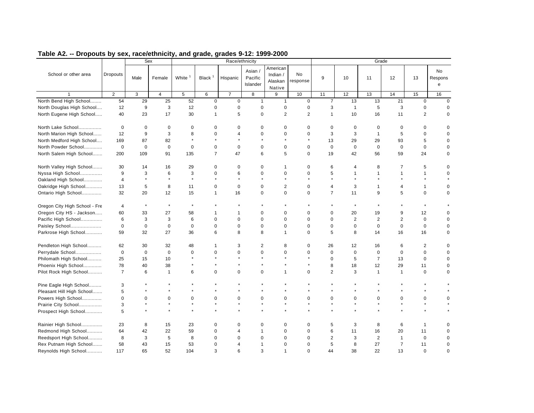|                               |                         |             | Sex            |             |                    | Race/ethnicity |                              |                                           |                |                |              | Grade          |                |                |                    |
|-------------------------------|-------------------------|-------------|----------------|-------------|--------------------|----------------|------------------------------|-------------------------------------------|----------------|----------------|--------------|----------------|----------------|----------------|--------------------|
| School or other area          | <b>Dropouts</b>         | Male        | Female         | White       | Black <sup>1</sup> | Hispanic       | Asian<br>Pacific<br>Islander | American<br>Indian /<br>Alaskan<br>Native | No<br>response | 9              | 10           | 11             | 12             | 13             | No<br>Respons<br>e |
|                               | $\overline{2}$          | 3           | $\overline{4}$ | $\,$ 5 $\,$ | 6                  | $\overline{7}$ | 8                            | 9                                         | 10             | 11             | 12           | 13             | 14             | 15             | 16                 |
| North Bend High School        | 54                      | 29          | 25             | 52          | $\mathbf 0$        | $\mathsf 0$    | $\mathbf{1}$                 | $\mathbf{1}$                              | $\mathbf 0$    | $\overline{7}$ | 13           | 13             | 21             | $\mathbf 0$    | $\mathbf 0$        |
| North Douglas High School     | 12                      | 9           | 3              | 12          | 0                  | 0              | $\mathbf 0$                  | $\mathbf 0$                               | $\mathbf 0$    | 3              | $\mathbf{1}$ | 5              | 3              | $\pmb{0}$      | $\Omega$           |
| North Eugene High School      | 40                      | 23          | 17             | 30          | 1                  | 5              | $\bf 0$                      | $\overline{2}$                            | $\overline{2}$ | $\mathbf{1}$   | 10           | 16             | 11             | $\overline{2}$ | $\mathbf 0$        |
| North Lake School             | $\mathbf 0$             | $\mathbf 0$ | 0              | $\Omega$    | $\Omega$           | 0              | $\mathbf 0$                  | $\mathbf 0$                               | $\mathbf 0$    | $\mathbf 0$    | $\mathbf 0$  | 0              | $\mathbf 0$    | $\mathbf 0$    | $\Omega$           |
| North Marion High School      | 12                      | 9           | 3              | 8           | $\Omega$           | 4              | $\Omega$                     | $\Omega$                                  | $\Omega$       | 3              | 3            | $\overline{1}$ | 5              | $\mathbf 0$    | $\Omega$           |
| North Medford High School     | 169                     | 87          | 82             | $\star$     | $\star$            |                |                              | $\star$                                   |                | 13             | 29           | 29             | 93             | 5              | 0                  |
| North Powder School           | $\mathbf 0$             | $\mathbf 0$ | $\mathbf 0$    | $\mathbf 0$ | $\mathbf 0$        | $\pmb{0}$      | $\mathbf 0$                  | $\mathbf 0$                               | $\mathbf 0$    | $\mathbf 0$    | $\mathbf 0$  | $\mathbf 0$    | $\mathbf 0$    | $\mathbf 0$    | $\mathbf 0$        |
| North Salem High School       | 200                     | 109         | 91             | 135         | $\overline{7}$     | 47             | 6                            | 5                                         | $\mathbf 0$    | 19             | 42           | 56             | 59             | 24             | $\mathbf 0$        |
| North Valley High School      | 30                      | 14          | 16             | 29          | $\mathbf 0$        | 0              | $\mathbf 0$                  | 1                                         | $\mathbf 0$    | 6              | 4            | 8              | $\overline{7}$ | 5              | $\Omega$           |
| Nyssa High School             | 9                       | 3           | 6              | 3           | $\Omega$           | 6              | $\Omega$                     | $\mathbf 0$                               | $\mathbf 0$    | 5              | 1            | $\overline{1}$ | $\mathbf{1}$   | 1              | $\Omega$           |
| Oakland High School           | $\overline{\mathbf{4}}$ | $\star$     | $\star$        | $\star$     | $\star$            | $\star$        |                              |                                           |                |                | $\star$      |                | $\star$        |                |                    |
| Oakridge High School          | 13                      | 5           | 8              | 11          | $\mathbf 0$        | $\mathbf 0$    | $\mathbf 0$                  | $\overline{2}$                            | $\mathbf 0$    | $\overline{4}$ | 3            | $\overline{1}$ | $\overline{4}$ | $\mathbf{1}$   | $\mathbf 0$        |
| Ontario High School           | 32                      | 20          | 12             | 15          | 1                  | 16             | $\mathbf 0$                  | $\mathbf 0$                               | $\mathbf 0$    | $\overline{7}$ | 11           | 9              | 5              | $\mathbf 0$    | $\mathbf 0$        |
| Oregon City High School - Fre | $\overline{4}$          | $\star$     | $\star$        | $\star$     |                    |                |                              |                                           |                |                | $\star$      |                |                | $\star$        |                    |
| Oregon City HS - Jackson      | 60                      | 33          | 27             | 58          | 1                  | 1              | $\mathbf 0$                  | $\Omega$                                  | 0              | $\Omega$       | 20           | 19             | 9              | 12             | $\mathbf 0$        |
| Pacific High School           | 6                       | 3           | 3              | 6           | $\mathbf 0$        | 0              | $\mathbf 0$                  | $\mathbf 0$                               | $\mathbf 0$    | $\mathbf 0$    | 2            | 2              | 2              | $\mathbf 0$    | $\mathbf 0$        |
| Paisley School                | $\mathbf 0$             | $\mathbf 0$ | $\pmb{0}$      | $\mathbf 0$ | $\mathbf 0$        | 0              | $\mathbf 0$                  | $\mathbf 0$                               | $\mathbf 0$    | $\mathbf 0$    | 0            | $\mathbf 0$    | $\mathbf 0$    | $\mathbf 0$    | $\Omega$           |
| Parkrose High School          | 59                      | 32          | 27             | 36          | 6                  | 8              | 8                            | $\mathbf{1}$                              | $\mathbf 0$    | 5              | 8            | 14             | 16             | 16             | $\mathbf 0$        |
| Pendleton High School         | 62                      | 30          | 32             | 48          | 1                  | 3              | 2                            | 8                                         | 0              | 26             | 12           | 16             | 6              | $\overline{2}$ | $\Omega$           |
| Perrydale School              | $\mathbf 0$             | $\mathbf 0$ | $\mathbf 0$    | $\mathbf 0$ | $\Omega$           | $\Omega$       | $\Omega$                     | $\Omega$                                  | $\Omega$       | $\mathbf 0$    | $\mathbf 0$  | $\mathbf 0$    | $\mathbf 0$    | $\mathbf 0$    | $\mathbf 0$        |
| Philomath High School         | 25                      | 15          | 10             |             |                    |                |                              |                                           |                | $\Omega$       | 5            | $\overline{7}$ | 13             | $\mathbf 0$    | $\mathbf 0$        |
| Phoenix High School           | 78                      | 40          | 38             |             |                    |                |                              |                                           |                | 8              | 18           | 12             | 29             | 11             | 0                  |
| Pilot Rock High School        | $\overline{7}$          | 6           | $\mathbf{1}$   | 6           | $\mathbf 0$        | 0              | $\mathbf 0$                  | $\mathbf{1}$                              | $\mathbf 0$    | $\overline{c}$ | 3            | $\overline{1}$ | $\mathbf{1}$   | $\mathbf 0$    | $\Omega$           |
| Pine Eagle High School        | 3                       |             |                |             |                    |                |                              |                                           |                |                |              |                |                |                |                    |
| Pleasant Hill High School     | 5                       |             |                |             |                    |                |                              |                                           |                |                |              |                |                |                |                    |
| Powers High School            | 0                       | $\mathbf 0$ | $\mathbf 0$    | $\mathbf 0$ | $\mathbf 0$        | 0              | $\mathbf 0$                  | $\mathbf 0$                               | $\mathbf 0$    | $\mathbf 0$    | 0            | $\mathbf 0$    | $\mathbf 0$    | $\mathbf 0$    | $\mathbf 0$        |
| Prairie City School           | 3                       |             | $\star$        | $\star$     |                    | $\star$        | $\star$                      | $\star$                                   | $\star$        | $\star$        | $\star$      | $\star$        | $\star$        | $\star$        |                    |
| Prospect High School          | 5                       |             |                |             |                    | $\star$        |                              |                                           |                |                |              |                |                | $\star$        |                    |
| Rainier High School           | 23                      | 8           | 15             | 23          | $\Omega$           | $\Omega$       | $\Omega$                     | 0                                         | $\Omega$       | 5              | 3            | 8              | 6              | 1              | $\Omega$           |
| Redmond High School           | 64                      | 42          | 22             | 59          | $\mathbf 0$        | 4              | $\overline{1}$               | $\mathbf 0$                               | $\mathbf 0$    | 6              | 11           | 16             | 20             | 11             | $\Omega$           |
| Reedsport High School         | 8                       | 3           | 5              | 8           | $\Omega$           | $\Omega$       | $\Omega$                     | $\Omega$                                  | $\Omega$       | $\overline{2}$ | 3            | 2              | $\mathbf{1}$   | $\mathbf 0$    | $\mathbf 0$        |
| Rex Putnam High School        | 58                      | 43          | 15             | 53          | $\Omega$           | 4              | 1                            | $\Omega$                                  | $\Omega$       | 5              | 8            | 27             | $\overline{7}$ | 11             | $\mathbf 0$        |
| Reynolds High School          | 117                     | 65          | 52             | 104         | 3                  | 6              | 3                            | $\mathbf{1}$                              | $\mathbf 0$    | 44             | 38           | 22             | 13             | $\mathbf 0$    | $\mathbf 0$        |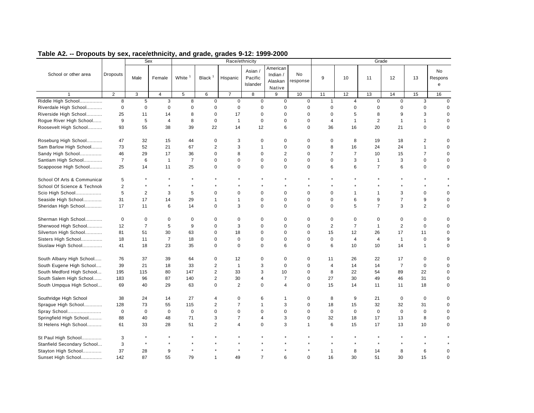|                              |                 |                | Sex            |                    |                    |                | Race/ethnicity                 |                                           |                |                |                |                | Grade          |                |                           |
|------------------------------|-----------------|----------------|----------------|--------------------|--------------------|----------------|--------------------------------|-------------------------------------------|----------------|----------------|----------------|----------------|----------------|----------------|---------------------------|
| School or other area         | <b>Dropouts</b> | Male           | Female         | White <sup>1</sup> | Black <sup>1</sup> | Hispanic       | Asian /<br>Pacific<br>Islander | American<br>Indian /<br>Alaskan<br>Native | No<br>response | 9              | 10             | 11             | 12             | 13             | <b>No</b><br>Respons<br>e |
|                              | $\overline{2}$  | 3              | $\overline{4}$ | 5                  | 6                  | $\overline{7}$ | 8                              | 9                                         | 10             | 11             | 12             | 13             | 14             | 15             | 16                        |
| Riddle High School           | 8               | 5              | 3              | 8                  | $\mathbf 0$        | $\mathbf 0$    | $\mathbf 0$                    | $\mathbf 0$                               | 0              | $\mathbf{1}$   | $\overline{4}$ | $\mathbf 0$    | $\mathbf 0$    | 3              | $\mathbf 0$               |
| Riverdale High School        | $\mathbf 0$     | $\mathbf 0$    | $\mathbf 0$    | 0                  | 0                  | 0              | 0                              | $\mathbf 0$                               | $\mathbf 0$    | 0              | 0              | $\mathbf 0$    | 0              | 0              | $\mathbf 0$               |
| Riverside High School        | 25              | 11             | 14             | 8                  | 0                  | 17             | $\mathbf 0$                    | $\pmb{0}$                                 | $\mathbf 0$    | 0              | 5              | 8              | 9              | 3              | 0                         |
| Rogue River High School      | 9               | 5              | $\overline{4}$ | 8                  | $\mathbf 0$        | $\mathbf{1}$   | $\mathbf 0$                    | $\mathbf 0$                               | $\mathbf 0$    | $\overline{4}$ | $\mathbf{1}$   | 2              | $\overline{1}$ | $\mathbf{1}$   | $\mathbf 0$               |
| Roosevelt High School        | 93              | 55             | 38             | 39                 | 22                 | 14             | 12                             | 6                                         | $\Omega$       | 36             | 16             | 20             | 21             | $\mathbf 0$    | $\mathbf 0$               |
| Roseburg High School         | 47              | 32             | 15             | 44                 | 0                  | 3              | $\mathbf 0$                    | $\mathbf 0$                               | $\mathbf 0$    | 0              | 8              | 19             | 18             | 2              | $\mathbf 0$               |
| Sam Barlow High School       | 73              | 52             | 21             | 67                 | $\overline{c}$     | 3              | $\mathbf{1}$                   | $\mathbf 0$                               | $\mathbf 0$    | 8              | 16             | 24             | 24             | $\mathbf{1}$   | $\mathsf 0$               |
| Sandy High School            | 46              | 29             | 17             | 36                 | $\mathbf 0$        | 8              | $\mathbf 0$                    | $\overline{2}$                            | $\mathbf 0$    | $\overline{7}$ | $\overline{7}$ | 10             | 15             | $\overline{7}$ | $\mathbf 0$               |
| Santiam High School          | $\overline{7}$  | 6              | $\overline{1}$ | $\overline{7}$     | $\mathbf 0$        | 0              | $\mathbf 0$                    | $\mathbf 0$                               | $\mathbf 0$    | $\mathbf 0$    | 3              | $\overline{1}$ | 3              | $\pmb{0}$      | $\mathbf 0$               |
| Scappoose High School        | 25              | 14             | 11             | 25                 | 0                  | 0              | $\mathbf 0$                    | $\mathbf 0$                               | $\mathbf 0$    | 6              | 6              | $\overline{7}$ | 6              | $\pmb{0}$      | 0                         |
| School Of Arts & Communicat  | 5               |                |                |                    |                    |                |                                |                                           |                |                |                |                |                |                |                           |
| School Of Science & Technole | $\overline{2}$  |                | $\star$        | $\star$            |                    |                |                                |                                           |                |                |                |                | $\star$        |                |                           |
| Scio High School             | 5               | $\overline{2}$ | 3              | 5                  | 0                  | $\mathbf 0$    | $\mathbf 0$                    | $\mathbf 0$                               | $\mathbf 0$    | 0              | $\mathbf{1}$   | $\mathbf{1}$   | 3              | $\mathbf 0$    | $\mathbf 0$               |
| Seaside High School          | 31              | 17             | 14             | 29                 | 1                  | $\mathbf{1}$   | $\mathbf 0$                    | $\mathbf 0$                               | $\mathbf 0$    | 0              | 6              | 9              | $\overline{7}$ | 9              | $\mathbf 0$               |
| Sheridan High School         | 17              | 11             | 6              | 14                 | 0                  | 3              | $\mathbf 0$                    | $\Omega$                                  | $\Omega$       | $\Omega$       | 5              | $\overline{7}$ | 3              | $\overline{2}$ | 0                         |
| Sherman High School          | 0               | $\mathbf 0$    | $\mathbf 0$    | 0                  | 0                  | 0              | $\mathbf 0$                    | 0                                         | $\mathbf 0$    | 0              | 0              | 0              | $\mathbf 0$    | 0              | $\mathbf 0$               |
| Sherwood High School         | 12              | $\overline{7}$ | 5              | 9                  | 0                  | 3              | $\mathbf 0$                    | $\mathbf 0$                               | $\mathbf 0$    | $\overline{2}$ | $\overline{7}$ | $\overline{1}$ | $\overline{2}$ | $\mathbf 0$    | $\mathbf 0$               |
| Silverton High School        | 81              | 51             | 30             | 63                 | 0                  | 18             | 0                              | $\mathbf 0$                               | 0              | 15             | 12             | 26             | 17             | 11             | $\mathbf 0$               |
| Sisters High School          | 18              | 11             | $\overline{7}$ | 18                 | 0                  | $\mathbf 0$    | $\mathbf 0$                    | $\mathbf 0$                               | $\Omega$       | $\mathbf 0$    | $\overline{4}$ | $\overline{4}$ | $\mathbf{1}$   | $\mathbf 0$    | 9                         |
| Siuslaw High School          | 41              | 18             | 23             | 35                 | 0                  | $\Omega$       | $\Omega$                       | 6                                         | $\Omega$       | 6              | 10             | 10             | 14             | $\mathbf{1}$   | 0                         |
| South Albany High School     | 76              | 37             | 39             | 64                 | $\mathbf 0$        | 12             | $\mathbf 0$                    | $\mathbf 0$                               | $\mathbf 0$    | 11             | 26             | 22             | 17             | $\pmb{0}$      | $\mathbf 0$               |
| South Eugene High School     | 39              | 21             | 18             | 33                 | 2                  | $\mathbf{1}$   | 3                              | $\mathbf 0$                               | $\mathbf 0$    | $\overline{4}$ | 14             | 14             | $\overline{7}$ | $\mathbf 0$    | $\mathbf 0$               |
| South Medford High School    | 195             | 115            | 80             | 147                | $\overline{2}$     | 33             | 3                              | 10                                        | $\mathbf 0$    | 8              | 22             | 54             | 89             | 22             | $\mathbf 0$               |
| South Salem High School      | 183             | 96             | 87             | 140                | $\overline{2}$     | 30             | $\overline{4}$                 | $\overline{7}$                            | $\mathbf 0$    | 27             | 30             | 49             | 46             | 31             | $\mathbf 0$               |
| South Umpqua High School     | 69              | 40             | 29             | 63                 | 0                  | 2              | $\mathbf 0$                    | $\overline{4}$                            | $\mathbf 0$    | 15             | 14             | 11             | 11             | 18             | $\mathbf 0$               |
| Southridge High School       | 38              | 24             | 14             | 27                 | 4                  | $\mathbf 0$    | 6                              | 1                                         | 0              | 8              | 9              | 21             | $\mathbf 0$    | 0              | $\mathbf 0$               |
| Sprague High School          | 128             | 73             | 55             | 115                | $\overline{c}$     | $\overline{7}$ | $\overline{1}$                 | 3                                         | $\mathbf 0$    | 18             | 15             | 32             | 32             | 31             | $\mathbf 0$               |
| Spray School                 | $\mathbf 0$     | $\mathbf 0$    | $\mathbf 0$    | $\mathbf 0$        | 0                  | $\mathbf 0$    | $\mathbf 0$                    | $\mathbf 0$                               | $\Omega$       | $\Omega$       | $\mathbf 0$    | $\mathbf 0$    | $\mathbf{0}$   | $\mathbf 0$    | $\mathbf 0$               |
| Springfield High School      | 88              | 40             | 48             | 71                 | 3                  | $\overline{7}$ | $\overline{4}$                 | 3                                         | $\mathbf 0$    | 32             | 18             | 17             | 13             | 8              | $\mathbf 0$               |
| St Helens High School        | 61              | 33             | 28             | 51                 | $\overline{c}$     | $\overline{4}$ | $\mathbf 0$                    | 3                                         | $\mathbf{1}$   | 6              | 15             | 17             | 13             | 10             | $\Omega$                  |
| St Paul High School          | 3               |                |                |                    |                    |                |                                |                                           |                |                |                |                |                |                |                           |
| Stanfield Secondary School   | 3               | $\star$        | $\star$        |                    |                    |                |                                |                                           |                |                |                |                |                |                |                           |
| Stayton High School          | 37              | 28             | 9              |                    |                    |                |                                |                                           |                | $\mathbf{1}$   | 8              | 14             | 8              | 6              | $\mathbf 0$               |
| Sunset High School           | 142             | 87             | 55             | 79                 | $\mathbf{1}$       | 49             | $\overline{7}$                 | 6                                         | $\mathbf 0$    | 16             | 30             | 51             | 30             | 15             | $\mathbf 0$               |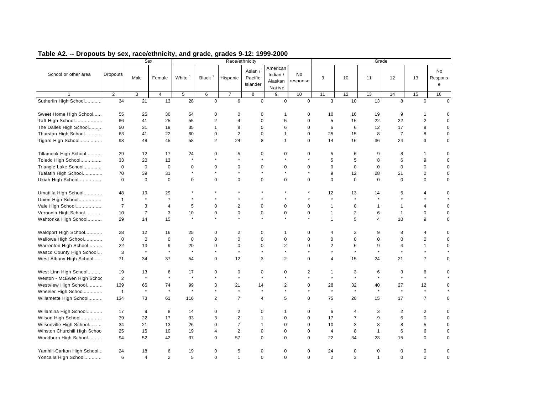|                              |                 |                | Sex            |                    |                    | Race/ethnicity          |                                |                                           |                |                |                | Grade          |                |                |                           |
|------------------------------|-----------------|----------------|----------------|--------------------|--------------------|-------------------------|--------------------------------|-------------------------------------------|----------------|----------------|----------------|----------------|----------------|----------------|---------------------------|
| School or other area         | <b>Dropouts</b> | Male           | Female         | White <sup>1</sup> | Black <sup>1</sup> | Hispanic                | Asian /<br>Pacific<br>Islander | American<br>Indian /<br>Alaskan<br>Native | No<br>response | 9              | 10             | 11             | 12             | 13             | <b>No</b><br>Respons<br>e |
|                              | $\overline{2}$  | 3              | $\overline{4}$ | 5                  | 6                  | $\overline{7}$          | 8                              | 9                                         | 10             | 11             | 12             | 13             | 14             | 15             | 16                        |
| Sutherlin High School        | 34              | 21             | 13             | 28                 | $\mathbf 0$        | 6                       | $\mathbf 0$                    | $\mathbf 0$                               | $\mathbf 0$    | 3              | 10             | 13             | 8              | $\mathbf{0}$   | $\Omega$                  |
| Sweet Home High School       | 55              | 25             | 30             | 54                 | 0                  | 0                       | 0                              | 1                                         | 0              | 10             | 16             | 19             | 9              | 1              | $\mathbf 0$               |
| Taft High School             | 66              | 41             | 25             | 55                 | $\overline{2}$     | $\overline{\mathbf{4}}$ | $\Omega$                       | 5                                         | $\Omega$       | 5              | 15             | 22             | 22             | $\overline{2}$ | $\Omega$                  |
| The Dalles High School       | 50              | 31             | 19             | 35                 | $\mathbf{1}$       | 8                       | $\mathbf 0$                    | 6                                         | $\mathbf 0$    | 6              | 6              | 12             | 17             | 9              | $\Omega$                  |
| Thurston High School         | 63              | 41             | 22             | 60                 | $\pmb{0}$          | $\overline{2}$          | $\Omega$                       | $\mathbf{1}$                              | $\mathbf 0$    | 25             | 15             | 8              | $\overline{7}$ | 8              | $\mathbf 0$               |
| Tigard High School           | 93              | 48             | 45             | 58                 | $\overline{2}$     | 24                      | 8                              | $\mathbf{1}$                              | $\mathbf 0$    | 14             | 16             | 36             | 24             | 3              | $\mathbf 0$               |
| Tillamook High School        | 29              | 12             | 17             | 24                 | 0                  | 5                       | $\mathbf 0$                    | $\mathbf 0$                               | $\mathbf 0$    | 5              | 6              | 9              | 8              | $\mathbf{1}$   | $\mathbf 0$               |
| Toledo High School           | 33              | 20             | 13             | $\star$            | $\star$            | $\star$                 |                                | $\star$                                   | $\star$        | 5              | 5              | 8              | 6              | 9              | $\mathbf 0$               |
| Triangle Lake School         | $\mathbf 0$     | $\mathbf 0$    | $\mathbf 0$    | $\mathbf 0$        | 0                  | $\mathbf 0$             | $\mathbf 0$                    | 0                                         | $\mathbf 0$    | $\mathbf 0$    | 0              | $\mathbf 0$    | $\mathbf 0$    | $\mathbf 0$    | 0                         |
| Tualatin High School         | 70              | 39             | 31             | $\star$            |                    |                         |                                |                                           | $\star$        | 9              | 12             | 28             | 21             | $\mathbf 0$    | 0                         |
| Ukiah High School            | $\mathbf 0$     | $\mathbf 0$    | $\mathbf 0$    | $\mathbf 0$        | $\mathbf 0$        | $\mathbf 0$             | $\Omega$                       | $\mathbf 0$                               | $\mathbf 0$    | $\Omega$       | $\Omega$       | $\Omega$       | $\mathbf 0$    | $\mathbf 0$    | $\mathbf 0$               |
| Umatilla High School         | 48              | 19             | 29             |                    |                    |                         |                                |                                           |                | 12             | 13             | 14             | 5              | $\overline{4}$ | $\Omega$                  |
| Union High School            | $\mathbf{1}$    | $\star$        | $\star$        |                    |                    |                         |                                |                                           |                | $\star$        | $\star$        | $\star$        | $\star$        |                |                           |
| Vale High School             | $\overline{7}$  | 3              | $\overline{4}$ | 5                  | $\mathbf 0$        | $\overline{2}$          | $\mathbf 0$                    | $\mathbf 0$                               | $\mathbf 0$    | $\mathbf{1}$   | 0              | $\mathbf{1}$   | $\mathbf{1}$   | $\overline{4}$ | $\mathbf 0$               |
| Vernonia High School         | 10              | $\overline{7}$ | 3              | 10                 | 0                  | $\pmb{0}$               | 0                              | $\mathbf 0$                               | $\pmb{0}$      | $\mathbf{1}$   | $\overline{2}$ | 6              | $\mathbf{1}$   | $\mathbf 0$    | $\mathbf 0$               |
| Wahtonka High School         | 29              | 14             | 15             | $\star$            | $\star$            |                         |                                |                                           | $\star$        | $\mathbf{1}$   | 5              | $\overline{4}$ | 10             | 9              | 0                         |
| Waldport High School         | 28              | 12             | 16             | 25                 | 0                  | 2                       | 0                              | -1                                        | 0              | 4              | 3              | 9              | 8              | 4              | $\mathbf 0$               |
| Wallowa High School          | $\mathbf 0$     | $\mathbf 0$    | $\mathbf 0$    | $\mathbf 0$        | $\mathbf 0$        | $\mathbf 0$             | $\Omega$                       | $\mathbf 0$                               | $\Omega$       | $\mathbf 0$    | $\mathbf 0$    | $\mathbf 0$    | $\mathbf 0$    | $\mathbf 0$    | $\mathbf 0$               |
| Warrenton High School        | 22              | 13             | 9              | 20                 | $\Omega$           | $\mathbf 0$             | $\Omega$                       | $\overline{2}$                            | $\Omega$       | $\overline{2}$ | 6              | 9              | $\overline{4}$ | $\mathbf{1}$   | $\Omega$                  |
| Wasco County High School     | 3               | $\star$        | $\star$        | $\star$            | $\star$            | $\star$                 |                                | $\star$                                   | $\star$        | $\star$        | $\star$        | $\star$        | $\star$        | $\star$        |                           |
| West Albany High School      | 71              | 34             | 37             | 54                 | $\mathbf 0$        | 12                      | 3                              | 2                                         | $\mathbf 0$    | $\overline{4}$ | 15             | 24             | 21             | $\overline{7}$ | $\pmb{0}$                 |
| West Linn High School        | 19              | 13             | 6              | 17                 | $\mathbf 0$        | $\mathbf 0$             | $\mathbf 0$                    | 0                                         | 2              | $\mathbf 1$    | 3              | 6              | 3              | 6              | $\mathbf 0$               |
| Weston - McEwen High Schoo   | $\overline{2}$  | $\star$        | $\star$        | $\star$            | $\star$            | $\star$                 |                                | $\star$                                   | $\star$        | $\star$        | $\star$        | $\star$        | $\star$        | $\star$        |                           |
| Westview High School         | 139             | 65             | 74             | 99                 | 3                  | 21                      | 14                             | 2                                         | $\pmb{0}$      | 28             | 32             | 40             | 27             | 12             | 0                         |
| Wheeler High School          | $\mathbf{1}$    | $\star$        | $\star$        | $\star$            | $\star$            | $\star$                 | $\star$                        | $\star$                                   | $\star$        | $\star$        | $\star$        | $\star$        | $\star$        | $\star$        | $\star$                   |
| Willamette High School       | 134             | 73             | 61             | 116                | $\overline{2}$     | $\overline{7}$          | 4                              | 5                                         | $\mathbf 0$    | 75             | 20             | 15             | 17             | $\overline{7}$ | 0                         |
| Willamina High School        | 17              | 9              | 8              | 14                 | $\mathbf 0$        | $\overline{2}$          | $\mathbf 0$                    | $\mathbf{1}$                              | $\mathbf 0$    | 6              | $\overline{4}$ | 3              | $\overline{2}$ | $\overline{2}$ | $\pmb{0}$                 |
| Wilson High School           | 39              | 22             | 17             | 33                 | 3                  | $\overline{2}$          | $\overline{1}$                 | $\mathbf 0$                               | $\mathbf 0$    | 17             | $\overline{7}$ | 9              | 6              | $\mathbf 0$    | $\mathbf 0$               |
| Wilsonville High School      | 34              | 21             | 13             | 26                 | $\mathbf 0$        | $\overline{7}$          | $\mathbf{1}$                   | $\Omega$                                  | $\mathbf 0$    | 10             | 3              | 8              | 8              | 5              | $\mathbf 0$               |
| Winston Churchill High Schoo | 25              | 15             | 10             | 19                 | 4                  | $\overline{2}$          | $\mathbf 0$                    | $\mathbf 0$                               | $\mathbf 0$    | $\overline{4}$ | 8              | $\overline{1}$ | 6              | 6              | $\mathbf 0$               |
| Woodburn High School         | 94              | 52             | 42             | 37                 | $\mathbf 0$        | 57                      | $\mathbf 0$                    | $\Omega$                                  | $\Omega$       | 22             | 34             | 23             | 15             | $\mathbf 0$    | 0                         |
| Yamhill-Carlton High School  | 24              | 18             | 6              | 19                 | 0                  | 5                       | 0                              | 0                                         | $\mathbf 0$    | 24             | 0              | 0              | 0              | 0              | $\mathbf 0$               |
| Yoncalla High School         | 6               | $\overline{4}$ | 2              | 5                  | $\mathbf 0$        | $\mathbf{1}$            | $\mathbf 0$                    | $\mathbf 0$                               | $\mathbf 0$    | 2              | 3              | $\overline{1}$ | $\mathbf{0}$   | $\mathbf 0$    | $\mathbf 0$               |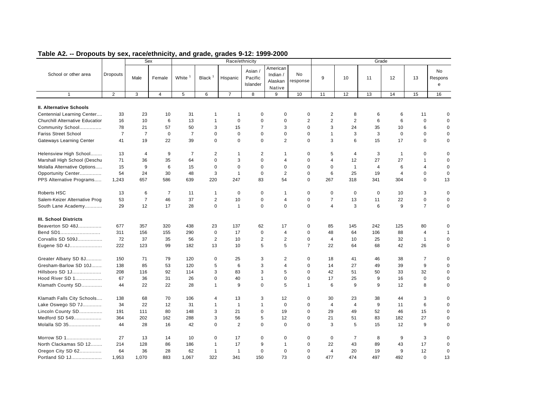|                                        |                |                | Sex            |                    |                    | Race/ethnicity |                                |                                           |                |                         |                | Grade          |                |                |                    |
|----------------------------------------|----------------|----------------|----------------|--------------------|--------------------|----------------|--------------------------------|-------------------------------------------|----------------|-------------------------|----------------|----------------|----------------|----------------|--------------------|
| School or other area                   | Dropouts       | Male           | Female         | White <sup>1</sup> | Black <sup>1</sup> | Hispanic       | Asian /<br>Pacific<br>Islander | American<br>Indian /<br>Alaskan<br>Native | No<br>response | 9                       | 10             | 11             | 12             | 13             | No<br>Respons<br>e |
| $\mathbf{1}$                           | $\overline{2}$ | 3              | $\overline{4}$ | 5                  | 6                  | $\overline{7}$ | 8                              | 9                                         | 10             | 11                      | 12             | 13             | 14             | 15             | 16                 |
|                                        |                |                |                |                    |                    |                |                                |                                           |                |                         |                |                |                |                |                    |
| II. Alternative Schools                |                |                |                |                    |                    |                |                                |                                           |                |                         |                |                |                |                |                    |
| Centennial Learning Center             | 33             | 23             | 10             | 31                 | 1                  | $\mathbf 1$    | $\mathbf 0$                    | 0                                         | 0              | $\overline{c}$          | 8              | 6              | 6              | 11             | 0                  |
| <b>Churchill Alternative Educatior</b> | 16             | 10             | 6              | 13                 | 1                  | 0              | $\mathbf 0$                    | $\mathbf 0$                               | $\overline{c}$ | $\overline{2}$          | $\overline{2}$ | 6              | 6              | $\mathbf 0$    | 0                  |
| Community School                       | 78             | 21             | 57             | 50                 | 3                  | 15             | $\overline{7}$                 | 3                                         | 0              | 3                       | 24             | 35             | 10             | 6              | 0                  |
| <b>Fariss Street School</b>            | $\overline{7}$ | $\overline{7}$ | $\mathbf 0$    | $\overline{7}$     | 0                  | $\mathbf 0$    | $\mathbf 0$                    | 0                                         | 0              | $\mathbf{1}$            | 3              | 3              | $\mathbf 0$    | 0              | 0                  |
| Gateways Learning Center               | 41             | 19             | 22             | 39                 | $\mathbf 0$        | 0              | $\mathbf 0$                    | 2                                         | 0              | 3                       | 6              | 15             | 17             | $\mathbf 0$    | 0                  |
| Helensview High School                 | 13             | $\overline{4}$ | 9              | 7                  | 2                  | 1              | $\overline{2}$                 | -1                                        | 0              | 5                       | 4              | 3              | $\overline{1}$ | 0              | 0                  |
| Marshall High School (Deschu           | 71             | 36             | 35             | 64                 | 0                  | 3              | $\mathbf 0$                    | 4                                         | 0              | 4                       | 12             | 27             | 27             | $\mathbf{1}$   | 0                  |
| Molalla Alternative Options            | 15             | 9              | 6              | 15                 | $\mathbf 0$        | 0              | $\mathbf 0$                    | $\mathbf 0$                               | 0              | $\mathbf 0$             | $\mathbf{1}$   | $\overline{4}$ | 6              | $\overline{4}$ | $\mathbf 0$        |
| Opportunity Center                     | 54             | 24             | 30             | 48                 | 3                  | $\mathbf{1}$   | $\mathbf 0$                    | 2                                         | 0              | 6                       | 25             | 19             | 4              | 0              | 0                  |
| PPS Alternative Programs               | 1,243          | 657            | 586            | 639                | 220                | 247            | 83                             | 54                                        | 0              | 267                     | 318            | 341            | 304            | 0              | 13                 |
| Roberts HSC                            | 13             | 6              | 7              | 11                 | 1                  | 0              | $\mathbf 0$                    | -1                                        | 0              | 0                       | $\mathbf 0$    | $\mathbf 0$    | 10             | 3              | $\mathbf 0$        |
| Salem-Keizer Alternative Prog          | 53             | $\overline{7}$ | 46             | 37                 | $\overline{2}$     | 10             | $\mathbf 0$                    | $\overline{4}$                            | 0              | $\overline{7}$          | 13             | 11             | 22             | 0              | 0                  |
| South Lane Academy                     | 29             | 12             | 17             | 28                 | $\mathbf 0$        | $\mathbf{1}$   | $\mathbf 0$                    | $\mathbf 0$                               | 0              | $\overline{\mathbf{4}}$ | 3              | 6              | 9              | $\overline{7}$ | 0                  |
| <b>III. School Districts</b>           |                |                |                |                    |                    |                |                                |                                           |                |                         |                |                |                |                |                    |
| Beaverton SD 48J                       | 677            | 357            | 320            | 438                | 23                 | 137            | 62                             | 17                                        | 0              | 85                      | 145            | 242            | 125            | 80             | 0                  |
| Bend SD1                               | 311            | 156            | 155            | 290                | 0                  | 17             | $\mathbf 0$                    | $\overline{4}$                            | 0              | 48                      | 64             | 106            | 88             | $\overline{4}$ | $\mathbf{1}$       |
| Corvallis SD 509J                      | 72             | 37             | 35             | 56                 | $\overline{2}$     | 10             | 2                              | 2                                         | 0              | 4                       | 10             | 25             | 32             | $\mathbf{1}$   | 0                  |
| Eugene SD 4J                           | 222            | 123            | 99             | 182                | 13                 | 10             | 5                              | 5                                         | $\overline{7}$ | 22                      | 64             | 68             | 42             | 26             | $\mathbf 0$        |
| Greater Albany SD 8J                   | 150            | 71             | 79             | 120                | 0                  | 25             | 3                              | 2                                         | 0              | 18                      | 41             | 46             | 38             | 7              | 0                  |
| Gresham-Barlow SD 10J                  | 138            | 85             | 53             | 120                | 5                  | 6              | 3                              | $\overline{4}$                            | 0              | 14                      | 27             | 49             | 39             | 9              | $\mathbf 0$        |
| Hillsboro SD 1J                        | 208            | 116            | 92             | 114                | 3                  | 83             | 3                              | 5                                         | $\Omega$       | 42                      | 51             | 50             | 33             | 32             | 0                  |
| Hood River SD 1                        | 67             | 36             | 31             | 26                 | 0                  | 40             | $\mathbf{1}$                   | $\mathbf 0$                               | 0              | 17                      | 25             | 9              | 16             | 0              | 0                  |
| Klamath County SD                      | 44             | 22             | 22             | 28                 | $\mathbf{1}$       | 9              | $\mathbf 0$                    | 5                                         | 1              | 6                       | 9              | 9              | 12             | 8              | $\mathbf 0$        |
| Klamath Falls City Schools             | 138            | 68             | 70             | 106                | 4                  | 13             | 3                              | 12                                        | 0              | 30                      | 23             | 38             | 44             | 3              | $\mathbf 0$        |
| Lake Oswego SD 7J                      | 34             | 22             | 12             | 31                 | 1                  | $\mathbf{1}$   | $\mathbf{1}$                   | $\mathbf 0$                               | 0              | 4                       | 4              | 9              | 11             | 6              | 0                  |
| Lincoln County SD                      | 191            | 111            | 80             | 148                | 3                  | 21             | $\mathbf 0$                    | 19                                        | 0              | 29                      | 49             | 52             | 46             | 15             | 0                  |
| Medford SD 549                         | 364            | 202            | 162            | 288                | 3                  | 56             | 5                              | 12                                        | 0              | 21                      | 51             | 83             | 182            | 27             | 0                  |
| Molalla SD 35                          | 44             | 28             | 16             | 42                 | $\mathbf 0$        | $\overline{2}$ | $\mathbf 0$                    | $\mathbf 0$                               | 0              | 3                       | 5              | 15             | 12             | 9              | $\mathbf 0$        |
| Morrow SD 1                            | 27             | 13             | 14             | 10                 | $\mathbf 0$        | 17             | 0                              | 0                                         | 0              | 0                       | 7              | 8              | 9              | 3              | 0                  |
| North Clackamas SD 12                  | 214            | 128            | 86             | 186                | 1                  | 17             | 9                              | $\mathbf{1}$                              | 0              | 22                      | 43             | 89             | 43             | 17             | 0                  |
| Oregon City SD 62                      | 64             | 36             | 28             | 62                 | 1                  | $\mathbf{1}$   | $\mathbf 0$                    | $\mathbf 0$                               | $\Omega$       | 4                       | 20             | 19             | 9              | 12             | $\mathbf 0$        |
| Portland SD 1J                         | 1,953          | 1,070          | 883            | 1,067              | 322                | 341            | 150                            | 73                                        | 0              | 477                     | 474            | 497            | 492            | $\mathbf 0$    | 13                 |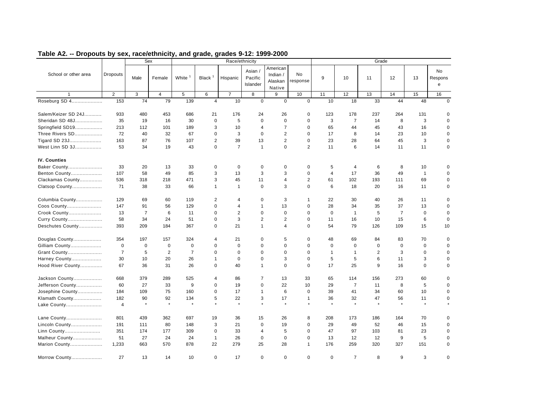|                      |                 |                | Sex            |                    |                | Race/ethnicity |                                |                                           |                |                         |                | Grade          |                |              |                           |
|----------------------|-----------------|----------------|----------------|--------------------|----------------|----------------|--------------------------------|-------------------------------------------|----------------|-------------------------|----------------|----------------|----------------|--------------|---------------------------|
| School or other area | <b>Dropouts</b> | Male           | Female         | White <sup>1</sup> | Black $1$      | Hispanic       | Asian /<br>Pacific<br>Islander | American<br>Indian /<br>Alaskan<br>Native | No<br>response | 9                       | 10             | 11             | 12             | 13           | <b>No</b><br>Respons<br>e |
|                      | 2               | 3              | $\overline{4}$ | 5                  | 6              | $\overline{7}$ | 8                              | 9                                         | 10             | 11                      | 12             | 13             | 14             | 15           | 16                        |
| Roseburg SD 4        | 153             | 74             | 79             | 139                | $\overline{4}$ | 10             | $\mathbf 0$                    | $\mathbf 0$                               | $\mathbf 0$    | 10                      | 18             | 33             | 44             | 48           | $\mathbf 0$               |
| Salem/Keizer SD 24J  | 933             | 480            | 453            | 686                | 21             | 176            | 24                             | 26                                        | 0              | 123                     | 178            | 237            | 264            | 131          | 0                         |
| Sheridan SD 48J      | 35              | 19             | 16             | 30                 | $\mathbf 0$    | 5              | $\mathbf 0$                    | $\mathbf 0$                               | $\mathbf 0$    | 3                       | $\overline{7}$ | 14             | 8              | 3            | $\mathbf 0$               |
| Springfield SD19     | 213             | 112            | 101            | 189                | 3              | 10             | $\overline{4}$                 | $\overline{7}$                            | $\mathbf 0$    | 65                      | 44             | 45             | 43             | 16           | 0                         |
| Three Rivers SD      | 72              | 40             | 32             | 67                 | $\mathbf 0$    | 3              | $\mathbf 0$                    | $\overline{2}$                            | $\mathbf 0$    | 17                      | 8              | 14             | 23             | 10           | 0                         |
| Tigard SD 23J        | 163             | 87             | 76             | 107                | $\overline{2}$ | 39             | 13                             | $\overline{2}$                            | $\mathbf 0$    | 23                      | 28             | 64             | 45             | 3            | 0                         |
| West Linn SD 3J      | 53              | 34             | 19             | 43                 | $\mathbf 0$    | $\overline{7}$ | $\overline{1}$                 | $\mathbf 0$                               | $\overline{2}$ | 11                      | 6              | 14             | 11             | 11           | 0                         |
| <b>IV. Counties</b>  |                 |                |                |                    |                |                |                                |                                           |                |                         |                |                |                |              |                           |
| Baker County         | 33              | 20             | 13             | 33                 | $\mathbf 0$    | $\mathbf 0$    | $\mathbf 0$                    | $\mathbf 0$                               | $\mathbf 0$    | 5                       | 4              | 6              | 8              | 10           | $\mathbf 0$               |
| Benton County        | 107             | 58             | 49             | 85                 | 3              | 13             | 3                              | 3                                         | $\Omega$       | $\overline{\mathbf{4}}$ | 17             | 36             | 49             | $\mathbf{1}$ | $\mathbf 0$               |
| Clackamas County     | 536             | 318            | 218            | 471                | 3              | 45             | 11                             | $\overline{4}$                            | $\overline{2}$ | 61                      | 102            | 193            | 111            | 69           | $\mathbf 0$               |
| Clatsop County       | 71              | 38             | 33             | 66                 | $\mathbf{1}$   | $\mathbf{1}$   | $\mathbf 0$                    | 3                                         | $\mathbf 0$    | 6                       | 18             | 20             | 16             | 11           | 0                         |
| Columbia County      | 129             | 69             | 60             | 119                | $\overline{2}$ | 4              | $\mathbf 0$                    | 3                                         | 1              | 22                      | 30             | 40             | 26             | 11           | $\mathbf 0$               |
| Coos County          | 147             | 91             | 56             | 129                | $\mathbf 0$    | 4              | $\overline{1}$                 | 13                                        | $\mathbf 0$    | 28                      | 34             | 35             | 37             | 13           | $\mathbf 0$               |
| Crook County         | 13              | $\overline{7}$ | 6              | 11                 | $\mathbf 0$    | $\overline{2}$ | $\mathbf 0$                    | $\mathbf 0$                               | $\mathbf 0$    | $\Omega$                | $\mathbf{1}$   | 5              | $\overline{7}$ | $\mathbf 0$  | $\mathbf 0$               |
| Curry County         | 58              | 34             | 24             | 51                 | $\mathbf 0$    | 3              | 2                              | $\overline{2}$                            | $\mathbf 0$    | 11                      | 16             | 10             | 15             | 6            | $\mathbf 0$               |
| Deschutes County     | 393             | 209            | 184            | 367                | $\mathbf 0$    | 21             | $\mathbf{1}$                   | $\overline{4}$                            | $\Omega$       | 54                      | 79             | 126            | 109            | 15           | 10                        |
| Douglas County       | 354             | 197            | 157            | 324                | 4              | 21             | 0                              | 5                                         | 0              | 48                      | 69             | 84             | 83             | 70           | $\mathbf 0$               |
| Gilliam County       | $\mathbf 0$     | $\mathbf 0$    | $\mathbf 0$    | $\mathbf 0$        | 0              | 0              | $\mathbf 0$                    | $\mathbf 0$                               | $\mathbf 0$    | $\mathbf 0$             | $\mathbf 0$    | $\mathbf 0$    | $\mathbf 0$    | 0            | 0                         |
| Grant County         | $\overline{7}$  | 5              | $\overline{2}$ | $\overline{7}$     | $\mathbf 0$    | $\mathbf 0$    | $\mathbf 0$                    | $\mathbf 0$                               | $\mathbf 0$    | $\mathbf{1}$            | $\mathbf{1}$   | $\overline{c}$ | 3              | $\mathbf 0$  | $\mathbf 0$               |
| Harney County        | 30              | 10             | 20             | 26                 | $\mathbf{1}$   | 0              | $\mathbf 0$                    | 3                                         | $\mathbf 0$    | 5                       | 5              | 6              | 11             | 3            | 0                         |
| Hood River County    | 67              | 36             | 31             | 26                 | $\Omega$       | 40             | $\overline{1}$                 | $\Omega$                                  | $\Omega$       | 17                      | 25             | 9              | 16             | $\mathbf 0$  | $\mathbf 0$               |
| Jackson County       | 668             | 379            | 289            | 525                | 4              | 86             | $\overline{7}$                 | 13                                        | 33             | 65                      | 114            | 156            | 273            | 60           | $\mathbf 0$               |
| Jefferson County     | 60              | 27             | 33             | 9                  | $\mathbf 0$    | 19             | $\mathbf 0$                    | 22                                        | 10             | 29                      | $\overline{7}$ | 11             | 8              | 5            | $\mathbf 0$               |
| Josephine County     | 184             | 109            | 75             | 160                | $\mathbf 0$    | 17             | $\overline{1}$                 | 6                                         | $\mathbf 0$    | 39                      | 41             | 34             | 60             | 10           | $\mathbf 0$               |
| Klamath County       | 182             | 90             | 92             | 134                | 5              | 22             | 3                              | 17                                        | $\mathbf{1}$   | 36                      | 32             | 47             | 56             | 11           | $\mathbf 0$               |
| Lake County          | $\overline{4}$  | $\star$        | $\star$        | $\star$            | $\star$        | $\star$        | $\star$                        | $\star$                                   | $\star$        | $\star$                 | $\star$        | $\star$        | $\star$        | $\star$      |                           |
| Lane County          | 801             | 439            | 362            | 697                | 19             | 36             | 15                             | 26                                        | 8              | 208                     | 173            | 186            | 164            | 70           | 0                         |
| Lincoln County       | 191             | 111            | 80             | 148                | 3              | 21             | $\mathbf 0$                    | 19                                        | $\mathbf 0$    | 29                      | 49             | 52             | 46             | 15           | 0                         |
| Linn County          | 351             | 174            | 177            | 309                | $\mathbf 0$    | 33             | $\overline{4}$                 | 5                                         | $\mathbf 0$    | 47                      | 97             | 103            | 81             | 23           | 0                         |
| Malheur County       | 51              | 27             | 24             | 24                 | $\mathbf{1}$   | 26             | $\mathbf 0$                    | $\mathbf 0$                               | $\mathbf 0$    | 13                      | 12             | 12             | 9              | 5            | 0                         |
| Marion County        | 1,233           | 663            | 570            | 878                | 22             | 279            | 25                             | 28                                        | $\mathbf{1}$   | 176                     | 259            | 320            | 327            | 151          | 0                         |
| Morrow County        | 27              | 13             | 14             | 10                 | $\mathbf 0$    | 17             | $\mathbf 0$                    | $\mathbf 0$                               | $\mathbf 0$    | $\mathbf 0$             | $\overline{7}$ | 8              | 9              | 3            | $\mathbf 0$               |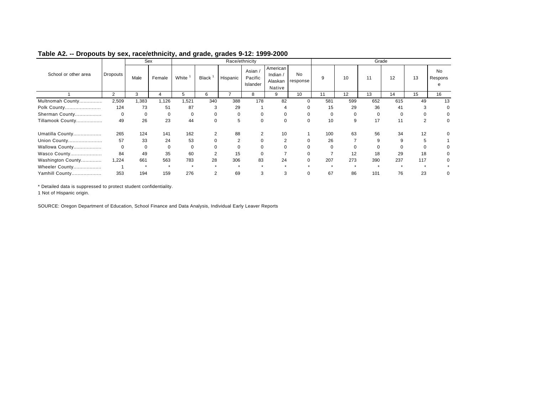|                      |                |       | Sex    |          |             |                | Race/ethnicity               |                                           |                |     |     | Grade    |     |     |                    |
|----------------------|----------------|-------|--------|----------|-------------|----------------|------------------------------|-------------------------------------------|----------------|-----|-----|----------|-----|-----|--------------------|
| School or other area | Dropouts       | Male  | Female | White    | Black       | Hispanic       | Asian<br>Pacific<br>Islander | American<br>Indian /<br>Alaskan<br>Native | No<br>response | 9   | 10  | 11       | 12  | 13  | No<br>Respons<br>e |
|                      | $\overline{2}$ | 3     | 4      | 5        | 6           |                | 8                            | 9                                         | 10             | 11  | 12  | 13       | 14  | 15  | 16                 |
| Multnomah County     | 2,509          | 1,383 | 1,126  | .521     | 340         | 388            | 178                          | 82                                        | 0              | 581 | 599 | 652      | 615 | 49  | 13                 |
| Polk County          | 124            | 73    | 51     | 87       | 3           | 29             |                              |                                           |                | 15  | 29  | 36       | 41  | 3   | 0                  |
| Sherman County       | $\Omega$       |       |        | $\Omega$ | 0           | $\Omega$       | $\Omega$                     |                                           | ი              |     |     | $\Omega$ |     |     |                    |
| Tillamook County     | 49             | 26    | 23     | 44       | $\mathbf 0$ | 5              | $\Omega$                     |                                           | O              | 10  | 9   | 17       | 11  |     | 0                  |
| Umatilla County      | 265            | 124   | 141    | 162      |             | 88             |                              | 10                                        |                | 100 | 63  | 56       | 34  | 12  |                    |
| Union County         | 57             | 33    | 24     | 53       |             | $\overline{2}$ |                              |                                           |                | 26  |     | 9        | 9   |     |                    |
| Wallowa County       |                |       |        | $\Omega$ |             |                |                              |                                           |                |     |     |          |     |     |                    |
| Wasco County         | 84             | 49    | 35     | 60       | 2           | 15             | $\Omega$                     |                                           |                |     | 12  | 18       | 29  | 18  | 0                  |
| Washington County    | 1,224          | 661   | 563    | 783      | 28          | 306            | 83                           | 24                                        | 0              | 207 | 273 | 390      | 237 | 117 | 0                  |
| Wheeler County       |                |       |        |          |             |                |                              |                                           |                |     |     |          |     |     |                    |
| Yamhill County       | 353            | 194   | 159    | 276      | 2           | 69             |                              | 3                                         |                | 67  | 86  | 101      | 76  | 23  |                    |

\* Detailed data is suppressed to protect student confidentiality.

1 Not of Hispanic origin.

SOURCE: Oregon Department of Education, School Finance and Data Analysis, Individual Early Leaver Reports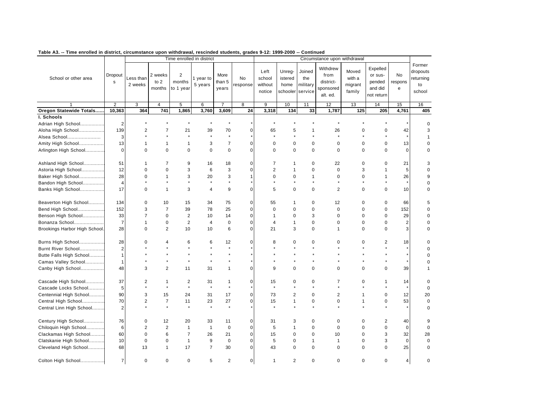|                               |                        |                      |                             | Time enrolled in district             |                      |                         |                |                                     |                                       |                                      | Circumstance upon withdrawal                           |                                      |                                                        |                    |                                                 |
|-------------------------------|------------------------|----------------------|-----------------------------|---------------------------------------|----------------------|-------------------------|----------------|-------------------------------------|---------------------------------------|--------------------------------------|--------------------------------------------------------|--------------------------------------|--------------------------------------------------------|--------------------|-------------------------------------------------|
| School or other area          | Dropout<br>$\mathbf s$ | Less than<br>2 weeks | 2 weeks<br>to $2$<br>months | $\overline{2}$<br>months<br>to 1 year | 1 year to<br>5 years | More<br>than 5<br>years | No<br>response | Left<br>school<br>without<br>notice | Unreg-<br>istered<br>home<br>schooler | Joined<br>the<br>military<br>service | Withdrew<br>from<br>district-<br>sponsored<br>alt. ed. | Moved<br>with a<br>migrant<br>family | Expelled<br>or sus-<br>pended<br>and did<br>not return | No<br>respons<br>e | Former<br>dropouts<br>returning<br>to<br>school |
|                               | $\overline{2}$         | 3                    | $\overline{4}$              | $\overline{5}$                        | 6                    | $\overline{7}$          | 8              | $\overline{9}$                      | 10                                    | 11                                   | 12                                                     | 13                                   | 14                                                     | 15                 | 16                                              |
| Oregon Statewide Totals       | 10,363                 | 364                  | 741                         | 1,865                                 | 3,760                | 3,609                   | 24             | 3,318                               | 134                                   | 33                                   | 1,787                                                  | 125                                  | 205                                                    | 4,761              | 405                                             |
| I. Schools                    |                        |                      |                             |                                       |                      |                         |                |                                     |                                       |                                      |                                                        |                                      |                                                        |                    |                                                 |
| Adrian High School            | $\overline{2}$         |                      |                             |                                       |                      | $\star$                 |                |                                     |                                       |                                      |                                                        |                                      |                                                        |                    | $\mathbf 0$                                     |
| Aloha High School             | 139                    | $\overline{c}$       | $\overline{7}$              | 21                                    | 39                   | 70                      | $\mathbf 0$    | 65                                  | 5                                     | 1                                    | 26                                                     | $\mathbf 0$                          | $\mathbf 0$                                            | 42                 | 3                                               |
| Alsea School                  | 3                      | $\star$              | $\star$                     | $\star$                               | $\star$              | $\star$                 |                | $\star$                             |                                       | $\star$                              | $\star$                                                | $\star$                              | $\star$                                                | $\star$            | 1                                               |
| Amity High School             | 13                     | $\mathbf{1}$         | 1                           | 1                                     | 3                    | $\overline{7}$          | $\mathbf 0$    | 0                                   | 0                                     | 0                                    | $\mathbf 0$                                            | 0                                    | $\pmb{0}$                                              | 13                 | 0                                               |
| Arlington High School         | $\mathbf 0$            | $\Omega$             | $\mathbf 0$                 | $\mathbf 0$                           | $\Omega$             | $\mathbf 0$             | $\mathbf 0$    | $\Omega$                            | $\Omega$                              | $\mathbf 0$                          | $\Omega$                                               | $\Omega$                             | $\mathbf 0$                                            | $\Omega$           | $\Omega$                                        |
| Ashland High School           | 51                     | $\mathbf{1}$         | $\overline{7}$              | 9                                     | 16                   | 18                      | $\mathbf 0$    | 7                                   | 1                                     | $\mathbf 0$                          | 22                                                     | $\mathbf 0$                          | $\mathbf 0$                                            | 21                 | 3                                               |
| Astoria High School           | 12                     | $\Omega$             | $\mathbf 0$                 | 3                                     | 6                    | 3                       | $\mathbf 0$    | $\overline{2}$                      | $\mathbf{1}$                          | $\mathbf 0$                          | $\mathbf 0$                                            | 3                                    | $\overline{1}$                                         | 5                  | 0                                               |
| Baker High School             | 28                     | $\Omega$             | $\mathbf{1}$                | 3                                     | 20                   | 3                       | $\mathbf{1}$   | 0                                   | $\mathbf 0$                           | $\mathbf{1}$                         | $\mathbf 0$                                            | $\mathbf 0$                          | $\overline{1}$                                         | 26                 | 9                                               |
| Bandon High School            | $\overline{4}$         |                      | $\star$                     |                                       | $\star$              | $\star$                 |                |                                     |                                       | $\star$                              | $\star$                                                | $\star$                              | $\star$                                                | $\star$            | $\mathbf 0$                                     |
| Banks High School             | 17                     | $\Omega$             | $\mathbf{1}$                | 3                                     | 4                    | 9                       | $\mathbf 0$    | 5                                   | $\mathbf 0$                           | $\Omega$                             | $\overline{2}$                                         | $\Omega$                             | 0                                                      | 10                 | 0                                               |
| Beaverton High School         | 134                    | $\mathbf 0$          | 10                          | 15                                    | 34                   | 75                      | $\mathbf 0$    | 55                                  | $\mathbf 1$                           | $\mathbf 0$                          | 12                                                     | $\mathbf 0$                          | $\pmb{0}$                                              | 66                 | 5                                               |
| Bend High School              | 152                    | 3                    | $\overline{7}$              | 39                                    | 78                   | 25                      | $\mathbf 0$    | $\mathbf 0$                         | $\mathbf 0$                           | 0                                    | $\mathbf 0$                                            | $\mathbf 0$                          | $\pmb{0}$                                              | 152                | $\mathbf 0$                                     |
| Benson High School            | 33                     | $\overline{7}$       | $\mathbf 0$                 | $\overline{2}$                        | 10                   | 14                      | $\mathbf 0$    | $\mathbf{1}$                        | $\mathbf 0$                           | 3                                    | $\mathbf 0$                                            | $\mathbf 0$                          | $\mathbf 0$                                            | 29                 | 0                                               |
| Bonanza School                | $\overline{7}$         | $\mathbf{1}$         | $\mathbf 0$                 | $\overline{2}$                        | $\overline{4}$       | $\mathbf 0$             | $\mathbf 0$    | 4                                   | $\mathbf{1}$                          | $\mathbf 0$                          | $\mathbf 0$                                            | $\Omega$                             | $\mathbf 0$                                            | $\overline{2}$     | $\mathbf 0$                                     |
| Brookings Harbor High School. | 28                     | 0                    | $\overline{2}$              | 10                                    | 10                   | 6                       | $\mathbf 0$    | 21                                  | 3                                     | $\pmb{0}$                            | $\mathbf{1}$                                           | $\mathbf 0$                          | $\pmb{0}$                                              | 3                  | $\mathbf 0$                                     |
| Burns High School             | 28                     | $\Omega$             | 4                           | 6                                     | 6                    | 12                      | $\mathbf 0$    | 8                                   | 0                                     | $\mathbf 0$                          | 0                                                      | 0                                    | $\overline{2}$                                         | 18                 | $\Omega$                                        |
| Burnt River School            | $\overline{2}$         |                      | $\star$                     | $\star$                               | $\star$              | $\star$                 |                |                                     |                                       | $\ddot{\phantom{0}}$                 | $\star$                                                |                                      | $\ddot{\phantom{0}}$                                   | ×                  | $\Omega$                                        |
| Butte Falls High School       | $\overline{1}$         |                      |                             |                                       |                      |                         |                |                                     |                                       |                                      |                                                        |                                      |                                                        |                    | $\Omega$                                        |
| Camas Valley School           | $\mathbf{1}$           |                      | $\star$                     | $\star$                               | $\star$              | $\star$                 |                |                                     |                                       |                                      |                                                        |                                      | $\star$                                                | ×                  | O                                               |
| Canby High School             | 48                     | 3                    | 2                           | 11                                    | 31                   | $\mathbf{1}$            | $\mathbf 0$    | 9                                   | $\mathbf 0$                           | $\mathbf 0$                          | $\mathbf 0$                                            | $\mathbf 0$                          | $\mathbf 0$                                            | 39                 | 1                                               |
| Cascade High School           | 37                     | 2                    | $\mathbf{1}$                | 2                                     | 31                   | $\mathbf{1}$            | $\mathbf 0$    | 15                                  | 0                                     | $\mathbf 0$                          | $\overline{7}$                                         | 0                                    | $\mathbf 1$                                            | 14                 | 0                                               |
| Cascade Locks School          | 5                      | $\star$              | $\star$                     | $\star$                               | $\star$              | $\star$                 |                | $\star$                             |                                       | $\star$                              |                                                        |                                      | $\star$                                                | $\star$            | $\Omega$                                        |
| Centennial High School        | 90                     | 3                    | 15                          | 24                                    | 31                   | 17                      | $\mathbf 0$    | 73                                  | 2                                     | $\mathbf 0$                          | $\overline{2}$                                         | $\mathbf{1}$                         | $\mathbf 0$                                            | 12                 | 20                                              |
| Central High School           | 70                     | 2                    | $\overline{7}$              | 11                                    | 23                   | 27                      | $\Omega$       | 15                                  | 1                                     | $\pmb{0}$                            | $\mathbf 0$                                            | $\mathbf{1}$                         | $\pmb{0}$                                              | 53                 | $\pmb{0}$                                       |
| Central Linn High School      | $\overline{2}$         | $\star$              | $\star$                     | $\star$                               | $\star$              | $\star$                 |                |                                     |                                       | $\star$                              |                                                        |                                      |                                                        |                    | $\mathbf 0$                                     |
| Century High School           | 76                     | $\mathbf 0$          | 12                          | 20                                    | 33                   | 11                      | $\mathbf 0$    | 31                                  | 3                                     | $\mathbf 0$                          | $\mathbf 0$                                            | $\mathbf 0$                          | $\overline{2}$                                         | 40                 | 9                                               |
| Chiloquin High School         | $6\phantom{1}6$        | $\overline{2}$       | $\overline{2}$              | $\mathbf{1}$                          | $\mathbf{1}$         | $\mathbf 0$             | $\mathbf 0$    | 5                                   | $\mathbf{1}$                          | $\mathbf 0$                          | $\mathbf 0$                                            | $\mathbf 0$                          | $\pmb{0}$                                              | $\mathbf 0$        | $\mathbf 0$                                     |
| Clackamas High School         | 60                     | $\mathbf 0$          | 6                           | $\overline{7}$                        | 26                   | 21                      | $\mathbf 0$    | 15                                  | $\mathbf 0$                           | $\mathbf 0$                          | 10                                                     | $\Omega$                             | 3                                                      | 32                 | 28                                              |
| Clatskanie High School        | 10                     | $\mathbf 0$          | $\mathbf 0$                 | $\mathbf{1}$                          | 9                    | $\mathbf 0$             | $\mathbf 0$    | 5                                   | 0                                     | $\mathbf{1}$                         | $\mathbf{1}$                                           | $\mathbf 0$                          | 3                                                      | $\mathbf 0$        | $\mathbf 0$                                     |
| Cleveland High School         | 68                     | 13                   | $\mathbf{1}$                | 17                                    | $\overline{7}$       | 30                      | $\mathbf 0$    | 43                                  | $\Omega$                              | $\mathbf 0$                          | $\Omega$                                               | $\Omega$                             | $\mathbf 0$                                            | 25                 | $\mathbf 0$                                     |
| Colton High School            | $\overline{7}$         | $\mathbf 0$          | $\mathbf 0$                 | $\mathbf 0$                           | 5                    | $\overline{2}$          | $\mathbf 0$    | 1                                   | 2                                     | $\mathbf 0$                          | $\mathbf 0$                                            | $\mathbf 0$                          | $\mathbf 0$                                            | 4                  | $\mathbf 0$                                     |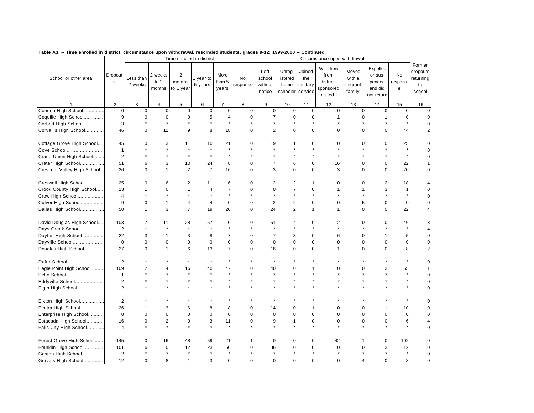| rable A3. -- Thne embled in uistrict, chcumstance upon withurawal, reschiued students, grades 3-12. 1999-2000 -- Continued |                         |                      |                             | Time enrolled in district             |                      |                         |                |                                     |                                       |                                      | Circumstance upon withdrawal                           |                                      |                                                        |                    |                                                 |
|----------------------------------------------------------------------------------------------------------------------------|-------------------------|----------------------|-----------------------------|---------------------------------------|----------------------|-------------------------|----------------|-------------------------------------|---------------------------------------|--------------------------------------|--------------------------------------------------------|--------------------------------------|--------------------------------------------------------|--------------------|-------------------------------------------------|
| School or other area                                                                                                       | Dropout<br>$\mathsf{s}$ | Less than<br>2 weeks | 2 weeks<br>to $2$<br>months | $\overline{2}$<br>months<br>to 1 year | 1 year to<br>5 years | More<br>than 5<br>years | No<br>response | Left<br>school<br>without<br>notice | Unreg-<br>istered<br>home<br>schooler | Joined<br>the<br>military<br>service | Withdrew<br>from<br>district-<br>sponsored<br>alt. ed. | Moved<br>with a<br>migrant<br>family | Expelled<br>or sus-<br>pended<br>and did<br>not return | No<br>respons<br>e | Former<br>dropouts<br>returning<br>to<br>school |
|                                                                                                                            | $\overline{2}$          | 3                    | 4                           | 5                                     | 6                    | $\overline{7}$          | 8              | 9                                   | 10                                    | 11                                   | 12                                                     | 13                                   | 14                                                     | 15                 | 16                                              |
| Condon High School                                                                                                         | $\mathbf 0$             | $\mathbf 0$          | $\overline{0}$              | $\mathbf 0$                           | $\mathbf 0$          | $\pmb{0}$               | $\mathbf 0$    | $\mathbf 0$                         | $\mathbf 0$                           | $\mathbf 0$                          | $\mathbf 0$                                            | $\mathbf 0$                          | $\mathbf 0$                                            | $\Omega$           | $\mathbf 0$                                     |
| Coquille High School                                                                                                       | 9                       | 0                    | 0                           | $\mathbf 0$                           | 5                    | 4                       | $\Omega$       | $\overline{7}$                      | $\mathbf 0$                           | $\mathbf 0$                          | -1                                                     | 0                                    | 1                                                      | $\Omega$           | $\Omega$                                        |
| Corbett High School                                                                                                        | 3                       | $\star$              | $\star$                     | $\star$                               |                      | $\star$                 |                |                                     |                                       | $\star$                              |                                                        | $\star$                              |                                                        |                    | $\mathbf 0$                                     |
| Corvallis High School                                                                                                      | 46                      | 0                    | 11                          | 9                                     | 8                    | 18                      | 0              | $\overline{2}$                      | $\pmb{0}$                             | $\mathbf 0$                          | $\mathbf 0$                                            | $\overline{0}$                       | $\mathbf 0$                                            | 44                 | $\overline{2}$                                  |
| Cottage Grove High School                                                                                                  | 45                      | O                    | 3                           | 11                                    | 10                   | 21                      | $\mathbf 0$    | 19                                  | 1                                     | 0                                    | 0                                                      | 0                                    | $\Omega$                                               | 25                 | $\Omega$                                        |
| Cove School                                                                                                                | $\overline{1}$          |                      |                             | $\star$                               |                      | $\ddot{\phantom{0}}$    |                |                                     |                                       | $\Delta$                             |                                                        |                                      |                                                        |                    | $\Omega$                                        |
| Crane Union High School                                                                                                    | $\overline{2}$          |                      |                             | $\star$                               |                      | $\star$                 |                |                                     |                                       |                                      |                                                        |                                      |                                                        |                    | $\Omega$                                        |
| Crater High School                                                                                                         | 51                      | 6                    | 3                           | 10                                    | 24                   | 8                       | $\mathbf 0$    | $\overline{7}$                      | 6                                     | $\mathbf 0$                          | 16                                                     | 0                                    | $\mathbf 0$                                            | 22                 |                                                 |
| Crescent Valley High School                                                                                                | 26                      | 0                    | $\mathbf{1}$                | $\overline{2}$                        | $\overline{7}$       | 16                      | $\mathbf 0$    | 3                                   | $\pmb{0}$                             | $\mathbf 0$                          | 3                                                      | 0                                    | $\mathbf 0$                                            | 20                 | 0                                               |
| Creswell High School                                                                                                       | 25                      | 0                    | 6                           | $\overline{2}$                        | 11                   | 6                       | 0              | 2                                   | $\overline{2}$                        | 1                                    | $\Omega$                                               | 0                                    | $\overline{2}$                                         | 18                 | 4                                               |
| Crook County High School                                                                                                   | 13                      | 1                    | $\mathbf 0$                 | $\mathbf{1}$                          | $\overline{4}$       | $\overline{7}$          | 0              | $\mathbf 0$                         | $\overline{7}$                        | $\mathbf 0$                          | $\mathbf{1}$                                           | $\mathbf{1}$                         | 3                                                      | $\mathbf{1}$       | $\Omega$                                        |
| Crow High School                                                                                                           | $\overline{4}$          |                      |                             |                                       |                      | $\star$                 |                |                                     |                                       |                                      |                                                        |                                      |                                                        |                    | $\Omega$                                        |
| Culver High School                                                                                                         | 9                       | 0                    | $\mathbf{1}$                | 4                                     | $\overline{4}$       | $\pmb{0}$               | $\mathbf 0$    | 2                                   | $\overline{2}$                        | $\mathbf 0$                          | $\mathbf 0$                                            | 5                                    | $\mathbf 0$                                            | $\mathbf 0$        | 0                                               |
| Dallas High School                                                                                                         | 50                      | $\mathbf{1}$         | 3                           | $\overline{7}$                        | 19                   | 20                      | $\mathbf 0$    | 24                                  | $\overline{2}$                        | $\mathbf{1}$                         | $\mathbf{1}$                                           | $\mathbf 0$                          | $\mathbf 0$                                            | 22                 | 4                                               |
| David Douglas High School                                                                                                  | 103                     | 7                    | 11                          | 28                                    | 57                   | $\mathbf 0$             | $\mathbf 0$    | 51                                  | $\overline{4}$                        | $\mathbf 0$                          | $\overline{2}$                                         | 0                                    | $\mathbf 0$                                            | 46                 | 3                                               |
| Days Creek School                                                                                                          | $\overline{2}$          |                      | $\star$                     | $\star$                               |                      | $\star$                 |                |                                     |                                       | $\star$                              |                                                        |                                      |                                                        |                    |                                                 |
| Dayton High School                                                                                                         | 22                      | 3                    | $\mathbf{1}$                | 3                                     | 8                    | $\overline{7}$          | $\Omega$       | $\overline{7}$                      | 3                                     | $\Omega$                             | 6                                                      | $\Omega$                             | $\mathbf{1}$                                           | 5                  | $\Omega$                                        |
| Dayville School                                                                                                            | $\mathbf 0$             | 0                    | 0                           | $\mathbf 0$                           | $\mathbf 0$          | $\mathbf 0$             | $\mathbf 0$    | $\mathbf 0$                         | $\mathbf 0$                           | $\mathbf 0$                          | $\mathbf 0$                                            | 0                                    | $\mathbf 0$                                            | $\mathbf 0$        | 0                                               |
| Douglas High School                                                                                                        | 27                      | 0                    | $\mathbf{1}$                | 6                                     | 13                   | $\overline{7}$          | $\mathbf 0$    | 18                                  | $\mathbf 0$                           | $\mathbf 0$                          | $\mathbf{1}$                                           | 0                                    | $\mathbf 0$                                            | 8                  | $\overline{2}$                                  |
| Dufur School                                                                                                               | $\overline{2}$          |                      |                             |                                       |                      | $\star$                 |                |                                     |                                       |                                      |                                                        |                                      |                                                        |                    | 0                                               |
| Eagle Point High School                                                                                                    | 109                     | $\overline{2}$       | 4                           | 16                                    | 40                   | 47                      | 0              | 40                                  | $\Omega$                              | 1                                    | $\Omega$                                               | $\overline{0}$                       | 3                                                      | 65                 |                                                 |
| Echo School                                                                                                                | $\mathbf{1}$            |                      |                             | $\star$                               |                      | $\star$                 |                |                                     |                                       |                                      |                                                        |                                      |                                                        |                    | $\mathbf 0$                                     |
| Eddyville School                                                                                                           | $\overline{c}$          |                      |                             |                                       |                      | $\star$                 |                |                                     |                                       |                                      |                                                        |                                      |                                                        |                    | 0                                               |
| Elgin High School                                                                                                          | $\overline{c}$          |                      |                             |                                       |                      |                         |                |                                     |                                       |                                      |                                                        |                                      |                                                        |                    | $\mathbf 0$                                     |
| Elkton High School                                                                                                         | $\overline{2}$          |                      |                             |                                       |                      |                         |                |                                     |                                       |                                      |                                                        |                                      |                                                        |                    | O                                               |
| Elmira High School                                                                                                         | 26                      | 1                    | 3                           | 6                                     | 8                    | 8                       | $\mathbf 0$    | 14                                  | $\Omega$                              | 1                                    | $\Omega$                                               | 0                                    | 1                                                      | 10                 | $\Omega$                                        |
| Enterprise High School                                                                                                     | $\mathbf 0$             | 0                    | 0                           | $\mathbf 0$                           | $\mathbf 0$          | $\pmb{0}$               | $\mathbf 0$    | 0                                   | $\mathbf 0$                           | 0                                    | $\mathbf 0$                                            | 0                                    | $\mathbf 0$                                            | $\mathbf 0$        | 0                                               |
| Estacada High School                                                                                                       | 16                      | 0                    | $\overline{2}$              | $\mathbf 0$                           | 3                    | 11                      | 0              | 9                                   | $\mathbf{1}$                          | $\mathbf 0$                          | $\Omega$                                               | 0                                    | $\mathbf 0$                                            | 6                  | 4                                               |
| Falls City High School                                                                                                     | 4                       |                      | $\star$                     |                                       |                      | $\star$                 |                |                                     |                                       |                                      |                                                        |                                      |                                                        |                    | 0                                               |
| Forest Grove High School                                                                                                   | 145                     | 0                    | 16                          | 48                                    | 59                   | 21                      | $\mathbf{1}$   | $\mathbf 0$                         | 0                                     | 0                                    | 42                                                     | 1                                    | 0                                                      | 102                | 0                                               |
| Franklin High School                                                                                                       | 101                     |                      | 0                           | 12                                    | 23                   | 60                      | $\mathbf 0$    | 86                                  | $\Omega$                              | 0                                    | $\mathbf 0$                                            | 0                                    | 3                                                      | 12                 | 0                                               |
| Gaston High School                                                                                                         | $\overline{2}$          |                      |                             |                                       |                      |                         |                |                                     |                                       |                                      |                                                        |                                      |                                                        |                    | $\mathbf 0$                                     |
| Gervais High School                                                                                                        | 12                      | 0                    | 8                           | $\mathbf{1}$                          | 3                    | $\mathbf 0$             | $\mathbf 0$    | $\Omega$                            | $\mathbf 0$                           | $\Omega$                             | $\Omega$                                               | 4                                    | $\Omega$                                               | 8                  | $\Omega$                                        |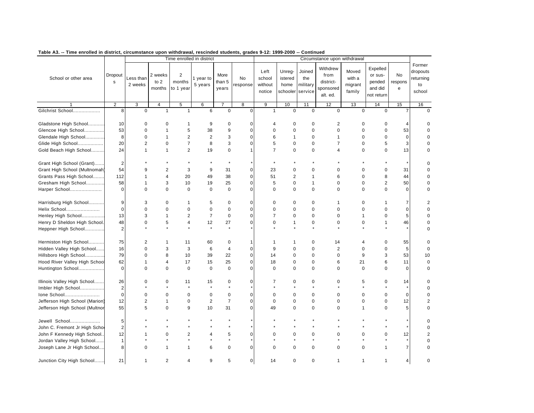|                                |                        |                      |                           |                                       | Time enrolled in district |                         |                |                                     |                                       |                                      | Circumstance upon withdrawal                           |                                      |                                                        |                    |                                                 |
|--------------------------------|------------------------|----------------------|---------------------------|---------------------------------------|---------------------------|-------------------------|----------------|-------------------------------------|---------------------------------------|--------------------------------------|--------------------------------------------------------|--------------------------------------|--------------------------------------------------------|--------------------|-------------------------------------------------|
| School or other area           | Dropout<br>$\mathbf s$ | Less than<br>2 weeks | 2 weeks<br>to 2<br>months | $\overline{2}$<br>months<br>to 1 year | year to<br>5 years        | More<br>than 5<br>years | No<br>response | Left<br>school<br>without<br>notice | Unreg-<br>istered<br>home<br>schooler | Joined<br>the<br>military<br>service | Withdrew<br>from<br>district-<br>sponsored<br>alt. ed. | Moved<br>with a<br>migrant<br>family | Expelled<br>or sus-<br>pended<br>and did<br>not return | No<br>respons<br>e | Former<br>dropouts<br>returning<br>to<br>school |
|                                | $\overline{2}$         | 3                    | $\overline{4}$            | 5                                     | 6                         | $\overline{7}$          | 8              | $\overline{9}$                      | 10                                    | 11                                   | 12                                                     | 13                                   | 14                                                     | 15                 | 16                                              |
| Gilchrist School               | 8                      | $\pmb{0}$            | $\mathbf{1}$              | $\mathbf{1}$                          | 6                         | 0                       | $\mathbf 0$    | $\mathbf{1}$                        | $\mathbf 0$                           | $\mathbf 0$                          | $\mathbf 0$                                            | $\mathbf 0$                          | $\mathbf 0$                                            | $\overline{7}$     | 0                                               |
| Gladstone High School          | 10                     | $\mathbf 0$          | $\mathbf 0$               | 1                                     | 9                         | 0                       | $\mathbf 0$    | 4                                   | $\mathbf 0$                           | 0                                    | 2                                                      | $\mathbf 0$                          | 0                                                      | $\overline{4}$     |                                                 |
| Glencoe High School            | 53                     | $\mathbf 0$          | $\mathbf{1}$              | 5                                     | 38                        | 9                       | $\pmb{0}$      | $\mathbf 0$                         | $\mathbf 0$                           | $\mathbf 0$                          | $\pmb{0}$                                              | $\mathbf 0$                          | 0                                                      | 53                 |                                                 |
| Glendale High School           | 8                      | $\mathbf 0$          | $\overline{1}$            | $\overline{2}$                        | $\overline{2}$            | 3                       | $\mathbf 0$    | 6                                   | $\mathbf{1}$                          | $\mathbf 0$                          | $\mathbf{1}$                                           | $\mathbf 0$                          | 0                                                      | $\mathbf 0$        |                                                 |
| Glide High School              | 20                     | $\overline{2}$       | $\mathbf 0$               | $\overline{7}$                        | 8                         | 3                       | $\mathbf 0$    | 5                                   | $\mathbf 0$                           | $\mathbf 0$                          | $\overline{7}$                                         | $\mathbf 0$                          | 5                                                      | 3                  |                                                 |
|                                |                        | $\mathbf{1}$         | $\mathbf{1}$              | $\overline{2}$                        | 19                        | 0                       | $\overline{1}$ | $\overline{7}$                      | $\mathbf 0$                           | $\mathbf 0$                          | 4                                                      | $\mathbf 0$                          | 0                                                      |                    | $\Omega$                                        |
| Gold Beach High School         | 24                     |                      |                           |                                       |                           |                         |                |                                     |                                       |                                      |                                                        |                                      |                                                        | 13                 |                                                 |
| Grant High School (Grant)      | $\overline{2}$         |                      |                           |                                       | $\star$                   | $\star$                 |                |                                     |                                       |                                      |                                                        |                                      |                                                        |                    |                                                 |
| Grant High School (Multnomah)  | 54                     | 9                    | $\overline{2}$            | 3                                     | 9                         | 31                      | $\mathbf 0$    | 23                                  | 0                                     | $\mathbf 0$                          | $\mathbf 0$                                            | 0                                    | 0                                                      | 31                 | $\Omega$                                        |
| Grants Pass High School        | 112                    | $\mathbf{1}$         | $\overline{4}$            | 20                                    | 49                        | 38                      | $\mathbf 0$    | 51                                  | $\overline{2}$                        | $\mathbf{1}$                         | 6                                                      | $\mathbf 0$                          | 8                                                      | 44                 | $\Omega$                                        |
| Gresham High School            | 58                     | $\mathbf 1$          | 3                         | 10                                    | 19                        | 25                      | $\mathbf 0$    | 5                                   | $\mathbf 0$                           | $\mathbf{1}$                         | $\mathbf 0$                                            | 0                                    | $\overline{2}$                                         | 50                 | 0                                               |
| Harper School                  | $\Omega$               | $\Omega$             | $\mathbf 0$               | $\Omega$                              | $\mathbf 0$               | $\mathbf 0$             | $\Omega$       | $\Omega$                            | $\Omega$                              | $\mathbf 0$                          | $\Omega$                                               | $\Omega$                             | 0                                                      | $\Omega$           | $\Omega$                                        |
|                                |                        |                      |                           |                                       |                           |                         |                |                                     |                                       |                                      |                                                        |                                      |                                                        |                    |                                                 |
| Harrisburg High School         | 9                      | 3                    | $\mathbf 0$               | 1                                     | 5                         | $\mathbf 0$             | 0              | 0                                   | $\mathbf 0$                           | $\mathbf 0$                          | $\mathbf{1}$                                           | 0                                    | $\mathbf{1}$                                           | 7                  | 2                                               |
| Helix School                   | $\mathbf 0$            | $\mathbf 0$          | $\mathbf 0$               | $\mathbf 0$                           | $\pmb{0}$                 | $\mathbf 0$             | $\mathbf 0$    | $\mathbf 0$                         | $\mathbf 0$                           | $\mathbf 0$                          | $\mathbf 0$                                            | 0                                    | 0                                                      | $\pmb{0}$          |                                                 |
| Henley High School             | 13                     | 3                    | $\mathbf{1}$              | $\overline{2}$                        | $\overline{7}$            | 0                       | 0              | $\overline{7}$                      | $\mathbf 0$                           | 0                                    | $\pmb{0}$                                              | 1                                    | 0                                                      | 5                  |                                                 |
| Henry D Sheldon High School.   | 48                     | $\mathbf 0$          | 5                         | $\overline{4}$                        | 12                        | 27                      | $\mathbf 0$    | $\mathbf 0$                         | 1                                     | $\mathbf 0$                          | $\mathbf 0$                                            | $\mathbf 0$                          | $\mathbf{1}$                                           | 46                 |                                                 |
| Heppner High School            | $\mathbf 2$            |                      |                           |                                       | $\star$                   | $\star$                 |                |                                     |                                       |                                      |                                                        |                                      |                                                        |                    |                                                 |
|                                |                        |                      |                           |                                       |                           |                         |                |                                     |                                       |                                      |                                                        |                                      |                                                        |                    |                                                 |
| Hermiston High School          | 75                     | $\overline{2}$       | $\mathbf{1}$              | 11                                    | 60                        | 0                       | 1              | 1                                   | 1                                     | 0                                    | 14                                                     | 4                                    | 0                                                      | 55                 |                                                 |
| Hidden Valley High School      | 16                     | $\Omega$             | 3                         | 3                                     | 6                         | 4                       | $\mathbf 0$    | 9                                   | $\mathbf 0$                           | $\mathbf 0$                          | $\overline{2}$                                         | $\mathbf 0$                          | 0                                                      | 5                  | 0                                               |
| Hillsboro High School          | 79                     | 0                    | 8                         | 10                                    | 39                        | 22                      | $\mathbf 0$    | 14                                  | $\mathbf 0$                           | 0                                    | $\mathbf 0$                                            | 9                                    | 3                                                      | 53                 | 10                                              |
| Hood River Valley High School  | 62                     | $\mathbf{1}$         | $\overline{4}$            | 17                                    | 15                        | 25                      | $\mathbf 0$    | 18                                  | $\mathbf 0$                           | $\mathbf 0$                          | 6                                                      | 21                                   | 6                                                      | 11                 | $\mathbf 0$                                     |
| Huntington School              | 0                      | $\Omega$             | $\mathbf 0$               | $\mathbf 0$                           | $\mathbf 0$               | 0                       | $\mathbf 0$    | $\Omega$                            | $\Omega$                              | $\mathbf 0$                          | $\Omega$                                               | $\mathbf 0$                          | 0                                                      | $\mathbf 0$        | 0                                               |
|                                |                        |                      |                           |                                       |                           |                         |                |                                     |                                       |                                      |                                                        |                                      |                                                        |                    |                                                 |
| Illinois Valley High School    | 26                     | $\mathbf 0$          | $\mathbf 0$               | 11                                    | 15                        | 0                       | 0              | $\overline{7}$                      | 0                                     | 0                                    | $\mathbf 0$                                            | 5                                    | 0                                                      | 14                 | 0                                               |
| Imbler High School             | $\overline{2}$         |                      |                           |                                       |                           | $\star$                 |                |                                     |                                       |                                      |                                                        | $\ddot{\phantom{0}}$                 | $\star$                                                | $\star$            |                                                 |
| Ione School                    | $\mathbf 0$            | $\mathbf 0$          | $\mathbf 0$               | $\mathbf 0$                           | $\mathbf 0$               | $\mathbf 0$             | $\mathbf 0$    | $\mathbf 0$                         | $\mathbf 0$                           | $\mathbf 0$                          | 0                                                      | $\mathbf 0$                          | 0                                                      | $\mathbf 0$        |                                                 |
| Jefferson High School (Marion) | 12                     | $\overline{c}$       | $\mathbf 1$               | $\mathbf 0$                           | $\mathbf 2$               | $\boldsymbol{7}$        | $\mathbf 0$    | $\Omega$                            | $\Omega$                              | $\mathbf 0$                          | $\Omega$                                               | $\Omega$                             | 0                                                      | 12                 | 2                                               |
| Jefferson High School (Multnor | 55                     | 5                    | $\mathbf 0$               | 9                                     | 10                        | 31                      | $\mathbf 0$    | 49                                  | $\Omega$                              | $\mathbf 0$                          | $\mathbf 0$                                            | 1                                    | 0                                                      | 5                  | $\Omega$                                        |
|                                |                        |                      |                           |                                       |                           |                         |                |                                     |                                       |                                      |                                                        |                                      |                                                        |                    |                                                 |
| Jewell School                  | 5                      |                      |                           |                                       |                           | $\star$                 |                |                                     |                                       |                                      |                                                        |                                      |                                                        |                    |                                                 |
| John C. Fremont Jr High Scho   | $\overline{2}$         |                      |                           |                                       |                           |                         |                |                                     |                                       |                                      |                                                        |                                      |                                                        |                    |                                                 |
| John F Kennedy High School.    | 12                     | -1                   | $\mathbf 0$               | 2                                     | 4                         | 5                       | $\mathbf 0$    | $\Omega$                            | $\Omega$                              | 0                                    | 0                                                      | $\Omega$                             | 0                                                      | 12                 |                                                 |
| Jordan Valley High School      | $\overline{1}$         |                      |                           |                                       |                           | $\star$                 |                |                                     |                                       |                                      |                                                        |                                      |                                                        |                    |                                                 |
| Joseph Lane Jr High School     | 8                      | $\Omega$             | $\overline{1}$            | 1                                     | 6                         | $\mathbf 0$             | $\Omega$       | $\Omega$                            | $\Omega$                              | $\mathbf 0$                          | $\mathbf 0$                                            | $\mathbf 0$                          | 1                                                      | $\overline{7}$     | $\Omega$                                        |
| Junction City High School      | 21                     | $\mathbf{1}$         | $\overline{2}$            | 4                                     | 9                         | 5                       | 0              | 14                                  | $\mathbf 0$                           | $\mathbf 0$                          | $\mathbf{1}$                                           | $\mathbf{1}$                         | $\mathbf{1}$                                           | 4                  | $\Omega$                                        |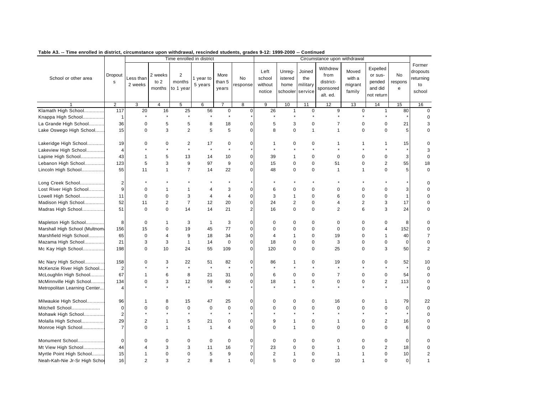| таріе дз.<br>-- Time enrolled in district, circumstance upon withdrawal, rescinded students, grades 9-12: 1999-2000 -- Continued |                         |                      |                             | Time enrolled in district             |                      |                         |                |                                     |                                       |                                      | Circumstance upon withdrawal                           |                                      |                                                        |                    |                                       |
|----------------------------------------------------------------------------------------------------------------------------------|-------------------------|----------------------|-----------------------------|---------------------------------------|----------------------|-------------------------|----------------|-------------------------------------|---------------------------------------|--------------------------------------|--------------------------------------------------------|--------------------------------------|--------------------------------------------------------|--------------------|---------------------------------------|
|                                                                                                                                  |                         |                      |                             |                                       |                      |                         |                |                                     |                                       |                                      |                                                        |                                      |                                                        |                    | Former                                |
| School or other area                                                                                                             | Dropout<br>s            | Less than<br>2 weeks | 2 weeks<br>to $2$<br>months | $\overline{2}$<br>months<br>to 1 year | 1 year to<br>5 years | More<br>than 5<br>years | No<br>response | Left<br>school<br>without<br>notice | Unreg-<br>istered<br>home<br>schooler | Joined<br>the<br>military<br>service | Withdrew<br>from<br>district-<br>sponsored<br>alt. ed. | Moved<br>with a<br>migrant<br>family | Expelled<br>or sus-<br>pended<br>and did<br>not return | No<br>respons<br>e | dropouts<br>returning<br>to<br>school |
|                                                                                                                                  | $\overline{2}$          | $\overline{3}$       | $\overline{4}$              | 5                                     | 6                    |                         | 8              | 9                                   | 10                                    | 11                                   | 12                                                     | 13                                   | 14                                                     | 15                 | 16                                    |
| Klamath High School                                                                                                              | 117                     | 20                   | 16                          | 25                                    | 56                   | $\pmb{0}$               | $\mathbf 0$    | 26                                  | $\mathbf{1}$                          | $\mathbf 0$                          | 9                                                      | $\mathbf 0$                          | $\mathbf{1}$                                           | 80                 | $\mathbf 0$                           |
| Knappa High School                                                                                                               | $\mathbf{1}$            |                      |                             |                                       |                      | $\star$                 |                |                                     |                                       |                                      |                                                        |                                      |                                                        |                    | $\mathbf 0$                           |
| La Grande High School                                                                                                            | 36                      | 0                    | 5                           | 5                                     | 8                    | 18                      | $\mathbf 0$    | 5                                   | 3                                     | $\mathbf 0$                          | $\overline{7}$                                         | $\mathbf 0$                          | $\pmb{0}$                                              | 21                 | 3                                     |
| Lake Oswego High School                                                                                                          | 15                      | $\pmb{0}$            | 3                           | $\overline{2}$                        | 5                    | 5                       | $\mathbf 0$    | 8                                   | $\pmb{0}$                             | $\mathbf{1}$                         | $\mathbf{1}$                                           | $\mathbf 0$                          | $\mathbf 0$                                            | $\sqrt{5}$         | $\mathbf 0$                           |
| Lakeridge High School                                                                                                            | 19                      | $\Omega$             | $\mathbf 0$                 | $\overline{2}$                        | 17                   | $\pmb{0}$               | $\mathbf 0$    | 1                                   | $\mathbf 0$                           | $\mathbf 0$                          | 1                                                      | 1                                    |                                                        | 15                 | $\mathbf 0$                           |
| Lakeview High School                                                                                                             | $\overline{4}$          |                      | $\star$                     | $\star$                               | $\star$              | $\star$                 |                | $\star$                             |                                       |                                      |                                                        |                                      |                                                        |                    | 3                                     |
| Lapine High School                                                                                                               | 43                      | $\mathbf{1}$         | 5                           | 13                                    | 14                   | 10                      | 0              | 39                                  | $\mathbf{1}$                          | $\pmb{0}$                            | $\mathbf 0$                                            | $\mathbf 0$                          | $\pmb{0}$                                              | 3                  | $\mathbf 0$                           |
| Lebanon High School                                                                                                              | 123                     | 5                    | 3                           | 9                                     | 97                   | 9                       | 0              | 15                                  | $\pmb{0}$                             | $\pmb{0}$                            | 51                                                     | $\mathbf 0$                          | $\overline{2}$                                         | 55                 | 18                                    |
| Lincoln High School                                                                                                              | 55                      | 11                   | $\mathbf{1}$                | $\overline{7}$                        | 14                   | 22                      | $\Omega$       | 48                                  | $\mathbf 0$                           | $\mathbf 0$                          | $\mathbf{1}$                                           | $\mathbf{1}$                         | $\mathbf 0$                                            | 5                  | $\mathbf 0$                           |
| Long Creek School                                                                                                                | $\mathbf 2$             |                      |                             |                                       |                      |                         |                | $\star$                             |                                       |                                      |                                                        |                                      |                                                        |                    | 0                                     |
| Lost River High School                                                                                                           | 9                       | $\mathbf 0$          | 1                           | $\mathbf{1}$                          | $\overline{4}$       | 3                       | $\mathbf 0$    | 6                                   | $\mathbf 0$                           | $\mathbf 0$                          | $\Omega$                                               | $\mathbf 0$                          | 0                                                      | 3                  | $\mathbf 0$                           |
| Lowell High School                                                                                                               | 11                      | $\mathbf 0$          | $\mathbf 0$                 | 3                                     | $\overline{4}$       | $\overline{4}$          | $\mathbf 0$    | 3                                   | $\mathbf{1}$                          | $\Omega$                             | 6                                                      | $\Omega$                             | $\mathbf 0$                                            | $\mathbf{1}$       | $\Omega$                              |
| Madison High School                                                                                                              | 52                      | 11                   | $\overline{2}$              | $\overline{7}$                        | 12                   | 20                      | 0              | 24                                  | $\overline{2}$                        | $\mathbf 0$                          | 4                                                      | $\overline{2}$                       | 3                                                      | 17                 | $\mathbf 0$                           |
| Madras High School                                                                                                               | 51                      | $\mathbf 0$          | $\mathbf 0$                 | 14                                    | 14                   | 21                      | $\overline{2}$ | 16                                  | $\mathbf 0$                           | $\mathbf 0$                          | $\overline{2}$                                         | 6                                    | 3                                                      | 24                 | $\mathbf 0$                           |
| Mapleton High School                                                                                                             | 8                       | $\mathbf 0$          | $\mathbf{1}$                | 3                                     | $\mathbf{1}$         | 3                       | $\mathbf 0$    | $\mathbf 0$                         | $\mathbf 0$                           | $\mathbf 0$                          | $\mathbf 0$                                            | $\mathbf 0$                          | $\mathbf 0$                                            | 8                  | $\mathbf 0$                           |
| Marshall High School (Multnom                                                                                                    | 156                     | 15                   | $\mathbf 0$                 | 19                                    | 45                   | 77                      | $\mathbf 0$    | 0                                   | $\mathbf 0$                           | $\mathbf 0$                          | $\mathbf 0$                                            | $\mathbf 0$                          | 4                                                      | 152                | $\mathbf 0$                           |
| Marshfield High School                                                                                                           | 65                      | $\mathbf 0$          | $\overline{4}$              | 9                                     | 18                   | 34                      | $\mathsf 0$    | 4                                   | $\mathbf{1}$                          | $\mathbf 0$                          | 19                                                     | $\mathbf 0$                          | 1                                                      | 40                 | $\overline{\mathbf{7}}$               |
| Mazama High School                                                                                                               | 21                      | 3                    | 3                           | $\mathbf{1}$                          | 14                   | $\pmb{0}$               | 0              | 18                                  | $\pmb{0}$                             | $\pmb{0}$                            | 3                                                      | $\mathbf 0$                          | $\pmb{0}$                                              | $\mathbf 0$        | 0                                     |
| Mc Kay High School                                                                                                               | 198                     | $\mathbf 0$          | 10                          | 24                                    | 55                   | 109                     | $\Omega$       | 120                                 | $\mathbf 0$                           | $\Omega$                             | 25                                                     | $\Omega$                             | 3                                                      | 50                 | $\overline{2}$                        |
| Mc Nary High School                                                                                                              | 158                     | 0                    | 3                           | 22                                    | 51                   | 82                      | $\pmb{0}$      | 86                                  | 1                                     | 0                                    | 19                                                     | $\mathbf 0$                          | 0                                                      | 52                 | 10                                    |
| McKenzie River High School                                                                                                       | $\overline{2}$          |                      | $\star$                     | $\star$                               | $\star$              | $\star$                 |                | $\star$                             |                                       |                                      | $\star$                                                |                                      |                                                        |                    | $\mathbf 0$                           |
| McLoughlin High School                                                                                                           | 67                      | $\mathbf{1}$         | 6                           | 8                                     | 21                   | 31                      | $\mathbf 0$    | 6                                   | $\mathbf 0$                           | $\mathbf 0$                          | $\overline{7}$                                         | $\mathbf 0$                          | $\mathbf 0$                                            | 54                 | $\mathbf 0$                           |
| McMinnville High School                                                                                                          | 134                     | $\mathbf 0$          | 3                           | 12                                    | 59                   | 60                      | $\mathbf 0$    | 18                                  | $\mathbf{1}$                          | $\pmb{0}$                            | $\pmb{0}$                                              | $\mathbf 0$                          | $\overline{c}$                                         | 113                | 0                                     |
| Metropolitan Learning Center                                                                                                     | $\overline{\mathbf{4}}$ |                      | $\star$                     | $\star$                               | $\star$              |                         |                | $\star$                             |                                       |                                      |                                                        |                                      |                                                        |                    | $\mathbf 0$                           |
| Milwaukie High School                                                                                                            | 96                      | $\mathbf{1}$         | 8                           | 15                                    | 47                   | 25                      | $\mathbf 0$    | 0                                   | 0                                     | $\mathbf 0$                          | 16                                                     | $\mathbf 0$                          | $\mathbf{1}$                                           | 79                 | 22                                    |
| Mitchell School                                                                                                                  | $\mathbf 0$             | $\mathbf 0$          | $\mathbf 0$                 | 0                                     | $\mathbf 0$          | $\mathbf 0$             | $\mathbf 0$    | 0                                   | $\mathbf 0$                           | $\mathbf 0$                          | 0                                                      | $\mathbf 0$                          | 0                                                      | $\mathbf 0$        | $\mathbf 0$                           |
| Mohawk High School                                                                                                               | $\overline{2}$          | $\star$              | $\star$                     | $\star$                               | $\star$              | $\star$                 |                |                                     |                                       |                                      |                                                        |                                      |                                                        |                    | $\mathbf 0$                           |
| Molalla High School                                                                                                              | 29                      | $\overline{c}$       | $\mathbf{1}$                | 5                                     | 21                   | $\pmb{0}$               | $\pmb{0}$      | 9                                   | 1                                     | $\pmb{0}$                            | $\mathbf{1}$                                           | $\mathbf 0$                          | $\mathbf 2$                                            | 16                 | $\mathbf 0$                           |
| Monroe High School                                                                                                               | $\overline{7}$          | $\mathbf 0$          | $\mathbf{1}$                | $\mathbf{1}$                          | $\mathbf{1}$         | 4                       | $\mathbf 0$    | 0                                   | $\mathbf{1}$                          | $\mathbf 0$                          | $\mathbf 0$                                            | $\mathbf 0$                          | $\mathbf 0$                                            | 6                  | $\mathbf 0$                           |
| Monument School                                                                                                                  | 0                       | 0                    | $\mathbf 0$                 | 0                                     | $\mathbf 0$          | 0                       | $\mathbf 0$    | $\mathbf 0$                         | 0                                     | 0                                    | 0                                                      | $\mathbf 0$                          | 0                                                      | $\mathbf 0$        | 0                                     |
| Mt View High School                                                                                                              | 44                      | 4                    | 3                           | 3                                     | 11                   | 16                      | $\overline{7}$ | 23                                  | $\pmb{0}$                             | $\pmb{0}$                            | $\mathbf{1}$                                           | $\mathbf 0$                          | $\overline{c}$                                         | 18                 | 0                                     |
| Myrtle Point High School                                                                                                         | 15                      | 1                    | $\mathbf 0$                 | $\mathbf 0$                           | 5                    | 9                       | $\Omega$       | $\mathbf 2$                         | 1                                     | $\mathbf 0$                          | $\mathbf{1}$                                           | $\overline{1}$                       | $\mathbf 0$                                            | 10                 | $\overline{\mathbf{c}}$               |
| Neah-Kah-Nie Jr-Sr High Scho                                                                                                     | 16                      | $\overline{2}$       | 3                           | $\overline{c}$                        | 8                    | $\mathbf{1}$            | $\mathbf 0$    | 5                                   | $\Omega$                              | $\Omega$                             | 10                                                     | $\overline{1}$                       | 0                                                      | $\mathbf 0$        | $\mathbf{1}$                          |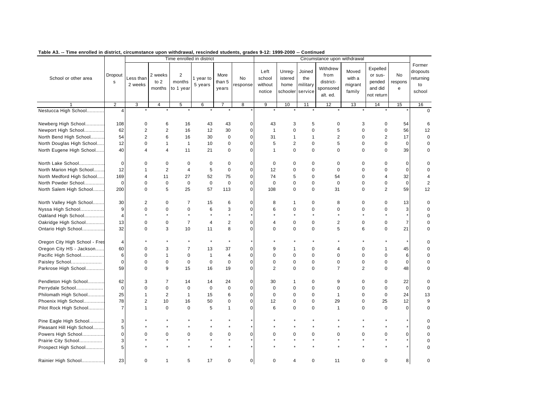|                                |                        |                      |                             |                                       | Time enrolled in district |                         |                |                                     |                                       |                                      | Circumstance upon withdrawal                           |                                      |                                                        |                    |                                                 |
|--------------------------------|------------------------|----------------------|-----------------------------|---------------------------------------|---------------------------|-------------------------|----------------|-------------------------------------|---------------------------------------|--------------------------------------|--------------------------------------------------------|--------------------------------------|--------------------------------------------------------|--------------------|-------------------------------------------------|
| School or other area           | Dropout<br>$\mathbf s$ | Less than<br>2 weeks | 2 weeks<br>to $2$<br>months | $\overline{c}$<br>months<br>to 1 year | 1 year to<br>5 years      | More<br>than 5<br>years | No<br>response | Left<br>school<br>without<br>notice | Unreg-<br>istered<br>home<br>schooler | Joined<br>the<br>military<br>service | Withdrew<br>from<br>district-<br>sponsored<br>alt. ed. | Moved<br>with a<br>migrant<br>family | Expelled<br>or sus-<br>pended<br>and did<br>not return | No<br>respons<br>e | Former<br>dropouts<br>returning<br>to<br>school |
|                                | $\overline{2}$         | 3                    | $\overline{\mathbf{4}}$     | 5                                     | 6                         | $\overline{7}$          | 8              | $\overline{9}$                      | 10                                    | 11                                   | 12                                                     | 13                                   | 14                                                     | 15                 | 16                                              |
| Nestucca High School           | $\overline{4}$         | $\star$              | $\star$                     |                                       |                           | $\star$                 |                |                                     |                                       | $\star$                              | $\star$                                                |                                      | $\star$                                                |                    | $\Omega$                                        |
| Newberg High School            | 108                    | $\mathbf 0$          | 6                           | 16                                    | 43                        | 43                      | $\mathbf 0$    | 43                                  | 3                                     | 5                                    | 0                                                      | 3                                    | $\mathbf 0$                                            | 54                 | 6                                               |
| Newport High School            | 62                     | $\overline{2}$       | $\overline{2}$              | 16                                    | 12                        | 30                      | $\mathbf 0$    | $\mathbf{1}$                        | $\mathbf 0$                           | $\mathbf 0$                          | 5                                                      | $\mathbf 0$                          | $\mathsf 0$                                            | 56                 | 12                                              |
| North Bend High School         | 54                     | $\overline{2}$       | 6                           | 16                                    | 30                        | 0                       | $\mathbf 0$    | 31                                  | $\mathbf{1}$                          | $\mathbf{1}$                         | $\overline{2}$                                         | $\mathbf 0$                          | $\mathbf 2$                                            | 17                 | $\mathsf 0$                                     |
| North Douglas High School      | 12                     | $\mathbf 0$          | $\mathbf{1}$                | $\overline{1}$                        | 10                        | 0                       | $\mathbf 0$    | 5                                   | $\overline{2}$                        | 0                                    | 5                                                      | $\mathbf 0$                          | $\mathsf 0$                                            | $\mathbf 0$        | $\mathbf 0$                                     |
| North Eugene High School       | 40                     | $\overline{4}$       | $\overline{4}$              | 11                                    | 21                        | $\pmb{0}$               | $\mathbf 0$    | $\mathbf{1}$                        | $\mathbf 0$                           | $\mathbf 0$                          | $\mathbf 0$                                            | $\mathbf 0$                          | $\mathbf 0$                                            | 39                 | $\mathbf 0$                                     |
| North Lake School              | $\mathsf 0$            | $\mathbf 0$          | $\mathbf 0$                 | $\mathsf 0$                           | 0                         | $\mathsf 0$             | $\mathbf 0$    | 0                                   | $\mathbf 0$                           | 0                                    | $\mathbf 0$                                            | $\mathbf 0$                          | 0                                                      | 0                  | $\mathbf 0$                                     |
| North Marion High School       | 12                     | $\mathbf{1}$         | $\overline{2}$              | 4                                     | 5                         | $\mathbf 0$             | $\mathbf 0$    | 12                                  | $\mathbf 0$                           | $\mathbf 0$                          | $\mathbf 0$                                            | $\mathbf 0$                          | $\mathbf 0$                                            | $\mathbf 0$        | $\mathbf 0$                                     |
| North Medford High School      | 169                    | $\overline{4}$       | 11                          | 27                                    | 52                        | 75                      | $\mathbf 0$    | 74                                  | 5                                     | 0                                    | 54                                                     | $\mathbf 0$                          | 4                                                      | 32                 | 4                                               |
| North Powder School            | $\mathbf 0$            | $\mathbf 0$          | $\mathbf 0$                 | $\mathbf 0$                           | $\mathbf 0$               | $\mathbf 0$             | $\mathbf 0$    | 0                                   | $\mathbf 0$                           | $\mathbf 0$                          | $\mathbf 0$                                            | $\mathbf 0$                          | $\mathbf 0$                                            | $\mathbf 0$        | $\overline{2}$                                  |
| North Salem High School        | 200                    | $\mathbf 0$          | 5                           | 25                                    | 57                        | 113                     | $\mathbf 0$    | 108                                 | $\mathbf 0$                           | $\mathbf 0$                          | 31                                                     | $\mathbf 0$                          | $\overline{2}$                                         | 59                 | 12                                              |
| North Valley High School       | 30                     | 2                    | $\mathbf 0$                 | $\overline{7}$                        | 15                        | 6                       | $\mathbf 0$    | 8                                   | -1                                    | $\mathbf 0$                          | 8                                                      | $\mathbf 0$                          | $\mathbf 0$                                            | 13                 | $\mathbf 0$                                     |
| Nyssa High School              | 9                      | $\mathbf 0$          | $\mathbf 0$                 | $\mathbf 0$                           | 6                         | 3                       | $\mathbf 0$    | 6                                   | $\mathbf 0$                           | $\pmb{0}$                            | $\mathbf 0$                                            | $\mathbf 0$                          | $\pmb{0}$                                              | 3                  | $\mathbf 0$                                     |
| Oakland High School            | $\overline{4}$         | $\star$              | $\star$                     |                                       | $\star$                   | $\star$                 |                | $\star$                             |                                       |                                      | $\star$                                                | $\star$                              | $\star$                                                | $\star$            | $\mathbf 0$                                     |
| Oakridge High School           | 13                     | $\mathbf 0$          | $\pmb{0}$                   | $\overline{7}$                        | 4                         | $\mathbf 2$             | $\mathbf 0$    | 4                                   | $\mathbf 0$                           | $\pmb{0}$                            | $\overline{2}$                                         | $\mathbf 0$                          | $\pmb{0}$                                              | $\overline{7}$     | $\mathbf 0$                                     |
| Ontario High School            | 32                     | $\mathbf 0$          | 3                           | 10                                    | 11                        | 8                       | $\mathbf 0$    | $\Omega$                            | $\mathbf 0$                           | $\mathbf 0$                          | 5                                                      | 6                                    | $\mathbf 0$                                            | 21                 | $\mathbf 0$                                     |
| Oregon City High School - Fres | $\overline{4}$         |                      |                             |                                       | $\star$                   | $\star$                 |                |                                     |                                       |                                      |                                                        |                                      |                                                        |                    | $\Omega$                                        |
| Oregon City HS - Jackson       | 60                     | $\mathbf 0$          | 3                           | 7                                     | 13                        | 37                      | 0              | 9                                   | -1                                    | 0                                    | 4                                                      | 0                                    | $\mathbf{1}$                                           | 45                 | 0                                               |
| Pacific High School            | 6                      | $\Omega$             | $\mathbf{1}$                | $\mathbf 0$                           | $\mathbf{1}$              | $\overline{4}$          | $\mathbf 0$    | $\Omega$                            | $\mathbf 0$                           | $\mathbf 0$                          | $\mathbf 0$                                            | $\mathbf 0$                          | $\mathbf 0$                                            | 6                  | $\mathbf 0$                                     |
| Paisley School                 | $\mathbf 0$            | $\mathbf 0$          | $\mathbf 0$                 | $\mathbf 0$                           | 0                         | 0                       | $\mathbf 0$    | 0                                   | $\mathbf 0$                           | $\mathbf 0$                          | $\mathbf 0$                                            | $\mathbf 0$                          | 0                                                      | $\mathbf 0$        | $\mathbf 0$                                     |
| Parkrose High School           | 59                     | $\mathbf 0$          | 9                           | 15                                    | 16                        | 19                      | $\mathbf 0$    | $\overline{2}$                      | $\mathbf 0$                           | $\mathbf 0$                          | $\overline{7}$                                         | $\overline{2}$                       | 0                                                      | 48                 | 0                                               |
| Pendleton High School          | 62                     | 3                    | $\overline{7}$              | 14                                    | 14                        | 24                      | $\mathbf 0$    | 30                                  | $\mathbf 1$                           | $\pmb{0}$                            | 9                                                      | $\mathbf 0$                          | $\pmb{0}$                                              | 22                 | $\mathbf 0$                                     |
| Perrydale School               | $\mathbf 0$            | $\mathbf 0$          | $\mathbf 0$                 | $\mathbf 0$                           | $\mathbf 0$               | 0                       | $\mathbf 0$    | $\mathbf 0$                         | $\mathbf 0$                           | $\mathbf 0$                          | $\mathbf 0$                                            | $\mathbf 0$                          | 0                                                      | $\mathbf 0$        | $\mathbf 0$                                     |
| Philomath High School          | 25                     | $\mathbf{1}$         | $\overline{2}$              | $\mathbf{1}$                          | 15                        | 6                       | $\mathbf 0$    | 0                                   | $\mathbf 0$                           | $\mathbf 0$                          | $\mathbf{1}$                                           | $\mathbf 0$                          | $\pmb{0}$                                              | 24                 | 13                                              |
| Phoenix High School            | 78                     | 2                    | 10                          | 16                                    | 50                        | $\pmb{0}$               | $\mathbf 0$    | 12                                  | $\mathbf 0$                           | $\mathbf 0$                          | 29                                                     | $\mathbf 0$                          | 25                                                     | 12                 | 9                                               |
| Pilot Rock High School         | $\overline{7}$         | $\mathbf{1}$         | 0                           | $\mathbf 0$                           | 5                         | $\mathbf{1}$            | $\mathbf 0$    | 6                                   | $\mathbf 0$                           | $\mathbf 0$                          | $\mathbf{1}$                                           | $\mathbf 0$                          | $\mathbf 0$                                            | $\mathbf 0$        | 0                                               |
| Pine Eagle High School         | 3                      |                      |                             |                                       |                           |                         |                |                                     |                                       |                                      |                                                        |                                      |                                                        |                    | O                                               |
| Pleasant Hill High School      | 5                      |                      |                             |                                       |                           |                         |                |                                     |                                       |                                      |                                                        |                                      |                                                        |                    | $\Omega$                                        |
| Powers High School             | $\Omega$               | $\mathbf 0$          | $\mathbf 0$                 | 0                                     | 0                         | 0                       | $\mathbf 0$    | 0                                   | $\mathbf 0$                           | $\mathbf 0$                          | 0                                                      | $\mathbf 0$                          | $\mathbf 0$                                            | 0                  |                                                 |
| Prairie City School            | 3                      |                      |                             |                                       |                           | $\star$                 |                |                                     |                                       |                                      |                                                        |                                      |                                                        |                    | O                                               |
| Prospect High School           | 5                      |                      |                             |                                       |                           |                         |                |                                     |                                       |                                      |                                                        |                                      |                                                        |                    | $\Omega$                                        |
| Rainier High School            | 23                     | $\mathbf 0$          | $\mathbf{1}$                | 5                                     | 17                        | $\pmb{0}$               | $\mathbf 0$    | 0                                   | 4                                     | 0                                    | 11                                                     | $\mathbf 0$                          | 0                                                      | 8                  | $\mathbf 0$                                     |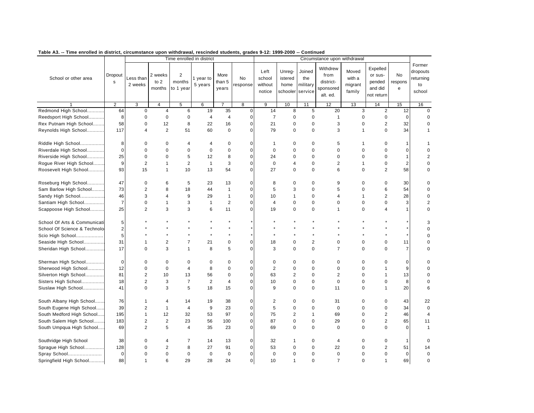| таріе Аз.<br>-- Time enrolled in district, circumstance upon withdrawal, rescinded students, grades 9-12: 1999-2000 -- |                         |                         |                             | Time enrolled in district             |                      |                         |                |                                     |                                       | continued                            | Circumstance upon withdrawal                           |                                      |                                                        |                    |                                                 |
|------------------------------------------------------------------------------------------------------------------------|-------------------------|-------------------------|-----------------------------|---------------------------------------|----------------------|-------------------------|----------------|-------------------------------------|---------------------------------------|--------------------------------------|--------------------------------------------------------|--------------------------------------|--------------------------------------------------------|--------------------|-------------------------------------------------|
|                                                                                                                        |                         |                         |                             |                                       |                      |                         |                |                                     |                                       |                                      |                                                        |                                      |                                                        |                    |                                                 |
| School or other area                                                                                                   | Dropout<br>$\mathbf s$  | Less than<br>2 weeks    | 2 weeks<br>to $2$<br>months | $\overline{2}$<br>months<br>to 1 year | 1 year to<br>5 years | More<br>than 5<br>years | No<br>response | Left<br>school<br>without<br>notice | Unreg-<br>istered<br>home<br>schooler | Joined<br>the<br>military<br>service | Withdrew<br>from<br>district-<br>sponsored<br>alt. ed. | Moved<br>with a<br>migrant<br>family | Expelled<br>or sus-<br>pended<br>and did<br>not return | No<br>respons<br>e | Former<br>dropouts<br>returning<br>to<br>school |
|                                                                                                                        | $\overline{2}$          | $\overline{3}$          | $\overline{4}$              | 5                                     | 6                    |                         | 8              | 9                                   | 10                                    | 11                                   | 12                                                     | 13                                   | 14                                                     | 15                 | 16                                              |
| Redmond High School                                                                                                    | 64                      | $\mathbf 0$             | $\overline{4}$              | 6                                     | 19                   | 35                      | $\mathbf 0$    | 14                                  | 8                                     | 5                                    | 20                                                     | 3                                    | $\overline{2}$                                         | 12                 | $\mathbf 0$                                     |
| Reedsport High School                                                                                                  | 8                       | $\mathbf 0$             | $\mathbf 0$                 | $\mathbf 0$                           | $\overline{4}$       | $\overline{4}$          | $\mathbf 0$    | $\overline{7}$                      | $\mathbf 0$                           | $\mathbf 0$                          | $\mathbf{1}$                                           | $\mathbf 0$                          | $\pmb{0}$                                              | $\mathbf 0$        | $\mathbf 0$                                     |
| Rex Putnam High School                                                                                                 | 58                      | 0                       | 12                          | 8                                     | 22                   | 16                      | $\pmb{0}$      | 21                                  | 0                                     | $\mathbf 0$                          | 3                                                      | $\mathbf 0$                          | $\overline{2}$                                         | 32                 | 0                                               |
| Reynolds High School                                                                                                   | 117                     | $\overline{4}$          | $\overline{2}$              | 51                                    | 60                   | $\mathbf 0$             | $\mathbf 0$    | 79                                  | $\pmb{0}$                             | $\mathbf 0$                          | 3                                                      | $\mathbf{1}$                         | $\mathbf 0$                                            | 34                 | $\mathbf{1}$                                    |
| Riddle High School                                                                                                     | 8                       | $\Omega$                | $\mathbf 0$                 | $\overline{4}$                        | $\overline{4}$       | $\mathbf 0$             | $\mathbf 0$    | $\mathbf{1}$                        | $\mathbf 0$                           | $\mathbf 0$                          | 5                                                      | $\mathbf 1$                          | $\mathbf 0$                                            | 1                  | 1                                               |
| Riverdale High School                                                                                                  | 0                       | $\Omega$                | $\mathbf 0$                 | $\mathbf 0$                           | $\mathbf 0$          | $\mathbf 0$             | $\mathbf 0$    | $\mathbf 0$                         | $\mathbf 0$                           | $\mathbf 0$                          | $\mathbf 0$                                            | $\mathbf 0$                          | 0                                                      | 0                  | $\mathbf 0$                                     |
| Riverside High School                                                                                                  | 25                      | $\mathbf 0$             | $\mathbf 0$                 | 5                                     | 12                   | 8                       | $\pmb{0}$      | 24                                  | $\mathbf 0$                           | $\mathbf 0$                          | $\pmb{0}$                                              | $\mathbf 0$                          | $\pmb{0}$                                              | $\mathbf{1}$       | $\overline{2}$                                  |
| Rogue River High School                                                                                                | 9                       | $\overline{2}$          | 1                           | $\overline{2}$                        | $\mathbf{1}$         | 3                       | $\pmb{0}$      | $\pmb{0}$                           | 4                                     | $\pmb{0}$                            | $\overline{2}$                                         | $\mathbf{1}$                         | $\pmb{0}$                                              | $\sqrt{2}$         | 0                                               |
| Roosevelt High School                                                                                                  | 93                      | 15                      | $\mathbf{1}$                | 10                                    | 13                   | 54                      | $\mathbf 0$    | 27                                  | $\mathbf 0$                           | $\Omega$                             | 6                                                      | $\mathbf 0$                          | $\overline{2}$                                         | 58                 | $\mathbf 0$                                     |
| Roseburg High School                                                                                                   | 47                      | $\mathbf 0$             | 6                           | 5                                     | 23                   | 13                      | $\pmb{0}$      | 8                                   | $\pmb{0}$                             | $\mathbf 0$                          | 9                                                      | $\mathbf 0$                          | $\pmb{0}$                                              | 30                 | 0                                               |
| Sam Barlow High School                                                                                                 | 73                      | $\overline{2}$          | 8                           | 18                                    | 44                   | $\overline{1}$          | $\pmb{0}$      | 5                                   | 3                                     | $\mathbf 0$                          | 5                                                      | $\mathbf 0$                          | 6                                                      | 54                 | 0                                               |
| Sandy High School                                                                                                      | 46                      | 3                       | $\overline{4}$              | 9                                     | 29                   | $\mathbf{1}$            | $\mathbf 0$    | 10                                  | $\mathbf{1}$                          | $\mathbf 0$                          | $\overline{4}$                                         | $\mathbf{1}$                         | 2                                                      | 28                 | $\mathbf 0$                                     |
| Santiam High School                                                                                                    | $\overline{7}$          | $\mathbf 0$             | 1                           | 3                                     | $\mathbf{1}$         | $\overline{2}$          | 0              | 4                                   | $\mathbf 0$                           | $\mathbf 0$                          | 0                                                      | 0                                    | $\pmb{0}$                                              | 3                  | 2                                               |
| Scappoose High School                                                                                                  | 25                      | $\overline{2}$          | 3                           | 3                                     | 6                    | 11                      | $\mathbf 0$    | 19                                  | $\mathbf 0$                           | $\mathbf 0$                          | $\mathbf{1}$                                           | $\mathbf 0$                          | 4                                                      | $\mathbf{1}$       | $\mathbf 0$                                     |
| School Of Arts & Communicati                                                                                           | 5                       |                         |                             | $\star$                               | $\star$              |                         | $\star$        |                                     |                                       |                                      |                                                        |                                      |                                                        |                    | 3                                               |
| School Of Science & Technolo                                                                                           | $\overline{\mathbf{c}}$ |                         |                             |                                       | $\star$              |                         |                |                                     |                                       |                                      |                                                        |                                      |                                                        |                    | $\mathbf 0$                                     |
| Scio High School                                                                                                       | 5                       |                         |                             |                                       | $\star$              | $\star$                 |                |                                     |                                       |                                      |                                                        |                                      |                                                        |                    | $\mathbf 0$                                     |
| Seaside High School                                                                                                    | 31                      | $\mathbf{1}$            | $\overline{c}$              | $\overline{7}$                        | 21                   | $\pmb{0}$               | $\pmb{0}$      | 18                                  | 0                                     | $\overline{c}$                       | $\pmb{0}$                                              | $\mathbf 0$                          | $\pmb{0}$                                              | 11                 | 0                                               |
| Sheridan High School                                                                                                   | 17                      | $\Omega$                | 3                           | $\mathbf{1}$                          | 8                    | 5                       | $\mathbf 0$    | 3                                   | $\Omega$                              | $\Omega$                             | $\overline{7}$                                         | $\Omega$                             | $\Omega$                                               | $\overline{7}$     | $\mathbf 0$                                     |
| Sherman High School                                                                                                    | $\mathbf 0$             | 0                       | $\mathbf 0$                 | $\mathbf 0$                           | $\mathbf 0$          | $\mathbf 0$             | $\mathbf 0$    | $\pmb{0}$                           | $\pmb{0}$                             | $\mathbf 0$                          | $\mathbf 0$                                            | $\mathbf 0$                          | 0                                                      | 0                  | 0                                               |
| Sherwood High School                                                                                                   | 12                      | $\mathbf 0$             | $\mathbf 0$                 | $\overline{4}$                        | 8                    | $\mathbf 0$             | $\pmb{0}$      | $\overline{2}$                      | $\pmb{0}$                             | $\mathbf 0$                          | $\mathbf 0$                                            | $\mathbf 0$                          | 1                                                      | 9                  | 0                                               |
| Silverton High School                                                                                                  | 81                      | $\overline{2}$          | 10                          | 13                                    | 56                   | $\mathbf 0$             | $\Omega$       | 63                                  | $\overline{2}$                        | $\Omega$                             | $\overline{2}$                                         | $\Omega$                             | $\mathbf{1}$                                           | 13                 | $\mathbf 0$                                     |
| Sisters High School                                                                                                    | 18                      | $\overline{2}$          | 3                           | $\overline{7}$                        | $\overline{2}$       | $\overline{4}$          | 0              | 10                                  | 0                                     | $\mathbf 0$                          | $\pmb{0}$                                              | $\mathbf 0$                          | 0                                                      | 8                  | 0                                               |
| Siuslaw High School                                                                                                    | 41                      | $\mathbf 0$             | 3                           | 5                                     | 18                   | 15                      | $\mathbf 0$    | 9                                   | $\mathbf 0$                           | $\mathbf 0$                          | 11                                                     | $\mathbf 0$                          | $\overline{1}$                                         | 20                 | 6                                               |
| South Albany High School                                                                                               | 76                      | $\mathbf{1}$            | $\overline{4}$              | 14                                    | 19                   | 38                      | 0              | $\overline{2}$                      | $\mathbf 0$                           | $\mathbf 0$                          | 31                                                     | $\mathbf 0$                          | $\mathbf 0$                                            | 43                 | 22                                              |
| South Eugene High School                                                                                               | 39                      | 2                       | $\mathbf{1}$                | $\overline{4}$                        | 9                    | 23                      | $\mathbf 0$    | 5                                   | $\mathbf 0$                           | $\mathbf 0$                          | $\pmb{0}$                                              | $\mathbf 0$                          | $\mathbf 0$                                            | 34                 | $\mathbf 0$                                     |
| South Medford High School                                                                                              | 195                     | $\mathbf{1}$            | 12                          | 32                                    | 53                   | 97                      | $\pmb{0}$      | 75                                  | $\overline{2}$                        | $\mathbf{1}$                         | 69                                                     | $\mathbf 0$                          | $\overline{2}$                                         | 46                 | $\overline{4}$                                  |
| South Salem High School                                                                                                | 183                     | $\overline{\mathbf{c}}$ | $\mathbf 2$                 | 23                                    | 56                   | 100                     | $\pmb{0}$      | 87                                  | $\pmb{0}$                             | $\mathbf 0$                          | 29                                                     | $\mathbf 0$                          | $\overline{2}$                                         | 65                 | 11                                              |
| South Umpqua High School                                                                                               | 69                      | 2                       | 5                           | $\overline{4}$                        | 35                   | 23                      | $\overline{0}$ | 69                                  | $\mathbf 0$                           | $\mathbf 0$                          | $\mathbf 0$                                            | $\Omega$                             | $\mathbf 0$                                            | $\Omega$           | $\mathbf{1}$                                    |
| Southridge High School                                                                                                 | 38                      | 0                       | 4                           | $\overline{7}$                        | 14                   | 13                      | 0              | 32                                  | 1                                     | 0                                    | 4                                                      | 0                                    | 0                                                      | $\mathbf{1}$       | 0                                               |
| Sprague High School                                                                                                    | 128                     | $\Omega$                | $\overline{2}$              | 8                                     | 27                   | 91                      | $\pmb{0}$      | 53                                  | $\pmb{0}$                             | $\pmb{0}$                            | 22                                                     | $\mathbf 0$                          | $\overline{\mathbf{c}}$                                | 51                 | 14                                              |
| Spray School                                                                                                           | $\mathbf 0$             | $\Omega$                | $\mathbf 0$                 | $\mathbf 0$                           | $\mathbf 0$          | $\mathbf 0$             | $\mathbf 0$    | $\mathbf 0$                         | $\mathbf 0$                           | $\mathbf 0$                          | $\mathbf 0$                                            | $\mathbf 0$                          | $\mathbf 0$                                            | $\mathbf 0$        | $\mathbf 0$                                     |
| Springfield High School                                                                                                | 88                      | $\mathbf{1}$            | 6                           | 29                                    | 28                   | 24                      | $\overline{0}$ | 10                                  | $\mathbf{1}$                          | $\Omega$                             | $\overline{7}$                                         | $\Omega$                             | $\mathbf{1}$                                           | 69                 | $\Omega$                                        |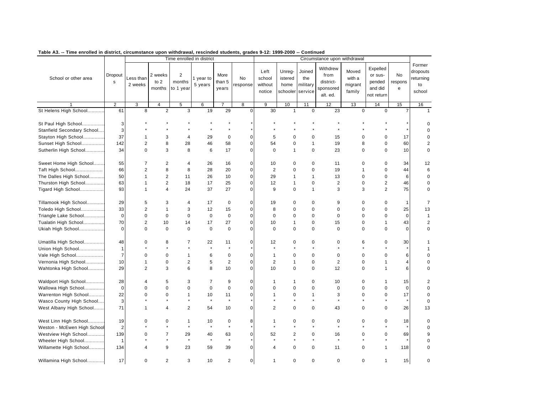| таріе дз.<br>-- Time enrolled in district, circumstance upon withdrawal, rescinded students, grades 9-12: 1999-2000 -- Continued |                      |                        |                             | Time enrolled in district             |                      |                         |                      |                                     |                                       |                                      | Circumstance upon withdrawal                           |                                      |                                                        |                    |                                                 |
|----------------------------------------------------------------------------------------------------------------------------------|----------------------|------------------------|-----------------------------|---------------------------------------|----------------------|-------------------------|----------------------|-------------------------------------|---------------------------------------|--------------------------------------|--------------------------------------------------------|--------------------------------------|--------------------------------------------------------|--------------------|-------------------------------------------------|
| School or other area                                                                                                             | Dropout<br>s         | Less than<br>2 weeks   | 2 weeks<br>to $2$<br>months | $\overline{2}$<br>months<br>to 1 year | 1 year to<br>5 years | More<br>than 5<br>years | No<br>response       | Left<br>school<br>without<br>notice | Unreg-<br>istered<br>home<br>schooler | Joined<br>the<br>military<br>service | Withdrew<br>from<br>district-<br>sponsored<br>alt. ed. | Moved<br>with a<br>migrant<br>family | Expelled<br>or sus-<br>pended<br>and did<br>not return | No<br>respons<br>e | Former<br>dropouts<br>returning<br>to<br>school |
|                                                                                                                                  | $\overline{2}$       | 3                      | $\overline{4}$              | 5                                     | 6                    |                         | 8                    | 9                                   | 10                                    | 11                                   | 12                                                     | 13                                   | 14                                                     | 15                 | 16                                              |
| St Helens High School                                                                                                            | 61                   | 8                      | $\overline{2}$              | 3                                     | 19                   | 29                      | $\Omega$             | 30                                  | $\mathbf{1}$                          | $\mathbf 0$                          | 23                                                     | $\mathbf 0$                          | $\mathbf 0$                                            | $\overline{7}$     |                                                 |
| St Paul High School                                                                                                              | 3<br>3               |                        |                             | $\star$<br>$\star$                    | $\star$<br>$\star$   | $\star$                 |                      |                                     |                                       |                                      |                                                        |                                      |                                                        |                    | 0<br>$\mathbf 0$                                |
| Stanfield Secondary School                                                                                                       | 37                   |                        |                             |                                       |                      |                         |                      |                                     |                                       |                                      |                                                        |                                      |                                                        |                    |                                                 |
| Stayton High School                                                                                                              |                      | $\mathbf 1$            | 3                           | 4                                     | 29                   | $\pmb{0}$               | $\mathbf 0$          | 5                                   | $\mathbf 0$                           | $\mathbf 0$                          | 15                                                     | $\Omega$                             | 0                                                      | 17                 | $\mathbf 0$                                     |
| Sunset High School                                                                                                               | 142                  | $\overline{2}$         | 8                           | 28                                    | 46                   | 58                      | $\mathbf 0$          | 54                                  | $\mathbf 0$                           | $\mathbf{1}$                         | 19                                                     | 8                                    | 0                                                      | 60                 | $\overline{\mathbf{c}}$                         |
| Sutherlin High School                                                                                                            | 34                   | $\Omega$               | 3                           | 8                                     | 6                    | 17                      | $\Omega$             | $\mathbf 0$                         | $\mathbf{1}$                          | $\Omega$                             | 23                                                     | $\Omega$                             | $\Omega$                                               | 10                 | $\mathbf 0$                                     |
| Sweet Home High School                                                                                                           | 55                   | $\overline{7}$         | $\overline{2}$              | $\overline{\mathbf{4}}$               | 26                   | 16                      | 0                    | 10                                  | $\pmb{0}$                             | $\pmb{0}$                            | 11                                                     | $\mathbf 0$                          | $\pmb{0}$                                              | 34                 | 12                                              |
| Taft High School                                                                                                                 | 66                   | $\overline{2}$         | 8                           | 8                                     | 28                   | 20                      | $\mathbf 0$          | $\overline{2}$                      | $\mathbf 0$                           | $\mathbf 0$                          | 19                                                     | $\mathbf{1}$                         | $\mathbf 0$                                            | 44                 | 6                                               |
| The Dalles High School                                                                                                           | 50                   | $\mathbf{1}$           | 2                           | 11                                    | 26                   | 10                      | $\mathbf 0$          | 29                                  | $\mathbf{1}$                          | $\mathbf{1}$                         | 13                                                     | $\mathbf 0$                          | $\pmb{0}$                                              | 6                  | 0                                               |
| Thurston High School                                                                                                             | 63                   | 1                      | $\overline{2}$              | 18                                    | 17                   | 25                      | $\mathbf 0$          | 12                                  | 1                                     | $\pmb{0}$                            | $\overline{c}$                                         | $\mathsf 0$                          | $\mathbf 2$                                            | 46                 | $\mathbf 0$                                     |
| Tigard High School                                                                                                               | 93                   | $\mathbf{1}$           | $\overline{4}$              | 24                                    | 37                   | 27                      | $\mathbf 0$          | 9                                   | $\mathbf 0$                           | $\mathbf{1}$                         | 3                                                      | 3                                    | $\overline{2}$                                         | 75                 | $\mathbf 0$                                     |
| Tillamook High School                                                                                                            | 29                   | 5                      | 3                           | $\overline{4}$                        | 17                   | 0                       | $\mathbf 0$          | 19                                  | $\mathbf 0$                           | $\mathbf 0$                          | 9                                                      | $\mathbf 0$                          | 0                                                      | $\mathbf{1}$       | $\overline{7}$                                  |
| Toledo High School                                                                                                               | 33                   | $\overline{2}$         | $\mathbf{1}$                | 3                                     | 12                   | 15                      | $\mathbf 0$          | 8                                   | $\mathbf 0$                           | $\mathbf 0$                          | $\pmb{0}$                                              | $\mathbf 0$                          | $\pmb{0}$                                              | 25                 | 13                                              |
| Triangle Lake School                                                                                                             | $\mathbf 0$          | $\pmb{0}$              | $\mathbf 0$                 | $\pmb{0}$                             | $\pmb{0}$            | $\pmb{0}$               | $\pmb{0}$            | $\mathbf 0$                         | $\pmb{0}$                             | $\mathbf 0$                          | $\pmb{0}$                                              | $\mathbf 0$                          | $\pmb{0}$                                              | $\mathbf 0$        | $\mathbf{1}$                                    |
| Tualatin High School                                                                                                             | 70                   | 2                      | 10                          | 14                                    | 17                   | 27                      | $\mathbf 0$          | 10                                  | $\mathbf{1}$                          | $\mathbf 0$                          | 15                                                     | $\mathbf 0$                          | $\mathbf{1}$                                           | 43                 | $\overline{2}$                                  |
| Ukiah High School                                                                                                                | $\mathbf 0$          | $\mathbf 0$            | $\mathbf 0$                 | $\mathbf 0$                           | $\mathbf 0$          | $\mathbf 0$             | $\Omega$             | $\mathbf 0$                         | $\mathbf 0$                           | $\mathbf 0$                          | $\mathbf 0$                                            | $\Omega$                             | $\mathbf 0$                                            | $\mathbf 0$        | $\mathbf 0$                                     |
| Umatilla High School<br>Union High School                                                                                        | 48<br>$\mathbf{1}$   | 0<br>$\star$           | 8<br>$\star$                | $\overline{7}$<br>$\star$             | 22<br>$\star$        | 11<br>$\star$           | 0                    | 12<br>$\star$                       | 0<br>$\star$                          | $\pmb{0}$<br>$\star$                 | 0                                                      | 6                                    | 0<br>$\star$                                           | 30                 | 1<br>1                                          |
| Vale High School                                                                                                                 | $\overline{7}$       | $\mathbf 0$            | $\mathbf 0$                 | $\mathbf{1}$                          | 6                    | $\pmb{0}$               | $\mathbf 0$          | $\mathbf{1}$                        | $\mathbf 0$                           | $\mathbf 0$                          | $\mathbf 0$                                            | $\mathbf 0$                          | $\mathbf 0$                                            | 6                  | $\mathbf 0$                                     |
| Vernonia High School                                                                                                             | 10                   | $\mathbf{1}$           | $\mathbf 0$                 | $\overline{c}$                        | 5                    | $\overline{2}$          | $\pmb{0}$            | $\overline{2}$                      | $\mathbf{1}$                          | $\pmb{0}$                            | $\overline{2}$                                         | $\mathbf 0$                          | $\mathbf{1}$                                           | 4                  | 0                                               |
| Wahtonka High School                                                                                                             | 29                   | $\overline{2}$         | 3                           | 6                                     | 8                    | 10                      | $\mathbf 0$          | 10                                  | $\pmb{0}$                             | $\pmb{0}$                            | 12                                                     | $\mathbf 0$                          | $\mathbf{1}$                                           | 6                  | 0                                               |
|                                                                                                                                  |                      |                        |                             |                                       |                      |                         |                      |                                     |                                       |                                      |                                                        |                                      |                                                        |                    |                                                 |
| Waldport High School                                                                                                             | 28                   | 4                      | 5                           | 3                                     | $\overline{7}$       | 9                       | 0<br>$\mathbf 0$     | $\mathbf{1}$                        | $\mathbf{1}$                          | $\mathbf 0$                          | 10                                                     | $\mathbf 0$                          | $\mathbf 1$<br>$\mathbf 0$                             | 15                 | 2                                               |
| Wallowa High School                                                                                                              | $\mathbf 0$          | $\pmb{0}$              | $\mathbf 0$                 | $\pmb{0}$                             | $\mathbf 0$          | $\pmb{0}$               |                      | 0                                   | $\pmb{0}$                             | $\mathbf 0$                          | $\pmb{0}$                                              | $\mathbf 0$                          |                                                        | $\mathbf 0$        | 0                                               |
| Warrenton High School                                                                                                            | 22                   | $\mathbf 0$<br>$\star$ | $\mathbf 0$<br>$\star$      | $\mathbf{1}$<br>$\star$               | 10<br>$\star$        | 11<br>$\star$           | $\pmb{0}$<br>$\star$ | $\mathbf{1}$<br>$\star$             | $\pmb{0}$<br>$\star$                  | $\mathbf{1}$<br>$\star$              | 3<br>$\star$                                           | $\mathbf 0$<br>$\star$               | $\pmb{0}$<br>$\star$                                   | 17<br>$\star$      | 0                                               |
| Wasco County High School                                                                                                         | 3                    |                        |                             |                                       |                      |                         |                      |                                     |                                       |                                      |                                                        |                                      |                                                        |                    | $\mathsf 0$                                     |
| West Albany High School                                                                                                          | 71                   | $\mathbf{1}$           | $\overline{4}$              | $\overline{2}$                        | 54                   | 10                      | $\mathbf 0$          | $\overline{2}$                      | $\mathbf 0$                           | $\mathbf 0$                          | 43                                                     | $\mathbf 0$                          | $\mathbf 0$                                            | 26                 | 13                                              |
| West Linn High School<br>Weston - McEwen High School                                                                             | 19<br>$\overline{2}$ | $\mathbf 0$            | $\mathbf 0$<br>$\star$      | $\mathbf{1}$<br>$\star$               | 10<br>$\star$        | $\pmb{0}$<br>$\star$    | 8                    | $\mathbf{1}$<br>$\star$             | $\pmb{0}$                             | 0<br>$\star$                         | 0<br>$\star$                                           | $\mathbf 0$                          | $\pmb{0}$<br>$\star$                                   | 18                 | $\mathbf 0$<br>$\mathbf 0$                      |
| Westview High School                                                                                                             | 139                  | $\mathbf 0$            | $\overline{7}$              | 29                                    | 40                   | 63                      | $\mathbf 0$          | 52                                  | $\overline{2}$                        | $\mathbf 0$                          | 16                                                     | $\mathbf 0$                          | $\mathbf 0$                                            | 69                 | 9                                               |
| Wheeler High School                                                                                                              | $\mathbf 1$          |                        | $\star$                     | $\star$                               | $\star$              | $\star$                 |                      | $\star$                             | $\star$                               | $\star$                              | $\star$                                                |                                      | $\star$                                                |                    | 0                                               |
| Willamette High School                                                                                                           | 134                  | $\overline{4}$         | 9                           | 23                                    | 59                   | 39                      | $\mathbf 0$          | 4                                   | $\mathbf 0$                           | $\pmb{0}$                            | 11                                                     | $\mathbf 0$                          | $\mathbf{1}$                                           | 118                | $\mathbf 0$                                     |
|                                                                                                                                  |                      |                        |                             |                                       |                      |                         |                      |                                     |                                       |                                      |                                                        |                                      |                                                        |                    |                                                 |
| Willamina High School                                                                                                            | 17                   | $\mathbf 0$            | $\overline{2}$              | 3                                     | 10                   | $\overline{2}$          | $\overline{0}$       | $\mathbf{1}$                        | $\mathbf 0$                           | $\Omega$                             | $\mathbf 0$                                            | $\mathbf 0$                          | $\mathbf{1}$                                           | 15                 | $\mathbf 0$                                     |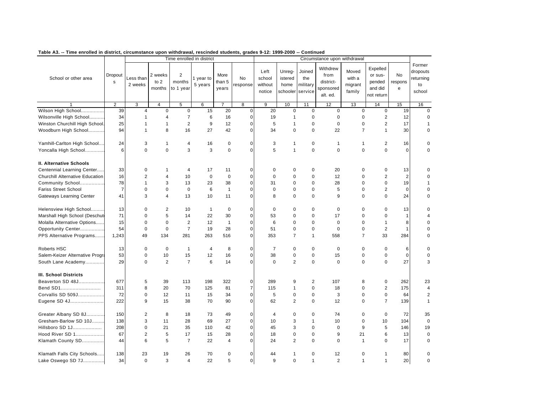| таріе дз.<br>-- Time enrolled in district, circumstance upon withdrawal, rescinded students, grades 9-12: 1999-2000 -- |                         |                      |                           | Time enrolled in district         |                      |                         |                |                                     |                                       | continued                            | Circumstance upon withdrawal                           |                                      |                                                        |                    |                                                 |
|------------------------------------------------------------------------------------------------------------------------|-------------------------|----------------------|---------------------------|-----------------------------------|----------------------|-------------------------|----------------|-------------------------------------|---------------------------------------|--------------------------------------|--------------------------------------------------------|--------------------------------------|--------------------------------------------------------|--------------------|-------------------------------------------------|
| School or other area                                                                                                   | Dropout<br>$\mathsf{s}$ | Less than<br>2 weeks | 2 weeks<br>to 2<br>months | $\sqrt{2}$<br>months<br>to 1 year | 1 year to<br>5 years | More<br>than 5<br>years | No<br>response | Left<br>school<br>without<br>notice | Unreg-<br>istered<br>home<br>schooler | Joined<br>the<br>military<br>service | Withdrew<br>from<br>district-<br>sponsored<br>alt. ed. | Moved<br>with a<br>migrant<br>family | Expelled<br>or sus-<br>pended<br>and did<br>not return | No<br>respons<br>e | Former<br>dropouts<br>returning<br>to<br>school |
|                                                                                                                        | $\overline{2}$          | 3                    | $\overline{4}$            | $\overline{5}$                    | 6                    | $\overline{7}$          | 8              | 9                                   | 10                                    | 11                                   | 12                                                     | 13                                   | 14                                                     | 15                 | 16                                              |
| Wilson High School                                                                                                     | 39                      | 4                    | $\mathbf 0$               | 0                                 | 15                   | 20                      | $\mathbf 0$    | 20                                  | $\mathbf 0$                           | $\mathbf 0$                          | $\pmb{0}$                                              | $\mathbf 0$                          | 0                                                      | 19                 | $\mathbf 0$                                     |
| Wilsonville High School                                                                                                | 34                      | $\mathbf{1}$         | $\overline{4}$            | $\overline{7}$                    | 6                    | 16                      | $\mathbf 0$    | 19                                  | 1                                     | $\mathbf 0$                          | $\pmb{0}$                                              | $\mathbf 0$                          | $\mathbf 2$                                            | 12                 | $\mathbf 0$                                     |
| Winston Churchill High School.                                                                                         | 25                      | $\mathbf{1}$         | $\mathbf{1}$              | $\overline{2}$                    | 9                    | 12                      | $\mathbf 0$    | 5                                   | 1                                     | $\pmb{0}$                            | $\mathsf 0$                                            | $\mathbf 0$                          | $\overline{2}$                                         | 17                 | $\mathbf{1}$                                    |
| Woodburn High School                                                                                                   | 94                      | $\mathbf{1}$         | 8                         | 16                                | 27                   | 42                      | $\Omega$       | 34                                  | $\mathbf 0$                           | $\Omega$                             | 22                                                     | $\overline{7}$                       | $\mathbf{1}$                                           | 30                 | $\mathbf 0$                                     |
| Yamhill-Carlton High School                                                                                            | 24                      | 3                    | $\mathbf{1}$              | $\overline{4}$                    | 16                   | 0                       | $\mathbf 0$    | 3                                   | $\mathbf{1}$                          | 0                                    | $\mathbf{1}$                                           | $\mathbf{1}$                         | $\overline{2}$                                         | 16                 | 0                                               |
| Yoncalla High School                                                                                                   | 6                       | $\mathbf 0$          | $\mathbf 0$               | 3                                 | 3                    | $\mathbf 0$             | $\Omega$       | 5                                   | $\mathbf{1}$                          | $\mathbf 0$                          | $\mathbf 0$                                            | $\mathbf 0$                          | $\mathbf 0$                                            | $\mathbf 0$        | $\Omega$                                        |
| II. Alternative Schools                                                                                                |                         |                      |                           |                                   |                      |                         |                |                                     |                                       |                                      |                                                        |                                      |                                                        |                    |                                                 |
| Centennial Learning Center                                                                                             | 33                      | 0                    | $\mathbf{1}$              | $\overline{4}$                    | 17                   | 11                      | $\mathbf 0$    | 0                                   | $\mathbf 0$                           | $\mathbf 0$                          | 20                                                     | $\mathbf 0$                          | 0                                                      | 13                 | 0                                               |
| <b>Churchill Alternative Education</b>                                                                                 | 16                      | $\overline{2}$       | $\overline{4}$            | 10                                | $\bf 0$              | $\mathbf 0$             | $\mathbf 0$    | $\mathbf 0$                         | $\mathbf 0$                           | $\mathbf 0$                          | 12                                                     | $\mathbf 0$                          | $\overline{2}$                                         | $\overline{2}$     | $\mathbf 0$                                     |
| Community School                                                                                                       | 78                      | $\mathbf{1}$         | 3                         | 13                                | 23                   | 38                      | $\pmb{0}$      | 31                                  | 0                                     | $\mathbf 0$                          | 28                                                     | $\mathbf 0$                          | 0                                                      | 19                 | 1                                               |
| <b>Fariss Street School</b>                                                                                            | $\overline{7}$          | $\pmb{0}$            | $\mathbf 0$               | $\pmb{0}$                         | 6                    | $\mathbf{1}$            | $\pmb{0}$      | $\mathbf 0$                         | $\pmb{0}$                             | $\pmb{0}$                            | 5                                                      | $\mathbf 0$                          | $\overline{c}$                                         | $\pmb{0}$          | 0                                               |
| Gateways Learning Center                                                                                               | 41                      | 3                    | $\overline{4}$            | 13                                | 10                   | 11                      | $\mathbf 0$    | 8                                   | $\mathbf 0$                           | $\mathbf 0$                          | 9                                                      | $\mathbf 0$                          | $\mathbf 0$                                            | 24                 | $\mathbf 0$                                     |
| Helensview High School                                                                                                 | 13                      | $\mathbf 0$          | 2                         | 10                                | $\overline{1}$       | $\mathbf 0$             | $\mathbf 0$    | $\mathbf 0$                         | $\mathbf 0$                           | $\mathbf 0$                          | $\mathbf 0$                                            | $\mathbf 0$                          | $\mathbf 0$                                            | 13                 | $\mathbf 0$                                     |
| Marshall High School (Deschut                                                                                          | 71                      | $\mathbf 0$          | 5                         | 14                                | 22                   | 30                      | $\mathbf 0$    | 53                                  | $\mathbf 0$                           | $\mathbf 0$                          | 17                                                     | $\mathbf 0$                          | $\mathbf 0$                                            | $\mathbf{1}$       | $\overline{\mathcal{A}}$                        |
| Molalla Alternative Options                                                                                            | 15                      | $\mathbf 0$          | $\pmb{0}$                 | $\overline{2}$                    | 12                   | $\mathbf{1}$            | $\mathbf 0$    | $6\phantom{1}6$                     | $\mathbf 0$                           | $\mathbf 0$                          | $\pmb{0}$                                              | $\mathbf 0$                          | $\mathbf{1}$                                           | 8                  | $\mathbf 0$                                     |
| Opportunity Center                                                                                                     | 54                      | $\pmb{0}$            | $\mathbf 0$               | $\overline{7}$                    | 19                   | 28                      | $\pmb{0}$      | 51                                  | $\pmb{0}$                             | $\mathbf 0$                          | $\pmb{0}$                                              | $\mathbf 0$                          | $\overline{2}$                                         | $\mathbf{1}$       | 0                                               |
| PPS Alternative Programs                                                                                               | 1,243                   | 49                   | 134                       | 281                               | 263                  | 516                     | $\mathbf 0$    | 353                                 | $\overline{7}$                        | 1                                    | 558                                                    | $\overline{7}$                       | 33                                                     | 284                | 0                                               |
| Roberts HSC                                                                                                            | 13                      | $\mathbf 0$          | $\mathbf 0$               | $\mathbf{1}$                      | $\overline{4}$       | 8                       | $\mathbf 0$    | $\overline{7}$                      | $\mathbf 0$                           | $\mathbf 0$                          | $\mathbf 0$                                            | $\mathbf 0$                          | 0                                                      | 6                  | $\mathbf 0$                                     |
| Salem-Keizer Alternative Progra                                                                                        | 53                      | 0                    | 10                        | 15                                | 12                   | 16                      | $\mathbf 0$    | 38                                  | 0                                     | $\mathbf 0$                          | 15                                                     | 0                                    | 0                                                      | $\mathbf 0$        | 0                                               |
| South Lane Academy                                                                                                     | 29                      | $\mathbf 0$          | 2                         | $\overline{7}$                    | 6                    | 14                      | $\mathbf 0$    | $\mathbf 0$                         | $\overline{2}$                        | $\mathbf 0$                          | $\pmb{0}$                                              | $\mathbf 0$                          | $\mathbf 0$                                            | 27                 | 3                                               |
| <b>III. School Districts</b>                                                                                           |                         |                      |                           |                                   |                      |                         |                |                                     |                                       |                                      |                                                        |                                      |                                                        |                    |                                                 |
| Beaverton SD 48J                                                                                                       | 677                     | 5                    | 39                        | 113                               | 198                  | 322                     | $\mathbf 0$    | 289                                 | 9                                     | $\overline{2}$                       | 107                                                    | 8                                    | $\mathbf 0$                                            | 262                | 23                                              |
| Bend SD1                                                                                                               | 311                     | 8                    | 20                        | 70                                | 125                  | 81                      | $\overline{7}$ | 115                                 | $\mathbf{1}$                          | $\mathbf 0$                          | 18                                                     | $\mathbf 0$                          | $\overline{2}$                                         | 175                | $\overline{4}$                                  |
| Corvallis SD 509J                                                                                                      | 72                      | $\mathbf 0$          | 12                        | 11                                | 15                   | 34                      | 0              | 5                                   | $\pmb{0}$                             | $\mathbf 0$                          | 3                                                      | $\mathbf 0$                          | $\pmb{0}$                                              | 64                 | $\overline{2}$                                  |
| Eugene SD 4J                                                                                                           | 222                     | 9                    | 15                        | 38                                | 70                   | 90                      | $\mathbf 0$    | 62                                  | $\overline{2}$                        | $\mathbf 0$                          | 12                                                     | $\mathbf 0$                          | $\overline{7}$                                         | 139                | $\mathbf{1}$                                    |
| Greater Albany SD 8J                                                                                                   | 150                     | $\overline{2}$       | 8                         | 18                                | 73                   | 49                      | $\mathbf 0$    | $\overline{4}$                      | $\mathbf 0$                           | $\mathbf 0$                          | 74                                                     | $\mathbf 0$                          | $\mathbf 0$                                            | 72                 | 35                                              |
| Gresham-Barlow SD 10J                                                                                                  | 138                     | 3                    | 11                        | 28                                | 69                   | 27                      | $\mathbf 0$    | 10                                  | 3                                     | $\mathbf{1}$                         | 10                                                     | $\mathbf 0$                          | 10                                                     | 104                | $\mathbf 0$                                     |
| Hillsboro SD 1J                                                                                                        | 208                     | $\mathbf 0$          | 21                        | 35                                | 110                  | 42                      | $\mathbf 0$    | 45                                  | 3                                     | $\mathbf 0$                          | $\mathbf 0$                                            | 9                                    | 5                                                      | 146                | 19                                              |
| Hood River SD 1                                                                                                        | 67                      | $\sqrt{2}$           | 5                         | 17                                | 15                   | 28                      | $\mathbf 0$    | 18                                  | $\mathbf 0$                           | $\mathbf 0$                          | 9                                                      | 21                                   | 6                                                      | 13                 | $\mathsf 0$                                     |
| Klamath County SD                                                                                                      | 44                      | 6                    | 5                         | $\overline{7}$                    | 22                   | 4                       | $\mathbf 0$    | 24                                  | $\overline{2}$                        | $\mathbf 0$                          | $\mathbf 0$                                            | $\mathbf{1}$                         | $\mathbf 0$                                            | 17                 | $\mathbf 0$                                     |
| Klamath Falls City Schools                                                                                             | 138                     | 23                   | 19                        | 26                                | 70                   | $\pmb{0}$               | $\mathbf 0$    | 44                                  | 1                                     | $\mathbf 0$                          | 12                                                     | $\mathbf 0$                          | $\mathbf{1}$                                           | 80                 | 0                                               |
| Lake Oswego SD 7J                                                                                                      | 34                      | $\mathbf 0$          | 3                         | $\overline{4}$                    | 22                   | 5                       | 0              | 9                                   | $\mathbf 0$                           | 1                                    | $\overline{2}$                                         | $\mathbf{1}$                         | $\mathbf{1}$                                           | 20                 | 0                                               |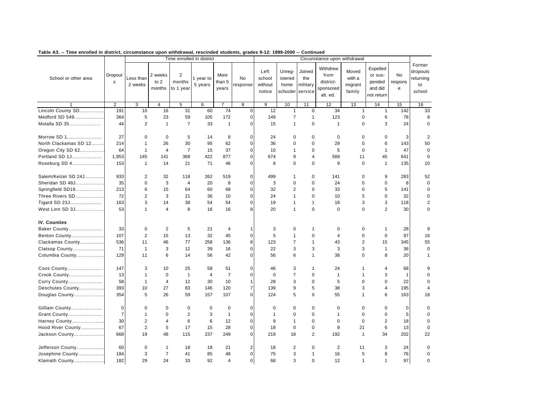| Former<br>Withdrew<br>Expelled<br>Left<br>Unreg-<br>Joined<br>Moved<br>dropouts<br>2 weeks<br>$\overline{2}$<br>Dropout<br>More<br>from<br>or sus-<br>No<br>School or other area<br>Less than<br><b>No</b><br>school<br>with a<br>returning<br>1 year to<br>istered<br>the<br>to 2<br>months<br>than 5<br>district-<br>$\mathbf s$<br>pended<br>respons<br>5 years<br>without<br>response<br>home<br>military<br>migrant<br>to<br>2 weeks<br>to 1 year<br>and did<br>months<br>sponsored<br>e<br>years<br>family<br>notice<br>schooler<br>service<br>school<br>alt. ed.<br>not return<br>$\overline{3}$<br>$\overline{9}$<br>$\overline{2}$<br>$\overline{4}$<br>$\overline{5}$<br>6<br>$\overline{7}$<br>$\overline{8}$<br>10<br>11<br>12<br>13<br>15<br>16<br>14<br>Lincoln County SD<br>191<br>10<br>31<br>60<br>74<br>$\mathbf 0$<br>12<br>34<br>33<br>16<br>$\mathbf{1}$<br>0<br>$\mathbf{1}$<br>$\mathbf{1}$<br>142<br>Medford SD 549<br>5<br>23<br>59<br>172<br>78<br>364<br>105<br>$\mathbf 0$<br>149<br>$\overline{7}$<br>$\mathbf{1}$<br>123<br>$\mathbf 0$<br>6<br>8<br>$\overline{7}$<br>$\mathbf 0$<br>Molalla SD 35<br>44<br>2<br>$\mathbf{1}$<br>33<br>$\mathbf{1}$<br>$\Omega$<br>$\overline{1}$<br>$\Omega$<br>3<br>24<br>15<br>$\mathbf{1}$<br>$\mathbf 0$<br>27<br>Morrow SD 1<br>$\mathbf 0$<br>5<br>$\mathbf 0$<br>3<br>$\overline{2}$<br>$\Omega$<br>14<br>8<br>24<br>$\mathbf 0$<br>$\mathbf 0$<br>$\mathbf 0$<br>$\mathbf 0$<br>$\Omega$<br>North Clackamas SD 12<br>6<br>143<br>214<br>$\mathbf{1}$<br>26<br>30<br>95<br>62<br>$\mathbf 0$<br>36<br>$\pmb{0}$<br>29<br>$\mathbf 0$<br>50<br>$\mathbf 0$<br>$\overline{7}$<br>37<br>Oregon City SD 62<br>64<br>$\mathbf{1}$<br>$\overline{4}$<br>15<br>$\mathbf 0$<br>10<br>$\mathbf 0$<br>5<br>$\Omega$<br>$\mathbf{1}$<br>47<br>$\mathbf 0$<br>$\mathbf{1}$<br>Portland SD 1J<br>1,953<br>368<br>422<br>877<br>$\mathbf 0$<br>45<br>145<br>141<br>674<br>9<br>4<br>569<br>11<br>641<br>$\mathbf 0$<br>Roseburg SD 4<br>153<br>21<br>71<br>46<br>$\mathbf 0$<br>8<br>$\Omega$<br>$\mathbf 0$<br>9<br>$\Omega$<br>135<br>$\mathbf{1}$<br>14<br>$\mathbf{1}$<br>10<br>Salem/Keizer SD 24J<br>933<br>2<br>32<br>118<br>262<br>519<br>$\mathbf 0$<br>499<br>$\mathbf 0$<br>141<br>$\mathbf 0$<br>9<br>283<br>52<br>$\mathbf{1}$<br>Sheridan SD 48J<br>35<br>$\mathbf 0$<br>3<br>20<br>8<br>3<br>$\mathbf 0$<br>8<br>4<br>$\mathbf 0$<br>$\mathbf 0$<br>$\mathbf 0$<br>24<br>$\mathbf 0$<br>$\mathbf 0$<br>213<br>5<br>Springfield SD19<br>6<br>15<br>60<br>68<br>$\Omega$<br>32<br>2<br>$\Omega$<br>33<br>$\Omega$<br>141<br>$\Omega$<br>64<br>$\overline{2}$<br>3<br>5<br>Three Rivers SD<br>72<br>36<br>10<br>$\mathbf 0$<br>24<br>$\mathbf 0$<br>32<br>21<br>$\mathbf{1}$<br>10<br>$\mathbf 0$<br>$\Omega$<br>Tigard SD 23J<br>163<br>3<br>14<br>38<br>54<br>54<br>$\pmb{0}$<br>19<br>$\mathbf{1}$<br>18<br>3<br>3<br>118<br>$\overline{2}$<br>$\mathbf{1}$<br>$\overline{2}$<br>West Linn SD 3J<br>53<br>$\mathbf{1}$<br>$\overline{4}$<br>8<br>16<br>8<br>$\mathbf 0$<br>$\Omega$<br>$\Omega$<br>30<br>16<br>20<br>$\mathbf{1}$<br>$\Omega$<br><b>IV. Counties</b><br>$\sqrt{2}$<br>Baker County<br>33<br>$\mathbf 0$<br>5<br>3<br>9<br>21<br>4<br>$\mathbf 0$<br>$\mathbf{1}$<br>0<br>$\mathbf 0$<br>$\mathbf{1}$<br>28<br>$\mathbf{1}$<br>107<br>2<br>15<br>13<br>32<br>$\mathbf 0$<br>5<br>$\mathbf 0$<br>$\mathbf 0$<br>$\mathbf 0$<br>97<br>Benton County<br>45<br>$\mathbf{1}$<br>$\overline{4}$<br>16<br>77<br>$\overline{2}$<br>345<br>Clackamas County<br>536<br>11<br>46<br>258<br>136<br>8<br>123<br>$\overline{7}$<br>$\mathbf{1}$<br>43<br>15<br>55<br>71<br>3<br>3<br>$\mathbf{1}$<br>3<br>12<br>39<br>16<br>$\mathbf 0$<br>22<br>3<br>3<br>$\mathbf{1}$<br>$\mathbf 0$<br>Clatsop County<br>36<br>Columbia County<br>129<br>11<br>6<br>14<br>42<br>$\mathbf 0$<br>56<br>6<br>$\mathbf{1}$<br>38<br>$\mathbf 0$<br>8<br>20<br>56<br>$\mathbf 1$<br>Coos County<br>147<br>3<br>10<br>25<br>51<br>$\mathbf 0$<br>4<br>68<br>58<br>46<br>3<br>$\mathbf{1}$<br>24<br>9<br>-1<br>Crook County<br>13<br>$\mathbf{1}$<br>$\mathbf 0$<br>$\mathbf{1}$<br>$\overline{4}$<br>$\overline{7}$<br>$\mathbf 0$<br>$\mathbf 0$<br>$\overline{7}$<br>$\mathbf 0$<br>$\mathbf{1}$<br>3<br>$\mathbf{1}$<br>$\mathbf{1}$<br>$\Omega$<br>58<br>$\overline{4}$<br>12<br>10<br>3<br>$\mathbf 0$<br>5<br>$\mathbf 0$<br>$\mathbf 0$<br>22<br>$\mathbf 0$<br>Curry County<br>$\mathbf{1}$<br>30<br>$\mathbf{1}$<br>28<br>$\overline{7}$<br>5<br>Deschutes County<br>393<br>10<br>27<br>83<br>146<br>120<br>139<br>9<br>38<br>3<br>$\overline{4}$<br>195<br>$\overline{4}$<br>354<br>5<br>26<br>59<br>107<br>$\mathbf 0$<br>5<br>$\mathbf 0$<br>163<br>Douglas County<br>157<br>124<br>55<br>$\mathbf{1}$<br>6<br>18<br>$\mathbf 0$<br>Gilliam County<br>$\mathbf 0$<br>$\mathbf 0$<br>$\mathbf 0$<br>0<br>0<br>$\mathbf 0$<br>$\mathbf 0$<br>$\mathbf 0$<br>$\mathbf 0$<br>$\mathbf 0$<br>0<br>0<br>0<br>$\Omega$<br>$\overline{7}$<br>$\overline{2}$<br>3<br>$\mathbf{1}$<br>$\mathbf 0$<br>5<br>$\mathbf{1}$<br>$\pmb{0}$<br>$\mathbf{1}$<br>$\mathbf 0$<br>$\mathbf{1}$<br>$\mathbf 0$<br>$\mathbf 0$<br>$\mathbf 0$<br>Grant County<br>$\mathbf 0$<br>2<br>6<br>6<br>$\overline{2}$<br>30<br>$\overline{4}$<br>12<br>$\mathbf 0$<br>9<br>$\mathbf 0$<br>$\mathbf 0$<br>$\mathbf 0$<br>18<br>Harney County<br>$\mathbf{1}$<br>$\Omega$<br>67<br>$\overline{2}$<br>5<br>$9\,$<br>6<br>13<br>17<br>15<br>28<br>$\mathbf 0$<br>18<br>$\pmb{0}$<br>$\pmb{0}$<br>21<br>$\mathbf 0$<br>Hood River County<br>2<br>668<br>48<br>237<br>$\Omega$<br>34<br>202<br>Jackson County<br>19<br>115<br>249<br>219<br>18<br>192<br>$\mathbf{1}$<br>22<br>Jefferson County<br>60<br>$\overline{2}$<br>$\mathbf 0$<br>$\overline{2}$<br>$\mathbf 0$<br>$\mathbf{1}$<br>18<br>18<br>21<br>18<br>2<br>11<br>3<br>24<br>$\Omega$<br>$\overline{7}$<br>5<br>Josephine County<br>184<br>3<br>41<br>85<br>48<br>$\mathbf 0$<br>75<br>3<br>$\mathbf{1}$<br>16<br>8<br>76<br>$\mathbf 0$<br>182<br>29<br>24<br>33<br>92<br>$\overline{4}$<br>$\overline{0}$<br>68<br>3<br>$\mathbf 0$<br>12<br>$\mathbf{1}$<br>$\mathbf{1}$<br>97<br>Klamath County<br>$\mathbf 0$ |  |  | Time enrolled in district |  |  | Circumstance upon withdrawal |  |  |
|------------------------------------------------------------------------------------------------------------------------------------------------------------------------------------------------------------------------------------------------------------------------------------------------------------------------------------------------------------------------------------------------------------------------------------------------------------------------------------------------------------------------------------------------------------------------------------------------------------------------------------------------------------------------------------------------------------------------------------------------------------------------------------------------------------------------------------------------------------------------------------------------------------------------------------------------------------------------------------------------------------------------------------------------------------------------------------------------------------------------------------------------------------------------------------------------------------------------------------------------------------------------------------------------------------------------------------------------------------------------------------------------------------------------------------------------------------------------------------------------------------------------------------------------------------------------------------------------------------------------------------------------------------------------------------------------------------------------------------------------------------------------------------------------------------------------------------------------------------------------------------------------------------------------------------------------------------------------------------------------------------------------------------------------------------------------------------------------------------------------------------------------------------------------------------------------------------------------------------------------------------------------------------------------------------------------------------------------------------------------------------------------------------------------------------------------------------------------------------------------------------------------------------------------------------------------------------------------------------------------------------------------------------------------------------------------------------------------------------------------------------------------------------------------------------------------------------------------------------------------------------------------------------------------------------------------------------------------------------------------------------------------------------------------------------------------------------------------------------------------------------------------------------------------------------------------------------------------------------------------------------------------------------------------------------------------------------------------------------------------------------------------------------------------------------------------------------------------------------------------------------------------------------------------------------------------------------------------------------------------------------------------------------------------------------------------------------------------------------------------------------------------------------------------------------------------------------------------------------------------------------------------------------------------------------------------------------------------------------------------------------------------------------------------------------------------------------------------------------------------------------------------------------------------------------------------------------------------------------------------------------------------------------------------------------------------------------------------------------------------------------------------------------------------------------------------------------------------------------------------------------------------------------------------------------------------------------------------------------------------------------------------------------------------------------------------------------------------------------------------------------------------------------------------------------------------------------------------------------------------------------------------------------------------------------------------------------------------------------------------------------------------------------------------------------------------------------------------------------------------------------------------------------------------------------------------------------------------------------------------------------------------------------------------------------------------------------------------------------------------------------------------------------------------------------------------------------------------------------------------------------------------------------------------------------------------------------------------------------------------------------------------------------------------------------------------------------------------------------------------------------------------------------------------------------------------------------------------------------------------------------------------------------------------------------------------------------------------------------------------------------------------------------------------------------------------------------------------------------------------------------------------------------------------------------------------------------|--|--|---------------------------|--|--|------------------------------|--|--|
|                                                                                                                                                                                                                                                                                                                                                                                                                                                                                                                                                                                                                                                                                                                                                                                                                                                                                                                                                                                                                                                                                                                                                                                                                                                                                                                                                                                                                                                                                                                                                                                                                                                                                                                                                                                                                                                                                                                                                                                                                                                                                                                                                                                                                                                                                                                                                                                                                                                                                                                                                                                                                                                                                                                                                                                                                                                                                                                                                                                                                                                                                                                                                                                                                                                                                                                                                                                                                                                                                                                                                                                                                                                                                                                                                                                                                                                                                                                                                                                                                                                                                                                                                                                                                                                                                                                                                                                                                                                                                                                                                                                                                                                                                                                                                                                                                                                                                                                                                                                                                                                                                                                                                                                                                                                                                                                                                                                                                                                                                                                                                                                                                                                                                                                                                                                                                                                                                                                                                                                                                                                                                                                                                                                                            |  |  |                           |  |  |                              |  |  |
|                                                                                                                                                                                                                                                                                                                                                                                                                                                                                                                                                                                                                                                                                                                                                                                                                                                                                                                                                                                                                                                                                                                                                                                                                                                                                                                                                                                                                                                                                                                                                                                                                                                                                                                                                                                                                                                                                                                                                                                                                                                                                                                                                                                                                                                                                                                                                                                                                                                                                                                                                                                                                                                                                                                                                                                                                                                                                                                                                                                                                                                                                                                                                                                                                                                                                                                                                                                                                                                                                                                                                                                                                                                                                                                                                                                                                                                                                                                                                                                                                                                                                                                                                                                                                                                                                                                                                                                                                                                                                                                                                                                                                                                                                                                                                                                                                                                                                                                                                                                                                                                                                                                                                                                                                                                                                                                                                                                                                                                                                                                                                                                                                                                                                                                                                                                                                                                                                                                                                                                                                                                                                                                                                                                                            |  |  |                           |  |  |                              |  |  |
|                                                                                                                                                                                                                                                                                                                                                                                                                                                                                                                                                                                                                                                                                                                                                                                                                                                                                                                                                                                                                                                                                                                                                                                                                                                                                                                                                                                                                                                                                                                                                                                                                                                                                                                                                                                                                                                                                                                                                                                                                                                                                                                                                                                                                                                                                                                                                                                                                                                                                                                                                                                                                                                                                                                                                                                                                                                                                                                                                                                                                                                                                                                                                                                                                                                                                                                                                                                                                                                                                                                                                                                                                                                                                                                                                                                                                                                                                                                                                                                                                                                                                                                                                                                                                                                                                                                                                                                                                                                                                                                                                                                                                                                                                                                                                                                                                                                                                                                                                                                                                                                                                                                                                                                                                                                                                                                                                                                                                                                                                                                                                                                                                                                                                                                                                                                                                                                                                                                                                                                                                                                                                                                                                                                                            |  |  |                           |  |  |                              |  |  |
|                                                                                                                                                                                                                                                                                                                                                                                                                                                                                                                                                                                                                                                                                                                                                                                                                                                                                                                                                                                                                                                                                                                                                                                                                                                                                                                                                                                                                                                                                                                                                                                                                                                                                                                                                                                                                                                                                                                                                                                                                                                                                                                                                                                                                                                                                                                                                                                                                                                                                                                                                                                                                                                                                                                                                                                                                                                                                                                                                                                                                                                                                                                                                                                                                                                                                                                                                                                                                                                                                                                                                                                                                                                                                                                                                                                                                                                                                                                                                                                                                                                                                                                                                                                                                                                                                                                                                                                                                                                                                                                                                                                                                                                                                                                                                                                                                                                                                                                                                                                                                                                                                                                                                                                                                                                                                                                                                                                                                                                                                                                                                                                                                                                                                                                                                                                                                                                                                                                                                                                                                                                                                                                                                                                                            |  |  |                           |  |  |                              |  |  |
|                                                                                                                                                                                                                                                                                                                                                                                                                                                                                                                                                                                                                                                                                                                                                                                                                                                                                                                                                                                                                                                                                                                                                                                                                                                                                                                                                                                                                                                                                                                                                                                                                                                                                                                                                                                                                                                                                                                                                                                                                                                                                                                                                                                                                                                                                                                                                                                                                                                                                                                                                                                                                                                                                                                                                                                                                                                                                                                                                                                                                                                                                                                                                                                                                                                                                                                                                                                                                                                                                                                                                                                                                                                                                                                                                                                                                                                                                                                                                                                                                                                                                                                                                                                                                                                                                                                                                                                                                                                                                                                                                                                                                                                                                                                                                                                                                                                                                                                                                                                                                                                                                                                                                                                                                                                                                                                                                                                                                                                                                                                                                                                                                                                                                                                                                                                                                                                                                                                                                                                                                                                                                                                                                                                                            |  |  |                           |  |  |                              |  |  |
|                                                                                                                                                                                                                                                                                                                                                                                                                                                                                                                                                                                                                                                                                                                                                                                                                                                                                                                                                                                                                                                                                                                                                                                                                                                                                                                                                                                                                                                                                                                                                                                                                                                                                                                                                                                                                                                                                                                                                                                                                                                                                                                                                                                                                                                                                                                                                                                                                                                                                                                                                                                                                                                                                                                                                                                                                                                                                                                                                                                                                                                                                                                                                                                                                                                                                                                                                                                                                                                                                                                                                                                                                                                                                                                                                                                                                                                                                                                                                                                                                                                                                                                                                                                                                                                                                                                                                                                                                                                                                                                                                                                                                                                                                                                                                                                                                                                                                                                                                                                                                                                                                                                                                                                                                                                                                                                                                                                                                                                                                                                                                                                                                                                                                                                                                                                                                                                                                                                                                                                                                                                                                                                                                                                                            |  |  |                           |  |  |                              |  |  |
|                                                                                                                                                                                                                                                                                                                                                                                                                                                                                                                                                                                                                                                                                                                                                                                                                                                                                                                                                                                                                                                                                                                                                                                                                                                                                                                                                                                                                                                                                                                                                                                                                                                                                                                                                                                                                                                                                                                                                                                                                                                                                                                                                                                                                                                                                                                                                                                                                                                                                                                                                                                                                                                                                                                                                                                                                                                                                                                                                                                                                                                                                                                                                                                                                                                                                                                                                                                                                                                                                                                                                                                                                                                                                                                                                                                                                                                                                                                                                                                                                                                                                                                                                                                                                                                                                                                                                                                                                                                                                                                                                                                                                                                                                                                                                                                                                                                                                                                                                                                                                                                                                                                                                                                                                                                                                                                                                                                                                                                                                                                                                                                                                                                                                                                                                                                                                                                                                                                                                                                                                                                                                                                                                                                                            |  |  |                           |  |  |                              |  |  |
|                                                                                                                                                                                                                                                                                                                                                                                                                                                                                                                                                                                                                                                                                                                                                                                                                                                                                                                                                                                                                                                                                                                                                                                                                                                                                                                                                                                                                                                                                                                                                                                                                                                                                                                                                                                                                                                                                                                                                                                                                                                                                                                                                                                                                                                                                                                                                                                                                                                                                                                                                                                                                                                                                                                                                                                                                                                                                                                                                                                                                                                                                                                                                                                                                                                                                                                                                                                                                                                                                                                                                                                                                                                                                                                                                                                                                                                                                                                                                                                                                                                                                                                                                                                                                                                                                                                                                                                                                                                                                                                                                                                                                                                                                                                                                                                                                                                                                                                                                                                                                                                                                                                                                                                                                                                                                                                                                                                                                                                                                                                                                                                                                                                                                                                                                                                                                                                                                                                                                                                                                                                                                                                                                                                                            |  |  |                           |  |  |                              |  |  |
|                                                                                                                                                                                                                                                                                                                                                                                                                                                                                                                                                                                                                                                                                                                                                                                                                                                                                                                                                                                                                                                                                                                                                                                                                                                                                                                                                                                                                                                                                                                                                                                                                                                                                                                                                                                                                                                                                                                                                                                                                                                                                                                                                                                                                                                                                                                                                                                                                                                                                                                                                                                                                                                                                                                                                                                                                                                                                                                                                                                                                                                                                                                                                                                                                                                                                                                                                                                                                                                                                                                                                                                                                                                                                                                                                                                                                                                                                                                                                                                                                                                                                                                                                                                                                                                                                                                                                                                                                                                                                                                                                                                                                                                                                                                                                                                                                                                                                                                                                                                                                                                                                                                                                                                                                                                                                                                                                                                                                                                                                                                                                                                                                                                                                                                                                                                                                                                                                                                                                                                                                                                                                                                                                                                                            |  |  |                           |  |  |                              |  |  |
|                                                                                                                                                                                                                                                                                                                                                                                                                                                                                                                                                                                                                                                                                                                                                                                                                                                                                                                                                                                                                                                                                                                                                                                                                                                                                                                                                                                                                                                                                                                                                                                                                                                                                                                                                                                                                                                                                                                                                                                                                                                                                                                                                                                                                                                                                                                                                                                                                                                                                                                                                                                                                                                                                                                                                                                                                                                                                                                                                                                                                                                                                                                                                                                                                                                                                                                                                                                                                                                                                                                                                                                                                                                                                                                                                                                                                                                                                                                                                                                                                                                                                                                                                                                                                                                                                                                                                                                                                                                                                                                                                                                                                                                                                                                                                                                                                                                                                                                                                                                                                                                                                                                                                                                                                                                                                                                                                                                                                                                                                                                                                                                                                                                                                                                                                                                                                                                                                                                                                                                                                                                                                                                                                                                                            |  |  |                           |  |  |                              |  |  |
|                                                                                                                                                                                                                                                                                                                                                                                                                                                                                                                                                                                                                                                                                                                                                                                                                                                                                                                                                                                                                                                                                                                                                                                                                                                                                                                                                                                                                                                                                                                                                                                                                                                                                                                                                                                                                                                                                                                                                                                                                                                                                                                                                                                                                                                                                                                                                                                                                                                                                                                                                                                                                                                                                                                                                                                                                                                                                                                                                                                                                                                                                                                                                                                                                                                                                                                                                                                                                                                                                                                                                                                                                                                                                                                                                                                                                                                                                                                                                                                                                                                                                                                                                                                                                                                                                                                                                                                                                                                                                                                                                                                                                                                                                                                                                                                                                                                                                                                                                                                                                                                                                                                                                                                                                                                                                                                                                                                                                                                                                                                                                                                                                                                                                                                                                                                                                                                                                                                                                                                                                                                                                                                                                                                                            |  |  |                           |  |  |                              |  |  |
|                                                                                                                                                                                                                                                                                                                                                                                                                                                                                                                                                                                                                                                                                                                                                                                                                                                                                                                                                                                                                                                                                                                                                                                                                                                                                                                                                                                                                                                                                                                                                                                                                                                                                                                                                                                                                                                                                                                                                                                                                                                                                                                                                                                                                                                                                                                                                                                                                                                                                                                                                                                                                                                                                                                                                                                                                                                                                                                                                                                                                                                                                                                                                                                                                                                                                                                                                                                                                                                                                                                                                                                                                                                                                                                                                                                                                                                                                                                                                                                                                                                                                                                                                                                                                                                                                                                                                                                                                                                                                                                                                                                                                                                                                                                                                                                                                                                                                                                                                                                                                                                                                                                                                                                                                                                                                                                                                                                                                                                                                                                                                                                                                                                                                                                                                                                                                                                                                                                                                                                                                                                                                                                                                                                                            |  |  |                           |  |  |                              |  |  |
|                                                                                                                                                                                                                                                                                                                                                                                                                                                                                                                                                                                                                                                                                                                                                                                                                                                                                                                                                                                                                                                                                                                                                                                                                                                                                                                                                                                                                                                                                                                                                                                                                                                                                                                                                                                                                                                                                                                                                                                                                                                                                                                                                                                                                                                                                                                                                                                                                                                                                                                                                                                                                                                                                                                                                                                                                                                                                                                                                                                                                                                                                                                                                                                                                                                                                                                                                                                                                                                                                                                                                                                                                                                                                                                                                                                                                                                                                                                                                                                                                                                                                                                                                                                                                                                                                                                                                                                                                                                                                                                                                                                                                                                                                                                                                                                                                                                                                                                                                                                                                                                                                                                                                                                                                                                                                                                                                                                                                                                                                                                                                                                                                                                                                                                                                                                                                                                                                                                                                                                                                                                                                                                                                                                                            |  |  |                           |  |  |                              |  |  |
|                                                                                                                                                                                                                                                                                                                                                                                                                                                                                                                                                                                                                                                                                                                                                                                                                                                                                                                                                                                                                                                                                                                                                                                                                                                                                                                                                                                                                                                                                                                                                                                                                                                                                                                                                                                                                                                                                                                                                                                                                                                                                                                                                                                                                                                                                                                                                                                                                                                                                                                                                                                                                                                                                                                                                                                                                                                                                                                                                                                                                                                                                                                                                                                                                                                                                                                                                                                                                                                                                                                                                                                                                                                                                                                                                                                                                                                                                                                                                                                                                                                                                                                                                                                                                                                                                                                                                                                                                                                                                                                                                                                                                                                                                                                                                                                                                                                                                                                                                                                                                                                                                                                                                                                                                                                                                                                                                                                                                                                                                                                                                                                                                                                                                                                                                                                                                                                                                                                                                                                                                                                                                                                                                                                                            |  |  |                           |  |  |                              |  |  |
|                                                                                                                                                                                                                                                                                                                                                                                                                                                                                                                                                                                                                                                                                                                                                                                                                                                                                                                                                                                                                                                                                                                                                                                                                                                                                                                                                                                                                                                                                                                                                                                                                                                                                                                                                                                                                                                                                                                                                                                                                                                                                                                                                                                                                                                                                                                                                                                                                                                                                                                                                                                                                                                                                                                                                                                                                                                                                                                                                                                                                                                                                                                                                                                                                                                                                                                                                                                                                                                                                                                                                                                                                                                                                                                                                                                                                                                                                                                                                                                                                                                                                                                                                                                                                                                                                                                                                                                                                                                                                                                                                                                                                                                                                                                                                                                                                                                                                                                                                                                                                                                                                                                                                                                                                                                                                                                                                                                                                                                                                                                                                                                                                                                                                                                                                                                                                                                                                                                                                                                                                                                                                                                                                                                                            |  |  |                           |  |  |                              |  |  |
|                                                                                                                                                                                                                                                                                                                                                                                                                                                                                                                                                                                                                                                                                                                                                                                                                                                                                                                                                                                                                                                                                                                                                                                                                                                                                                                                                                                                                                                                                                                                                                                                                                                                                                                                                                                                                                                                                                                                                                                                                                                                                                                                                                                                                                                                                                                                                                                                                                                                                                                                                                                                                                                                                                                                                                                                                                                                                                                                                                                                                                                                                                                                                                                                                                                                                                                                                                                                                                                                                                                                                                                                                                                                                                                                                                                                                                                                                                                                                                                                                                                                                                                                                                                                                                                                                                                                                                                                                                                                                                                                                                                                                                                                                                                                                                                                                                                                                                                                                                                                                                                                                                                                                                                                                                                                                                                                                                                                                                                                                                                                                                                                                                                                                                                                                                                                                                                                                                                                                                                                                                                                                                                                                                                                            |  |  |                           |  |  |                              |  |  |
|                                                                                                                                                                                                                                                                                                                                                                                                                                                                                                                                                                                                                                                                                                                                                                                                                                                                                                                                                                                                                                                                                                                                                                                                                                                                                                                                                                                                                                                                                                                                                                                                                                                                                                                                                                                                                                                                                                                                                                                                                                                                                                                                                                                                                                                                                                                                                                                                                                                                                                                                                                                                                                                                                                                                                                                                                                                                                                                                                                                                                                                                                                                                                                                                                                                                                                                                                                                                                                                                                                                                                                                                                                                                                                                                                                                                                                                                                                                                                                                                                                                                                                                                                                                                                                                                                                                                                                                                                                                                                                                                                                                                                                                                                                                                                                                                                                                                                                                                                                                                                                                                                                                                                                                                                                                                                                                                                                                                                                                                                                                                                                                                                                                                                                                                                                                                                                                                                                                                                                                                                                                                                                                                                                                                            |  |  |                           |  |  |                              |  |  |
|                                                                                                                                                                                                                                                                                                                                                                                                                                                                                                                                                                                                                                                                                                                                                                                                                                                                                                                                                                                                                                                                                                                                                                                                                                                                                                                                                                                                                                                                                                                                                                                                                                                                                                                                                                                                                                                                                                                                                                                                                                                                                                                                                                                                                                                                                                                                                                                                                                                                                                                                                                                                                                                                                                                                                                                                                                                                                                                                                                                                                                                                                                                                                                                                                                                                                                                                                                                                                                                                                                                                                                                                                                                                                                                                                                                                                                                                                                                                                                                                                                                                                                                                                                                                                                                                                                                                                                                                                                                                                                                                                                                                                                                                                                                                                                                                                                                                                                                                                                                                                                                                                                                                                                                                                                                                                                                                                                                                                                                                                                                                                                                                                                                                                                                                                                                                                                                                                                                                                                                                                                                                                                                                                                                                            |  |  |                           |  |  |                              |  |  |
|                                                                                                                                                                                                                                                                                                                                                                                                                                                                                                                                                                                                                                                                                                                                                                                                                                                                                                                                                                                                                                                                                                                                                                                                                                                                                                                                                                                                                                                                                                                                                                                                                                                                                                                                                                                                                                                                                                                                                                                                                                                                                                                                                                                                                                                                                                                                                                                                                                                                                                                                                                                                                                                                                                                                                                                                                                                                                                                                                                                                                                                                                                                                                                                                                                                                                                                                                                                                                                                                                                                                                                                                                                                                                                                                                                                                                                                                                                                                                                                                                                                                                                                                                                                                                                                                                                                                                                                                                                                                                                                                                                                                                                                                                                                                                                                                                                                                                                                                                                                                                                                                                                                                                                                                                                                                                                                                                                                                                                                                                                                                                                                                                                                                                                                                                                                                                                                                                                                                                                                                                                                                                                                                                                                                            |  |  |                           |  |  |                              |  |  |
|                                                                                                                                                                                                                                                                                                                                                                                                                                                                                                                                                                                                                                                                                                                                                                                                                                                                                                                                                                                                                                                                                                                                                                                                                                                                                                                                                                                                                                                                                                                                                                                                                                                                                                                                                                                                                                                                                                                                                                                                                                                                                                                                                                                                                                                                                                                                                                                                                                                                                                                                                                                                                                                                                                                                                                                                                                                                                                                                                                                                                                                                                                                                                                                                                                                                                                                                                                                                                                                                                                                                                                                                                                                                                                                                                                                                                                                                                                                                                                                                                                                                                                                                                                                                                                                                                                                                                                                                                                                                                                                                                                                                                                                                                                                                                                                                                                                                                                                                                                                                                                                                                                                                                                                                                                                                                                                                                                                                                                                                                                                                                                                                                                                                                                                                                                                                                                                                                                                                                                                                                                                                                                                                                                                                            |  |  |                           |  |  |                              |  |  |
|                                                                                                                                                                                                                                                                                                                                                                                                                                                                                                                                                                                                                                                                                                                                                                                                                                                                                                                                                                                                                                                                                                                                                                                                                                                                                                                                                                                                                                                                                                                                                                                                                                                                                                                                                                                                                                                                                                                                                                                                                                                                                                                                                                                                                                                                                                                                                                                                                                                                                                                                                                                                                                                                                                                                                                                                                                                                                                                                                                                                                                                                                                                                                                                                                                                                                                                                                                                                                                                                                                                                                                                                                                                                                                                                                                                                                                                                                                                                                                                                                                                                                                                                                                                                                                                                                                                                                                                                                                                                                                                                                                                                                                                                                                                                                                                                                                                                                                                                                                                                                                                                                                                                                                                                                                                                                                                                                                                                                                                                                                                                                                                                                                                                                                                                                                                                                                                                                                                                                                                                                                                                                                                                                                                                            |  |  |                           |  |  |                              |  |  |
|                                                                                                                                                                                                                                                                                                                                                                                                                                                                                                                                                                                                                                                                                                                                                                                                                                                                                                                                                                                                                                                                                                                                                                                                                                                                                                                                                                                                                                                                                                                                                                                                                                                                                                                                                                                                                                                                                                                                                                                                                                                                                                                                                                                                                                                                                                                                                                                                                                                                                                                                                                                                                                                                                                                                                                                                                                                                                                                                                                                                                                                                                                                                                                                                                                                                                                                                                                                                                                                                                                                                                                                                                                                                                                                                                                                                                                                                                                                                                                                                                                                                                                                                                                                                                                                                                                                                                                                                                                                                                                                                                                                                                                                                                                                                                                                                                                                                                                                                                                                                                                                                                                                                                                                                                                                                                                                                                                                                                                                                                                                                                                                                                                                                                                                                                                                                                                                                                                                                                                                                                                                                                                                                                                                                            |  |  |                           |  |  |                              |  |  |
|                                                                                                                                                                                                                                                                                                                                                                                                                                                                                                                                                                                                                                                                                                                                                                                                                                                                                                                                                                                                                                                                                                                                                                                                                                                                                                                                                                                                                                                                                                                                                                                                                                                                                                                                                                                                                                                                                                                                                                                                                                                                                                                                                                                                                                                                                                                                                                                                                                                                                                                                                                                                                                                                                                                                                                                                                                                                                                                                                                                                                                                                                                                                                                                                                                                                                                                                                                                                                                                                                                                                                                                                                                                                                                                                                                                                                                                                                                                                                                                                                                                                                                                                                                                                                                                                                                                                                                                                                                                                                                                                                                                                                                                                                                                                                                                                                                                                                                                                                                                                                                                                                                                                                                                                                                                                                                                                                                                                                                                                                                                                                                                                                                                                                                                                                                                                                                                                                                                                                                                                                                                                                                                                                                                                            |  |  |                           |  |  |                              |  |  |
|                                                                                                                                                                                                                                                                                                                                                                                                                                                                                                                                                                                                                                                                                                                                                                                                                                                                                                                                                                                                                                                                                                                                                                                                                                                                                                                                                                                                                                                                                                                                                                                                                                                                                                                                                                                                                                                                                                                                                                                                                                                                                                                                                                                                                                                                                                                                                                                                                                                                                                                                                                                                                                                                                                                                                                                                                                                                                                                                                                                                                                                                                                                                                                                                                                                                                                                                                                                                                                                                                                                                                                                                                                                                                                                                                                                                                                                                                                                                                                                                                                                                                                                                                                                                                                                                                                                                                                                                                                                                                                                                                                                                                                                                                                                                                                                                                                                                                                                                                                                                                                                                                                                                                                                                                                                                                                                                                                                                                                                                                                                                                                                                                                                                                                                                                                                                                                                                                                                                                                                                                                                                                                                                                                                                            |  |  |                           |  |  |                              |  |  |
|                                                                                                                                                                                                                                                                                                                                                                                                                                                                                                                                                                                                                                                                                                                                                                                                                                                                                                                                                                                                                                                                                                                                                                                                                                                                                                                                                                                                                                                                                                                                                                                                                                                                                                                                                                                                                                                                                                                                                                                                                                                                                                                                                                                                                                                                                                                                                                                                                                                                                                                                                                                                                                                                                                                                                                                                                                                                                                                                                                                                                                                                                                                                                                                                                                                                                                                                                                                                                                                                                                                                                                                                                                                                                                                                                                                                                                                                                                                                                                                                                                                                                                                                                                                                                                                                                                                                                                                                                                                                                                                                                                                                                                                                                                                                                                                                                                                                                                                                                                                                                                                                                                                                                                                                                                                                                                                                                                                                                                                                                                                                                                                                                                                                                                                                                                                                                                                                                                                                                                                                                                                                                                                                                                                                            |  |  |                           |  |  |                              |  |  |
|                                                                                                                                                                                                                                                                                                                                                                                                                                                                                                                                                                                                                                                                                                                                                                                                                                                                                                                                                                                                                                                                                                                                                                                                                                                                                                                                                                                                                                                                                                                                                                                                                                                                                                                                                                                                                                                                                                                                                                                                                                                                                                                                                                                                                                                                                                                                                                                                                                                                                                                                                                                                                                                                                                                                                                                                                                                                                                                                                                                                                                                                                                                                                                                                                                                                                                                                                                                                                                                                                                                                                                                                                                                                                                                                                                                                                                                                                                                                                                                                                                                                                                                                                                                                                                                                                                                                                                                                                                                                                                                                                                                                                                                                                                                                                                                                                                                                                                                                                                                                                                                                                                                                                                                                                                                                                                                                                                                                                                                                                                                                                                                                                                                                                                                                                                                                                                                                                                                                                                                                                                                                                                                                                                                                            |  |  |                           |  |  |                              |  |  |
|                                                                                                                                                                                                                                                                                                                                                                                                                                                                                                                                                                                                                                                                                                                                                                                                                                                                                                                                                                                                                                                                                                                                                                                                                                                                                                                                                                                                                                                                                                                                                                                                                                                                                                                                                                                                                                                                                                                                                                                                                                                                                                                                                                                                                                                                                                                                                                                                                                                                                                                                                                                                                                                                                                                                                                                                                                                                                                                                                                                                                                                                                                                                                                                                                                                                                                                                                                                                                                                                                                                                                                                                                                                                                                                                                                                                                                                                                                                                                                                                                                                                                                                                                                                                                                                                                                                                                                                                                                                                                                                                                                                                                                                                                                                                                                                                                                                                                                                                                                                                                                                                                                                                                                                                                                                                                                                                                                                                                                                                                                                                                                                                                                                                                                                                                                                                                                                                                                                                                                                                                                                                                                                                                                                                            |  |  |                           |  |  |                              |  |  |
|                                                                                                                                                                                                                                                                                                                                                                                                                                                                                                                                                                                                                                                                                                                                                                                                                                                                                                                                                                                                                                                                                                                                                                                                                                                                                                                                                                                                                                                                                                                                                                                                                                                                                                                                                                                                                                                                                                                                                                                                                                                                                                                                                                                                                                                                                                                                                                                                                                                                                                                                                                                                                                                                                                                                                                                                                                                                                                                                                                                                                                                                                                                                                                                                                                                                                                                                                                                                                                                                                                                                                                                                                                                                                                                                                                                                                                                                                                                                                                                                                                                                                                                                                                                                                                                                                                                                                                                                                                                                                                                                                                                                                                                                                                                                                                                                                                                                                                                                                                                                                                                                                                                                                                                                                                                                                                                                                                                                                                                                                                                                                                                                                                                                                                                                                                                                                                                                                                                                                                                                                                                                                                                                                                                                            |  |  |                           |  |  |                              |  |  |
|                                                                                                                                                                                                                                                                                                                                                                                                                                                                                                                                                                                                                                                                                                                                                                                                                                                                                                                                                                                                                                                                                                                                                                                                                                                                                                                                                                                                                                                                                                                                                                                                                                                                                                                                                                                                                                                                                                                                                                                                                                                                                                                                                                                                                                                                                                                                                                                                                                                                                                                                                                                                                                                                                                                                                                                                                                                                                                                                                                                                                                                                                                                                                                                                                                                                                                                                                                                                                                                                                                                                                                                                                                                                                                                                                                                                                                                                                                                                                                                                                                                                                                                                                                                                                                                                                                                                                                                                                                                                                                                                                                                                                                                                                                                                                                                                                                                                                                                                                                                                                                                                                                                                                                                                                                                                                                                                                                                                                                                                                                                                                                                                                                                                                                                                                                                                                                                                                                                                                                                                                                                                                                                                                                                                            |  |  |                           |  |  |                              |  |  |
|                                                                                                                                                                                                                                                                                                                                                                                                                                                                                                                                                                                                                                                                                                                                                                                                                                                                                                                                                                                                                                                                                                                                                                                                                                                                                                                                                                                                                                                                                                                                                                                                                                                                                                                                                                                                                                                                                                                                                                                                                                                                                                                                                                                                                                                                                                                                                                                                                                                                                                                                                                                                                                                                                                                                                                                                                                                                                                                                                                                                                                                                                                                                                                                                                                                                                                                                                                                                                                                                                                                                                                                                                                                                                                                                                                                                                                                                                                                                                                                                                                                                                                                                                                                                                                                                                                                                                                                                                                                                                                                                                                                                                                                                                                                                                                                                                                                                                                                                                                                                                                                                                                                                                                                                                                                                                                                                                                                                                                                                                                                                                                                                                                                                                                                                                                                                                                                                                                                                                                                                                                                                                                                                                                                                            |  |  |                           |  |  |                              |  |  |
|                                                                                                                                                                                                                                                                                                                                                                                                                                                                                                                                                                                                                                                                                                                                                                                                                                                                                                                                                                                                                                                                                                                                                                                                                                                                                                                                                                                                                                                                                                                                                                                                                                                                                                                                                                                                                                                                                                                                                                                                                                                                                                                                                                                                                                                                                                                                                                                                                                                                                                                                                                                                                                                                                                                                                                                                                                                                                                                                                                                                                                                                                                                                                                                                                                                                                                                                                                                                                                                                                                                                                                                                                                                                                                                                                                                                                                                                                                                                                                                                                                                                                                                                                                                                                                                                                                                                                                                                                                                                                                                                                                                                                                                                                                                                                                                                                                                                                                                                                                                                                                                                                                                                                                                                                                                                                                                                                                                                                                                                                                                                                                                                                                                                                                                                                                                                                                                                                                                                                                                                                                                                                                                                                                                                            |  |  |                           |  |  |                              |  |  |
|                                                                                                                                                                                                                                                                                                                                                                                                                                                                                                                                                                                                                                                                                                                                                                                                                                                                                                                                                                                                                                                                                                                                                                                                                                                                                                                                                                                                                                                                                                                                                                                                                                                                                                                                                                                                                                                                                                                                                                                                                                                                                                                                                                                                                                                                                                                                                                                                                                                                                                                                                                                                                                                                                                                                                                                                                                                                                                                                                                                                                                                                                                                                                                                                                                                                                                                                                                                                                                                                                                                                                                                                                                                                                                                                                                                                                                                                                                                                                                                                                                                                                                                                                                                                                                                                                                                                                                                                                                                                                                                                                                                                                                                                                                                                                                                                                                                                                                                                                                                                                                                                                                                                                                                                                                                                                                                                                                                                                                                                                                                                                                                                                                                                                                                                                                                                                                                                                                                                                                                                                                                                                                                                                                                                            |  |  |                           |  |  |                              |  |  |
|                                                                                                                                                                                                                                                                                                                                                                                                                                                                                                                                                                                                                                                                                                                                                                                                                                                                                                                                                                                                                                                                                                                                                                                                                                                                                                                                                                                                                                                                                                                                                                                                                                                                                                                                                                                                                                                                                                                                                                                                                                                                                                                                                                                                                                                                                                                                                                                                                                                                                                                                                                                                                                                                                                                                                                                                                                                                                                                                                                                                                                                                                                                                                                                                                                                                                                                                                                                                                                                                                                                                                                                                                                                                                                                                                                                                                                                                                                                                                                                                                                                                                                                                                                                                                                                                                                                                                                                                                                                                                                                                                                                                                                                                                                                                                                                                                                                                                                                                                                                                                                                                                                                                                                                                                                                                                                                                                                                                                                                                                                                                                                                                                                                                                                                                                                                                                                                                                                                                                                                                                                                                                                                                                                                                            |  |  |                           |  |  |                              |  |  |
|                                                                                                                                                                                                                                                                                                                                                                                                                                                                                                                                                                                                                                                                                                                                                                                                                                                                                                                                                                                                                                                                                                                                                                                                                                                                                                                                                                                                                                                                                                                                                                                                                                                                                                                                                                                                                                                                                                                                                                                                                                                                                                                                                                                                                                                                                                                                                                                                                                                                                                                                                                                                                                                                                                                                                                                                                                                                                                                                                                                                                                                                                                                                                                                                                                                                                                                                                                                                                                                                                                                                                                                                                                                                                                                                                                                                                                                                                                                                                                                                                                                                                                                                                                                                                                                                                                                                                                                                                                                                                                                                                                                                                                                                                                                                                                                                                                                                                                                                                                                                                                                                                                                                                                                                                                                                                                                                                                                                                                                                                                                                                                                                                                                                                                                                                                                                                                                                                                                                                                                                                                                                                                                                                                                                            |  |  |                           |  |  |                              |  |  |
|                                                                                                                                                                                                                                                                                                                                                                                                                                                                                                                                                                                                                                                                                                                                                                                                                                                                                                                                                                                                                                                                                                                                                                                                                                                                                                                                                                                                                                                                                                                                                                                                                                                                                                                                                                                                                                                                                                                                                                                                                                                                                                                                                                                                                                                                                                                                                                                                                                                                                                                                                                                                                                                                                                                                                                                                                                                                                                                                                                                                                                                                                                                                                                                                                                                                                                                                                                                                                                                                                                                                                                                                                                                                                                                                                                                                                                                                                                                                                                                                                                                                                                                                                                                                                                                                                                                                                                                                                                                                                                                                                                                                                                                                                                                                                                                                                                                                                                                                                                                                                                                                                                                                                                                                                                                                                                                                                                                                                                                                                                                                                                                                                                                                                                                                                                                                                                                                                                                                                                                                                                                                                                                                                                                                            |  |  |                           |  |  |                              |  |  |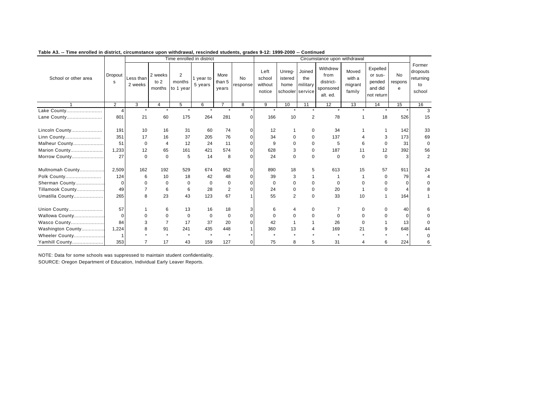|                      |                |                      |                             |                                       | Time enrolled in district |                         |                |                                     |                                               |                           | Circumstance upon withdrawal                           |                                      |                                                        |                    |                                                 |
|----------------------|----------------|----------------------|-----------------------------|---------------------------------------|---------------------------|-------------------------|----------------|-------------------------------------|-----------------------------------------------|---------------------------|--------------------------------------------------------|--------------------------------------|--------------------------------------------------------|--------------------|-------------------------------------------------|
| School or other area | Dropout<br>s   | Less than<br>2 weeks | 2 weeks<br>to $2$<br>months | $\overline{2}$<br>months<br>to 1 year | 1 year to<br>5 years      | More<br>than 5<br>years | No<br>response | Left<br>school<br>without<br>notice | Unreg-<br>istered<br>home<br>schooler service | Joined<br>the<br>military | Withdrew<br>from<br>district-<br>sponsored<br>alt. ed. | Moved<br>with a<br>migrant<br>family | Expelled<br>or sus-<br>pended<br>and did<br>not return | No<br>respons<br>e | Former<br>dropouts<br>returning<br>to<br>school |
|                      | $\overline{2}$ | 3                    | $\overline{4}$              | 5                                     | 6                         | $\overline{7}$          | 8              | 9                                   | 10                                            | 11                        | 12                                                     | 13                                   | 14                                                     | 15                 | 16                                              |
| Lake County          | $\Delta$       |                      | $\ddot{\phantom{a}}$        | ٠                                     |                           | $\ddot{\phantom{1}}$    |                |                                     | $\ddot{\phantom{a}}$                          | $\ddot{\phantom{a}}$      | $\ddot{\phantom{1}}$                                   |                                      |                                                        |                    | 3                                               |
| Lane County          | 801            | 21                   | 60                          | 175                                   | 264                       | 281                     | $\Omega$       | 166                                 | 10                                            | 2                         | 78                                                     |                                      | 18                                                     | 526                | 15                                              |
| Lincoln County       | 191            | 10                   | 16                          | 31                                    | 60                        | 74                      | $\Omega$       | 12                                  |                                               | $\mathbf 0$               | 34                                                     |                                      |                                                        | 142                | 33                                              |
| Linn County          | 351            | 17                   | 16                          | 37                                    | 205                       | 76                      | $\Omega$       | 34                                  | $\Omega$                                      | $\Omega$                  | 137                                                    |                                      | 3                                                      | 173                | 69                                              |
| Malheur County       | 51             | $\Omega$             | $\overline{4}$              | 12                                    | 24                        | 11                      | $\Omega$       | 9                                   | $\Omega$                                      | $\Omega$                  | 5                                                      | 6                                    | $\Omega$                                               | 31                 | $\Omega$                                        |
| Marion County        | 1,233          | 12                   | 65                          | 161                                   | 421                       | 574                     | $\mathbf 0$    | 628                                 | 3                                             | $\mathbf 0$               | 187                                                    | 11                                   | 12                                                     | 392                | 56                                              |
| Morrow County        | 27             | $\Omega$             | $\mathbf 0$                 | 5                                     | 14                        | 8                       | $\Omega$       | 24                                  | $\Omega$                                      | $\mathbf 0$               | $\Omega$                                               | $\Omega$                             | $\Omega$                                               | 3                  | $\overline{2}$                                  |
| Multnomah County     | 2,509          | 162                  | 192                         | 529                                   | 674                       | 952                     | $\Omega$       | 890                                 | 18                                            | 5                         | 613                                                    | 15                                   | 57                                                     | 911                | 24                                              |
| Polk County          | 124            | 6                    | 10                          | 18                                    | 42                        | 48                      | $\Omega$       | 39                                  | 3                                             |                           |                                                        |                                      | $\Omega$                                               | 79                 |                                                 |
| Sherman County       | $\mathbf 0$    | $\Omega$             | $\mathbf 0$                 | $\mathbf 0$                           | $\Omega$                  | 0                       | $\Omega$       | $\Omega$                            | $\Omega$                                      | $\Omega$                  | $\Omega$                                               |                                      | $\Omega$                                               | $\Omega$           |                                                 |
| Tillamook County     | 49             | $\overline{7}$       | 6                           | 6                                     | 28                        | $\overline{2}$          | ŋ              | 24                                  | $\Omega$                                      | $\Omega$                  | 20                                                     |                                      | $\Omega$                                               | Δ                  |                                                 |
| Umatilla County      | 265            | 8                    | 23                          | 43                                    | 123                       | 67                      |                | 55                                  | 2                                             | $\mathbf 0$               | 33                                                     | 10                                   |                                                        | 164                |                                                 |
| Union County         | 57             |                      | 6                           | 13                                    | 16                        | 18                      | 3              | 6                                   | 4                                             | 0                         |                                                        | O                                    | O                                                      | 40                 |                                                 |
| Wallowa County       | $\Omega$       | $\Omega$             | $\Omega$                    | $\Omega$                              | $\Omega$                  | $\mathbf 0$             | 0              | $\Omega$                            | <sup>0</sup>                                  | $\Omega$                  | $\Omega$                                               |                                      | U                                                      | $\Omega$           |                                                 |
| Wasco County         | 84             | 3                    | $\overline{7}$              | 17                                    | 37                        | 20                      | $\Omega$       | 42                                  |                                               |                           | 26                                                     | $\Omega$                             |                                                        | 13                 |                                                 |
| Washington County    | 1,224          |                      | 91                          | 241                                   | 435                       | 448                     |                | 360                                 | 13                                            |                           | 169                                                    | 21                                   | $\mathbf{Q}$                                           | 648                | 44                                              |
| Wheeler County       |                |                      |                             |                                       |                           | $\star$                 |                |                                     |                                               |                           |                                                        |                                      |                                                        |                    |                                                 |
| Yamhill County       | 353            | 7                    | 17                          | 43                                    | 159                       | 127                     | $\Omega$       | 75                                  | 8                                             | 5                         | 31                                                     | 4                                    | 6                                                      | 224                |                                                 |

NOTE: Data for some schools was suppressed to maintain student confidentiality. SOURCE: Oregon Department of Education, Individual Early Leaver Reports.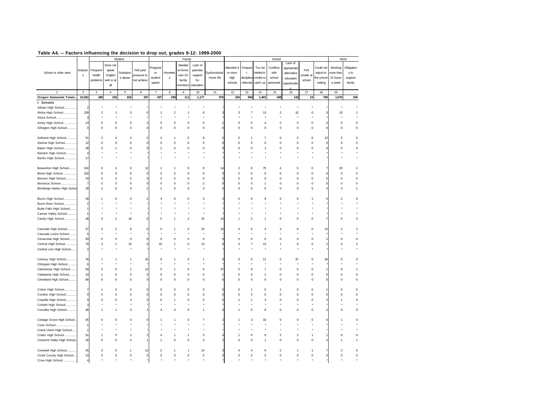|                              |                |                |                         |                |             | p              |                |                |                |                      |                |                |             |                         |                         |             |            |           |                         |
|------------------------------|----------------|----------------|-------------------------|----------------|-------------|----------------|----------------|----------------|----------------|----------------------|----------------|----------------|-------------|-------------------------|-------------------------|-------------|------------|-----------|-------------------------|
|                              |                |                |                         | Student        |             |                |                | Family         |                |                      |                |                |             | School                  |                         |             |            | Work      |                         |
|                              |                |                | Does no                 |                |             |                |                | Needed         | Lack of        |                      |                |                |             |                         | Lack of                 |             |            |           |                         |
|                              |                |                |                         |                |             | 'regnan        |                |                |                |                      | Attended 3     | Frequer        | Too far     | Conflicts               | appropriate             |             | Could not  | Working   | Obligation              |
| School or other area         | Dropout        | Frequent       | speak                   | Substand       | Felt peer   | or             | Homeles        | at Home        | parental       | <b>Oysfunctional</b> | or more        | t              | behind in   | with                    | alternative             | Felt        | adjust to  | more thar | s to                    |
|                              | s              | health         | English                 | e abuse        | pressure to | student        | $\mathsf{s}$   | care for       | support        | home life            | high           | discipline     | credits to  | school                  | education               | unsafe a    | the school | 15 hours  | support                 |
|                              |                | problems       | well or at              |                | not achieve |                |                | family         | for            |                      |                |                |             |                         |                         | school      |            |           |                         |
|                              |                |                | all                     |                |             | parent         |                | member:        | education      |                      | schools        | referrals      | catch up    | personnel               | opportunitie            |             | setting    | a week    | family                  |
|                              |                |                |                         |                |             |                |                |                |                |                      |                |                |             |                         |                         |             |            |           |                         |
|                              | $\overline{2}$ | 3              | 4                       | 5              | 6           | $\overline{7}$ | 8              | 9              | 10             | 11                   | 12             | 13             | 14          | 15                      | 16                      | 17          | 18         | 19        |                         |
| Oregon Statewide Totals.     | 10,363         | 189            | 218                     | 632            | 337         | 637            | 239            | 111            | 1,177          | 970                  | 224            | 594            | 1,463       | 168                     | 142                     | 24          | 758        | 1,070     | 236                     |
| I. Schools                   |                |                |                         |                |             |                |                |                |                |                      |                |                |             |                         |                         |             |            |           |                         |
| Adrian High School           | $\overline{2}$ |                |                         |                |             |                |                |                |                |                      |                |                |             |                         |                         |             |            |           |                         |
|                              |                |                |                         |                |             |                |                |                |                |                      |                |                |             |                         |                         |             |            |           |                         |
| Aloha High School            | 139            | 2              |                         | 5              |             |                | $\overline{2}$ |                | 6              |                      | 3              |                | 13          | $\overline{2}$          | 10                      | $\mathbf 0$ |            | 10        | 1                       |
| Alsea School                 | э              |                |                         |                |             |                |                |                |                |                      |                |                |             |                         |                         |             |            |           |                         |
| Amity High School            | 13             | $\Omega$       | 0                       | $\mathbf 0$    |             | $\Omega$       | $^{\circ}$     | 0              | 9              |                      | 0              | $\circ$        | 4           | $\boldsymbol{2}$        | 0                       | $\mathbf 0$ |            | $\Omega$  | $\theta$                |
| Arlington High School        | $^{\circ}$     | $\Omega$       | 0                       | 0              |             | $\mathbf 0$    | $\mathbf 0$    | 0              | 0              |                      | 0              | $\mathbf 0$    | $\mathbf 0$ | $\mathsf 0$             | 0                       | 0           |            | $\Omega$  | $\mathbf 0$             |
|                              |                |                |                         |                |             |                |                |                |                |                      |                |                |             |                         |                         |             |            |           |                         |
|                              |                |                |                         |                |             |                |                |                |                |                      |                |                |             |                         |                         |             |            |           |                         |
| Ashland High School          | 51             | $\overline{2}$ |                         |                |             | $\overline{2}$ |                | C              | 8              |                      | $\mathbf 0$    |                | 7           | $\mathbf 0$             | $\mathbf 0$             | $\mathbf 0$ | 12         | 5         | $\circ$                 |
| Astoria High School          | 12             | $\Omega$       | 0                       | $\mathbf 0$    |             | $\mathbf 0$    | $\mathbf 0$    | $\mathbf 0$    | $\mathbf 0$    |                      | $\mathbf 0$    | $\mathbf 0$    | $\mathsf 0$ | $\mathsf 0$             | 0                       | $\mathbf 0$ |            | 6         | $\theta$                |
| Baker High School            | 28             | $\Omega$       |                         | $\mathbf 0$    |             | $\mathfrak{p}$ | $\Omega$       | $\Omega$       | $\Omega$       |                      | $\Omega$       | $\Omega$       |             | $\Omega$                | $\Omega$                | $\mathbf 0$ |            |           | $\circ$                 |
| Bandon High School           |                |                |                         |                |             |                |                |                |                |                      |                |                |             |                         |                         |             |            |           |                         |
| Banks High School            | 17             |                |                         |                |             |                |                |                |                |                      |                |                |             |                         |                         |             |            |           |                         |
|                              |                |                |                         |                |             |                |                |                |                |                      |                |                |             |                         |                         |             |            |           |                         |
|                              |                |                |                         |                |             |                |                |                |                |                      |                |                |             |                         |                         |             |            |           |                         |
| Beaverton High School        | 134            | $\Omega$       | Δ                       | 6              | 12          |                |                | $\Omega$       | 9              |                      | $\overline{2}$ | 6              | 75          | Δ                       | 5                       | $\mathbf 0$ |            | 20        | 1                       |
| Bend High School.<br>.       | 152            | $\Omega$       | $\mathbf 0$             | $\pmb{0}$      |             | $\mathbf 0$    | $\mathbf 0$    | $\Omega$       | $\mathbf 0$    |                      | $\mathbf 0$    | $\mathbf 0$    | 0           | $\Omega$                | 0                       | $\mathbf 0$ |            | $\circ$   | $\circ$                 |
| Benson High School           | 33             | $\Omega$       | $\Omega$                | $\Omega$       |             | $\Omega$       | $\Omega$       | $\Omega$       | $\Omega$       |                      | $\Omega$       | $\Omega$       | $\Omega$    | $\Omega$                | $\Omega$                | $\mathbf 0$ |            | $\Omega$  | $\Omega$                |
| Bonanza School<br>.          | 7              | $\Omega$       | $\Omega$                | $\Omega$       |             | $\Omega$       | $\Omega$       | $\Omega$       | $\mathfrak{p}$ |                      | $\Omega$       | $\Omega$       | 1           | $\Omega$                | $\Omega$                | $\Omega$    |            | $\Omega$  | $\circ$                 |
| Brookings Harbor High Schoo  | 28             | $\overline{2}$ | 0                       | 3              |             | $\overline{2}$ | $\mathsf 0$    | 0              | 3              |                      | $\mathbf 0$    | $\mathsf 0$    | 5           | $\mathsf 0$             | 0                       | 5           |            | 3         | $\mathbf{1}$            |
|                              |                |                |                         |                |             |                |                |                |                |                      |                |                |             |                         |                         |             |            |           |                         |
|                              |                |                |                         |                |             |                |                |                |                |                      |                |                |             |                         |                         |             |            |           |                         |
| Burns High School            | 28             |                | 0                       | 0              |             |                |                |                | 3              |                      |                |                | 8           | 0                       | 0                       |             |            |           | $\circ$                 |
| Burnt River School           | 2              |                |                         |                |             |                |                |                |                |                      |                |                |             |                         |                         |             |            |           |                         |
| Butte Falls High School      |                |                |                         |                |             |                |                |                |                |                      |                |                |             |                         |                         |             |            |           |                         |
| Camas Valley School          |                |                |                         |                |             |                |                |                |                |                      |                |                |             |                         |                         |             |            |           |                         |
| Canby High School            | 48             | $\Omega$       | $\overline{\mathbf{c}}$ |                |             | 5              |                | $\mathfrak{p}$ | 25             | 16                   |                | $\overline{2}$ |             | $\mathsf 0$             | 0                       | $\mathbf 0$ |            | д         | $\overline{2}$          |
|                              |                |                |                         | 18             |             |                |                |                |                |                      |                |                |             |                         |                         |             |            |           |                         |
|                              |                |                |                         |                |             |                |                |                |                |                      |                |                |             |                         |                         |             |            |           |                         |
| Cascade High School          | 37             | 3              | $\overline{\mathbf{c}}$ | 8              |             | $\Omega$       |                | $\Omega$       | 24             | 18                   | $\Omega$       | 6              |             | 3                       | $\Omega$                | $\mathbf 0$ | 13         | 2         | $\boldsymbol{2}$        |
| Cascade Locks School         | 5              |                |                         |                |             |                |                |                |                |                      |                |                |             |                         |                         |             |            |           |                         |
| Centennial High School       | 90             | $\Omega$       | 0                       | $\mathbf 0$    |             | $\mathbf 0$    | $\mathbf 0$    | 0              | $\mathbf 0$    |                      | $\mathbf 0$    | $\mathsf 0$    | $\mathsf 0$ | $\mathbf 0$             | 0                       | $\mathbf 0$ |            | C         | $\circ$                 |
| Central High School          | 70             | 3              | 1                       | 15             |             | 10             | $\mathbf{1}$   | 0              | 13             |                      | 3              | $\overline{7}$ | 13          | 1                       | 0                       | $\mathbf 0$ |            | 6         | $\overline{\mathbf{c}}$ |
| Central Linn High School     | $\overline{2}$ |                |                         |                |             |                |                |                |                |                      |                |                |             |                         |                         |             |            |           |                         |
|                              |                |                |                         |                |             |                |                |                |                |                      |                |                |             |                         |                         |             |            |           |                         |
|                              |                |                |                         |                |             |                |                |                |                |                      |                |                |             |                         |                         |             |            |           |                         |
| Century High School          | 76             |                |                         |                | 32          | 6              |                | 0              |                |                      | 0              | $\Omega$       | 11          | 0                       | 37                      | 0           | 34         |           | $\circ$                 |
| Chiloquin High School        | 6              |                |                         |                |             |                |                |                |                |                      |                |                |             |                         |                         |             |            |           |                         |
| Clackamas High School        | 60             | 3              | 0                       |                | 12          | 5              | -1             | 0              | 0              | 37                   | $\mathbf 0$    | 9              | 7           | $\mathbf 0$             | 0                       | $\pmb{0}$   |            | ċ         | $\mathbf{1}$            |
| Clatskanie High School       | 10             | 1              | 0                       | $\mathbf 0$    |             | $\mathbf 0$    | $\mathbf 0$    | $\Omega$       | 0              |                      | $\mathbf 0$    | 4              | 1           | $\mathsf 0$             | 0                       | $\mathbf 0$ |            | $\Omega$  | $\circ$                 |
|                              |                |                |                         |                |             | $\mathbf 0$    |                |                |                |                      | $\mathbf 0$    |                |             |                         |                         |             |            | $\Omega$  |                         |
| Cleveland High School        | 68             | 0              | $\mathbf 0$             | $\mathbf 0$    |             |                | $\mathbf 0$    | 0              | $\mathbf 0$    |                      |                | $\mathbf 0$    | $\mathbf 0$ | $\mathsf 0$             | 0                       | $\mathbf 0$ |            |           | $\mathbf 0$             |
|                              |                |                |                         |                |             |                |                |                |                |                      |                |                |             |                         |                         |             |            |           |                         |
| Colton High School           |                |                | 0                       | $\mathbf 0$    |             | $\Omega$       | $\mathbf 0$    | $\Omega$       | $\mathbf{C}$   |                      | $\Omega$       |                | $\mathbf 0$ | 1                       | $\mathbf 0$             | $\mathbf 0$ |            |           | $\circ$                 |
| Condon High School           |                | 0              | 0                       | 0              |             | 0              | $\mathbf 0$    | C              | 0              |                      | ٥              | 0              | 0           | 0                       | 0                       | 0           |            |           | $\theta$                |
| Coquille High School         | 9              | $\Omega$       | 0                       | 3              |             | $\Omega$       |                | 0              | 5              |                      |                |                | 3           | 0                       | 0                       | $\mathsf 0$ |            |           | $\mathbf 0$             |
| Corbett High School          | 3              |                |                         |                |             |                |                |                |                |                      |                |                |             |                         |                         |             |            |           |                         |
|                              |                |                |                         |                |             |                |                |                |                |                      |                |                |             |                         |                         |             |            |           |                         |
| Corvallis High School        | 46             |                | 1                       | 3              |             | Δ              | 0              | $\Omega$       |                |                      |                | 5              | 8           | $\mathbf 0$             | 0                       | 0           |            |           | $\mathbf 0$             |
|                              |                |                |                         |                |             |                |                |                |                |                      |                |                |             |                         |                         |             |            |           |                         |
| Cottage Grove High School    | 45             | $\Omega$       | $\Omega$                | 0              |             |                |                | C              | 7              |                      |                | 3              | 10          | $\Omega$                | $\Omega$                | 0           |            |           | $\mathbf 0$             |
| Cove School                  |                |                |                         |                |             |                |                |                |                |                      |                |                |             |                         |                         |             |            |           |                         |
| Crane Union High School      | 2              |                |                         |                |             |                |                |                |                |                      |                |                |             |                         |                         |             |            |           |                         |
| Crater High School           | 51             | 1              | 0                       | $\overline{2}$ |             |                |                | 1              | 3              |                      |                | 6              | 9           | $\boldsymbol{2}$        | $\overline{\mathbf{c}}$ | 1           |            | 6         | $\theta$                |
|                              |                |                |                         |                |             |                |                |                |                |                      |                |                |             |                         |                         |             |            |           |                         |
| Crescent Valley High School. | 26             |                | 0                       | $\mathbf 0$    |             |                |                |                | 3              |                      |                | $\mathbf 0$    |             | $\mathbf 0$             | 0                       | $\mathbf 0$ |            |           |                         |
|                              |                |                |                         |                |             |                |                |                |                |                      |                |                |             |                         |                         |             |            |           |                         |
| Creswell High School.        | 25             | $\Omega$       | 0                       | 1              | 12          | $\overline{2}$ |                | 1              | 14             |                      |                |                | 6           | $\overline{\mathbf{c}}$ | 1                       | 1           |            |           | $\circ$                 |
| Crook County High School     | 13             | 0              | 0                       | $\mathbf 0$    |             | $\mathbf 0$    | 0              | 0              | 0              |                      | 0              | $\mathbf 0$    | 0           | $\mathsf 0$             | 0                       | $\mathbf 0$ |            | $\Omega$  | $\circ$                 |
| Crow High School             | $\overline{4}$ |                |                         |                |             |                |                |                |                |                      |                |                |             |                         |                         |             |            |           |                         |
|                              |                |                |                         |                |             |                |                |                |                |                      |                |                |             |                         |                         |             |            |           |                         |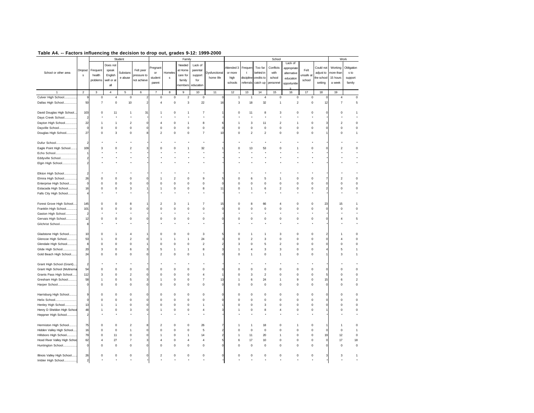|                              |                         |                |                           | Student                 |             |                           |                | Family         |                         |                      |              |                         |                  | School                  |              |             |           |                | Work           |
|------------------------------|-------------------------|----------------|---------------------------|-------------------------|-------------|---------------------------|----------------|----------------|-------------------------|----------------------|--------------|-------------------------|------------------|-------------------------|--------------|-------------|-----------|----------------|----------------|
|                              |                         |                | Does not                  |                         |             |                           |                | Needed         | Lack of                 |                      |              |                         |                  |                         | Lack of      |             |           |                |                |
|                              | Dropout                 | Frequent       | speak                     |                         | Felt peer   | Pregnan                   |                | at Home        | parental                |                      | Attended:    | Frequer                 | Too far          | Conflicts               | appropriate  | Felt        | Could not | Working        | Obligation     |
| School or other area         | s                       | health         | English                   | Substand                | pressure to | or                        | Homeles        | care for       | support                 | <b>Dysfunctional</b> | or more      | t                       | behind in        | with                    | alternative  | ınsafe al   | adjust to | nore thar      | s to           |
|                              |                         | problems       | well or at                | e abuse                 | not achieve | student                   | s              | family         | for                     | home life            | high         | discipline              | credits to       | school                  | education    | school      | he school | 15 hours       | support        |
|                              |                         |                |                           |                         |             | parent                    |                |                |                         |                      | schools      | referrals               | catch up         | personnel               | opportunitie |             | setting   | a week         | family         |
|                              |                         |                | all                       |                         |             |                           |                | member:        | education               |                      |              |                         |                  |                         |              |             |           |                |                |
|                              | $\overline{\mathbf{c}}$ | 3              | $\bf{4}$                  | 5                       | 6           | $\overline{\mathfrak{c}}$ | 8              | $\mathsf g$    | 10                      | 11                   | 12           | 13                      | 14               | 15                      | 16           | $17\,$      | 18        | 19             |                |
| Culver High School.          | g                       | 0              | 4                         | 0                       |             | 0                         | 0              | $\overline{2}$ | 0                       | $\mathbf{C}$         | 1            | 1                       | 4                | 0                       | 0            | 0           |           | 4              | 0              |
| Dallas High School.          | 50                      | $\overline{7}$ | $\mathbf 0$               | 10                      |             | $\overline{4}$            | $\mathbf 0$    | 3              | $22\,$                  | 16                   | 3            | 18                      | 32               | $\overline{1}$          | $\sqrt{2}$   | $\mathsf 0$ |           | $\overline{7}$ | 5              |
|                              |                         |                |                           |                         |             |                           |                |                |                         |                      |              |                         |                  |                         |              |             | 12        |                |                |
|                              |                         |                |                           |                         |             |                           |                |                |                         |                      |              |                         |                  |                         |              |             |           |                |                |
| David Douglas High School    | 103                     | $\Omega$       | 11                        | 1                       | 31          | 1                         | $\Omega$       |                |                         |                      | $\Omega$     | 11                      | 8                | 3                       | $\Omega$     | $\Omega$    |           |                | 1              |
| Days Creek School            | 2                       |                |                           |                         |             |                           |                |                |                         |                      |              |                         |                  |                         |              |             |           |                |                |
| Dayton High School           | 22                      | -1             | $\mathbf{1}$              | $\overline{\mathbf{c}}$ |             | 4                         | $\mathbf 0$    | -1             | 8                       |                      | 1            | 3                       | 11               | $\overline{2}$          | -1           | $\mathsf 0$ |           | 2              | $\bf 0$        |
| Dayville School              | $\Omega$                | $\Omega$       | $\mathsf 0$               | 0                       |             | $\mathbf 0$               | $\mathbf 0$    | $\Omega$       | $\mathsf 0$             |                      | $\mathsf 0$  | $\mathbf 0$             | $\bf 0$          | $\mathbf 0$             | $\mathsf 0$  | $\mathsf 0$ |           | $\Omega$       | $\mathbf 0$    |
| Douglas High School          | 27                      | $\mathbf 0$    | $\ensuremath{\mathsf{3}}$ | 0                       |             | $\overline{\mathbf{c}}$   | $\mathbf 0$    | $\mathbf 0$    | $\overline{7}$          | 10                   | $\mathsf 0$  | $\overline{\mathbf{c}}$ | $\boldsymbol{2}$ | $\pmb{0}$               | $\mathsf 0$  | $\mathsf 0$ |           | $\mathbf 0$    | 1              |
|                              |                         |                |                           |                         |             |                           |                |                |                         |                      |              |                         |                  |                         |              |             |           |                |                |
| Dufur School                 | $\overline{c}$          |                |                           |                         |             |                           |                |                |                         |                      |              |                         |                  |                         |              |             |           |                |                |
| Eagle Point High School      | 109                     | з              | $\Omega$                  | 2                       |             | $\Omega$                  | $\Omega$       |                | 32                      |                      | $\mathbf 0$  | 13                      | 53               | $\Omega$                |              | $\mathbf 0$ |           |                | 0              |
| Echo School                  |                         |                |                           |                         |             |                           |                |                |                         |                      |              |                         |                  |                         |              |             |           |                |                |
| Eddyville School             | $\overline{\mathbf{c}}$ |                |                           |                         |             |                           |                |                |                         |                      |              |                         |                  |                         |              |             |           |                |                |
|                              |                         |                |                           |                         |             |                           |                |                |                         |                      |              |                         |                  |                         |              |             |           |                |                |
| Elgin High School            | $\boldsymbol{2}$        |                |                           |                         |             |                           |                |                |                         |                      |              |                         |                  |                         |              |             |           |                |                |
|                              |                         |                |                           |                         |             |                           |                |                |                         |                      |              |                         |                  |                         |              |             |           |                |                |
| Elkton High School<br>.      | 2                       |                |                           |                         |             |                           |                |                |                         |                      |              |                         |                  |                         |              |             |           |                |                |
| Elmira High School           | 26                      | C              | $\mathbf 0$               | $\mathbf 0$             |             |                           | $\overline{2}$ | $\Omega$       | 9                       |                      | $\Omega$     | 6                       | 5                |                         | $\Omega$     | $\mathsf 0$ |           |                | $\mathbf 0$    |
| Enterprise High School       | C                       | C              | $\mathbf 0$               | 0                       |             | $\mathbf 0$               | $\mathbf 0$    | 0              | $\mathbf 0$             |                      | $\mathbf 0$  | $\mathbf 0$             | $\circ$          | $\circ$                 | $\circ$      | 0           |           |                | $\mathbf{0}$   |
| Estacada High School         | 16                      | 0              | 0                         | 3                       |             | 1                         | $\pmb{0}$      | 0              | 8                       | 11                   | $\mathbf 0$  | 1                       | 6                | $\overline{\mathbf{c}}$ | 0            | 0           |           | 0              | $\mathbf 0$    |
| Falls City High School       | 4                       |                |                           |                         |             |                           |                |                |                         |                      |              |                         |                  |                         |              |             |           |                |                |
|                              |                         |                |                           |                         |             |                           |                |                |                         |                      |              |                         |                  |                         |              |             |           |                |                |
| Forest Grove High School     | 145                     | $\Omega$       | $\mathbf 0$               | 8                       |             | $\overline{2}$            | 3              |                | 7                       | 15                   | $\mathbf 0$  | 8                       | 66               |                         | $\mathbf 0$  | 0           | 23        | 15             | 1              |
| Franklin High School         | 101                     | $\Omega$       | $\mathbf 0$               | 0                       |             | 0                         | $\mathbf 0$    | $\Omega$       | $\mathbf 0$             | $\mathbf{C}$         | $\mathbf 0$  | $\mathbf 0$             | $\pmb{0}$        | $\theta$                | $\mathsf 0$  | 0           |           | $\Omega$       | $\mathbf 0$    |
| Gaston High School           | $\overline{2}$          |                |                           |                         |             |                           |                |                |                         |                      |              |                         |                  |                         |              |             |           |                |                |
| Gervais High School          | 12                      | $\Omega$       | $\mathsf 0$               | 0                       |             | $\Omega$                  | $\mathbf 0$    | $\Omega$       | $\Omega$                |                      | $\Omega$     | 0                       | $\bf 0$          | $\pmb{0}$               | $\mathsf 0$  | $\mathsf 0$ |           |                | 5              |
| Gilchrist School             | 8                       |                |                           |                         |             |                           |                |                |                         |                      |              |                         |                  |                         |              |             |           |                |                |
|                              |                         |                |                           |                         |             |                           |                |                |                         |                      |              |                         |                  |                         |              |             |           |                |                |
| Gladstone High School        | 10                      | 0              |                           | $\overline{4}$          |             | 0                         | $\mathbf 0$    | 0              | 3                       |                      | 0            | 1                       |                  | 3                       | $\circ$      | 0           |           |                | $\mathbf 0$    |
|                              |                         |                | $\mathbf 0$               | $\overline{2}$          |             |                           |                |                |                         |                      | $\mathbf 0$  | $\overline{2}$          | 3                |                         | $\circ$      |             |           |                | $\mathbf 0$    |
| Glencoe High School          | 53                      |                |                           |                         |             |                           |                |                | 24                      |                      |              |                         |                  | $\mathbf 0$             |              | 0           |           |                |                |
| Glendale High School         | 8                       | $\Omega$       | $\mathbf 0$               | 0                       |             | $\mathbf 0$               | $\mathbf 0$    | 0              | $\overline{\mathbf{c}}$ |                      | 3            | $\mathbf 0$             | 5                | $\overline{2}$          | $\circ$      | $\mathsf 0$ |           | $\Omega$       | $\mathbf 0$    |
| Glide High School            | 20                      | 3              | 0                         | 6                       |             | 5                         | 1              |                | 8                       |                      | 1            | 4                       | 3                | 3                       | 0            | 0           |           |                | 1              |
| Gold Beach High School       | 24                      | $\Omega$       | $\mathbf 0$               | 0                       |             | $\overline{\mathbf{c}}$   | $\pmb{0}$      | $\Omega$       |                         |                      | $\mathsf 0$  | 1                       | $\mathbf 0$      | $\overline{1}$          | 0            | 0           |           |                |                |
|                              |                         |                |                           |                         |             |                           |                |                |                         |                      |              |                         |                  |                         |              |             |           |                |                |
| Grant High School (Grant).   |                         |                |                           |                         |             |                           |                |                |                         |                      |              |                         |                  |                         |              |             |           |                |                |
| Grant High School (Multnoma  | 54                      | $\Omega$       | $\Omega$                  | $\Omega$                |             | $\Omega$                  | $\Omega$       | n              | $\Omega$                |                      | $\Omega$     | $\Omega$                | $\Omega$         | $\Omega$                | $\Omega$     | $\Omega$    |           |                | $\mathbf 0$    |
| Grants Pass High School      | 112                     | 3              | $\mathbf 0$               | $\overline{\mathbf{c}}$ |             | 0                         | $\mathbf 0$    | 0              | $\overline{4}$          |                      | $\mathsf 0$  | 3                       | $\overline{c}$   | $\mathbf 0$             | $\mathsf 0$  | $\mathsf 0$ |           | $\Omega$       | $\mathbf 0$    |
| Gresham High School          | 58                      |                | $\mathsf 0$               | 5                       |             | 1                         | $\mathbf 0$    | 0              | $\overline{7}$          | 13                   | 1            | 6                       | 24               | $\overline{1}$          | 9            | $\mathsf 0$ | 15        | 6              | $\overline{2}$ |
| Harper School                | $\mathbf 0$             | $\Omega$       | $\mathbf 0$               | 0                       |             | $\mathbf 0$               | $\mathbf 0$    | $\Omega$       | $\Omega$                |                      | $\mathbf 0$  | $\mathbf 0$             | $\circ$          | $\theta$                | $\circ$      | $\mathsf 0$ |           | $\mathbf{C}$   | $\mathbf 0$    |
|                              |                         |                |                           |                         |             |                           |                |                |                         |                      |              |                         |                  |                         |              |             |           |                |                |
| Harrisburg High School       | 9                       | $\Omega$       | $\mathbf 0$               | 0                       |             | 0                         | $\mathbf 0$    | $\Omega$       | $\mathbf 0$             |                      | $\mathbf 0$  | $\mathbf 0$             | $\Omega$         | $^{\circ}$              | $\circ$      | $\mathsf 0$ |           | $\mathbf{C}$   | $\mathbf 0$    |
| Helix School<br>.            | $\mathsf{C}$            | $\mathbf 0$    | $\mathbf 0$               | 0                       |             | 0                         | $\pmb{0}$      | $\mathbf 0$    | 0                       |                      | 0            | 0                       | $\pmb{0}$        | $\pmb{0}$               | 0            | 0           |           | $\Omega$       | $\mathbf 0$    |
| Henley High School           | 13                      |                | $\mathbf{1}$              | 0                       |             | 0                         | $\mathbf 0$    | 0              |                         |                      | $\circ$      | 0                       | 3                | $\circ$                 | $\mathbf 0$  | 0           |           | $\Omega$       | $\pmb{0}$      |
| Henry D Sheldon High School  | 48                      |                | $\mathbf 0$               | 3                       |             | 1                         | $\pmb{0}$      | 0              | $\overline{4}$          |                      | 1            | 0                       | 8                | 4                       | 0            | 0           |           | $\Omega$       | 0              |
|                              |                         |                |                           |                         |             |                           |                |                |                         |                      |              |                         |                  |                         |              |             |           |                |                |
| Heppner High School          | $\overline{\mathbf{c}}$ |                |                           |                         |             |                           |                |                |                         |                      |              |                         |                  |                         |              |             |           |                |                |
|                              |                         |                |                           |                         |             |                           |                |                |                         |                      |              |                         |                  |                         |              |             |           |                |                |
| Hermiston High School        | 75                      | 0              | $\mathbf 0$               | $\overline{2}$          |             | $\overline{2}$            | $\mathbf 0$    | 0              | 26                      |                      |              | 1                       | 18               | $\mathbf 0$             |              | $\mathsf 0$ |           |                | $\mathbf{0}$   |
| Hidden Valley High School    | 16                      | $\Omega$       | $\mathsf 0$               | $\mathbf{1}$            |             | $\mathbf 0$               | $\mathbf 0$    | $\Omega$       | 5                       |                      | $\mathbf 0$  | $\mathsf 0$             | $\bf 0$          | $\mathbf 0$             | $\circ$      | $\mathsf 0$ |           | $\Omega$       | 1              |
| Hillsboro High School.       | 79                      | $\Omega$       | 11                        | 0                       |             | 1                         | $\mathbf 0$    |                | 14                      |                      | $\mathbf{1}$ | 11                      | 20               | 1                       | $\Omega$     | $\mathsf 0$ | 19        | 12             | $\mathbf 0$    |
| Hood River Valley High Schoo | 62                      |                | 27                        | $\overline{7}$          |             | 4                         | $\mathbf 0$    |                | $\overline{4}$          |                      | 6            | 17                      | 10               | $^{\circ}$              | $\mathbf 0$  | 0           |           | 17             | 18             |
| Huntington School            | 0                       | $\mathbf{C}$   | $\mathbf 0$               | 0                       |             | $\overline{0}$            | $\mathbf 0$    | $\Omega$       | $\mathbf 0$             |                      | $\mathbf 0$  | 0                       | $\circ$          | $\theta$                | $\circ$      | 0           |           | $\Omega$       | $\mathbf 0$    |
|                              |                         |                |                           |                         |             |                           |                |                |                         |                      |              |                         |                  |                         |              |             |           |                |                |
| Illinois Valley High School  | 26                      | 0              | 0                         | 0                       |             | 2                         | 0              | 0              | $\mathbf 0$             | $\mathbf{C}$         | 0            | 0                       | $\mathbf 0$      | 0                       | $\mathbf 0$  | 0           |           |                | 1              |
| Imbler High School           | $\overline{a}$          |                |                           |                         |             |                           |                |                |                         |                      |              |                         |                  |                         |              |             |           |                |                |
|                              |                         |                |                           |                         |             |                           |                |                |                         |                      |              |                         |                  |                         |              |             |           |                |                |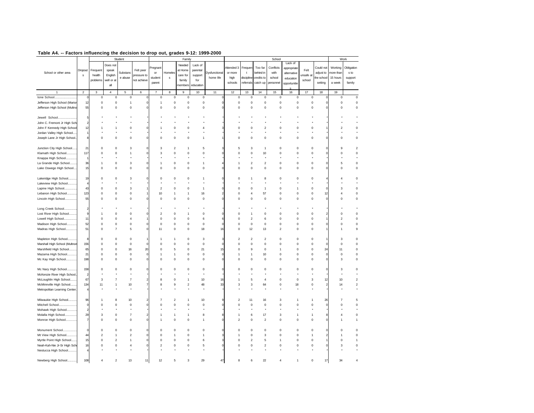| $14010$ $17.$                 |                |                |                           |                  | rectors importantly the accision to arcp out, grades 3-12. 1999-2000 |                         |                         |                         |             |                      |                         |                  |                         |                         |              |             |           |                |                              |
|-------------------------------|----------------|----------------|---------------------------|------------------|----------------------------------------------------------------------|-------------------------|-------------------------|-------------------------|-------------|----------------------|-------------------------|------------------|-------------------------|-------------------------|--------------|-------------|-----------|----------------|------------------------------|
|                               |                |                |                           | Student          |                                                                      |                         |                         | Family                  |             |                      |                         |                  |                         | School                  |              |             |           | Work           |                              |
|                               |                |                | Does not                  |                  |                                                                      |                         |                         | Needed                  | Lack of     |                      |                         |                  |                         |                         | Lack of      |             |           |                |                              |
|                               | Dropout        | Frequent       | speak                     |                  | Felt peer                                                            | regnan                  |                         | at Home                 | parental    |                      | Attended 3              | Frequer          | Too far                 | Conflicts               | appropriate  | Felt        | Could not | Working        | Obligation                   |
| School or other area          |                |                |                           | Substand         |                                                                      | or                      | Homeles                 |                         |             | <b>Dysfunctional</b> | or more                 | $\mathbf{t}$     | behind in               | with                    | alternative  |             | adjust to | more than      | $\boldsymbol{\mathsf{s}}$ to |
|                               | Ś              | health         | English                   | e abuse          | pressure to                                                          | student                 | $\mathbf s$             | care for                | support     | home life            | high                    | discipline       | credits to              | school                  | education    | unsafe at   | he school | 15 hours       | support                      |
|                               |                | problems       | well or at                |                  | not achieve                                                          | parent                  |                         | family                  | for         |                      | schools                 | referrals        | catch up                | personnel               | opportunitie | school      | setting   | a week         | family                       |
|                               |                |                | all                       |                  |                                                                      |                         |                         | nembers                 | education   |                      |                         |                  |                         |                         |              |             |           |                |                              |
|                               | $\sqrt{2}$     | 3              | $\overline{4}$            | 5                | 6                                                                    | $\overline{7}$          | $\bf8$                  | $\mathsf g$             | 10          | $11\,$               | 12                      | 13               | $14\,$                  | 15                      | 16           | 17          | 18        | 19             |                              |
| Ione School                   | $\Omega$       | $\mathsf 0$    | $\mathbf 0$               | $\mathbf 0$      | Ċ                                                                    | $\mathbf 0$             | $\mathsf 0$             | $\mathsf 0$             | $\mathsf 0$ |                      | $\mathbf 0$             | $\mathsf 0$      | $\mathbf 0$             | $\mathsf 0$             | $\mathbf 0$  | $\mathsf 0$ |           | $\mathsf 0$    | $\mathbf 0$                  |
| Jefferson High School (Marior | 12             | $\mathbf 0$    | $\mathsf 0$               | $\mathbf{1}$     |                                                                      | 1                       | $\mathbf 0$             | $\mathbf 0$             | $\mathbf 0$ |                      | $\mathbf 0$             | $\mathbf 0$      | $\mathbf 0$             | $\mathbf 0$             | $\mathsf 0$  | $\mathbf 0$ |           | $\mathsf 0$    | $\mathbf 0$                  |
| Jefferson High School (Multno | 55             | 0              | $\mathsf 0$               | $\mathbf 0$      |                                                                      | $\mathbf 0$             | $\bf 0$                 | $\mathbf 0$             | $\mathbf 0$ |                      | $\mathbf 0$             | $\mathbf 0$      | $\mathbf 0$             | $\mathbf 0$             | $\mathsf 0$  | $\bf 0$     |           | $\mathbf 0$    | $\mathbf 0$                  |
|                               |                |                |                           |                  |                                                                      |                         |                         |                         |             |                      |                         |                  |                         |                         |              |             |           |                |                              |
|                               |                |                |                           |                  |                                                                      |                         |                         |                         |             |                      |                         |                  |                         |                         |              |             |           |                |                              |
| Jewell School                 |                |                |                           |                  |                                                                      |                         |                         |                         |             |                      |                         |                  |                         |                         |              |             |           |                |                              |
| John C. Fremont Jr High Sch   |                |                |                           |                  |                                                                      |                         |                         |                         |             |                      |                         |                  |                         |                         |              |             |           |                |                              |
| John F Kennedy High Schoo     | 12             |                |                           | $\mathbf 0$      |                                                                      |                         | 0                       | 0                       | 4           |                      | $\mathbf 0$             | $\Omega$         | $\overline{2}$          | 0                       | 0            | 0           |           | 2              | $\mathbf 0$                  |
| Jordan Valley High School.    |                |                |                           |                  |                                                                      |                         |                         |                         |             |                      |                         |                  |                         |                         |              |             |           |                |                              |
| Joseph Lane Jr High School    | 8              | $\Omega$       | $\mathsf 0$               | $\mathbf 0$      |                                                                      | $\Omega$                | $\bf 0$                 | $\Omega$                | 1           |                      | $\Omega$                | 0                | $\Omega$                | $\Omega$                | $\mathsf 0$  | $\Omega$    |           | $\Omega$       | $\mathbf 0$                  |
|                               |                |                |                           |                  |                                                                      |                         |                         |                         |             |                      |                         |                  |                         |                         |              |             |           |                |                              |
| Junction City High School     | 21             | $\Omega$       | $\mathsf 0$               | 3                |                                                                      | 3                       | $\overline{\mathbf{c}}$ | 1                       | 5           |                      | 5                       | 3                | 1                       | $\mathbf 0$             | $\circ$      | $\bf 0$     |           |                | $\boldsymbol{2}$             |
| Klamath High School           | 117            | 0              | 0                         | 1                |                                                                      | 3                       | 0                       | 0                       | 0           |                      | $\mathbf 0$             | 0                | 10                      | 0                       | 0            | 0           |           |                | $\mathbf 0$                  |
| Knappa High School            |                |                |                           |                  |                                                                      |                         |                         |                         |             |                      |                         |                  |                         |                         |              |             |           |                |                              |
| La Grande High School         | 36             | 1              | 0                         | 3                |                                                                      |                         | 0                       | 0                       | 1           |                      |                         | $\overline{2}$   | $\overline{2}$          | 0                       | 0            | 0           |           | 5              | 0                            |
| Lake Oswego High School       | 15             | $\Omega$       | $\mathsf 0$               | $\mathbf 0$      |                                                                      | $\Omega$                | 0                       | 0                       | $\circ$     |                      | $\mathbf 0$             | 0                | $\mathbf 0$             | $\mathbf 0$             | $\mathsf 0$  | $\mathbf 0$ |           | $\Omega$       | $\mathsf 0$                  |
|                               |                |                |                           |                  |                                                                      |                         |                         |                         |             |                      |                         |                  |                         |                         |              |             |           |                |                              |
| Lakeridge High School         | 19             | $\Omega$       | $\Omega$                  | 3                |                                                                      | $\Omega$                | $\Omega$                | $\Omega$                | 1           |                      | n                       |                  | 8                       | $\Omega$                | $\Omega$     | $\Omega$    |           |                | $\mathbf 0$                  |
| Lakeview High School          | Ź              |                |                           |                  |                                                                      |                         |                         |                         |             |                      |                         |                  |                         |                         |              |             |           |                |                              |
|                               |                |                |                           |                  |                                                                      |                         |                         |                         |             |                      |                         |                  |                         |                         |              |             |           |                |                              |
| Lapine High School            | 43             | $\Omega$       | 0                         | 3                |                                                                      | $\overline{\mathbf{c}}$ | $\pmb{0}$               | 0                       | 1           |                      | $\mathbf 0$             | 0                | $\mathbf{1}$            | 0                       | 1            | $\pmb{0}$   |           | 3              | $\mathbf 0$                  |
| Lebanon High School           | 123            | 0              | 0                         | $\mathbf 0$      |                                                                      | 10                      | 1                       | 1                       | 16          |                      | $\mathbf 0$             |                  | 57                      | $\mathbf 0$             | $\mathbf 0$  | $\mathbf 0$ | 12        | $\overline{4}$ | $\mathbf 0$                  |
| Lincoln High School           | 55             | 0              | 0                         | 0                |                                                                      | $\pmb{0}$               | $\pmb{0}$               | $\mathbf 0$             | $\mathbf 0$ |                      | $\mathbf 0$             | 0                | 0                       | 0                       | 0            | 0           |           | $\mathbf 0$    | $\mathbf 0$                  |
|                               |                |                |                           |                  |                                                                      |                         |                         |                         |             |                      |                         |                  |                         |                         |              |             |           |                |                              |
| Long Creek School             | $\overline{2}$ |                |                           |                  |                                                                      |                         |                         |                         |             |                      |                         |                  |                         |                         |              |             |           |                |                              |
| Lost River High School        | 9              | 1              | $\Omega$                  | $\mathbf 0$      |                                                                      | $\mathcal{P}$           | $\mathsf 0$             | 1                       | $\Omega$    |                      | $\Omega$                | -1               | $\Omega$                | $\Omega$                | $\Omega$     | $\Omega$    |           | $\Omega$       | $\mathbf 0$                  |
| Lowell High School.<br>       | 11             | 0              | $\mathsf 0$               | 4                |                                                                      | $\mathbf 0$             | $\mathbf 0$             | $\circ$                 | 6           |                      | $\mathbf 0$             | $\overline{2}$   | 6                       | $\mathbf 0$             | $\mathbf 0$  | $\mathbf 0$ |           | $\overline{2}$ | $\mathbf 0$                  |
| Madison High School           | 52             | 0              | $\mathsf 0$               | $\mathbf 0$      |                                                                      | $\mathbf 0$             | $\mathsf 0$             | $\mathbf 0$             | $\mathbf 0$ |                      | $\mathbf 0$             | $\mathsf 0$      | $\mathbf 0$             | $\mathbf 0$             | $\circ$      | $\bf 0$     |           | $\mathbf 0$    | $\mathbf 0$                  |
| Madras High School            | 51             | 0              | $\overline{\mathfrak{c}}$ | 5                |                                                                      | 11                      | $\mathbf 0$             | $\mathbf 0$             | 18          | 16                   | $\mathbf 0$             | 12               | 13                      | $\overline{\mathbf{c}}$ | 0            | 0           |           |                | 9                            |
|                               |                |                |                           |                  |                                                                      |                         |                         |                         |             |                      |                         |                  |                         |                         |              |             |           |                |                              |
| Mapleton High School          | 8              | $\mathbf 0$    | 0                         | $\mathbf 0$      |                                                                      |                         | $\mathbf{1}$            | $\mathbf 0$             | 3           |                      | $\overline{\mathbf{c}}$ | $\boldsymbol{2}$ | $\overline{\mathbf{c}}$ | 0                       | 0            | $\pmb{0}$   |           | 3              | $\mathbf 0$                  |
| Marshall High School (Multnor | 156            | $\Omega$       | $\mathsf 0$               | $\mathbf 0$      |                                                                      | $\mathbf 0$             | 0                       | $\mathbf 0$             | $\mathbf 0$ |                      | $\circ$                 | $\mathbf 0$      | 0                       | 0                       | 0            | $\mathbf 0$ |           | $\Omega$       | $\mathbf 0$                  |
| Marshfield High School        | 65             | 0              | 0                         | 16               | 20                                                                   | $\mathbf 0$             | 5                       | 0                       | 21          | 15                   | $^{\circ}$              | 9                | $\mathbf 0$             | 1                       | $\mathbf 0$  | $\mathbf 0$ | 24        | 11             | $\mathbf 0$                  |
| Mazama High School            | 21             | $\Omega$       | $\mathsf 0$               | $\mathbf 0$      |                                                                      |                         | 1                       | $\Omega$                | $\mathbf 0$ |                      |                         | 1                | 10                      | $\mathbf 0$             | $\mathsf 0$  | 0           |           | $\mathbf 0$    | $\mathbf 0$                  |
| Mc Kay High School            | 198            | 0              | $\mathsf 0$               | $\mathbf 0$      |                                                                      | $\mathbf 0$             | $\mathbf 0$             | 0                       | $\circ$     |                      | $^{\circ}$              | 0                | 0                       | $\mathbf 0$             | $\circ$      | $\mathbf 0$ |           | 3              | $\mathbf 0$                  |
|                               |                |                |                           |                  |                                                                      |                         |                         |                         |             |                      |                         |                  |                         |                         |              |             |           |                |                              |
|                               |                | 0              | 0                         | $\mathbf 0$      |                                                                      | 0                       | 0                       | 0                       |             |                      |                         | 0                | 0                       | 0                       | 0            | 0           |           | 3              | $\mathbf 0$                  |
| Mc Nary High School           | 158            |                |                           |                  |                                                                      |                         |                         |                         | 0           |                      |                         |                  |                         |                         |              |             |           |                |                              |
| McKenzie River High School.   |                |                |                           |                  |                                                                      |                         |                         |                         |             |                      |                         |                  |                         |                         |              |             |           |                |                              |
| McLoughlin High School        | 67             | 3              | $\overline{7}$            | 7                |                                                                      | 8                       | 0                       | 1                       | 10          | 16                   |                         | 5                | 4                       | 0                       | 0            | 3           | 12        | 10             | $\boldsymbol{2}$             |
| McMinnville High School       | 134            | 11             | 1                         | 10               |                                                                      | 8                       | 9                       | $\overline{\mathbf{c}}$ | 48          | 33                   | 3                       | 3                | 64                      | 0                       | 18           | $\mathbf 0$ |           | 14             | $\boldsymbol{2}$             |
| Metropolitan Learning Center  | 4              |                |                           |                  |                                                                      |                         |                         |                         |             |                      |                         |                  |                         |                         |              |             |           |                | $\star$                      |
|                               |                |                |                           |                  |                                                                      |                         |                         |                         |             |                      |                         |                  |                         |                         |              |             |           |                |                              |
| Milwaukie High School         | 96             |                | 8                         | 10               |                                                                      |                         | $\overline{2}$          | -1                      | 10          |                      | $\overline{2}$          | 11               | 16                      | 3                       | 1            |             | 26        |                | 5                            |
| Mitchell School               | $\mathbf 0$    | C              | $\mathsf 0$               | $\mathbf 0$      |                                                                      | $\Omega$                | $\bf 0$                 | $\mathbf 0$             | $\mathbf 0$ |                      | $\mathbf 0$             | $\mathbf 0$      | $\mathbf 0$             | $\mathbf 0$             | 0            | $\mathbf 0$ |           |                | $\mathbf 0$                  |
| Mohawk High School            | 2              |                |                           |                  |                                                                      |                         |                         |                         |             |                      |                         |                  |                         |                         |              |             |           |                |                              |
| Molalla High School           | 29             | 3              | 0                         | $\overline{7}$   |                                                                      |                         | 1                       | 1                       | 8           |                      |                         | 6                | 17                      | 3                       | 1            |             |           | $\overline{4}$ | $\mathbf 0$                  |
| Monroe High School            | 7              | 0              | 0                         | 0                |                                                                      |                         | 0                       | 0                       | 1           |                      | $\overline{2}$          | 0                | $\overline{2}$          | 0                       | 0            | 0           |           |                | $\mathbf{1}$                 |
|                               |                |                |                           |                  |                                                                      |                         |                         |                         |             |                      |                         |                  |                         |                         |              |             |           |                |                              |
| Monument School               | C              | $\Omega$       | $\mathsf 0$               | $\mathsf 0$      |                                                                      | $\mathbf 0$             | $\mathbf 0$             | $\Omega$                | $\Omega$    |                      | $\Omega$                | $\Omega$         | $\Omega$                | $\Omega$                | $\Omega$     | $\Omega$    |           | $\Omega$       | $\mathbf 0$                  |
| Mt View High School           | 44             | $\overline{2}$ | $\mathbf{1}$              | $\boldsymbol{2}$ |                                                                      | $\mathbf 0$             | 1                       | $\circ$                 | 1           |                      | -1                      | $\mathbf 0$      | 3                       | $\mathbf 0$             | $\mathbf 0$  | 1           |           |                | $\mathbf 0$                  |
| Myrtle Point High School      | 15             | 0              | $\overline{\mathbf{c}}$   | 1                |                                                                      | $\mathbf 0$             | $\mathsf 0$             | $\mathbf 0$             | 6           |                      | $\mathbf 0$             | $\overline{2}$   | 5                       | 1                       | $\circ$      | $\bf 0$     |           | $\mathbf 0$    | $\mathbf{1}$                 |
| Neah-Kah-Nie Jr-Sr High Sch   | 16             | C              | 0                         | 4                |                                                                      | $\overline{2}$          | 0                       | $\mathbf 0$             | 5           |                      | $\mathbf 0$             | $\mathbf 0$      | $\overline{a}$          | 0                       | 0            | $\mathbf 0$ |           | 3              | $\mathbf 0$                  |
| Nestucca High School          | 4              |                |                           |                  |                                                                      |                         |                         |                         |             |                      |                         |                  |                         |                         |              |             |           |                |                              |
|                               |                |                |                           |                  |                                                                      |                         |                         |                         |             |                      |                         |                  |                         |                         |              |             |           |                |                              |
|                               |                | 4              |                           |                  |                                                                      |                         | 5                       | 3                       |             |                      | 8                       |                  |                         | 4                       |              | 0           |           | 34             |                              |
| Newberg High School           | 108            |                | $\boldsymbol{2}$          | 13               | 11                                                                   | 12                      |                         |                         | 29          | 47                   |                         | 6                | $22\,$                  |                         | 1            |             | 17        |                | 4                            |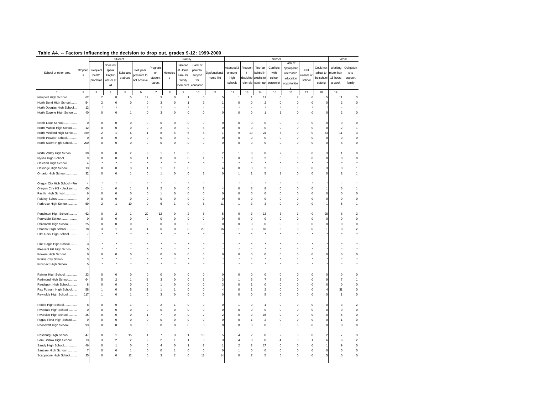| Work<br>Student<br>Family<br>Lack of<br>Does not<br>Needed<br>Lack of<br>Conflicts<br>Could not<br>Working<br>regnan<br>Attended 3<br>Frequer<br>Too far<br>appropriate<br>Felt<br>Frequent<br>speak<br>Felt peer<br>at Home<br>parental<br>Dropout<br>behind in<br>more than<br>School or other area<br>Substand<br>Homeles<br><b>Dysfunctional</b><br>or more<br>with<br>adjust to<br>$\boldsymbol{\mathsf{s}}$ to<br>or<br>$\mathbf{t}$<br>alternative<br>health<br>English<br>support<br>unsafe at<br>pressure to<br>care for<br>s<br>home life<br>e abuse<br>credits to<br>school<br>15 hours<br>student<br>s<br>high<br>discipline<br>he school<br>support<br>education<br>problems<br>well or at<br>not achieve<br>family<br>for<br>school<br>referrals<br>catch up<br>setting<br>a week<br>family<br>parent<br>schools<br>personnel<br>opportunitie<br>all<br>nembers<br>education<br>$\mathbf 2$<br>$\overline{4}$<br>$\overline{5}$<br>10<br>11<br>12<br>13<br>$14\,$<br>15<br>16<br>17<br>3<br>6<br>$\overline{\mathbf{7}}$<br>$\bf8$<br>$\mathsf g$<br>18<br>19<br>Newport High School.<br>8<br>$\mathbf 5$<br>12<br>$\mathsf 3$<br>$\mathsf 0$<br>$\mathsf 0$<br>11<br>$\mathsf 0$<br>11<br>62<br>$\overline{\mathbf{c}}$<br>$\overline{7}$<br>$\mathsf 0$<br>$\mathbf{1}$<br>1<br>-1<br>North Bend High School<br>54<br>$\overline{\mathbf{c}}$<br>$\mathsf 0$<br>$\mathbf 0$<br>3<br>$\mathbf 0$<br>$\overline{c}$<br>$\mathbf 0$<br>$\boldsymbol{2}$<br>$\mathbf 0$<br>$\mathsf 0$<br>$\mathbf 0$<br>$\boldsymbol{2}$<br>1<br>$\mathbf 0$<br>North Douglas High School<br>12<br>North Eugene High School.<br>40<br>$\mathbf 0$<br>0<br>1<br>3<br>0<br>$\mathbf 0$<br>0<br>$\mathbf 0$<br>$\mathbf 0$<br>0<br>$\mathbf 0$<br>$\overline{2}$<br>1<br>North Lake School<br>$\mathbf 0$<br>0<br>$\mathbf 0$<br>$\pmb{0}$<br>0<br>$\mathbf 0$<br>$\mathbf 0$<br>$\mathbf 0$<br>0<br>0<br>0<br>0<br>$\pmb{0}$<br>$\mathbf 0$<br>C<br>North Marion High School<br>12<br>$\mathsf 0$<br>$\mathbf 0$<br>$\overline{2}$<br>$\pmb{0}$<br>$\mathsf 0$<br>$\mathbf 0$<br>$\mathbf 0$<br>$\overline{2}$<br>$\Omega$<br>$\mathbf 0$<br>8<br>$\circ$<br>$\mathbf 0$<br>$\mathbf 0$<br>North Medford High School.<br>8<br>169<br>$\overline{2}$<br>6<br>5<br>9<br>19<br>24<br>6<br>0<br>$\mathbf 0$<br>63<br>11<br>1<br>4<br>6<br>$\mathbf 0$<br>North Powder School<br>$\mathsf 0$<br>$\mathbf 0$<br>$\Omega$<br>$\bf 0$<br>$\mathbf 0$<br>$\mathbf 0$<br>$\mathsf 0$<br>$\mathbf 0$<br>$\Omega$<br>$\mathsf 0$<br>$\Omega$<br>$\mathsf{C}$<br>$\Omega$<br>$\Omega$<br>$\Omega$<br>North Salem High School<br>200<br>$\mathsf 0$<br>$\mathbf 0$<br>$\mathbf 0$<br>$\mathsf 0$<br>$\mathbf 0$<br>$\mathbf 0$<br>$\mathbf 0$<br>$\circ$<br>$\bf 0$<br>0<br>$\mathbf 0$<br>$\circ$<br>$\mathbf 0$<br>8<br>North Valley High School<br>30<br>$\overline{2}$<br>$\mathbf 0$<br>0<br>0<br>$\overline{2}$<br>0<br>5<br>3<br>8<br>0<br>1<br>Nyssa High School<br>$\mathsf 0$<br>$\mathbf 0$<br>$\mathbf 0$<br>$\overline{2}$<br>$\mathbf 0$<br>0<br>$\Omega$<br>g<br>$\Omega$<br>$\Omega$<br>$\Omega$<br>1<br>$\Omega$<br>$\Omega$<br>$\Omega$<br>Oakland High School<br>4<br>Oakridge High School<br>0<br>2<br>$\mathbf 0$<br>$\mathsf 0$<br>13<br>$\Omega$<br>3<br>$\mathbf{1}$<br>$\mathbf 0$<br>5<br>$\circ$<br>$\mathbf 0$<br>$\mathbf 0$<br>$\Omega$<br>$\mathsf 0$<br>Ontario High School<br>32<br>$\mathsf 0$<br>$\mathsf 0$<br>3<br>5<br>$\mathsf 0$<br>1<br>$\mathbf 0$<br>8<br>$\Omega$<br>1<br>1<br>-1<br>1<br>Oregon City High School - Fre<br>Oregon City HS - Jackson.<br>60<br>0<br>$\mathcal{P}$<br>$\pmb{0}$<br>0<br>7<br>$\Omega$<br>8<br>8<br>0<br>0<br>0<br>1<br>6<br>Pacific High School<br>$\mathsf 0$<br>$\mathbf 0$<br>$\mathbf 0$<br>$\mathbf 0$<br>$\mathbf 0$<br>$\mathbf 0$<br>0<br>$\mathbf 0$<br>$\mathbf 0$<br>6<br>0<br>0<br>$\mathbf 0$<br>0<br>$\mathbf 0$<br>$\mathbf 0$<br>Paisley School<br>$\mathsf{C}$<br>0<br>0<br>$\pmb{0}$<br>$\mathbf 0$<br>$\pmb{0}$<br>$\mathbf 0$<br>0<br>$\pmb{0}$<br>0<br>0<br>0<br>0<br>$\pmb{0}$<br>$\mathbf 0$<br>Parkrose High School<br>0<br>59<br>2<br>$\mathbf{1}$<br>10<br>6<br>1<br>0<br>6<br>11<br>3<br>3<br>0<br>$\mathbf 0$<br>5<br>Pendleton High School<br>62<br>$\overline{\mathbf{c}}$<br>20<br>12<br>$\mathsf 0$<br>$\mathfrak{p}$<br>6<br>13<br>3<br>$\Omega$<br>$\Omega$<br>3<br>$\Omega$<br>28<br>1<br>1<br>8<br>Perrydale School<br>$\mathsf 0$<br>$\mathbf 0$<br>$\mathbf 0$<br>$\mathsf 0$<br>$\mathbf 0$<br>$\mathbf 0$<br>$\mathbf 0$<br>$\mathbf 0$<br>$\mathsf{C}$<br>$\mathbf 0$<br>$\mathbf 0$<br>$\mathbf 0$<br>$\mathbf 0$<br>$\mathbf 0$<br>0<br>$\mathfrak{c}$<br>.<br>Philomath High School<br>25<br>$\mathsf 0$<br>$\mathbf 0$<br>$\mathbf 0$<br>$\mathsf 0$<br>$\mathbf 0$<br>$\mathbf 0$<br>$\mathbf 0$<br>$\mathbf 0$<br>$\mathbf 0$<br>$\mathbf 0$<br>$\mathsf 0$<br>$\bf 0$<br>0<br>$\Omega$<br>Phoenix High School<br>78<br>$\mathbf{0}$<br>20<br>3<br>$\mathbf{0}$<br>$\overline{a}$<br>3<br>$\mathbf{1}$<br>0<br>6<br>$\mathbf 0$<br>16<br>$\mathbf 0$<br>18<br>$\mathbf 0$<br>$\mathbf 0$<br>Pilot Rock High School<br>7<br>Pine Eagle High School.<br>Pleasant Hill High School<br>5<br>Powers High School<br>$\Omega$<br>$\mathbf 0$<br>$\Omega$<br>$\Omega$<br>$\Omega$<br>$\Omega$<br>$\Omega$<br>$\Omega$<br>$\Omega$<br>$\Omega$<br>$\mathbf 0$<br>$\Omega$<br>$\Omega$<br>$\Omega$<br>Prairie City School<br>3<br>Prospect High School<br>5<br>Rainier High School<br>23<br>$\mathbf 0$<br>$\mathbf 0$<br>$\mathbf 0$<br>$\mathbf 0$<br>0<br>0<br>$\Omega$<br>$\Omega$<br>0<br>$\Omega$<br>0<br>0<br>0<br>$\Omega$<br>Redmond High School<br>64<br>$\boldsymbol{2}$<br>$\overline{\mathbf{c}}$<br>5<br>3<br>0<br>0<br>6<br>6<br>7<br>0<br>0<br>$\overline{7}$<br>1<br>$\mathsf 0$<br>Reedsport High School<br>$\mathsf 0$<br>$\bf 0$<br>$\mathbf 0$<br>$\mathbf 0$<br>$\mathsf 0$<br>8<br>$\Omega$<br>$\mathbf 0$<br>$\circ$<br>0<br>$\mathbf 0$<br>$\circ$<br>1<br>Rex Putnam High School<br>58<br>0<br>$\overline{\mathbf{c}}$<br>$\mathbf 0$<br>$\mathsf 0$<br>$\mathbf 0$<br>5<br>$\mathbf 0$<br>$\circ$<br>0<br>$\mathbf 0$<br>31<br>1<br>1<br>1<br>1<br>Reynolds High School<br>117<br>5<br>$\mathbf 0$<br>$\Omega$<br>3<br>$\Omega$<br>$\Omega$<br>$\Omega$<br>$\Omega$<br>$\Omega$<br>$\Omega$<br>$\Omega$<br>$\Omega$<br>$\mathbf{1}$<br>1<br>-1<br>Riddle High School<br>8<br>$\Omega$<br>$\mathsf 0$<br>$\overline{2}$<br>$\circ$<br>$\mathbf 0$<br>$\mathbf 0$<br>$\mathbf 0$<br>$\circ$<br>$\bf 0$<br>3<br>$\mathbf{1}$<br>1<br>1<br><br>Riverdale High School<br>$\mathsf 0$<br>$\mathbf 0$<br>$\mathbf 0$<br>$\bf 0$<br>$\mathbf 0$<br>$\mathbf 0$<br>$\mathbf 0$<br>0<br>$\mathbf 0$<br>C<br>0<br>0<br>$\mathbf 0$<br>0<br>$\mathbf 0$<br>Riverside High School<br>25<br>$\mathbf 0$<br>0<br>$\mathbf 0$<br>$\overline{7}$<br>$\pmb{0}$<br>$\mathbf 0$<br>$\overline{2}$<br>$\pmb{0}$<br>$\mathbf 0$<br>16<br>$\mathbf 0$<br>$\mathbf 0$<br>$\pmb{0}$<br>6<br>Rogue River High School<br>$\pmb{0}$<br>$\overline{2}$<br>g<br>0<br>0<br>0<br>$\circ$<br>0<br>0<br>0<br>0<br>0<br>0<br>1<br>$\mathbf{1}$<br>Roosevelt High School<br>93<br>$\mathsf 0$<br>$\pmb{0}$<br>$\mathbf 0$<br>0<br>$\mathbf 0$<br>$\pmb{0}$<br>$\mathbf 0$<br>0<br>0<br>0<br>0<br>$\mathbf 0$<br>0<br>0<br>47<br>13<br>$\circ$<br>Roseburg High School<br>15<br>8<br>$\overline{2}$<br>0<br>1<br>$\overline{7}$<br>3<br>$\overline{2}$<br>0<br>1<br>7<br>Sam Barlow High School<br>73<br>$\overline{\mathbf{c}}$<br>$\overline{2}$<br>$\overline{2}$<br>3<br>8<br>4<br>5<br>3<br>$\overline{4}$<br>8<br>6<br>1<br>1<br>-1<br>Sandy High School.<br>46<br>$\mathbf 0$<br>$\mathbf{1}$<br>$\mathbf 0$<br>4<br>0<br>$\overline{7}$<br>$\overline{2}$<br>$\overline{2}$<br>17<br>0<br>0<br>0<br>9<br>1<br>Santiam High School<br>7<br>0<br>$\mathbf 0$<br>$\circ$<br>$\mathbf 0$<br>0<br>0<br>0<br>$\mathbf 0$<br>$\mathbf 0$<br>$\mathbf 0$<br>C<br>$\mathbf{1}$<br>1<br>1<br>$\mathbf 0$<br>$\mathsf 0$<br>$\boldsymbol{2}$<br>13<br>$\overline{7}$<br>5<br>6<br>$\mathbf{0}$<br>$\mathbf 0$<br>Scappoose High School<br>25<br>$\mathbf 0$<br>12<br>3<br>$\mathbf 0$<br>14<br>$\mathbf 0$<br>$\pmb{0}$ | $14010$ $17.$ |  |  | rectors importantly the accision to arcp out, grades 3-12. 1999-2000 |  |  |  |  |        |  |  |                           |
|--------------------------------------------------------------------------------------------------------------------------------------------------------------------------------------------------------------------------------------------------------------------------------------------------------------------------------------------------------------------------------------------------------------------------------------------------------------------------------------------------------------------------------------------------------------------------------------------------------------------------------------------------------------------------------------------------------------------------------------------------------------------------------------------------------------------------------------------------------------------------------------------------------------------------------------------------------------------------------------------------------------------------------------------------------------------------------------------------------------------------------------------------------------------------------------------------------------------------------------------------------------------------------------------------------------------------------------------------------------------------------------------------------------------------------------------------------------------------------------------------------------------------------------------------------------------------------------------------------------------------------------------------------------------------------------------------------------------------------------------------------------------------------------------------------------------------------------------------------------------------------------------------------------------------------------------------------------------------------------------------------------------------------------------------------------------------------------------------------------------------------------------------------------------------------------------------------------------------------------------------------------------------------------------------------------------------------------------------------------------------------------------------------------------------------------------------------------------------------------------------------------------------------------------------------------------------------------------------------------------------------------------------------------------------------------------------------------------------------------------------------------------------------------------------------------------------------------------------------------------------------------------------------------------------------------------------------------------------------------------------------------------------------------------------------------------------------------------------------------------------------------------------------------------------------------------------------------------------------------------------------------------------------------------------------------------------------------------------------------------------------------------------------------------------------------------------------------------------------------------------------------------------------------------------------------------------------------------------------------------------------------------------------------------------------------------------------------------------------------------------------------------------------------------------------------------------------------------------------------------------------------------------------------------------------------------------------------------------------------------------------------------------------------------------------------------------------------------------------------------------------------------------------------------------------------------------------------------------------------------------------------------------------------------------------------------------------------------------------------------------------------------------------------------------------------------------------------------------------------------------------------------------------------------------------------------------------------------------------------------------------------------------------------------------------------------------------------------------------------------------------------------------------------------------------------------------------------------------------------------------------------------------------------------------------------------------------------------------------------------------------------------------------------------------------------------------------------------------------------------------------------------------------------------------------------------------------------------------------------------------------------------------------------------------------------------------------------------------------------------------------------------------------------------------------------------------------------------------------------------------------------------------------------------------------------------------------------------------------------------------------------------------------------------------------------------------------------------------------------------------------------------------------------------------------------------------------------------------------------------------------------------------------------------------------------------------------------------------------------------------------------------------------------------------------------------------------------------------------------------------------------------------------------------------------------------------------------------------------------------------------------------------------------------------------------------------------------------------------------------------------------------------------------------------------------------------------------------------------------------------------------------------------------------------------------------------------------------------------------------------------------------------------------------------------------------------------------------------------------------------------------------------------------------------------------------------------------------------------------------------------------------------------------------------------------------------------------------------------------------------------------------------------------------------------------------------------------------------------------------------------------------------------------------------------------------------------------------------------------------------------------------------------------------------------------------------------------------------------------------------------------------------------------------------------------------------------------------------------------------------------------------------------------------------------------------------------------------------------------------------------------------------------------------------------------------------------------------------------------------------------------------------------------------------------------------------------------------------------------------------------------------------------------------------------------------------------------------------------------------------------------------------------------------------------------------------------------------------------------------------------------------------------------------------------------------------------|---------------|--|--|----------------------------------------------------------------------|--|--|--|--|--------|--|--|---------------------------|
|                                                                                                                                                                                                                                                                                                                                                                                                                                                                                                                                                                                                                                                                                                                                                                                                                                                                                                                                                                                                                                                                                                                                                                                                                                                                                                                                                                                                                                                                                                                                                                                                                                                                                                                                                                                                                                                                                                                                                                                                                                                                                                                                                                                                                                                                                                                                                                                                                                                                                                                                                                                                                                                                                                                                                                                                                                                                                                                                                                                                                                                                                                                                                                                                                                                                                                                                                                                                                                                                                                                                                                                                                                                                                                                                                                                                                                                                                                                                                                                                                                                                                                                                                                                                                                                                                                                                                                                                                                                                                                                                                                                                                                                                                                                                                                                                                                                                                                                                                                                                                                                                                                                                                                                                                                                                                                                                                                                                                                                                                                                                                                                                                                                                                                                                                                                                                                                                                                                                                                                                                                                                                                                                                                                                                                                                                                                                                                                                                                                                                                                                                                                                                                                                                                                                                                                                                                                                                                                                                                                                                                                                                                                                                                                                                                                                                                                                                                                                                                                                                                                                                                                                                                                                                                                                                                                                                                                                                                                                                                                                                                                                                                                                                                                                        |               |  |  |                                                                      |  |  |  |  | School |  |  |                           |
|                                                                                                                                                                                                                                                                                                                                                                                                                                                                                                                                                                                                                                                                                                                                                                                                                                                                                                                                                                                                                                                                                                                                                                                                                                                                                                                                                                                                                                                                                                                                                                                                                                                                                                                                                                                                                                                                                                                                                                                                                                                                                                                                                                                                                                                                                                                                                                                                                                                                                                                                                                                                                                                                                                                                                                                                                                                                                                                                                                                                                                                                                                                                                                                                                                                                                                                                                                                                                                                                                                                                                                                                                                                                                                                                                                                                                                                                                                                                                                                                                                                                                                                                                                                                                                                                                                                                                                                                                                                                                                                                                                                                                                                                                                                                                                                                                                                                                                                                                                                                                                                                                                                                                                                                                                                                                                                                                                                                                                                                                                                                                                                                                                                                                                                                                                                                                                                                                                                                                                                                                                                                                                                                                                                                                                                                                                                                                                                                                                                                                                                                                                                                                                                                                                                                                                                                                                                                                                                                                                                                                                                                                                                                                                                                                                                                                                                                                                                                                                                                                                                                                                                                                                                                                                                                                                                                                                                                                                                                                                                                                                                                                                                                                                                                        |               |  |  |                                                                      |  |  |  |  |        |  |  |                           |
|                                                                                                                                                                                                                                                                                                                                                                                                                                                                                                                                                                                                                                                                                                                                                                                                                                                                                                                                                                                                                                                                                                                                                                                                                                                                                                                                                                                                                                                                                                                                                                                                                                                                                                                                                                                                                                                                                                                                                                                                                                                                                                                                                                                                                                                                                                                                                                                                                                                                                                                                                                                                                                                                                                                                                                                                                                                                                                                                                                                                                                                                                                                                                                                                                                                                                                                                                                                                                                                                                                                                                                                                                                                                                                                                                                                                                                                                                                                                                                                                                                                                                                                                                                                                                                                                                                                                                                                                                                                                                                                                                                                                                                                                                                                                                                                                                                                                                                                                                                                                                                                                                                                                                                                                                                                                                                                                                                                                                                                                                                                                                                                                                                                                                                                                                                                                                                                                                                                                                                                                                                                                                                                                                                                                                                                                                                                                                                                                                                                                                                                                                                                                                                                                                                                                                                                                                                                                                                                                                                                                                                                                                                                                                                                                                                                                                                                                                                                                                                                                                                                                                                                                                                                                                                                                                                                                                                                                                                                                                                                                                                                                                                                                                                                                        |               |  |  |                                                                      |  |  |  |  |        |  |  | Obligation                |
|                                                                                                                                                                                                                                                                                                                                                                                                                                                                                                                                                                                                                                                                                                                                                                                                                                                                                                                                                                                                                                                                                                                                                                                                                                                                                                                                                                                                                                                                                                                                                                                                                                                                                                                                                                                                                                                                                                                                                                                                                                                                                                                                                                                                                                                                                                                                                                                                                                                                                                                                                                                                                                                                                                                                                                                                                                                                                                                                                                                                                                                                                                                                                                                                                                                                                                                                                                                                                                                                                                                                                                                                                                                                                                                                                                                                                                                                                                                                                                                                                                                                                                                                                                                                                                                                                                                                                                                                                                                                                                                                                                                                                                                                                                                                                                                                                                                                                                                                                                                                                                                                                                                                                                                                                                                                                                                                                                                                                                                                                                                                                                                                                                                                                                                                                                                                                                                                                                                                                                                                                                                                                                                                                                                                                                                                                                                                                                                                                                                                                                                                                                                                                                                                                                                                                                                                                                                                                                                                                                                                                                                                                                                                                                                                                                                                                                                                                                                                                                                                                                                                                                                                                                                                                                                                                                                                                                                                                                                                                                                                                                                                                                                                                                                                        |               |  |  |                                                                      |  |  |  |  |        |  |  |                           |
|                                                                                                                                                                                                                                                                                                                                                                                                                                                                                                                                                                                                                                                                                                                                                                                                                                                                                                                                                                                                                                                                                                                                                                                                                                                                                                                                                                                                                                                                                                                                                                                                                                                                                                                                                                                                                                                                                                                                                                                                                                                                                                                                                                                                                                                                                                                                                                                                                                                                                                                                                                                                                                                                                                                                                                                                                                                                                                                                                                                                                                                                                                                                                                                                                                                                                                                                                                                                                                                                                                                                                                                                                                                                                                                                                                                                                                                                                                                                                                                                                                                                                                                                                                                                                                                                                                                                                                                                                                                                                                                                                                                                                                                                                                                                                                                                                                                                                                                                                                                                                                                                                                                                                                                                                                                                                                                                                                                                                                                                                                                                                                                                                                                                                                                                                                                                                                                                                                                                                                                                                                                                                                                                                                                                                                                                                                                                                                                                                                                                                                                                                                                                                                                                                                                                                                                                                                                                                                                                                                                                                                                                                                                                                                                                                                                                                                                                                                                                                                                                                                                                                                                                                                                                                                                                                                                                                                                                                                                                                                                                                                                                                                                                                                                                        |               |  |  |                                                                      |  |  |  |  |        |  |  |                           |
|                                                                                                                                                                                                                                                                                                                                                                                                                                                                                                                                                                                                                                                                                                                                                                                                                                                                                                                                                                                                                                                                                                                                                                                                                                                                                                                                                                                                                                                                                                                                                                                                                                                                                                                                                                                                                                                                                                                                                                                                                                                                                                                                                                                                                                                                                                                                                                                                                                                                                                                                                                                                                                                                                                                                                                                                                                                                                                                                                                                                                                                                                                                                                                                                                                                                                                                                                                                                                                                                                                                                                                                                                                                                                                                                                                                                                                                                                                                                                                                                                                                                                                                                                                                                                                                                                                                                                                                                                                                                                                                                                                                                                                                                                                                                                                                                                                                                                                                                                                                                                                                                                                                                                                                                                                                                                                                                                                                                                                                                                                                                                                                                                                                                                                                                                                                                                                                                                                                                                                                                                                                                                                                                                                                                                                                                                                                                                                                                                                                                                                                                                                                                                                                                                                                                                                                                                                                                                                                                                                                                                                                                                                                                                                                                                                                                                                                                                                                                                                                                                                                                                                                                                                                                                                                                                                                                                                                                                                                                                                                                                                                                                                                                                                                                        |               |  |  |                                                                      |  |  |  |  |        |  |  |                           |
|                                                                                                                                                                                                                                                                                                                                                                                                                                                                                                                                                                                                                                                                                                                                                                                                                                                                                                                                                                                                                                                                                                                                                                                                                                                                                                                                                                                                                                                                                                                                                                                                                                                                                                                                                                                                                                                                                                                                                                                                                                                                                                                                                                                                                                                                                                                                                                                                                                                                                                                                                                                                                                                                                                                                                                                                                                                                                                                                                                                                                                                                                                                                                                                                                                                                                                                                                                                                                                                                                                                                                                                                                                                                                                                                                                                                                                                                                                                                                                                                                                                                                                                                                                                                                                                                                                                                                                                                                                                                                                                                                                                                                                                                                                                                                                                                                                                                                                                                                                                                                                                                                                                                                                                                                                                                                                                                                                                                                                                                                                                                                                                                                                                                                                                                                                                                                                                                                                                                                                                                                                                                                                                                                                                                                                                                                                                                                                                                                                                                                                                                                                                                                                                                                                                                                                                                                                                                                                                                                                                                                                                                                                                                                                                                                                                                                                                                                                                                                                                                                                                                                                                                                                                                                                                                                                                                                                                                                                                                                                                                                                                                                                                                                                                                        |               |  |  |                                                                      |  |  |  |  |        |  |  |                           |
|                                                                                                                                                                                                                                                                                                                                                                                                                                                                                                                                                                                                                                                                                                                                                                                                                                                                                                                                                                                                                                                                                                                                                                                                                                                                                                                                                                                                                                                                                                                                                                                                                                                                                                                                                                                                                                                                                                                                                                                                                                                                                                                                                                                                                                                                                                                                                                                                                                                                                                                                                                                                                                                                                                                                                                                                                                                                                                                                                                                                                                                                                                                                                                                                                                                                                                                                                                                                                                                                                                                                                                                                                                                                                                                                                                                                                                                                                                                                                                                                                                                                                                                                                                                                                                                                                                                                                                                                                                                                                                                                                                                                                                                                                                                                                                                                                                                                                                                                                                                                                                                                                                                                                                                                                                                                                                                                                                                                                                                                                                                                                                                                                                                                                                                                                                                                                                                                                                                                                                                                                                                                                                                                                                                                                                                                                                                                                                                                                                                                                                                                                                                                                                                                                                                                                                                                                                                                                                                                                                                                                                                                                                                                                                                                                                                                                                                                                                                                                                                                                                                                                                                                                                                                                                                                                                                                                                                                                                                                                                                                                                                                                                                                                                                                        |               |  |  |                                                                      |  |  |  |  |        |  |  |                           |
|                                                                                                                                                                                                                                                                                                                                                                                                                                                                                                                                                                                                                                                                                                                                                                                                                                                                                                                                                                                                                                                                                                                                                                                                                                                                                                                                                                                                                                                                                                                                                                                                                                                                                                                                                                                                                                                                                                                                                                                                                                                                                                                                                                                                                                                                                                                                                                                                                                                                                                                                                                                                                                                                                                                                                                                                                                                                                                                                                                                                                                                                                                                                                                                                                                                                                                                                                                                                                                                                                                                                                                                                                                                                                                                                                                                                                                                                                                                                                                                                                                                                                                                                                                                                                                                                                                                                                                                                                                                                                                                                                                                                                                                                                                                                                                                                                                                                                                                                                                                                                                                                                                                                                                                                                                                                                                                                                                                                                                                                                                                                                                                                                                                                                                                                                                                                                                                                                                                                                                                                                                                                                                                                                                                                                                                                                                                                                                                                                                                                                                                                                                                                                                                                                                                                                                                                                                                                                                                                                                                                                                                                                                                                                                                                                                                                                                                                                                                                                                                                                                                                                                                                                                                                                                                                                                                                                                                                                                                                                                                                                                                                                                                                                                                                        |               |  |  |                                                                      |  |  |  |  |        |  |  |                           |
|                                                                                                                                                                                                                                                                                                                                                                                                                                                                                                                                                                                                                                                                                                                                                                                                                                                                                                                                                                                                                                                                                                                                                                                                                                                                                                                                                                                                                                                                                                                                                                                                                                                                                                                                                                                                                                                                                                                                                                                                                                                                                                                                                                                                                                                                                                                                                                                                                                                                                                                                                                                                                                                                                                                                                                                                                                                                                                                                                                                                                                                                                                                                                                                                                                                                                                                                                                                                                                                                                                                                                                                                                                                                                                                                                                                                                                                                                                                                                                                                                                                                                                                                                                                                                                                                                                                                                                                                                                                                                                                                                                                                                                                                                                                                                                                                                                                                                                                                                                                                                                                                                                                                                                                                                                                                                                                                                                                                                                                                                                                                                                                                                                                                                                                                                                                                                                                                                                                                                                                                                                                                                                                                                                                                                                                                                                                                                                                                                                                                                                                                                                                                                                                                                                                                                                                                                                                                                                                                                                                                                                                                                                                                                                                                                                                                                                                                                                                                                                                                                                                                                                                                                                                                                                                                                                                                                                                                                                                                                                                                                                                                                                                                                                                                        |               |  |  |                                                                      |  |  |  |  |        |  |  | $\ensuremath{\mathsf{3}}$ |
|                                                                                                                                                                                                                                                                                                                                                                                                                                                                                                                                                                                                                                                                                                                                                                                                                                                                                                                                                                                                                                                                                                                                                                                                                                                                                                                                                                                                                                                                                                                                                                                                                                                                                                                                                                                                                                                                                                                                                                                                                                                                                                                                                                                                                                                                                                                                                                                                                                                                                                                                                                                                                                                                                                                                                                                                                                                                                                                                                                                                                                                                                                                                                                                                                                                                                                                                                                                                                                                                                                                                                                                                                                                                                                                                                                                                                                                                                                                                                                                                                                                                                                                                                                                                                                                                                                                                                                                                                                                                                                                                                                                                                                                                                                                                                                                                                                                                                                                                                                                                                                                                                                                                                                                                                                                                                                                                                                                                                                                                                                                                                                                                                                                                                                                                                                                                                                                                                                                                                                                                                                                                                                                                                                                                                                                                                                                                                                                                                                                                                                                                                                                                                                                                                                                                                                                                                                                                                                                                                                                                                                                                                                                                                                                                                                                                                                                                                                                                                                                                                                                                                                                                                                                                                                                                                                                                                                                                                                                                                                                                                                                                                                                                                                                                        |               |  |  |                                                                      |  |  |  |  |        |  |  | $\mathbf 0$               |
|                                                                                                                                                                                                                                                                                                                                                                                                                                                                                                                                                                                                                                                                                                                                                                                                                                                                                                                                                                                                                                                                                                                                                                                                                                                                                                                                                                                                                                                                                                                                                                                                                                                                                                                                                                                                                                                                                                                                                                                                                                                                                                                                                                                                                                                                                                                                                                                                                                                                                                                                                                                                                                                                                                                                                                                                                                                                                                                                                                                                                                                                                                                                                                                                                                                                                                                                                                                                                                                                                                                                                                                                                                                                                                                                                                                                                                                                                                                                                                                                                                                                                                                                                                                                                                                                                                                                                                                                                                                                                                                                                                                                                                                                                                                                                                                                                                                                                                                                                                                                                                                                                                                                                                                                                                                                                                                                                                                                                                                                                                                                                                                                                                                                                                                                                                                                                                                                                                                                                                                                                                                                                                                                                                                                                                                                                                                                                                                                                                                                                                                                                                                                                                                                                                                                                                                                                                                                                                                                                                                                                                                                                                                                                                                                                                                                                                                                                                                                                                                                                                                                                                                                                                                                                                                                                                                                                                                                                                                                                                                                                                                                                                                                                                                                        |               |  |  |                                                                      |  |  |  |  |        |  |  |                           |
|                                                                                                                                                                                                                                                                                                                                                                                                                                                                                                                                                                                                                                                                                                                                                                                                                                                                                                                                                                                                                                                                                                                                                                                                                                                                                                                                                                                                                                                                                                                                                                                                                                                                                                                                                                                                                                                                                                                                                                                                                                                                                                                                                                                                                                                                                                                                                                                                                                                                                                                                                                                                                                                                                                                                                                                                                                                                                                                                                                                                                                                                                                                                                                                                                                                                                                                                                                                                                                                                                                                                                                                                                                                                                                                                                                                                                                                                                                                                                                                                                                                                                                                                                                                                                                                                                                                                                                                                                                                                                                                                                                                                                                                                                                                                                                                                                                                                                                                                                                                                                                                                                                                                                                                                                                                                                                                                                                                                                                                                                                                                                                                                                                                                                                                                                                                                                                                                                                                                                                                                                                                                                                                                                                                                                                                                                                                                                                                                                                                                                                                                                                                                                                                                                                                                                                                                                                                                                                                                                                                                                                                                                                                                                                                                                                                                                                                                                                                                                                                                                                                                                                                                                                                                                                                                                                                                                                                                                                                                                                                                                                                                                                                                                                                                        |               |  |  |                                                                      |  |  |  |  |        |  |  |                           |
|                                                                                                                                                                                                                                                                                                                                                                                                                                                                                                                                                                                                                                                                                                                                                                                                                                                                                                                                                                                                                                                                                                                                                                                                                                                                                                                                                                                                                                                                                                                                                                                                                                                                                                                                                                                                                                                                                                                                                                                                                                                                                                                                                                                                                                                                                                                                                                                                                                                                                                                                                                                                                                                                                                                                                                                                                                                                                                                                                                                                                                                                                                                                                                                                                                                                                                                                                                                                                                                                                                                                                                                                                                                                                                                                                                                                                                                                                                                                                                                                                                                                                                                                                                                                                                                                                                                                                                                                                                                                                                                                                                                                                                                                                                                                                                                                                                                                                                                                                                                                                                                                                                                                                                                                                                                                                                                                                                                                                                                                                                                                                                                                                                                                                                                                                                                                                                                                                                                                                                                                                                                                                                                                                                                                                                                                                                                                                                                                                                                                                                                                                                                                                                                                                                                                                                                                                                                                                                                                                                                                                                                                                                                                                                                                                                                                                                                                                                                                                                                                                                                                                                                                                                                                                                                                                                                                                                                                                                                                                                                                                                                                                                                                                                                                        |               |  |  |                                                                      |  |  |  |  |        |  |  | $\mathbf 0$               |
|                                                                                                                                                                                                                                                                                                                                                                                                                                                                                                                                                                                                                                                                                                                                                                                                                                                                                                                                                                                                                                                                                                                                                                                                                                                                                                                                                                                                                                                                                                                                                                                                                                                                                                                                                                                                                                                                                                                                                                                                                                                                                                                                                                                                                                                                                                                                                                                                                                                                                                                                                                                                                                                                                                                                                                                                                                                                                                                                                                                                                                                                                                                                                                                                                                                                                                                                                                                                                                                                                                                                                                                                                                                                                                                                                                                                                                                                                                                                                                                                                                                                                                                                                                                                                                                                                                                                                                                                                                                                                                                                                                                                                                                                                                                                                                                                                                                                                                                                                                                                                                                                                                                                                                                                                                                                                                                                                                                                                                                                                                                                                                                                                                                                                                                                                                                                                                                                                                                                                                                                                                                                                                                                                                                                                                                                                                                                                                                                                                                                                                                                                                                                                                                                                                                                                                                                                                                                                                                                                                                                                                                                                                                                                                                                                                                                                                                                                                                                                                                                                                                                                                                                                                                                                                                                                                                                                                                                                                                                                                                                                                                                                                                                                                                                        |               |  |  |                                                                      |  |  |  |  |        |  |  |                           |
|                                                                                                                                                                                                                                                                                                                                                                                                                                                                                                                                                                                                                                                                                                                                                                                                                                                                                                                                                                                                                                                                                                                                                                                                                                                                                                                                                                                                                                                                                                                                                                                                                                                                                                                                                                                                                                                                                                                                                                                                                                                                                                                                                                                                                                                                                                                                                                                                                                                                                                                                                                                                                                                                                                                                                                                                                                                                                                                                                                                                                                                                                                                                                                                                                                                                                                                                                                                                                                                                                                                                                                                                                                                                                                                                                                                                                                                                                                                                                                                                                                                                                                                                                                                                                                                                                                                                                                                                                                                                                                                                                                                                                                                                                                                                                                                                                                                                                                                                                                                                                                                                                                                                                                                                                                                                                                                                                                                                                                                                                                                                                                                                                                                                                                                                                                                                                                                                                                                                                                                                                                                                                                                                                                                                                                                                                                                                                                                                                                                                                                                                                                                                                                                                                                                                                                                                                                                                                                                                                                                                                                                                                                                                                                                                                                                                                                                                                                                                                                                                                                                                                                                                                                                                                                                                                                                                                                                                                                                                                                                                                                                                                                                                                                                                        |               |  |  |                                                                      |  |  |  |  |        |  |  | $\mathbf 0$               |
|                                                                                                                                                                                                                                                                                                                                                                                                                                                                                                                                                                                                                                                                                                                                                                                                                                                                                                                                                                                                                                                                                                                                                                                                                                                                                                                                                                                                                                                                                                                                                                                                                                                                                                                                                                                                                                                                                                                                                                                                                                                                                                                                                                                                                                                                                                                                                                                                                                                                                                                                                                                                                                                                                                                                                                                                                                                                                                                                                                                                                                                                                                                                                                                                                                                                                                                                                                                                                                                                                                                                                                                                                                                                                                                                                                                                                                                                                                                                                                                                                                                                                                                                                                                                                                                                                                                                                                                                                                                                                                                                                                                                                                                                                                                                                                                                                                                                                                                                                                                                                                                                                                                                                                                                                                                                                                                                                                                                                                                                                                                                                                                                                                                                                                                                                                                                                                                                                                                                                                                                                                                                                                                                                                                                                                                                                                                                                                                                                                                                                                                                                                                                                                                                                                                                                                                                                                                                                                                                                                                                                                                                                                                                                                                                                                                                                                                                                                                                                                                                                                                                                                                                                                                                                                                                                                                                                                                                                                                                                                                                                                                                                                                                                                                                        |               |  |  |                                                                      |  |  |  |  |        |  |  | $\mathbf{1}$              |
|                                                                                                                                                                                                                                                                                                                                                                                                                                                                                                                                                                                                                                                                                                                                                                                                                                                                                                                                                                                                                                                                                                                                                                                                                                                                                                                                                                                                                                                                                                                                                                                                                                                                                                                                                                                                                                                                                                                                                                                                                                                                                                                                                                                                                                                                                                                                                                                                                                                                                                                                                                                                                                                                                                                                                                                                                                                                                                                                                                                                                                                                                                                                                                                                                                                                                                                                                                                                                                                                                                                                                                                                                                                                                                                                                                                                                                                                                                                                                                                                                                                                                                                                                                                                                                                                                                                                                                                                                                                                                                                                                                                                                                                                                                                                                                                                                                                                                                                                                                                                                                                                                                                                                                                                                                                                                                                                                                                                                                                                                                                                                                                                                                                                                                                                                                                                                                                                                                                                                                                                                                                                                                                                                                                                                                                                                                                                                                                                                                                                                                                                                                                                                                                                                                                                                                                                                                                                                                                                                                                                                                                                                                                                                                                                                                                                                                                                                                                                                                                                                                                                                                                                                                                                                                                                                                                                                                                                                                                                                                                                                                                                                                                                                                                                        |               |  |  |                                                                      |  |  |  |  |        |  |  | $\mathbf 3$               |
|                                                                                                                                                                                                                                                                                                                                                                                                                                                                                                                                                                                                                                                                                                                                                                                                                                                                                                                                                                                                                                                                                                                                                                                                                                                                                                                                                                                                                                                                                                                                                                                                                                                                                                                                                                                                                                                                                                                                                                                                                                                                                                                                                                                                                                                                                                                                                                                                                                                                                                                                                                                                                                                                                                                                                                                                                                                                                                                                                                                                                                                                                                                                                                                                                                                                                                                                                                                                                                                                                                                                                                                                                                                                                                                                                                                                                                                                                                                                                                                                                                                                                                                                                                                                                                                                                                                                                                                                                                                                                                                                                                                                                                                                                                                                                                                                                                                                                                                                                                                                                                                                                                                                                                                                                                                                                                                                                                                                                                                                                                                                                                                                                                                                                                                                                                                                                                                                                                                                                                                                                                                                                                                                                                                                                                                                                                                                                                                                                                                                                                                                                                                                                                                                                                                                                                                                                                                                                                                                                                                                                                                                                                                                                                                                                                                                                                                                                                                                                                                                                                                                                                                                                                                                                                                                                                                                                                                                                                                                                                                                                                                                                                                                                                                                        |               |  |  |                                                                      |  |  |  |  |        |  |  |                           |
|                                                                                                                                                                                                                                                                                                                                                                                                                                                                                                                                                                                                                                                                                                                                                                                                                                                                                                                                                                                                                                                                                                                                                                                                                                                                                                                                                                                                                                                                                                                                                                                                                                                                                                                                                                                                                                                                                                                                                                                                                                                                                                                                                                                                                                                                                                                                                                                                                                                                                                                                                                                                                                                                                                                                                                                                                                                                                                                                                                                                                                                                                                                                                                                                                                                                                                                                                                                                                                                                                                                                                                                                                                                                                                                                                                                                                                                                                                                                                                                                                                                                                                                                                                                                                                                                                                                                                                                                                                                                                                                                                                                                                                                                                                                                                                                                                                                                                                                                                                                                                                                                                                                                                                                                                                                                                                                                                                                                                                                                                                                                                                                                                                                                                                                                                                                                                                                                                                                                                                                                                                                                                                                                                                                                                                                                                                                                                                                                                                                                                                                                                                                                                                                                                                                                                                                                                                                                                                                                                                                                                                                                                                                                                                                                                                                                                                                                                                                                                                                                                                                                                                                                                                                                                                                                                                                                                                                                                                                                                                                                                                                                                                                                                                                                        |               |  |  |                                                                      |  |  |  |  |        |  |  |                           |
|                                                                                                                                                                                                                                                                                                                                                                                                                                                                                                                                                                                                                                                                                                                                                                                                                                                                                                                                                                                                                                                                                                                                                                                                                                                                                                                                                                                                                                                                                                                                                                                                                                                                                                                                                                                                                                                                                                                                                                                                                                                                                                                                                                                                                                                                                                                                                                                                                                                                                                                                                                                                                                                                                                                                                                                                                                                                                                                                                                                                                                                                                                                                                                                                                                                                                                                                                                                                                                                                                                                                                                                                                                                                                                                                                                                                                                                                                                                                                                                                                                                                                                                                                                                                                                                                                                                                                                                                                                                                                                                                                                                                                                                                                                                                                                                                                                                                                                                                                                                                                                                                                                                                                                                                                                                                                                                                                                                                                                                                                                                                                                                                                                                                                                                                                                                                                                                                                                                                                                                                                                                                                                                                                                                                                                                                                                                                                                                                                                                                                                                                                                                                                                                                                                                                                                                                                                                                                                                                                                                                                                                                                                                                                                                                                                                                                                                                                                                                                                                                                                                                                                                                                                                                                                                                                                                                                                                                                                                                                                                                                                                                                                                                                                                                        |               |  |  |                                                                      |  |  |  |  |        |  |  | $\mathbf 0$               |
|                                                                                                                                                                                                                                                                                                                                                                                                                                                                                                                                                                                                                                                                                                                                                                                                                                                                                                                                                                                                                                                                                                                                                                                                                                                                                                                                                                                                                                                                                                                                                                                                                                                                                                                                                                                                                                                                                                                                                                                                                                                                                                                                                                                                                                                                                                                                                                                                                                                                                                                                                                                                                                                                                                                                                                                                                                                                                                                                                                                                                                                                                                                                                                                                                                                                                                                                                                                                                                                                                                                                                                                                                                                                                                                                                                                                                                                                                                                                                                                                                                                                                                                                                                                                                                                                                                                                                                                                                                                                                                                                                                                                                                                                                                                                                                                                                                                                                                                                                                                                                                                                                                                                                                                                                                                                                                                                                                                                                                                                                                                                                                                                                                                                                                                                                                                                                                                                                                                                                                                                                                                                                                                                                                                                                                                                                                                                                                                                                                                                                                                                                                                                                                                                                                                                                                                                                                                                                                                                                                                                                                                                                                                                                                                                                                                                                                                                                                                                                                                                                                                                                                                                                                                                                                                                                                                                                                                                                                                                                                                                                                                                                                                                                                                                        |               |  |  |                                                                      |  |  |  |  |        |  |  |                           |
|                                                                                                                                                                                                                                                                                                                                                                                                                                                                                                                                                                                                                                                                                                                                                                                                                                                                                                                                                                                                                                                                                                                                                                                                                                                                                                                                                                                                                                                                                                                                                                                                                                                                                                                                                                                                                                                                                                                                                                                                                                                                                                                                                                                                                                                                                                                                                                                                                                                                                                                                                                                                                                                                                                                                                                                                                                                                                                                                                                                                                                                                                                                                                                                                                                                                                                                                                                                                                                                                                                                                                                                                                                                                                                                                                                                                                                                                                                                                                                                                                                                                                                                                                                                                                                                                                                                                                                                                                                                                                                                                                                                                                                                                                                                                                                                                                                                                                                                                                                                                                                                                                                                                                                                                                                                                                                                                                                                                                                                                                                                                                                                                                                                                                                                                                                                                                                                                                                                                                                                                                                                                                                                                                                                                                                                                                                                                                                                                                                                                                                                                                                                                                                                                                                                                                                                                                                                                                                                                                                                                                                                                                                                                                                                                                                                                                                                                                                                                                                                                                                                                                                                                                                                                                                                                                                                                                                                                                                                                                                                                                                                                                                                                                                                                        |               |  |  |                                                                      |  |  |  |  |        |  |  | $\mathbf 0$               |
|                                                                                                                                                                                                                                                                                                                                                                                                                                                                                                                                                                                                                                                                                                                                                                                                                                                                                                                                                                                                                                                                                                                                                                                                                                                                                                                                                                                                                                                                                                                                                                                                                                                                                                                                                                                                                                                                                                                                                                                                                                                                                                                                                                                                                                                                                                                                                                                                                                                                                                                                                                                                                                                                                                                                                                                                                                                                                                                                                                                                                                                                                                                                                                                                                                                                                                                                                                                                                                                                                                                                                                                                                                                                                                                                                                                                                                                                                                                                                                                                                                                                                                                                                                                                                                                                                                                                                                                                                                                                                                                                                                                                                                                                                                                                                                                                                                                                                                                                                                                                                                                                                                                                                                                                                                                                                                                                                                                                                                                                                                                                                                                                                                                                                                                                                                                                                                                                                                                                                                                                                                                                                                                                                                                                                                                                                                                                                                                                                                                                                                                                                                                                                                                                                                                                                                                                                                                                                                                                                                                                                                                                                                                                                                                                                                                                                                                                                                                                                                                                                                                                                                                                                                                                                                                                                                                                                                                                                                                                                                                                                                                                                                                                                                                                        |               |  |  |                                                                      |  |  |  |  |        |  |  | $\mathsf 0$               |
|                                                                                                                                                                                                                                                                                                                                                                                                                                                                                                                                                                                                                                                                                                                                                                                                                                                                                                                                                                                                                                                                                                                                                                                                                                                                                                                                                                                                                                                                                                                                                                                                                                                                                                                                                                                                                                                                                                                                                                                                                                                                                                                                                                                                                                                                                                                                                                                                                                                                                                                                                                                                                                                                                                                                                                                                                                                                                                                                                                                                                                                                                                                                                                                                                                                                                                                                                                                                                                                                                                                                                                                                                                                                                                                                                                                                                                                                                                                                                                                                                                                                                                                                                                                                                                                                                                                                                                                                                                                                                                                                                                                                                                                                                                                                                                                                                                                                                                                                                                                                                                                                                                                                                                                                                                                                                                                                                                                                                                                                                                                                                                                                                                                                                                                                                                                                                                                                                                                                                                                                                                                                                                                                                                                                                                                                                                                                                                                                                                                                                                                                                                                                                                                                                                                                                                                                                                                                                                                                                                                                                                                                                                                                                                                                                                                                                                                                                                                                                                                                                                                                                                                                                                                                                                                                                                                                                                                                                                                                                                                                                                                                                                                                                                                                        |               |  |  |                                                                      |  |  |  |  |        |  |  |                           |
|                                                                                                                                                                                                                                                                                                                                                                                                                                                                                                                                                                                                                                                                                                                                                                                                                                                                                                                                                                                                                                                                                                                                                                                                                                                                                                                                                                                                                                                                                                                                                                                                                                                                                                                                                                                                                                                                                                                                                                                                                                                                                                                                                                                                                                                                                                                                                                                                                                                                                                                                                                                                                                                                                                                                                                                                                                                                                                                                                                                                                                                                                                                                                                                                                                                                                                                                                                                                                                                                                                                                                                                                                                                                                                                                                                                                                                                                                                                                                                                                                                                                                                                                                                                                                                                                                                                                                                                                                                                                                                                                                                                                                                                                                                                                                                                                                                                                                                                                                                                                                                                                                                                                                                                                                                                                                                                                                                                                                                                                                                                                                                                                                                                                                                                                                                                                                                                                                                                                                                                                                                                                                                                                                                                                                                                                                                                                                                                                                                                                                                                                                                                                                                                                                                                                                                                                                                                                                                                                                                                                                                                                                                                                                                                                                                                                                                                                                                                                                                                                                                                                                                                                                                                                                                                                                                                                                                                                                                                                                                                                                                                                                                                                                                                                        |               |  |  |                                                                      |  |  |  |  |        |  |  |                           |
|                                                                                                                                                                                                                                                                                                                                                                                                                                                                                                                                                                                                                                                                                                                                                                                                                                                                                                                                                                                                                                                                                                                                                                                                                                                                                                                                                                                                                                                                                                                                                                                                                                                                                                                                                                                                                                                                                                                                                                                                                                                                                                                                                                                                                                                                                                                                                                                                                                                                                                                                                                                                                                                                                                                                                                                                                                                                                                                                                                                                                                                                                                                                                                                                                                                                                                                                                                                                                                                                                                                                                                                                                                                                                                                                                                                                                                                                                                                                                                                                                                                                                                                                                                                                                                                                                                                                                                                                                                                                                                                                                                                                                                                                                                                                                                                                                                                                                                                                                                                                                                                                                                                                                                                                                                                                                                                                                                                                                                                                                                                                                                                                                                                                                                                                                                                                                                                                                                                                                                                                                                                                                                                                                                                                                                                                                                                                                                                                                                                                                                                                                                                                                                                                                                                                                                                                                                                                                                                                                                                                                                                                                                                                                                                                                                                                                                                                                                                                                                                                                                                                                                                                                                                                                                                                                                                                                                                                                                                                                                                                                                                                                                                                                                                                        |               |  |  |                                                                      |  |  |  |  |        |  |  | $\mathbf{1}$              |
|                                                                                                                                                                                                                                                                                                                                                                                                                                                                                                                                                                                                                                                                                                                                                                                                                                                                                                                                                                                                                                                                                                                                                                                                                                                                                                                                                                                                                                                                                                                                                                                                                                                                                                                                                                                                                                                                                                                                                                                                                                                                                                                                                                                                                                                                                                                                                                                                                                                                                                                                                                                                                                                                                                                                                                                                                                                                                                                                                                                                                                                                                                                                                                                                                                                                                                                                                                                                                                                                                                                                                                                                                                                                                                                                                                                                                                                                                                                                                                                                                                                                                                                                                                                                                                                                                                                                                                                                                                                                                                                                                                                                                                                                                                                                                                                                                                                                                                                                                                                                                                                                                                                                                                                                                                                                                                                                                                                                                                                                                                                                                                                                                                                                                                                                                                                                                                                                                                                                                                                                                                                                                                                                                                                                                                                                                                                                                                                                                                                                                                                                                                                                                                                                                                                                                                                                                                                                                                                                                                                                                                                                                                                                                                                                                                                                                                                                                                                                                                                                                                                                                                                                                                                                                                                                                                                                                                                                                                                                                                                                                                                                                                                                                                                                        |               |  |  |                                                                      |  |  |  |  |        |  |  | $\mathbf{1}$              |
|                                                                                                                                                                                                                                                                                                                                                                                                                                                                                                                                                                                                                                                                                                                                                                                                                                                                                                                                                                                                                                                                                                                                                                                                                                                                                                                                                                                                                                                                                                                                                                                                                                                                                                                                                                                                                                                                                                                                                                                                                                                                                                                                                                                                                                                                                                                                                                                                                                                                                                                                                                                                                                                                                                                                                                                                                                                                                                                                                                                                                                                                                                                                                                                                                                                                                                                                                                                                                                                                                                                                                                                                                                                                                                                                                                                                                                                                                                                                                                                                                                                                                                                                                                                                                                                                                                                                                                                                                                                                                                                                                                                                                                                                                                                                                                                                                                                                                                                                                                                                                                                                                                                                                                                                                                                                                                                                                                                                                                                                                                                                                                                                                                                                                                                                                                                                                                                                                                                                                                                                                                                                                                                                                                                                                                                                                                                                                                                                                                                                                                                                                                                                                                                                                                                                                                                                                                                                                                                                                                                                                                                                                                                                                                                                                                                                                                                                                                                                                                                                                                                                                                                                                                                                                                                                                                                                                                                                                                                                                                                                                                                                                                                                                                                                        |               |  |  |                                                                      |  |  |  |  |        |  |  |                           |
|                                                                                                                                                                                                                                                                                                                                                                                                                                                                                                                                                                                                                                                                                                                                                                                                                                                                                                                                                                                                                                                                                                                                                                                                                                                                                                                                                                                                                                                                                                                                                                                                                                                                                                                                                                                                                                                                                                                                                                                                                                                                                                                                                                                                                                                                                                                                                                                                                                                                                                                                                                                                                                                                                                                                                                                                                                                                                                                                                                                                                                                                                                                                                                                                                                                                                                                                                                                                                                                                                                                                                                                                                                                                                                                                                                                                                                                                                                                                                                                                                                                                                                                                                                                                                                                                                                                                                                                                                                                                                                                                                                                                                                                                                                                                                                                                                                                                                                                                                                                                                                                                                                                                                                                                                                                                                                                                                                                                                                                                                                                                                                                                                                                                                                                                                                                                                                                                                                                                                                                                                                                                                                                                                                                                                                                                                                                                                                                                                                                                                                                                                                                                                                                                                                                                                                                                                                                                                                                                                                                                                                                                                                                                                                                                                                                                                                                                                                                                                                                                                                                                                                                                                                                                                                                                                                                                                                                                                                                                                                                                                                                                                                                                                                                                        |               |  |  |                                                                      |  |  |  |  |        |  |  |                           |
|                                                                                                                                                                                                                                                                                                                                                                                                                                                                                                                                                                                                                                                                                                                                                                                                                                                                                                                                                                                                                                                                                                                                                                                                                                                                                                                                                                                                                                                                                                                                                                                                                                                                                                                                                                                                                                                                                                                                                                                                                                                                                                                                                                                                                                                                                                                                                                                                                                                                                                                                                                                                                                                                                                                                                                                                                                                                                                                                                                                                                                                                                                                                                                                                                                                                                                                                                                                                                                                                                                                                                                                                                                                                                                                                                                                                                                                                                                                                                                                                                                                                                                                                                                                                                                                                                                                                                                                                                                                                                                                                                                                                                                                                                                                                                                                                                                                                                                                                                                                                                                                                                                                                                                                                                                                                                                                                                                                                                                                                                                                                                                                                                                                                                                                                                                                                                                                                                                                                                                                                                                                                                                                                                                                                                                                                                                                                                                                                                                                                                                                                                                                                                                                                                                                                                                                                                                                                                                                                                                                                                                                                                                                                                                                                                                                                                                                                                                                                                                                                                                                                                                                                                                                                                                                                                                                                                                                                                                                                                                                                                                                                                                                                                                                                        |               |  |  |                                                                      |  |  |  |  |        |  |  | $\mathbf{1}$              |
|                                                                                                                                                                                                                                                                                                                                                                                                                                                                                                                                                                                                                                                                                                                                                                                                                                                                                                                                                                                                                                                                                                                                                                                                                                                                                                                                                                                                                                                                                                                                                                                                                                                                                                                                                                                                                                                                                                                                                                                                                                                                                                                                                                                                                                                                                                                                                                                                                                                                                                                                                                                                                                                                                                                                                                                                                                                                                                                                                                                                                                                                                                                                                                                                                                                                                                                                                                                                                                                                                                                                                                                                                                                                                                                                                                                                                                                                                                                                                                                                                                                                                                                                                                                                                                                                                                                                                                                                                                                                                                                                                                                                                                                                                                                                                                                                                                                                                                                                                                                                                                                                                                                                                                                                                                                                                                                                                                                                                                                                                                                                                                                                                                                                                                                                                                                                                                                                                                                                                                                                                                                                                                                                                                                                                                                                                                                                                                                                                                                                                                                                                                                                                                                                                                                                                                                                                                                                                                                                                                                                                                                                                                                                                                                                                                                                                                                                                                                                                                                                                                                                                                                                                                                                                                                                                                                                                                                                                                                                                                                                                                                                                                                                                                                                        |               |  |  |                                                                      |  |  |  |  |        |  |  |                           |
|                                                                                                                                                                                                                                                                                                                                                                                                                                                                                                                                                                                                                                                                                                                                                                                                                                                                                                                                                                                                                                                                                                                                                                                                                                                                                                                                                                                                                                                                                                                                                                                                                                                                                                                                                                                                                                                                                                                                                                                                                                                                                                                                                                                                                                                                                                                                                                                                                                                                                                                                                                                                                                                                                                                                                                                                                                                                                                                                                                                                                                                                                                                                                                                                                                                                                                                                                                                                                                                                                                                                                                                                                                                                                                                                                                                                                                                                                                                                                                                                                                                                                                                                                                                                                                                                                                                                                                                                                                                                                                                                                                                                                                                                                                                                                                                                                                                                                                                                                                                                                                                                                                                                                                                                                                                                                                                                                                                                                                                                                                                                                                                                                                                                                                                                                                                                                                                                                                                                                                                                                                                                                                                                                                                                                                                                                                                                                                                                                                                                                                                                                                                                                                                                                                                                                                                                                                                                                                                                                                                                                                                                                                                                                                                                                                                                                                                                                                                                                                                                                                                                                                                                                                                                                                                                                                                                                                                                                                                                                                                                                                                                                                                                                                                                        |               |  |  |                                                                      |  |  |  |  |        |  |  |                           |
|                                                                                                                                                                                                                                                                                                                                                                                                                                                                                                                                                                                                                                                                                                                                                                                                                                                                                                                                                                                                                                                                                                                                                                                                                                                                                                                                                                                                                                                                                                                                                                                                                                                                                                                                                                                                                                                                                                                                                                                                                                                                                                                                                                                                                                                                                                                                                                                                                                                                                                                                                                                                                                                                                                                                                                                                                                                                                                                                                                                                                                                                                                                                                                                                                                                                                                                                                                                                                                                                                                                                                                                                                                                                                                                                                                                                                                                                                                                                                                                                                                                                                                                                                                                                                                                                                                                                                                                                                                                                                                                                                                                                                                                                                                                                                                                                                                                                                                                                                                                                                                                                                                                                                                                                                                                                                                                                                                                                                                                                                                                                                                                                                                                                                                                                                                                                                                                                                                                                                                                                                                                                                                                                                                                                                                                                                                                                                                                                                                                                                                                                                                                                                                                                                                                                                                                                                                                                                                                                                                                                                                                                                                                                                                                                                                                                                                                                                                                                                                                                                                                                                                                                                                                                                                                                                                                                                                                                                                                                                                                                                                                                                                                                                                                                        |               |  |  |                                                                      |  |  |  |  |        |  |  |                           |
|                                                                                                                                                                                                                                                                                                                                                                                                                                                                                                                                                                                                                                                                                                                                                                                                                                                                                                                                                                                                                                                                                                                                                                                                                                                                                                                                                                                                                                                                                                                                                                                                                                                                                                                                                                                                                                                                                                                                                                                                                                                                                                                                                                                                                                                                                                                                                                                                                                                                                                                                                                                                                                                                                                                                                                                                                                                                                                                                                                                                                                                                                                                                                                                                                                                                                                                                                                                                                                                                                                                                                                                                                                                                                                                                                                                                                                                                                                                                                                                                                                                                                                                                                                                                                                                                                                                                                                                                                                                                                                                                                                                                                                                                                                                                                                                                                                                                                                                                                                                                                                                                                                                                                                                                                                                                                                                                                                                                                                                                                                                                                                                                                                                                                                                                                                                                                                                                                                                                                                                                                                                                                                                                                                                                                                                                                                                                                                                                                                                                                                                                                                                                                                                                                                                                                                                                                                                                                                                                                                                                                                                                                                                                                                                                                                                                                                                                                                                                                                                                                                                                                                                                                                                                                                                                                                                                                                                                                                                                                                                                                                                                                                                                                                                                        |               |  |  |                                                                      |  |  |  |  |        |  |  | $\mathbf{1}$              |
|                                                                                                                                                                                                                                                                                                                                                                                                                                                                                                                                                                                                                                                                                                                                                                                                                                                                                                                                                                                                                                                                                                                                                                                                                                                                                                                                                                                                                                                                                                                                                                                                                                                                                                                                                                                                                                                                                                                                                                                                                                                                                                                                                                                                                                                                                                                                                                                                                                                                                                                                                                                                                                                                                                                                                                                                                                                                                                                                                                                                                                                                                                                                                                                                                                                                                                                                                                                                                                                                                                                                                                                                                                                                                                                                                                                                                                                                                                                                                                                                                                                                                                                                                                                                                                                                                                                                                                                                                                                                                                                                                                                                                                                                                                                                                                                                                                                                                                                                                                                                                                                                                                                                                                                                                                                                                                                                                                                                                                                                                                                                                                                                                                                                                                                                                                                                                                                                                                                                                                                                                                                                                                                                                                                                                                                                                                                                                                                                                                                                                                                                                                                                                                                                                                                                                                                                                                                                                                                                                                                                                                                                                                                                                                                                                                                                                                                                                                                                                                                                                                                                                                                                                                                                                                                                                                                                                                                                                                                                                                                                                                                                                                                                                                                                        |               |  |  |                                                                      |  |  |  |  |        |  |  |                           |
|                                                                                                                                                                                                                                                                                                                                                                                                                                                                                                                                                                                                                                                                                                                                                                                                                                                                                                                                                                                                                                                                                                                                                                                                                                                                                                                                                                                                                                                                                                                                                                                                                                                                                                                                                                                                                                                                                                                                                                                                                                                                                                                                                                                                                                                                                                                                                                                                                                                                                                                                                                                                                                                                                                                                                                                                                                                                                                                                                                                                                                                                                                                                                                                                                                                                                                                                                                                                                                                                                                                                                                                                                                                                                                                                                                                                                                                                                                                                                                                                                                                                                                                                                                                                                                                                                                                                                                                                                                                                                                                                                                                                                                                                                                                                                                                                                                                                                                                                                                                                                                                                                                                                                                                                                                                                                                                                                                                                                                                                                                                                                                                                                                                                                                                                                                                                                                                                                                                                                                                                                                                                                                                                                                                                                                                                                                                                                                                                                                                                                                                                                                                                                                                                                                                                                                                                                                                                                                                                                                                                                                                                                                                                                                                                                                                                                                                                                                                                                                                                                                                                                                                                                                                                                                                                                                                                                                                                                                                                                                                                                                                                                                                                                                                                        |               |  |  |                                                                      |  |  |  |  |        |  |  | $\sqrt{2}$                |
|                                                                                                                                                                                                                                                                                                                                                                                                                                                                                                                                                                                                                                                                                                                                                                                                                                                                                                                                                                                                                                                                                                                                                                                                                                                                                                                                                                                                                                                                                                                                                                                                                                                                                                                                                                                                                                                                                                                                                                                                                                                                                                                                                                                                                                                                                                                                                                                                                                                                                                                                                                                                                                                                                                                                                                                                                                                                                                                                                                                                                                                                                                                                                                                                                                                                                                                                                                                                                                                                                                                                                                                                                                                                                                                                                                                                                                                                                                                                                                                                                                                                                                                                                                                                                                                                                                                                                                                                                                                                                                                                                                                                                                                                                                                                                                                                                                                                                                                                                                                                                                                                                                                                                                                                                                                                                                                                                                                                                                                                                                                                                                                                                                                                                                                                                                                                                                                                                                                                                                                                                                                                                                                                                                                                                                                                                                                                                                                                                                                                                                                                                                                                                                                                                                                                                                                                                                                                                                                                                                                                                                                                                                                                                                                                                                                                                                                                                                                                                                                                                                                                                                                                                                                                                                                                                                                                                                                                                                                                                                                                                                                                                                                                                                                                        |               |  |  |                                                                      |  |  |  |  |        |  |  | $\mathbf 0$               |
|                                                                                                                                                                                                                                                                                                                                                                                                                                                                                                                                                                                                                                                                                                                                                                                                                                                                                                                                                                                                                                                                                                                                                                                                                                                                                                                                                                                                                                                                                                                                                                                                                                                                                                                                                                                                                                                                                                                                                                                                                                                                                                                                                                                                                                                                                                                                                                                                                                                                                                                                                                                                                                                                                                                                                                                                                                                                                                                                                                                                                                                                                                                                                                                                                                                                                                                                                                                                                                                                                                                                                                                                                                                                                                                                                                                                                                                                                                                                                                                                                                                                                                                                                                                                                                                                                                                                                                                                                                                                                                                                                                                                                                                                                                                                                                                                                                                                                                                                                                                                                                                                                                                                                                                                                                                                                                                                                                                                                                                                                                                                                                                                                                                                                                                                                                                                                                                                                                                                                                                                                                                                                                                                                                                                                                                                                                                                                                                                                                                                                                                                                                                                                                                                                                                                                                                                                                                                                                                                                                                                                                                                                                                                                                                                                                                                                                                                                                                                                                                                                                                                                                                                                                                                                                                                                                                                                                                                                                                                                                                                                                                                                                                                                                                                        |               |  |  |                                                                      |  |  |  |  |        |  |  | $\mathbf 0$               |
|                                                                                                                                                                                                                                                                                                                                                                                                                                                                                                                                                                                                                                                                                                                                                                                                                                                                                                                                                                                                                                                                                                                                                                                                                                                                                                                                                                                                                                                                                                                                                                                                                                                                                                                                                                                                                                                                                                                                                                                                                                                                                                                                                                                                                                                                                                                                                                                                                                                                                                                                                                                                                                                                                                                                                                                                                                                                                                                                                                                                                                                                                                                                                                                                                                                                                                                                                                                                                                                                                                                                                                                                                                                                                                                                                                                                                                                                                                                                                                                                                                                                                                                                                                                                                                                                                                                                                                                                                                                                                                                                                                                                                                                                                                                                                                                                                                                                                                                                                                                                                                                                                                                                                                                                                                                                                                                                                                                                                                                                                                                                                                                                                                                                                                                                                                                                                                                                                                                                                                                                                                                                                                                                                                                                                                                                                                                                                                                                                                                                                                                                                                                                                                                                                                                                                                                                                                                                                                                                                                                                                                                                                                                                                                                                                                                                                                                                                                                                                                                                                                                                                                                                                                                                                                                                                                                                                                                                                                                                                                                                                                                                                                                                                                                                        |               |  |  |                                                                      |  |  |  |  |        |  |  |                           |
|                                                                                                                                                                                                                                                                                                                                                                                                                                                                                                                                                                                                                                                                                                                                                                                                                                                                                                                                                                                                                                                                                                                                                                                                                                                                                                                                                                                                                                                                                                                                                                                                                                                                                                                                                                                                                                                                                                                                                                                                                                                                                                                                                                                                                                                                                                                                                                                                                                                                                                                                                                                                                                                                                                                                                                                                                                                                                                                                                                                                                                                                                                                                                                                                                                                                                                                                                                                                                                                                                                                                                                                                                                                                                                                                                                                                                                                                                                                                                                                                                                                                                                                                                                                                                                                                                                                                                                                                                                                                                                                                                                                                                                                                                                                                                                                                                                                                                                                                                                                                                                                                                                                                                                                                                                                                                                                                                                                                                                                                                                                                                                                                                                                                                                                                                                                                                                                                                                                                                                                                                                                                                                                                                                                                                                                                                                                                                                                                                                                                                                                                                                                                                                                                                                                                                                                                                                                                                                                                                                                                                                                                                                                                                                                                                                                                                                                                                                                                                                                                                                                                                                                                                                                                                                                                                                                                                                                                                                                                                                                                                                                                                                                                                                                                        |               |  |  |                                                                      |  |  |  |  |        |  |  |                           |
|                                                                                                                                                                                                                                                                                                                                                                                                                                                                                                                                                                                                                                                                                                                                                                                                                                                                                                                                                                                                                                                                                                                                                                                                                                                                                                                                                                                                                                                                                                                                                                                                                                                                                                                                                                                                                                                                                                                                                                                                                                                                                                                                                                                                                                                                                                                                                                                                                                                                                                                                                                                                                                                                                                                                                                                                                                                                                                                                                                                                                                                                                                                                                                                                                                                                                                                                                                                                                                                                                                                                                                                                                                                                                                                                                                                                                                                                                                                                                                                                                                                                                                                                                                                                                                                                                                                                                                                                                                                                                                                                                                                                                                                                                                                                                                                                                                                                                                                                                                                                                                                                                                                                                                                                                                                                                                                                                                                                                                                                                                                                                                                                                                                                                                                                                                                                                                                                                                                                                                                                                                                                                                                                                                                                                                                                                                                                                                                                                                                                                                                                                                                                                                                                                                                                                                                                                                                                                                                                                                                                                                                                                                                                                                                                                                                                                                                                                                                                                                                                                                                                                                                                                                                                                                                                                                                                                                                                                                                                                                                                                                                                                                                                                                                                        |               |  |  |                                                                      |  |  |  |  |        |  |  |                           |
|                                                                                                                                                                                                                                                                                                                                                                                                                                                                                                                                                                                                                                                                                                                                                                                                                                                                                                                                                                                                                                                                                                                                                                                                                                                                                                                                                                                                                                                                                                                                                                                                                                                                                                                                                                                                                                                                                                                                                                                                                                                                                                                                                                                                                                                                                                                                                                                                                                                                                                                                                                                                                                                                                                                                                                                                                                                                                                                                                                                                                                                                                                                                                                                                                                                                                                                                                                                                                                                                                                                                                                                                                                                                                                                                                                                                                                                                                                                                                                                                                                                                                                                                                                                                                                                                                                                                                                                                                                                                                                                                                                                                                                                                                                                                                                                                                                                                                                                                                                                                                                                                                                                                                                                                                                                                                                                                                                                                                                                                                                                                                                                                                                                                                                                                                                                                                                                                                                                                                                                                                                                                                                                                                                                                                                                                                                                                                                                                                                                                                                                                                                                                                                                                                                                                                                                                                                                                                                                                                                                                                                                                                                                                                                                                                                                                                                                                                                                                                                                                                                                                                                                                                                                                                                                                                                                                                                                                                                                                                                                                                                                                                                                                                                                                        |               |  |  |                                                                      |  |  |  |  |        |  |  |                           |
|                                                                                                                                                                                                                                                                                                                                                                                                                                                                                                                                                                                                                                                                                                                                                                                                                                                                                                                                                                                                                                                                                                                                                                                                                                                                                                                                                                                                                                                                                                                                                                                                                                                                                                                                                                                                                                                                                                                                                                                                                                                                                                                                                                                                                                                                                                                                                                                                                                                                                                                                                                                                                                                                                                                                                                                                                                                                                                                                                                                                                                                                                                                                                                                                                                                                                                                                                                                                                                                                                                                                                                                                                                                                                                                                                                                                                                                                                                                                                                                                                                                                                                                                                                                                                                                                                                                                                                                                                                                                                                                                                                                                                                                                                                                                                                                                                                                                                                                                                                                                                                                                                                                                                                                                                                                                                                                                                                                                                                                                                                                                                                                                                                                                                                                                                                                                                                                                                                                                                                                                                                                                                                                                                                                                                                                                                                                                                                                                                                                                                                                                                                                                                                                                                                                                                                                                                                                                                                                                                                                                                                                                                                                                                                                                                                                                                                                                                                                                                                                                                                                                                                                                                                                                                                                                                                                                                                                                                                                                                                                                                                                                                                                                                                                                        |               |  |  |                                                                      |  |  |  |  |        |  |  |                           |
|                                                                                                                                                                                                                                                                                                                                                                                                                                                                                                                                                                                                                                                                                                                                                                                                                                                                                                                                                                                                                                                                                                                                                                                                                                                                                                                                                                                                                                                                                                                                                                                                                                                                                                                                                                                                                                                                                                                                                                                                                                                                                                                                                                                                                                                                                                                                                                                                                                                                                                                                                                                                                                                                                                                                                                                                                                                                                                                                                                                                                                                                                                                                                                                                                                                                                                                                                                                                                                                                                                                                                                                                                                                                                                                                                                                                                                                                                                                                                                                                                                                                                                                                                                                                                                                                                                                                                                                                                                                                                                                                                                                                                                                                                                                                                                                                                                                                                                                                                                                                                                                                                                                                                                                                                                                                                                                                                                                                                                                                                                                                                                                                                                                                                                                                                                                                                                                                                                                                                                                                                                                                                                                                                                                                                                                                                                                                                                                                                                                                                                                                                                                                                                                                                                                                                                                                                                                                                                                                                                                                                                                                                                                                                                                                                                                                                                                                                                                                                                                                                                                                                                                                                                                                                                                                                                                                                                                                                                                                                                                                                                                                                                                                                                                                        |               |  |  |                                                                      |  |  |  |  |        |  |  |                           |
|                                                                                                                                                                                                                                                                                                                                                                                                                                                                                                                                                                                                                                                                                                                                                                                                                                                                                                                                                                                                                                                                                                                                                                                                                                                                                                                                                                                                                                                                                                                                                                                                                                                                                                                                                                                                                                                                                                                                                                                                                                                                                                                                                                                                                                                                                                                                                                                                                                                                                                                                                                                                                                                                                                                                                                                                                                                                                                                                                                                                                                                                                                                                                                                                                                                                                                                                                                                                                                                                                                                                                                                                                                                                                                                                                                                                                                                                                                                                                                                                                                                                                                                                                                                                                                                                                                                                                                                                                                                                                                                                                                                                                                                                                                                                                                                                                                                                                                                                                                                                                                                                                                                                                                                                                                                                                                                                                                                                                                                                                                                                                                                                                                                                                                                                                                                                                                                                                                                                                                                                                                                                                                                                                                                                                                                                                                                                                                                                                                                                                                                                                                                                                                                                                                                                                                                                                                                                                                                                                                                                                                                                                                                                                                                                                                                                                                                                                                                                                                                                                                                                                                                                                                                                                                                                                                                                                                                                                                                                                                                                                                                                                                                                                                                                        |               |  |  |                                                                      |  |  |  |  |        |  |  | $\mathbf 0$               |
|                                                                                                                                                                                                                                                                                                                                                                                                                                                                                                                                                                                                                                                                                                                                                                                                                                                                                                                                                                                                                                                                                                                                                                                                                                                                                                                                                                                                                                                                                                                                                                                                                                                                                                                                                                                                                                                                                                                                                                                                                                                                                                                                                                                                                                                                                                                                                                                                                                                                                                                                                                                                                                                                                                                                                                                                                                                                                                                                                                                                                                                                                                                                                                                                                                                                                                                                                                                                                                                                                                                                                                                                                                                                                                                                                                                                                                                                                                                                                                                                                                                                                                                                                                                                                                                                                                                                                                                                                                                                                                                                                                                                                                                                                                                                                                                                                                                                                                                                                                                                                                                                                                                                                                                                                                                                                                                                                                                                                                                                                                                                                                                                                                                                                                                                                                                                                                                                                                                                                                                                                                                                                                                                                                                                                                                                                                                                                                                                                                                                                                                                                                                                                                                                                                                                                                                                                                                                                                                                                                                                                                                                                                                                                                                                                                                                                                                                                                                                                                                                                                                                                                                                                                                                                                                                                                                                                                                                                                                                                                                                                                                                                                                                                                                                        |               |  |  |                                                                      |  |  |  |  |        |  |  |                           |
|                                                                                                                                                                                                                                                                                                                                                                                                                                                                                                                                                                                                                                                                                                                                                                                                                                                                                                                                                                                                                                                                                                                                                                                                                                                                                                                                                                                                                                                                                                                                                                                                                                                                                                                                                                                                                                                                                                                                                                                                                                                                                                                                                                                                                                                                                                                                                                                                                                                                                                                                                                                                                                                                                                                                                                                                                                                                                                                                                                                                                                                                                                                                                                                                                                                                                                                                                                                                                                                                                                                                                                                                                                                                                                                                                                                                                                                                                                                                                                                                                                                                                                                                                                                                                                                                                                                                                                                                                                                                                                                                                                                                                                                                                                                                                                                                                                                                                                                                                                                                                                                                                                                                                                                                                                                                                                                                                                                                                                                                                                                                                                                                                                                                                                                                                                                                                                                                                                                                                                                                                                                                                                                                                                                                                                                                                                                                                                                                                                                                                                                                                                                                                                                                                                                                                                                                                                                                                                                                                                                                                                                                                                                                                                                                                                                                                                                                                                                                                                                                                                                                                                                                                                                                                                                                                                                                                                                                                                                                                                                                                                                                                                                                                                                                        |               |  |  |                                                                      |  |  |  |  |        |  |  |                           |
|                                                                                                                                                                                                                                                                                                                                                                                                                                                                                                                                                                                                                                                                                                                                                                                                                                                                                                                                                                                                                                                                                                                                                                                                                                                                                                                                                                                                                                                                                                                                                                                                                                                                                                                                                                                                                                                                                                                                                                                                                                                                                                                                                                                                                                                                                                                                                                                                                                                                                                                                                                                                                                                                                                                                                                                                                                                                                                                                                                                                                                                                                                                                                                                                                                                                                                                                                                                                                                                                                                                                                                                                                                                                                                                                                                                                                                                                                                                                                                                                                                                                                                                                                                                                                                                                                                                                                                                                                                                                                                                                                                                                                                                                                                                                                                                                                                                                                                                                                                                                                                                                                                                                                                                                                                                                                                                                                                                                                                                                                                                                                                                                                                                                                                                                                                                                                                                                                                                                                                                                                                                                                                                                                                                                                                                                                                                                                                                                                                                                                                                                                                                                                                                                                                                                                                                                                                                                                                                                                                                                                                                                                                                                                                                                                                                                                                                                                                                                                                                                                                                                                                                                                                                                                                                                                                                                                                                                                                                                                                                                                                                                                                                                                                                                        |               |  |  |                                                                      |  |  |  |  |        |  |  |                           |
|                                                                                                                                                                                                                                                                                                                                                                                                                                                                                                                                                                                                                                                                                                                                                                                                                                                                                                                                                                                                                                                                                                                                                                                                                                                                                                                                                                                                                                                                                                                                                                                                                                                                                                                                                                                                                                                                                                                                                                                                                                                                                                                                                                                                                                                                                                                                                                                                                                                                                                                                                                                                                                                                                                                                                                                                                                                                                                                                                                                                                                                                                                                                                                                                                                                                                                                                                                                                                                                                                                                                                                                                                                                                                                                                                                                                                                                                                                                                                                                                                                                                                                                                                                                                                                                                                                                                                                                                                                                                                                                                                                                                                                                                                                                                                                                                                                                                                                                                                                                                                                                                                                                                                                                                                                                                                                                                                                                                                                                                                                                                                                                                                                                                                                                                                                                                                                                                                                                                                                                                                                                                                                                                                                                                                                                                                                                                                                                                                                                                                                                                                                                                                                                                                                                                                                                                                                                                                                                                                                                                                                                                                                                                                                                                                                                                                                                                                                                                                                                                                                                                                                                                                                                                                                                                                                                                                                                                                                                                                                                                                                                                                                                                                                                                        |               |  |  |                                                                      |  |  |  |  |        |  |  |                           |
|                                                                                                                                                                                                                                                                                                                                                                                                                                                                                                                                                                                                                                                                                                                                                                                                                                                                                                                                                                                                                                                                                                                                                                                                                                                                                                                                                                                                                                                                                                                                                                                                                                                                                                                                                                                                                                                                                                                                                                                                                                                                                                                                                                                                                                                                                                                                                                                                                                                                                                                                                                                                                                                                                                                                                                                                                                                                                                                                                                                                                                                                                                                                                                                                                                                                                                                                                                                                                                                                                                                                                                                                                                                                                                                                                                                                                                                                                                                                                                                                                                                                                                                                                                                                                                                                                                                                                                                                                                                                                                                                                                                                                                                                                                                                                                                                                                                                                                                                                                                                                                                                                                                                                                                                                                                                                                                                                                                                                                                                                                                                                                                                                                                                                                                                                                                                                                                                                                                                                                                                                                                                                                                                                                                                                                                                                                                                                                                                                                                                                                                                                                                                                                                                                                                                                                                                                                                                                                                                                                                                                                                                                                                                                                                                                                                                                                                                                                                                                                                                                                                                                                                                                                                                                                                                                                                                                                                                                                                                                                                                                                                                                                                                                                                                        |               |  |  |                                                                      |  |  |  |  |        |  |  | $\mathbf 0$               |
|                                                                                                                                                                                                                                                                                                                                                                                                                                                                                                                                                                                                                                                                                                                                                                                                                                                                                                                                                                                                                                                                                                                                                                                                                                                                                                                                                                                                                                                                                                                                                                                                                                                                                                                                                                                                                                                                                                                                                                                                                                                                                                                                                                                                                                                                                                                                                                                                                                                                                                                                                                                                                                                                                                                                                                                                                                                                                                                                                                                                                                                                                                                                                                                                                                                                                                                                                                                                                                                                                                                                                                                                                                                                                                                                                                                                                                                                                                                                                                                                                                                                                                                                                                                                                                                                                                                                                                                                                                                                                                                                                                                                                                                                                                                                                                                                                                                                                                                                                                                                                                                                                                                                                                                                                                                                                                                                                                                                                                                                                                                                                                                                                                                                                                                                                                                                                                                                                                                                                                                                                                                                                                                                                                                                                                                                                                                                                                                                                                                                                                                                                                                                                                                                                                                                                                                                                                                                                                                                                                                                                                                                                                                                                                                                                                                                                                                                                                                                                                                                                                                                                                                                                                                                                                                                                                                                                                                                                                                                                                                                                                                                                                                                                                                                        |               |  |  |                                                                      |  |  |  |  |        |  |  | $\mathbf{1}$              |
|                                                                                                                                                                                                                                                                                                                                                                                                                                                                                                                                                                                                                                                                                                                                                                                                                                                                                                                                                                                                                                                                                                                                                                                                                                                                                                                                                                                                                                                                                                                                                                                                                                                                                                                                                                                                                                                                                                                                                                                                                                                                                                                                                                                                                                                                                                                                                                                                                                                                                                                                                                                                                                                                                                                                                                                                                                                                                                                                                                                                                                                                                                                                                                                                                                                                                                                                                                                                                                                                                                                                                                                                                                                                                                                                                                                                                                                                                                                                                                                                                                                                                                                                                                                                                                                                                                                                                                                                                                                                                                                                                                                                                                                                                                                                                                                                                                                                                                                                                                                                                                                                                                                                                                                                                                                                                                                                                                                                                                                                                                                                                                                                                                                                                                                                                                                                                                                                                                                                                                                                                                                                                                                                                                                                                                                                                                                                                                                                                                                                                                                                                                                                                                                                                                                                                                                                                                                                                                                                                                                                                                                                                                                                                                                                                                                                                                                                                                                                                                                                                                                                                                                                                                                                                                                                                                                                                                                                                                                                                                                                                                                                                                                                                                                                        |               |  |  |                                                                      |  |  |  |  |        |  |  | $\mathbf 0$               |
|                                                                                                                                                                                                                                                                                                                                                                                                                                                                                                                                                                                                                                                                                                                                                                                                                                                                                                                                                                                                                                                                                                                                                                                                                                                                                                                                                                                                                                                                                                                                                                                                                                                                                                                                                                                                                                                                                                                                                                                                                                                                                                                                                                                                                                                                                                                                                                                                                                                                                                                                                                                                                                                                                                                                                                                                                                                                                                                                                                                                                                                                                                                                                                                                                                                                                                                                                                                                                                                                                                                                                                                                                                                                                                                                                                                                                                                                                                                                                                                                                                                                                                                                                                                                                                                                                                                                                                                                                                                                                                                                                                                                                                                                                                                                                                                                                                                                                                                                                                                                                                                                                                                                                                                                                                                                                                                                                                                                                                                                                                                                                                                                                                                                                                                                                                                                                                                                                                                                                                                                                                                                                                                                                                                                                                                                                                                                                                                                                                                                                                                                                                                                                                                                                                                                                                                                                                                                                                                                                                                                                                                                                                                                                                                                                                                                                                                                                                                                                                                                                                                                                                                                                                                                                                                                                                                                                                                                                                                                                                                                                                                                                                                                                                                                        |               |  |  |                                                                      |  |  |  |  |        |  |  |                           |
|                                                                                                                                                                                                                                                                                                                                                                                                                                                                                                                                                                                                                                                                                                                                                                                                                                                                                                                                                                                                                                                                                                                                                                                                                                                                                                                                                                                                                                                                                                                                                                                                                                                                                                                                                                                                                                                                                                                                                                                                                                                                                                                                                                                                                                                                                                                                                                                                                                                                                                                                                                                                                                                                                                                                                                                                                                                                                                                                                                                                                                                                                                                                                                                                                                                                                                                                                                                                                                                                                                                                                                                                                                                                                                                                                                                                                                                                                                                                                                                                                                                                                                                                                                                                                                                                                                                                                                                                                                                                                                                                                                                                                                                                                                                                                                                                                                                                                                                                                                                                                                                                                                                                                                                                                                                                                                                                                                                                                                                                                                                                                                                                                                                                                                                                                                                                                                                                                                                                                                                                                                                                                                                                                                                                                                                                                                                                                                                                                                                                                                                                                                                                                                                                                                                                                                                                                                                                                                                                                                                                                                                                                                                                                                                                                                                                                                                                                                                                                                                                                                                                                                                                                                                                                                                                                                                                                                                                                                                                                                                                                                                                                                                                                                                                        |               |  |  |                                                                      |  |  |  |  |        |  |  |                           |
|                                                                                                                                                                                                                                                                                                                                                                                                                                                                                                                                                                                                                                                                                                                                                                                                                                                                                                                                                                                                                                                                                                                                                                                                                                                                                                                                                                                                                                                                                                                                                                                                                                                                                                                                                                                                                                                                                                                                                                                                                                                                                                                                                                                                                                                                                                                                                                                                                                                                                                                                                                                                                                                                                                                                                                                                                                                                                                                                                                                                                                                                                                                                                                                                                                                                                                                                                                                                                                                                                                                                                                                                                                                                                                                                                                                                                                                                                                                                                                                                                                                                                                                                                                                                                                                                                                                                                                                                                                                                                                                                                                                                                                                                                                                                                                                                                                                                                                                                                                                                                                                                                                                                                                                                                                                                                                                                                                                                                                                                                                                                                                                                                                                                                                                                                                                                                                                                                                                                                                                                                                                                                                                                                                                                                                                                                                                                                                                                                                                                                                                                                                                                                                                                                                                                                                                                                                                                                                                                                                                                                                                                                                                                                                                                                                                                                                                                                                                                                                                                                                                                                                                                                                                                                                                                                                                                                                                                                                                                                                                                                                                                                                                                                                                                        |               |  |  |                                                                      |  |  |  |  |        |  |  |                           |
|                                                                                                                                                                                                                                                                                                                                                                                                                                                                                                                                                                                                                                                                                                                                                                                                                                                                                                                                                                                                                                                                                                                                                                                                                                                                                                                                                                                                                                                                                                                                                                                                                                                                                                                                                                                                                                                                                                                                                                                                                                                                                                                                                                                                                                                                                                                                                                                                                                                                                                                                                                                                                                                                                                                                                                                                                                                                                                                                                                                                                                                                                                                                                                                                                                                                                                                                                                                                                                                                                                                                                                                                                                                                                                                                                                                                                                                                                                                                                                                                                                                                                                                                                                                                                                                                                                                                                                                                                                                                                                                                                                                                                                                                                                                                                                                                                                                                                                                                                                                                                                                                                                                                                                                                                                                                                                                                                                                                                                                                                                                                                                                                                                                                                                                                                                                                                                                                                                                                                                                                                                                                                                                                                                                                                                                                                                                                                                                                                                                                                                                                                                                                                                                                                                                                                                                                                                                                                                                                                                                                                                                                                                                                                                                                                                                                                                                                                                                                                                                                                                                                                                                                                                                                                                                                                                                                                                                                                                                                                                                                                                                                                                                                                                                                        |               |  |  |                                                                      |  |  |  |  |        |  |  |                           |
|                                                                                                                                                                                                                                                                                                                                                                                                                                                                                                                                                                                                                                                                                                                                                                                                                                                                                                                                                                                                                                                                                                                                                                                                                                                                                                                                                                                                                                                                                                                                                                                                                                                                                                                                                                                                                                                                                                                                                                                                                                                                                                                                                                                                                                                                                                                                                                                                                                                                                                                                                                                                                                                                                                                                                                                                                                                                                                                                                                                                                                                                                                                                                                                                                                                                                                                                                                                                                                                                                                                                                                                                                                                                                                                                                                                                                                                                                                                                                                                                                                                                                                                                                                                                                                                                                                                                                                                                                                                                                                                                                                                                                                                                                                                                                                                                                                                                                                                                                                                                                                                                                                                                                                                                                                                                                                                                                                                                                                                                                                                                                                                                                                                                                                                                                                                                                                                                                                                                                                                                                                                                                                                                                                                                                                                                                                                                                                                                                                                                                                                                                                                                                                                                                                                                                                                                                                                                                                                                                                                                                                                                                                                                                                                                                                                                                                                                                                                                                                                                                                                                                                                                                                                                                                                                                                                                                                                                                                                                                                                                                                                                                                                                                                                                        |               |  |  |                                                                      |  |  |  |  |        |  |  | $\overline{2}$            |
|                                                                                                                                                                                                                                                                                                                                                                                                                                                                                                                                                                                                                                                                                                                                                                                                                                                                                                                                                                                                                                                                                                                                                                                                                                                                                                                                                                                                                                                                                                                                                                                                                                                                                                                                                                                                                                                                                                                                                                                                                                                                                                                                                                                                                                                                                                                                                                                                                                                                                                                                                                                                                                                                                                                                                                                                                                                                                                                                                                                                                                                                                                                                                                                                                                                                                                                                                                                                                                                                                                                                                                                                                                                                                                                                                                                                                                                                                                                                                                                                                                                                                                                                                                                                                                                                                                                                                                                                                                                                                                                                                                                                                                                                                                                                                                                                                                                                                                                                                                                                                                                                                                                                                                                                                                                                                                                                                                                                                                                                                                                                                                                                                                                                                                                                                                                                                                                                                                                                                                                                                                                                                                                                                                                                                                                                                                                                                                                                                                                                                                                                                                                                                                                                                                                                                                                                                                                                                                                                                                                                                                                                                                                                                                                                                                                                                                                                                                                                                                                                                                                                                                                                                                                                                                                                                                                                                                                                                                                                                                                                                                                                                                                                                                                                        |               |  |  |                                                                      |  |  |  |  |        |  |  | $\mathbf 0$               |
|                                                                                                                                                                                                                                                                                                                                                                                                                                                                                                                                                                                                                                                                                                                                                                                                                                                                                                                                                                                                                                                                                                                                                                                                                                                                                                                                                                                                                                                                                                                                                                                                                                                                                                                                                                                                                                                                                                                                                                                                                                                                                                                                                                                                                                                                                                                                                                                                                                                                                                                                                                                                                                                                                                                                                                                                                                                                                                                                                                                                                                                                                                                                                                                                                                                                                                                                                                                                                                                                                                                                                                                                                                                                                                                                                                                                                                                                                                                                                                                                                                                                                                                                                                                                                                                                                                                                                                                                                                                                                                                                                                                                                                                                                                                                                                                                                                                                                                                                                                                                                                                                                                                                                                                                                                                                                                                                                                                                                                                                                                                                                                                                                                                                                                                                                                                                                                                                                                                                                                                                                                                                                                                                                                                                                                                                                                                                                                                                                                                                                                                                                                                                                                                                                                                                                                                                                                                                                                                                                                                                                                                                                                                                                                                                                                                                                                                                                                                                                                                                                                                                                                                                                                                                                                                                                                                                                                                                                                                                                                                                                                                                                                                                                                                                        |               |  |  |                                                                      |  |  |  |  |        |  |  | $\mathbf 0$               |
|                                                                                                                                                                                                                                                                                                                                                                                                                                                                                                                                                                                                                                                                                                                                                                                                                                                                                                                                                                                                                                                                                                                                                                                                                                                                                                                                                                                                                                                                                                                                                                                                                                                                                                                                                                                                                                                                                                                                                                                                                                                                                                                                                                                                                                                                                                                                                                                                                                                                                                                                                                                                                                                                                                                                                                                                                                                                                                                                                                                                                                                                                                                                                                                                                                                                                                                                                                                                                                                                                                                                                                                                                                                                                                                                                                                                                                                                                                                                                                                                                                                                                                                                                                                                                                                                                                                                                                                                                                                                                                                                                                                                                                                                                                                                                                                                                                                                                                                                                                                                                                                                                                                                                                                                                                                                                                                                                                                                                                                                                                                                                                                                                                                                                                                                                                                                                                                                                                                                                                                                                                                                                                                                                                                                                                                                                                                                                                                                                                                                                                                                                                                                                                                                                                                                                                                                                                                                                                                                                                                                                                                                                                                                                                                                                                                                                                                                                                                                                                                                                                                                                                                                                                                                                                                                                                                                                                                                                                                                                                                                                                                                                                                                                                                                        |               |  |  |                                                                      |  |  |  |  |        |  |  | $\mathbf 0$               |
|                                                                                                                                                                                                                                                                                                                                                                                                                                                                                                                                                                                                                                                                                                                                                                                                                                                                                                                                                                                                                                                                                                                                                                                                                                                                                                                                                                                                                                                                                                                                                                                                                                                                                                                                                                                                                                                                                                                                                                                                                                                                                                                                                                                                                                                                                                                                                                                                                                                                                                                                                                                                                                                                                                                                                                                                                                                                                                                                                                                                                                                                                                                                                                                                                                                                                                                                                                                                                                                                                                                                                                                                                                                                                                                                                                                                                                                                                                                                                                                                                                                                                                                                                                                                                                                                                                                                                                                                                                                                                                                                                                                                                                                                                                                                                                                                                                                                                                                                                                                                                                                                                                                                                                                                                                                                                                                                                                                                                                                                                                                                                                                                                                                                                                                                                                                                                                                                                                                                                                                                                                                                                                                                                                                                                                                                                                                                                                                                                                                                                                                                                                                                                                                                                                                                                                                                                                                                                                                                                                                                                                                                                                                                                                                                                                                                                                                                                                                                                                                                                                                                                                                                                                                                                                                                                                                                                                                                                                                                                                                                                                                                                                                                                                                                        |               |  |  |                                                                      |  |  |  |  |        |  |  |                           |
|                                                                                                                                                                                                                                                                                                                                                                                                                                                                                                                                                                                                                                                                                                                                                                                                                                                                                                                                                                                                                                                                                                                                                                                                                                                                                                                                                                                                                                                                                                                                                                                                                                                                                                                                                                                                                                                                                                                                                                                                                                                                                                                                                                                                                                                                                                                                                                                                                                                                                                                                                                                                                                                                                                                                                                                                                                                                                                                                                                                                                                                                                                                                                                                                                                                                                                                                                                                                                                                                                                                                                                                                                                                                                                                                                                                                                                                                                                                                                                                                                                                                                                                                                                                                                                                                                                                                                                                                                                                                                                                                                                                                                                                                                                                                                                                                                                                                                                                                                                                                                                                                                                                                                                                                                                                                                                                                                                                                                                                                                                                                                                                                                                                                                                                                                                                                                                                                                                                                                                                                                                                                                                                                                                                                                                                                                                                                                                                                                                                                                                                                                                                                                                                                                                                                                                                                                                                                                                                                                                                                                                                                                                                                                                                                                                                                                                                                                                                                                                                                                                                                                                                                                                                                                                                                                                                                                                                                                                                                                                                                                                                                                                                                                                                                        |               |  |  |                                                                      |  |  |  |  |        |  |  | $\mathsf 0$               |
|                                                                                                                                                                                                                                                                                                                                                                                                                                                                                                                                                                                                                                                                                                                                                                                                                                                                                                                                                                                                                                                                                                                                                                                                                                                                                                                                                                                                                                                                                                                                                                                                                                                                                                                                                                                                                                                                                                                                                                                                                                                                                                                                                                                                                                                                                                                                                                                                                                                                                                                                                                                                                                                                                                                                                                                                                                                                                                                                                                                                                                                                                                                                                                                                                                                                                                                                                                                                                                                                                                                                                                                                                                                                                                                                                                                                                                                                                                                                                                                                                                                                                                                                                                                                                                                                                                                                                                                                                                                                                                                                                                                                                                                                                                                                                                                                                                                                                                                                                                                                                                                                                                                                                                                                                                                                                                                                                                                                                                                                                                                                                                                                                                                                                                                                                                                                                                                                                                                                                                                                                                                                                                                                                                                                                                                                                                                                                                                                                                                                                                                                                                                                                                                                                                                                                                                                                                                                                                                                                                                                                                                                                                                                                                                                                                                                                                                                                                                                                                                                                                                                                                                                                                                                                                                                                                                                                                                                                                                                                                                                                                                                                                                                                                                                        |               |  |  |                                                                      |  |  |  |  |        |  |  |                           |
|                                                                                                                                                                                                                                                                                                                                                                                                                                                                                                                                                                                                                                                                                                                                                                                                                                                                                                                                                                                                                                                                                                                                                                                                                                                                                                                                                                                                                                                                                                                                                                                                                                                                                                                                                                                                                                                                                                                                                                                                                                                                                                                                                                                                                                                                                                                                                                                                                                                                                                                                                                                                                                                                                                                                                                                                                                                                                                                                                                                                                                                                                                                                                                                                                                                                                                                                                                                                                                                                                                                                                                                                                                                                                                                                                                                                                                                                                                                                                                                                                                                                                                                                                                                                                                                                                                                                                                                                                                                                                                                                                                                                                                                                                                                                                                                                                                                                                                                                                                                                                                                                                                                                                                                                                                                                                                                                                                                                                                                                                                                                                                                                                                                                                                                                                                                                                                                                                                                                                                                                                                                                                                                                                                                                                                                                                                                                                                                                                                                                                                                                                                                                                                                                                                                                                                                                                                                                                                                                                                                                                                                                                                                                                                                                                                                                                                                                                                                                                                                                                                                                                                                                                                                                                                                                                                                                                                                                                                                                                                                                                                                                                                                                                                                                        |               |  |  |                                                                      |  |  |  |  |        |  |  | 3                         |
|                                                                                                                                                                                                                                                                                                                                                                                                                                                                                                                                                                                                                                                                                                                                                                                                                                                                                                                                                                                                                                                                                                                                                                                                                                                                                                                                                                                                                                                                                                                                                                                                                                                                                                                                                                                                                                                                                                                                                                                                                                                                                                                                                                                                                                                                                                                                                                                                                                                                                                                                                                                                                                                                                                                                                                                                                                                                                                                                                                                                                                                                                                                                                                                                                                                                                                                                                                                                                                                                                                                                                                                                                                                                                                                                                                                                                                                                                                                                                                                                                                                                                                                                                                                                                                                                                                                                                                                                                                                                                                                                                                                                                                                                                                                                                                                                                                                                                                                                                                                                                                                                                                                                                                                                                                                                                                                                                                                                                                                                                                                                                                                                                                                                                                                                                                                                                                                                                                                                                                                                                                                                                                                                                                                                                                                                                                                                                                                                                                                                                                                                                                                                                                                                                                                                                                                                                                                                                                                                                                                                                                                                                                                                                                                                                                                                                                                                                                                                                                                                                                                                                                                                                                                                                                                                                                                                                                                                                                                                                                                                                                                                                                                                                                                                        |               |  |  |                                                                      |  |  |  |  |        |  |  | $\overline{2}$            |
|                                                                                                                                                                                                                                                                                                                                                                                                                                                                                                                                                                                                                                                                                                                                                                                                                                                                                                                                                                                                                                                                                                                                                                                                                                                                                                                                                                                                                                                                                                                                                                                                                                                                                                                                                                                                                                                                                                                                                                                                                                                                                                                                                                                                                                                                                                                                                                                                                                                                                                                                                                                                                                                                                                                                                                                                                                                                                                                                                                                                                                                                                                                                                                                                                                                                                                                                                                                                                                                                                                                                                                                                                                                                                                                                                                                                                                                                                                                                                                                                                                                                                                                                                                                                                                                                                                                                                                                                                                                                                                                                                                                                                                                                                                                                                                                                                                                                                                                                                                                                                                                                                                                                                                                                                                                                                                                                                                                                                                                                                                                                                                                                                                                                                                                                                                                                                                                                                                                                                                                                                                                                                                                                                                                                                                                                                                                                                                                                                                                                                                                                                                                                                                                                                                                                                                                                                                                                                                                                                                                                                                                                                                                                                                                                                                                                                                                                                                                                                                                                                                                                                                                                                                                                                                                                                                                                                                                                                                                                                                                                                                                                                                                                                                                                        |               |  |  |                                                                      |  |  |  |  |        |  |  | $\mathbf 0$               |
|                                                                                                                                                                                                                                                                                                                                                                                                                                                                                                                                                                                                                                                                                                                                                                                                                                                                                                                                                                                                                                                                                                                                                                                                                                                                                                                                                                                                                                                                                                                                                                                                                                                                                                                                                                                                                                                                                                                                                                                                                                                                                                                                                                                                                                                                                                                                                                                                                                                                                                                                                                                                                                                                                                                                                                                                                                                                                                                                                                                                                                                                                                                                                                                                                                                                                                                                                                                                                                                                                                                                                                                                                                                                                                                                                                                                                                                                                                                                                                                                                                                                                                                                                                                                                                                                                                                                                                                                                                                                                                                                                                                                                                                                                                                                                                                                                                                                                                                                                                                                                                                                                                                                                                                                                                                                                                                                                                                                                                                                                                                                                                                                                                                                                                                                                                                                                                                                                                                                                                                                                                                                                                                                                                                                                                                                                                                                                                                                                                                                                                                                                                                                                                                                                                                                                                                                                                                                                                                                                                                                                                                                                                                                                                                                                                                                                                                                                                                                                                                                                                                                                                                                                                                                                                                                                                                                                                                                                                                                                                                                                                                                                                                                                                                                        |               |  |  |                                                                      |  |  |  |  |        |  |  | $\mathbf 0$               |
|                                                                                                                                                                                                                                                                                                                                                                                                                                                                                                                                                                                                                                                                                                                                                                                                                                                                                                                                                                                                                                                                                                                                                                                                                                                                                                                                                                                                                                                                                                                                                                                                                                                                                                                                                                                                                                                                                                                                                                                                                                                                                                                                                                                                                                                                                                                                                                                                                                                                                                                                                                                                                                                                                                                                                                                                                                                                                                                                                                                                                                                                                                                                                                                                                                                                                                                                                                                                                                                                                                                                                                                                                                                                                                                                                                                                                                                                                                                                                                                                                                                                                                                                                                                                                                                                                                                                                                                                                                                                                                                                                                                                                                                                                                                                                                                                                                                                                                                                                                                                                                                                                                                                                                                                                                                                                                                                                                                                                                                                                                                                                                                                                                                                                                                                                                                                                                                                                                                                                                                                                                                                                                                                                                                                                                                                                                                                                                                                                                                                                                                                                                                                                                                                                                                                                                                                                                                                                                                                                                                                                                                                                                                                                                                                                                                                                                                                                                                                                                                                                                                                                                                                                                                                                                                                                                                                                                                                                                                                                                                                                                                                                                                                                                                                        |               |  |  |                                                                      |  |  |  |  |        |  |  |                           |
|                                                                                                                                                                                                                                                                                                                                                                                                                                                                                                                                                                                                                                                                                                                                                                                                                                                                                                                                                                                                                                                                                                                                                                                                                                                                                                                                                                                                                                                                                                                                                                                                                                                                                                                                                                                                                                                                                                                                                                                                                                                                                                                                                                                                                                                                                                                                                                                                                                                                                                                                                                                                                                                                                                                                                                                                                                                                                                                                                                                                                                                                                                                                                                                                                                                                                                                                                                                                                                                                                                                                                                                                                                                                                                                                                                                                                                                                                                                                                                                                                                                                                                                                                                                                                                                                                                                                                                                                                                                                                                                                                                                                                                                                                                                                                                                                                                                                                                                                                                                                                                                                                                                                                                                                                                                                                                                                                                                                                                                                                                                                                                                                                                                                                                                                                                                                                                                                                                                                                                                                                                                                                                                                                                                                                                                                                                                                                                                                                                                                                                                                                                                                                                                                                                                                                                                                                                                                                                                                                                                                                                                                                                                                                                                                                                                                                                                                                                                                                                                                                                                                                                                                                                                                                                                                                                                                                                                                                                                                                                                                                                                                                                                                                                                                        |               |  |  |                                                                      |  |  |  |  |        |  |  |                           |
|                                                                                                                                                                                                                                                                                                                                                                                                                                                                                                                                                                                                                                                                                                                                                                                                                                                                                                                                                                                                                                                                                                                                                                                                                                                                                                                                                                                                                                                                                                                                                                                                                                                                                                                                                                                                                                                                                                                                                                                                                                                                                                                                                                                                                                                                                                                                                                                                                                                                                                                                                                                                                                                                                                                                                                                                                                                                                                                                                                                                                                                                                                                                                                                                                                                                                                                                                                                                                                                                                                                                                                                                                                                                                                                                                                                                                                                                                                                                                                                                                                                                                                                                                                                                                                                                                                                                                                                                                                                                                                                                                                                                                                                                                                                                                                                                                                                                                                                                                                                                                                                                                                                                                                                                                                                                                                                                                                                                                                                                                                                                                                                                                                                                                                                                                                                                                                                                                                                                                                                                                                                                                                                                                                                                                                                                                                                                                                                                                                                                                                                                                                                                                                                                                                                                                                                                                                                                                                                                                                                                                                                                                                                                                                                                                                                                                                                                                                                                                                                                                                                                                                                                                                                                                                                                                                                                                                                                                                                                                                                                                                                                                                                                                                                                        |               |  |  |                                                                      |  |  |  |  |        |  |  |                           |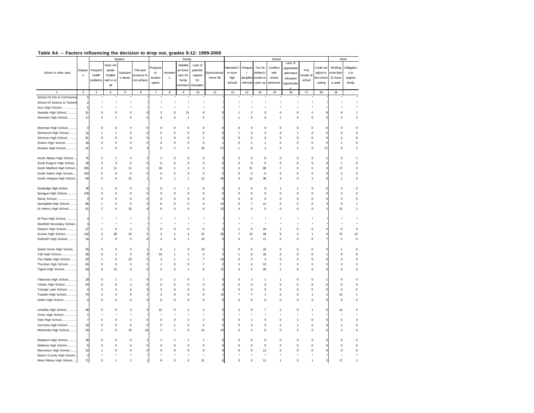| $14010$ $17.$               |             |                         |                         |             |             |                           |                         |                         |                          | <b>I accurs immuchangement accusion to arep out, grades 5-12. 1555-2000</b> |                |                         |                |                |                |                         |           |                |                  |
|-----------------------------|-------------|-------------------------|-------------------------|-------------|-------------|---------------------------|-------------------------|-------------------------|--------------------------|-----------------------------------------------------------------------------|----------------|-------------------------|----------------|----------------|----------------|-------------------------|-----------|----------------|------------------|
|                             |             |                         |                         | Student     |             |                           |                         | Family                  |                          |                                                                             |                |                         |                | School         |                |                         |           |                | Work             |
|                             |             |                         | Does no                 |             |             |                           |                         | Needed                  | Lack of                  |                                                                             |                |                         |                |                | Lack of        |                         |           |                |                  |
|                             |             |                         |                         |             |             | <sup>9</sup> regnant      |                         |                         |                          |                                                                             | Attended 3     | Frequer                 | Too far        | Conflicts      | appropriate    |                         | Could not | Working        | Obligation       |
| School or other area        | Dropout     | Frequent                | speak                   | Substanc    | Felt peer   | or                        | Homeles                 | at Home                 | parental                 | Dysfunctional                                                               | or more        | $\mathbf{t}$            | behind in      | with           | alternative    | Felt                    | adjust to | nore thar      | s to             |
|                             | s           | health                  | English                 | e abuse     | pressure to | student                   | s                       | care for                | support                  | home life                                                                   | high           | discipline              | credits to     | school         | education      | unsafe at               | he schoo  | 15 hours       | support          |
|                             |             | problems                | well or a               |             | not achieve | parent                    |                         | family                  | for                      |                                                                             | schools        | referrals               | catch up       |                |                | school                  | setting   | a week         | family           |
|                             |             |                         | all                     |             |             |                           |                         | nembers                 | education                |                                                                             |                |                         |                | personnel      | opportunitie   |                         |           |                |                  |
|                             | $\mathbf 2$ | $\mathbf 3$             | $\sqrt{4}$              | 5           | $\,6\,$     | $\overline{\mathfrak{c}}$ | 8                       | 9                       | 10                       | 11                                                                          | 12             | 13                      | $14\,$         | 15             | $16\,$         | 17                      | 18        | 19             |                  |
| School Of Arts & Communica  |             |                         |                         |             |             |                           |                         |                         |                          |                                                                             |                |                         |                |                |                |                         |           |                |                  |
| School Of Science & Technol |             |                         |                         |             |             |                           |                         |                         |                          |                                                                             |                |                         |                |                |                |                         |           |                |                  |
| Scio High School            |             |                         |                         |             |             |                           |                         |                         |                          |                                                                             |                |                         |                |                |                |                         |           |                |                  |
|                             |             | $\Omega$                | $\mathbf 0$             |             |             |                           |                         |                         |                          |                                                                             |                |                         | $\mathbf 0$    | 0              | $\mathbf 0$    | $\Omega$                |           |                |                  |
| Seaside High School         | 31          |                         |                         | 0           |             | $\overline{2}$            | 0                       | 21                      | $\pmb{0}$                |                                                                             |                | 2                       |                |                |                |                         |           | 8              |                  |
| Sheridan High School        | 17          | $\mathbf 0$             | 1                       | $\mathbf 0$ |             | $\overline{4}$            | 0                       | $\overline{1}$          | 5                        |                                                                             |                | 3                       | 9              | 1              | $\mathbf 0$    | $\mathsf 0$             |           | $\overline{2}$ | $\boldsymbol{2}$ |
| Sherman High School         |             | $\Omega$                | $\mathbf 0$             | $\Omega$    |             | $\Omega$                  | 0                       | $\mathbf 0$             | $\mathbf 0$              |                                                                             |                | $\Omega$                | $\mathbf 0$    | $\mathbf 0$    | $\Omega$       | $\Omega$                |           | $\Omega$       | $\mathbf 0$      |
| Sherwood High School        | 12          |                         |                         | 0           |             | $\mathbf 0$               | 0                       | $\mathbf 0$             | 5                        |                                                                             |                | 3                       | 3              |                |                | 0                       |           | $\mathbf 0$    | $\mathbf 0$      |
| Silverton High School       | 81          | $\circ$                 | $\overline{0}$          | 0           |             | 3                         | 0                       | $\circ$                 | 1                        |                                                                             | $\mathbf 0$    | 0                       | 0              | 0              | $\mathbf 0$    | $\mathbf 0$             |           | $\overline{4}$ | $\mathbf 0$      |
| Sisters High School         | 18          | $\circ$                 | 0                       | 0           |             | $\mathbf 0$               | 0                       | $\pmb{0}$               | $\pmb{0}$                |                                                                             | $\mathbf 0$    | 1                       | 1              | 0              | 0              | 0                       |           |                | $\mathbf 0$      |
| Siuslaw High School         | 41          | -1                      | $\mathbf 0$             | 9           |             | 5                         | 2                       | $\overline{\mathbf{c}}$ | 18                       | 27                                                                          |                | 8                       | 4              | 4              | 1              | 0                       | 17        | 5              | $\boldsymbol{2}$ |
|                             |             |                         |                         |             |             |                           |                         |                         |                          |                                                                             |                |                         |                |                |                |                         |           |                |                  |
| South Albany High School    | 76          | $\overline{2}$          | 1                       |             |             |                           | 0                       | $\mathbf 0$             | 5                        |                                                                             | 0              | 5                       | 8              | 0              | $\mathbf 0$    | $\mathbf 0$             |           | 3              | $\mathbf{1}$     |
| South Eugene High School.   | 39          | $\Omega$                | $\mathbf 0$             | $\Omega$    |             | $\Omega$                  | $\Omega$                | $\mathbf 0$             | $\mathbf 0$              | $\Omega$                                                                    | $\Omega$       | $\Omega$                | 9              | $\Omega$       | $\Omega$       | $\Omega$                |           | -1             | $\mathbf 0$      |
| South Medford High School.  | 195         | $\overline{\mathbf{c}}$ | 11                      | 11          |             | 16                        | 1                       | 3                       | 3                        |                                                                             | $\Delta$       | 31                      | 86             | $\overline{7}$ | $\Omega$       | $\Omega$                |           | 17             | $\mathbf 0$      |
| South Salem High School     | 183         | $\mathbf 0$             | $\mathbf 0$             | $\mathbf 0$ |             | $\mathbf 0$               | 0                       | $\mathbf 0$             | $\mathbf 0$              | 0                                                                           | $\mathbf 0$    | $\mathbf 0$             | $\mathbf 0$    | $\mathsf 0$    | $\mathbf 0$    | $\mathsf 0$             |           | $\overline{2}$ | $\mathbf 0$      |
| South Umpqua High School.   | 69          | $\overline{2}$          | $\bf 0$                 | 15          |             | 5                         | 1                       | $\mathbf{1}$            | 12                       | 36                                                                          | 3              | 13                      | 38             | 3              | $\mathbf 0$    | $\overline{\mathbf{c}}$ |           | $\mathbf{1}$   | $\mathbf 0$      |
|                             |             |                         |                         |             |             |                           |                         |                         |                          |                                                                             |                |                         |                |                |                |                         |           |                |                  |
| Southridge High School      | 38          |                         | $\bf 0$                 | 5           |             | $\mathbf 0$               | $\overline{\mathbf{c}}$ |                         | 9                        |                                                                             | $\overline{4}$ | 5                       | 9              | 1              | 1              | $\mathbf 0$             |           | 3              | $\mathbf 0$      |
| Sprague High School         | 128         | $\mathbf 0$             | $\mathbf 0$             | $\mathbf 0$ |             | $\Omega$                  | 0                       | $\circ$                 | $\mathbf 0$              | $\Omega$                                                                    | $\mathbf 0$    | $\mathsf 0$             | $\mathbf 0$    | $\mathbf 0$    | $\mathbf 0$    | $\mathbf 0$             |           | $\mathcal{P}$  | $\mathbf 0$      |
| Spray School                | -C          | $^{\circ}$              | 0                       | 0           |             | $\mathbf 0$               | 0                       | $\mathbf 0$             | 0                        | $\mathbf 0$                                                                 | $\mathbf 0$    | $\mathbf 0$             | 0              | 0              | 0              | $\mathbf 0$             |           | $\mathbf 0$    | $\mathbf 0$      |
| Springfield High School     | 88          |                         | $\overline{\mathbf{c}}$ | 5           |             | 8                         | 0                       | $\circ$                 | 9                        | 14                                                                          | 6              | 7                       | 11             | 0              | $\mathbf 0$    | 0                       |           | 5              | $\mathbf{1}$     |
| St Helens High School       | 61          | $\overline{2}$          | 0                       | 10          |             | 8                         | 5                       | $\mathbf 0$             | 8                        | 15                                                                          |                | $\mathbf 0$             | 5              | 0              | $\mathbf 0$    | $\mathbf 0$             |           | 21             | $\mathbf{1}$     |
|                             |             |                         |                         |             |             |                           |                         |                         |                          |                                                                             |                |                         |                |                |                |                         |           |                |                  |
| St Paul High School         | 3           |                         |                         |             |             |                           |                         |                         |                          |                                                                             |                |                         |                |                |                |                         |           |                |                  |
| Stanfield Secondary School  |             |                         |                         |             |             |                           |                         |                         |                          |                                                                             |                |                         |                |                |                |                         |           |                |                  |
| Stayton High School         | 37          | -1                      | $\mathbf 0$             | 1           |             | $\Omega$                  | 0                       | $\mathbf 0$             | 6                        |                                                                             |                | 6                       | 10             | 1              | $\mathbf 0$    | $\mathsf 0$             |           | 6              | $\mathbf 0$      |
| Sunset High School          | 142         | 5                       | 39                      | 24          |             | 3                         | $\overline{\mathbf{c}}$ | 4                       | 22                       | 26                                                                          |                | 15                      | 28             | 5              | 4              | 1                       |           | 37             | 10               |
| Sutherlin High School       | 34          | $\mathbf{1}$            | $\pmb{0}$               | 3           |             | $\overline{4}$            | 3                       | $\mathbf{1}$            | 15                       | $\mathbf 0$                                                                 | $\overline{4}$ | 5                       | 11             | $\mathbf 0$    | $\mathbf 0$    | $\mathbf 0$             |           | $\overline{2}$ | $\mathbf 0$      |
|                             |             |                         |                         |             |             |                           |                         |                         |                          |                                                                             |                |                         |                |                |                |                         |           |                |                  |
| Sweet Home High School      | 55          | 0                       | 0                       | 0           |             | 5                         |                         | 0                       | 10                       |                                                                             | $\mathbf 0$    | 6                       | 10             | 0              | 0              | 0                       |           |                | 0                |
| Taft High School            | 66          | $\Omega$                | 1                       | 3           |             | 10                        | 1                       | $\mathbf{1}$            | $\overline{4}$           | 2                                                                           |                | 6                       | 18             | $\mathbf 0$    | $\mathbf 0$    | $\Omega$                |           | 8              | $\mathbf 0$      |
| The Dalles High School      | 50          | $\mathbf{1}$            | $\mathbf 0$             | 23          |             | $\overline{4}$            | 1                       | $\mathbf{1}$            | $\overline{\mathcal{I}}$ | 10                                                                          | 0              | $\mathbf 0$             | $\overline{4}$ | 0              | $\mathbf 0$    | $\mathbf 0$             |           | $\overline{4}$ | $\mathbf 0$      |
| Thurston High School        | 63          | $\circ$                 | $\mathsf{O}\xspace$     | 3           |             | -1                        | 0                       | $\circ$                 | $\overline{7}$           | 2                                                                           | $\overline{2}$ | 4                       | 13             | $\overline{2}$ | $\overline{2}$ | $\mathsf 0$             |           | 3              | $\mathbf 0$      |
| Tigard High School          | 93          | $\Omega$                | 12                      | $\Omega$    |             | 5                         | 0                       | -1                      | 8                        | 12                                                                          | 3              | 5                       | 20             | 1              | $\mathbf 0$    | $\Omega$                |           | 5              | $\mathbf 0$      |
|                             |             |                         |                         |             |             |                           |                         |                         |                          |                                                                             |                |                         |                |                |                |                         |           |                |                  |
| Tillamook High School       | 29          | $\theta$                | 1                       |             |             | 3                         | $\overline{\mathbf{c}}$ | $\circ$                 | -1                       | $\Omega$                                                                    | $\Omega$       | $\overline{\mathbf{c}}$ | 1              | 1              | $\mathbf 0$    | $\mathsf 0$             |           | $\Omega$       | $\mathbf 0$      |
| Toledo High School<br>.     | 33          | $\mathbf 0$             | 0                       |             |             | $\mathbf 0$               | 0                       | $\mathbf 0$             | $\pmb{0}$                | $\mathbf 0$                                                                 | $\mathbf 0$    | $\mathbf 0$             | 0              | 0              | 0              | $\mathbf 0$             |           | 6              | $\mathbf 0$      |
| Triangle Lake School        | $^{\circ}$  | $\mathbf 0$             | $\overline{0}$          | 0           |             | $\mathbf 0$               | 0                       | $\mathbf 0$             | $\mathbf 0$              | $\mathbf 0$                                                                 | $\mathbf 0$    | 0                       | 0              | 0              | $\mathbf 0$    | 0                       |           | $\mathbf 0$    | $\mathbf 0$      |
| Tualatin High School        | 70          | $\overline{2}$          | 4                       | 5           |             | 3                         | 0                       | $\circ$                 | $\mathbf 0$              | 15                                                                          |                | $\overline{7}$          | 1              | 0              | $\mathbf 0$    | 1                       |           | 15             | $\mathbf{1}$     |
| Ukiah High School           | 0           | $\circ$                 | 0                       | 0           |             | $\mathbf 0$               | 0                       | $^{\circ}$              | $\circ$                  | $\mathbf 0$                                                                 | $\mathbf 0$    | 0                       | 0              | 0              | 0              | 0                       |           | $\mathbf 0$    | $\mathbf 0$      |
|                             |             |                         |                         |             |             |                           |                         |                         |                          |                                                                             |                |                         |                |                |                |                         |           |                |                  |
| Umatilla High School        | 48          | $\Omega$                | $\Omega$                | 3           |             | 12                        | ŋ                       | 2                       |                          | $\Omega$                                                                    | 2              | q                       |                | 2              | $\Omega$       |                         |           | 14             | 5                |
| Union High School<br>.      |             |                         |                         |             |             |                           |                         |                         |                          |                                                                             |                |                         |                |                |                |                         |           |                |                  |
| Vale High School            |             | $\Omega$                | $\mathbf 0$             | 1           |             | $\Omega$                  | 0                       | $\mathbf 0$             | $\overline{2}$           | $\Omega$                                                                    | $\Omega$       | 1                       | 5              | $\mathbf 0$    | 1              | $\Omega$                |           | $\Omega$       | $\mathsf 0$      |
| Vernonia High School        | 10          | $\mathbf 0$             | $\mathbf 0$             | 6           |             | $\mathbf 0$               | 1                       | $\mathbf 0$             | 3                        |                                                                             | $\mathbf 0$    | 3                       | 5              | $\overline{a}$ | $\mathbf{1}$   | $\mathbf 0$             |           |                | $\mathbf 0$      |
| Wahtonka High School        | 29          | $\overline{2}$          | $\bf 0$                 | 10          | 16          | 3                         | 1                       | $\mathbf 0$             | 12                       | 10                                                                          | $\Omega$       | $\overline{4}$          | 8              | $\mathbf 0$    | 5              | $\mathsf 0$             |           | 3              | $\mathbf 0$      |
|                             |             |                         |                         |             |             |                           |                         |                         |                          |                                                                             |                |                         |                |                |                |                         |           |                |                  |
| Waldport High School        | 28          | $\mathbf 0$             | 0                       | 0           |             |                           |                         |                         |                          | 0                                                                           | 0              | 0                       | 0              | 0              | $\mathbf 0$    | 0                       |           |                | $\mathbf 0$      |
| Wallowa High School         | $\Omega$    |                         | 0                       | $\mathbf 0$ |             |                           | $\Omega$                | $\Omega$                | $\mathbf 0$              |                                                                             |                | $\Omega$                | $\mathbf 0$    | 0              | $\mathbf 0$    | $\mathbf 0$             |           |                | $\mathbf 0$      |
| Warrenton High School       | 22          |                         | 0                       | 0           |             |                           |                         | 0                       | 9                        |                                                                             |                |                         | 12             | 3              | 0              | 0                       |           | $\mathbf 0$    | $\mathbf 0$      |
| Wasco County High School    | 3           |                         |                         |             |             |                           |                         |                         |                          |                                                                             |                |                         |                |                |                |                         |           |                |                  |
| West Albany High School     | 71          | $\Omega$                |                         | 2           |             |                           | $\Omega$                | $\Omega$                | 21                       |                                                                             |                |                         | 11             |                | $\Omega$       |                         |           | 17             | $\overline{1}$   |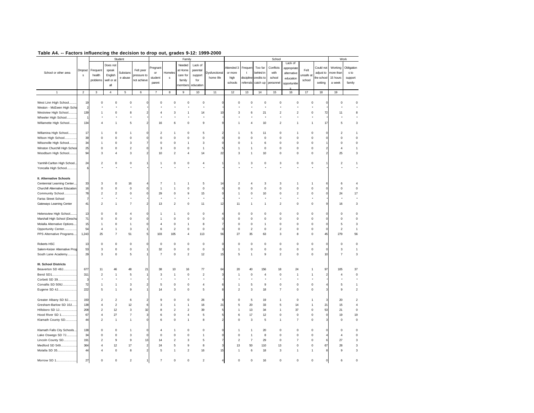|                                 |             |                         |                          | Student          |             |                         |                         | Family           |                         |                |                |                         |                | School                       |                  |             |              |                  | Work                    |
|---------------------------------|-------------|-------------------------|--------------------------|------------------|-------------|-------------------------|-------------------------|------------------|-------------------------|----------------|----------------|-------------------------|----------------|------------------------------|------------------|-------------|--------------|------------------|-------------------------|
|                                 |             |                         | Does not                 |                  |             |                         |                         | Needed           | Lack of                 |                |                |                         |                |                              | Lack of          |             |              |                  |                         |
|                                 | Dropout     | Frequent                | speak                    |                  | Felt peer   | regnar                  |                         | at Home          | parental                |                | Attended 3     | Frequer                 | Too far        | Conflicts                    | appropriate      | Felt        | Could not    | Working          | Obligation              |
| School or other area            |             |                         |                          | Substanc         |             | or                      | Homeles                 |                  |                         | Dysfunctional  | or more        | $\mathbf{t}$            | behind in      | with                         | alternative      |             | adjust to    | more than        | s to                    |
|                                 | s           | health                  | English                  | e abuse          | ressure to  | student                 | s                       | care for         | support                 | home life      | high           | discipline              | credits to     | school                       | education        | unsafe at   | he school    | 15 hours         | support                 |
|                                 |             | problems                | well or a                |                  | not achieve | parent                  |                         | family           | for                     |                | schools        | referrals               | catch up       | personnel                    |                  | school      | setting      | a week           | family                  |
|                                 |             |                         | all                      |                  |             |                         |                         | members          | education               |                |                |                         |                |                              | opportunitie     |             |              |                  |                         |
|                                 |             |                         |                          |                  |             |                         |                         |                  |                         |                |                |                         |                |                              |                  |             |              |                  |                         |
| $\mathbf{1}$                    | $\mathbf 2$ | $\mathsf 3$             | $\overline{4}$           | $\mathbf 5$      | 6           | $\overline{\mathbf{7}}$ | $\bf8$                  | $\mathsf g$      | 10                      | 11             | 12             | 13                      | 14             | 15                           | $16\,$           | 17          | 18           | 19               |                         |
|                                 |             |                         |                          |                  |             |                         |                         |                  |                         |                |                |                         |                |                              |                  |             |              |                  |                         |
| West Linn High School           | 19          | $\mathsf 0$             | 0                        | 0                |             | 0                       | 0                       | $\mathsf 0$      | $\mathbf 0$             |                | 0              | 0                       | $\mathsf 0$    | $\mathbf 0$                  | $\mathbf 0$      | 0           |              | $\mathbf 0$      | $\mathbf 0$             |
| Weston - McEwen High Scho       |             |                         |                          |                  |             |                         |                         |                  |                         |                |                |                         |                |                              |                  |             |              |                  |                         |
|                                 |             | 1                       | $\circ$                  |                  |             | 4                       |                         |                  |                         | 10             | 3              |                         |                |                              |                  |             |              |                  |                         |
| Westview High School            | 139         |                         |                          | 8                |             |                         | 3                       | 1                | 14                      |                |                | 6                       | 21<br>$\star$  | $\overline{\mathbf{c}}$<br>٠ | $\boldsymbol{2}$ | 0           | 72           | 11               | 8                       |
| Wheeler High School             |             |                         |                          |                  |             |                         |                         |                  |                         |                |                |                         |                |                              |                  |             |              |                  |                         |
| Willamette High School          | 134         | $\overline{4}$          | $\mathbf{1}$             | 5                |             | 16                      | 6                       | $\Omega$         | 9                       | $\overline{9}$ | 1              | $\overline{4}$          | 10             | $\overline{a}$               | $\mathbf{1}$     | 1           | 17           | 5                | 3                       |
|                                 |             |                         |                          |                  |             |                         |                         |                  |                         |                |                |                         |                |                              |                  |             |              |                  |                         |
| Willamina High School           | 17          | $\mathbf{1}$            | 0                        | $\mathbf{1}$     |             | $\boldsymbol{2}$        | $\overline{1}$          | $\mathsf 0$      | 5                       | $\overline{a}$ | 1              | 5                       | 11             | $\circ$                      | $\mathbf{1}$     | $\circ$     | C            | $\overline{2}$   | $\mathbf{1}$            |
| Wilson High School              | 39          | $\mathsf 0$             | $\mathsf 0$              | $\mathsf 0$      |             | $\mathsf 0$             | $\circ$                 | $\mathsf 0$      | $\mathsf 0$             | $\mathbf 0$    | 0              | $\mathsf 0$             | $\mathsf 0$    | $\circ$                      | $\mathbf 0$      | $\mathbf 0$ |              | $\mathbf 0$      | $\mathbf 0$             |
|                                 |             |                         |                          |                  |             |                         |                         |                  |                         |                |                |                         |                |                              |                  |             |              |                  |                         |
| Wilsonville High School         | 34          | 1                       | $\mathbf 0$              | 3                |             | 0                       | $\mathbf 0$             | 1                | 3                       | $\mathbf 0$    | $\Omega$       | $\mathbf{1}$            | 6              | $\mathbf 0$                  | $\mathbf 0$      | $\mathbf 0$ |              | $\mathbf 0$      | $\mathbf 0$             |
| Winston Churchill High School   | 25          | 0                       | 0                        | $\boldsymbol{2}$ |             | 3                       | 0                       | 0                | $\overline{1}$          | 5              | 1              | $\mathbf{1}$            | $\mathbf 0$    | $\pmb{0}$                    | $\mathbf 0$      | 0           |              | $\overline{4}$   | 1                       |
| Woodburn High School            | 94          | 3                       | $\overline{4}$           | 3                |             | 10                      | $\overline{\mathbf{c}}$ | $\overline{4}$   | 14                      | 22             | 3              | -1                      | 10             | $\mathbf 0$                  | $\mathsf 0$      | $\Omega$    |              | 25               | 3                       |
|                                 |             |                         |                          |                  |             |                         |                         |                  |                         |                |                |                         |                |                              |                  |             |              |                  |                         |
| Yamhill-Carlton High School     | 24          | $\boldsymbol{2}$        | 0                        | 0                |             | $\mathbf{1}$            | 0                       | $\mathbf 0$      | $\overline{4}$          | 1              | 1              | 3                       | $\mathsf 0$    | 3                            | $\mathbf 0$      | 0           |              | $\boldsymbol{2}$ | 1                       |
| Yoncalla High School            | 6           |                         |                          | $\star$          |             |                         |                         |                  | ł                       |                |                |                         |                | ł                            | $\star$          |             |              | $\star$          |                         |
|                                 |             |                         |                          |                  |             |                         |                         |                  |                         |                |                |                         |                |                              |                  |             |              |                  |                         |
|                                 |             |                         |                          |                  |             |                         |                         |                  |                         |                |                |                         |                |                              |                  |             |              |                  |                         |
| II. Alternative Schools         |             |                         |                          |                  |             |                         |                         |                  |                         |                |                |                         |                |                              |                  |             |              |                  |                         |
| Centennial Learning Center.     | 33          | 3                       | $\Omega$                 | 16               |             | $\overline{7}$          | -1                      | $\mathbf{1}$     | 5                       | 14             | $\mathfrak{p}$ | $\overline{4}$          | 3              | 3                            | $\mathbf{1}$     | 1           |              | 6                | 4                       |
| Churchill Alternative Education | 16          | $\mathsf 0$             | $\mathsf 0$              | $\mathbf 0$      |             | $\mathbf{1}$            | $\mathbf{1}$            | $\mathbf 0$      | $\mathbf 0$             | $\circ$        | $\mathsf 0$    | $\mathsf 0$             | $\mathbf 0$    | $\mathbf 0$                  | $\mathbf 0$      | $\circ$     |              | $\mathsf 0$      | $\mathsf 0$             |
| Community School.               | 78          | $\overline{\mathbf{c}}$ | $\overline{\mathbf{c}}$  | $\mathsf 0$      |             | 29                      | $\Omega$                | 9                | 15                      | $\mathbf 0$    | 1              | $\circ$                 | 10             | $\circ$                      | $\overline{2}$   | $\Omega$    |              | 24               | 17                      |
| Fariss Street School            |             |                         |                          |                  |             |                         |                         |                  |                         |                |                |                         |                |                              |                  |             |              |                  |                         |
|                                 | 41          | $\boldsymbol{2}$        | $\mathbf{1}$             | $\overline{7}$   |             | 13                      | $\boldsymbol{2}$        | 0                | 11                      | 12             | 11             | $\mathbf{1}$            | $\mathbf{1}$   | $\overline{\mathbf{c}}$      | 0                | 0           | S            | 16               | 3                       |
| Gateways Learning Center        |             |                         |                          |                  |             |                         |                         |                  |                         |                |                |                         |                |                              |                  |             |              |                  |                         |
|                                 |             |                         |                          |                  |             |                         |                         |                  |                         |                |                |                         |                |                              |                  |             |              |                  |                         |
| Helensview High School          | 13          | $\mathsf 0$             | $\mathbf 0$              | $\overline{4}$   |             | -1                      | -1                      | $\Omega$         | $\mathsf 0$             |                | $\Omega$       | $\Omega$                | $\Omega$       | $\mathbf 0$                  | $\Omega$         | $\Omega$    | C            | $\Omega$         | $\mathsf 0$             |
| Marshall High School (Deschu    | 71          | $\mathsf 0$             | $\mathbf 0$              | $\mathsf 0$      |             | $\overline{1}$          | $\mathsf 0$             | $\mathbf 0$      | $\mathbf 0$             | $\mathbf 0$    | $\mathbf 0$    | $\mathsf 0$             | $\mathbf 0$    | $\mathbf 0$                  | $\mathsf 0$      | $\circ$     |              | $\mathsf 0$      | $\mathsf 0$             |
| Molalla Alternative Options     | 15          | $\mathbf{1}$            | $\mathsf 0$              | $\mathbf{1}$     |             | $\overline{4}$          | $\mathsf 0$             | 1                | 8                       | 7              | $\mathsf 0$    | $\mathsf 0$             | 1              | $\mathbf 0$                  | $\mathbf 0$      | $\circ$     |              | 5                | 3                       |
| Opportunity Center              | 54          | $\overline{4}$          | $\mathbf{1}$             | 3                |             | 6                       | $\overline{\mathbf{c}}$ | $\mathsf 0$      | $\mathbf 0$             | $\mathbf{C}$   | $\mathbf 0$    | $\overline{\mathbf{c}}$ | $\mathsf 0$    | $\overline{a}$               | $\mathbf 0$      | $\mathbf 0$ |              | $\overline{2}$   | 1                       |
| PPS Alternative Programs        | 1,243       | 25                      | $\overline{\phantom{a}}$ | 51               |             | 103                     | 105                     | $\overline{4}$   | 113                     | 56             | 27             | 35                      | 63             | 3                            | 8                | 0           | 45           | 279              | 56                      |
|                                 |             |                         |                          |                  |             |                         |                         |                  |                         |                |                |                         |                |                              |                  |             |              |                  |                         |
|                                 |             |                         |                          |                  |             |                         |                         |                  |                         |                |                |                         |                |                              |                  |             |              |                  |                         |
| Roberts HSC                     | 13          | 0                       | 0                        | $\mathbf 0$      |             | $\mathbf 0$             | 0                       | 0                | $\pmb{0}$               | $\Omega$       | $\mathbf 0$    | 0                       | $^{\circ}$     | $\pmb{0}$                    | 0                | 0           | C            | $\mathbf 0$      | 0                       |
| Salem-Keizer Alternative Prog   | 53          | 3                       | $\mathsf 0$              | $\mathbf 0$      |             | 32                      | $\mathsf 0$             | $\mathsf 0$      | $\mathbf 0$             | 3              | 1              | $\mathsf 0$             | $\mathbf 0$    | $\mathbf 0$                  | $\mathbf 0$      | $\mathsf 0$ | $\mathbf{C}$ | $\mathsf 3$      | $\mathbf{1}$            |
| South Lane Academy              | 29          | 3                       | $\mathsf 0$              | 5                |             | $\overline{7}$          | $\mathsf 0$             | $\boldsymbol{2}$ | 12                      | 15             | 5              | $\overline{1}$          | 9              | $\overline{2}$               | $\mathsf 0$      | $\mathsf 0$ | 10           | $\overline{7}$   | 3                       |
|                                 |             |                         |                          |                  |             |                         |                         |                  |                         |                |                |                         |                |                              |                  |             |              |                  |                         |
| <b>III. School Districts</b>    |             |                         |                          |                  |             |                         |                         |                  |                         |                |                |                         |                |                              |                  |             |              |                  |                         |
|                                 |             |                         |                          |                  |             |                         |                         |                  |                         |                |                |                         |                |                              |                  |             |              |                  |                         |
| Beaverton SD 48J                | 677         | 11                      | 46                       | 48               | 21          | 38                      | 10                      | 16               | 77                      | 64             | 20             | 40                      | 156            | 18                           | 24               | 1           | 97           | 105              | 37                      |
| Bend SD1                        | 311         | $\boldsymbol{2}$        | $\overline{1}$           | 5                |             | 3                       | $\mathbf{1}$            | $\mathsf 0$      | $\overline{2}$          | 3              | 1              | $\mathbf 0$             | $\overline{4}$ | $\mathbf 0$                  | $\mathbf{1}$     | 1           | 2            | $\overline{4}$   | $\mathbf 0$             |
| Corbett SD 39                   | f.          |                         |                          |                  |             |                         |                         |                  | $\star$                 |                |                |                         |                | ٠                            |                  |             |              |                  |                         |
| Corvallis SD 509J               | 72          | $\mathbf{1}$            | $\mathbf{1}$             | 3                |             | 5                       | $\mathsf 0$             | $\mathsf 0$      | $\overline{4}$          | 6              | 1              | 5                       | 9              | $\mathbf 0$                  | $\mathsf 0$      | $\circ$     |              | 5                | 1                       |
| Eugene SD 4J                    | 222         | 5                       | $\mathbf{1}$             | 9                |             | 14                      | 3                       | $\mathbf 0$      | 5                       | 8              | $\overline{2}$ | 3                       | 18             | $\overline{7}$               | $\mathbf 0$      | $\mathbf 0$ |              | 9                | $\overline{a}$          |
|                                 |             |                         |                          |                  |             |                         |                         |                  |                         |                |                |                         |                |                              |                  |             |              |                  |                         |
| Greater Albany SD 8J            | 150         | $\boldsymbol{2}$        | $\overline{\mathbf{c}}$  | 6                |             | 9                       | $\circ$                 | 0                | 26                      | 9              | $\mathbf 0$    | $\mathbf 5$             | 19             | $\mathbf{1}$                 | 0                | 1           | 3            | 20               | $\overline{\mathbf{c}}$ |
|                                 |             |                         |                          |                  |             |                         |                         |                  |                         |                |                |                         |                |                              |                  |             |              |                  |                         |
| Gresham-Barlow SD 10J           | 138         | $\overline{4}$          | $\boldsymbol{2}$         | 12               |             | 3                       | $\mathbf{1}$            | 1                | 16                      | 21             | 5              | $20\,$                  | 33             | 5                            | 14               | 1           | 21           | 15               | $\overline{4}$          |
| Hillsboro SD 1J                 | 208         | $\overline{c}$          | 12                       | 3                | 32          | 8                       | $\overline{\mathbf{c}}$ | $\overline{c}$   | 39                      | 5              | $\mathbf{1}$   | 13                      | 34             | $\overline{1}$               | 37               | $\mathsf 0$ | 53           | 21               | $\mathsf 0$             |
| Hood River SD 1                 | 67          | $\sqrt{4}$              | 27                       | $\overline{7}$   |             | 6                       | $\mathsf 0$             | $\overline{4}$   | 5                       | 5              | 6              | 17                      | 12             | $\pmb{0}$                    | $\mathsf 0$      | $\mathsf 0$ | C            | 19               | 19                      |
| Klamath County SD               | 44          | $\boldsymbol{2}$        | $\mathbf{1}$             | $\mathbf{1}$     |             | 6                       | $\circ$                 | 1                | 8                       | $\overline{a}$ | 0              | 3                       | $\mathbf 5$    | $\mathbf{1}$                 | $\overline{7}$   | 0           | з            | $\mathbf 0$      | 0                       |
|                                 |             |                         |                          |                  |             |                         |                         |                  |                         |                |                |                         |                |                              |                  |             |              |                  |                         |
| Klamath Falls City Schools      | 138         | 0                       | 0                        | $\mathbf{1}$     |             | $\overline{4}$          |                         | 0                | 0                       | 0              | 1              | -1                      | 20             | 0                            | 0                | 0           | C            | $\mathbf 0$      | 0                       |
|                                 |             |                         |                          |                  |             |                         |                         |                  |                         |                |                |                         |                |                              |                  |             |              |                  |                         |
| Lake Oswego SD 7J               | 34          | $\mathsf 0$             | 0                        | $\mathbf 3$      |             | $\mathsf 0$             | 0                       | $\Omega$         | $\overline{1}$          | $\Omega$       | $\Omega$       | $\mathbf{1}$            | 8              | $\mathbf 0$                  | 0                | 0           |              | $\Delta$         | $\mathsf 0$             |
| Lincoln County SD               | 191         | $\overline{\mathbf{c}}$ | 9                        | 9                | 13          | 14                      | $\overline{\mathbf{c}}$ | 3                | 5                       | $\overline{7}$ | $\overline{2}$ | $\overline{7}$          | 29             | $\mathbf 0$                  | $\overline{7}$   | $\mathsf 0$ | 6            | 27               | 3                       |
| Medford SD 549                  | 364         | $\sqrt{4}$              | 12                       | 17               |             | 24                      | $\overline{5}$          | $\mathsf g$      | 8                       | 3              | 13             | 50                      | 110            | 13                           | $\mathsf 0$      | $\mathsf 0$ | 67           | 28               | $\mathsf 3$             |
| Molalla SD 35                   | 44          | $\overline{4}$          | $\mathsf 0$              | 8                |             | 5                       | $\overline{1}$          | $\boldsymbol{2}$ | 16                      | 15             | $\mathbf{1}$   | 6                       | 18             | 3                            | $\mathbf{1}$     | 1           | 8            | 9                | 3                       |
|                                 |             |                         |                          |                  |             |                         |                         |                  |                         |                |                |                         |                |                              |                  |             |              |                  |                         |
| Morrow SD 1                     | $27$        | 0                       | 0                        | $\overline{2}$   |             | $\overline{7}$          | $\circ$                 | $\mathbf 0$      | $\overline{\mathbf{c}}$ | $\overline{4}$ | 0              | $\circ$                 | 16             | $\circ$                      | $\mathbf 0$      | $\mathbf 0$ | $\mathbf 0$  | 6                | $\mathbf 0$             |
|                                 |             |                         |                          |                  |             |                         |                         |                  |                         |                |                |                         |                |                              |                  |             |              |                  |                         |
|                                 |             |                         |                          |                  |             |                         |                         |                  |                         |                |                |                         |                |                              |                  |             |              |                  |                         |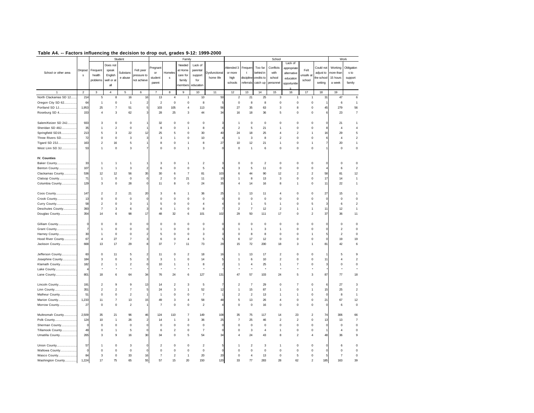| Table A4. -- Factors influencing the decision to drop out, grades 9-12: 1999-2000 |
|-----------------------------------------------------------------------------------|
|-----------------------------------------------------------------------------------|

|                       |                |                         |                           | Student                   |                |                         |                  | Family           |                |                      |                         |                |                | School                  |                         |                         |              | Work           |                |
|-----------------------|----------------|-------------------------|---------------------------|---------------------------|----------------|-------------------------|------------------|------------------|----------------|----------------------|-------------------------|----------------|----------------|-------------------------|-------------------------|-------------------------|--------------|----------------|----------------|
|                       |                |                         | Does not                  |                           |                |                         |                  | Needed           | Lack of        |                      |                         |                |                |                         | Lack of                 |                         |              |                |                |
|                       |                |                         |                           |                           | Felt peer      | regnan                  |                  | at Home          |                |                      | Attended 3              | Frequer        | Too far        | Conflicts               | appropriate             | Felt                    | Could not    | Working        | Obligation     |
| School or other area  | Dropout        | Frequent<br>health      | speak                     | Substanc                  |                | or                      | Homeles          |                  | parental       | <b>Oysfunctional</b> | or more                 | t              | behind in      | with                    | alternative             | unsafe at               | adjust to    | more thar      | s to           |
|                       | s              |                         | English                   | e abuse                   | pressure to    | student                 | s                | care for         | support        | home life            | high                    | discipline     | credits to     | school                  | education               |                         | the schoo    | 15 hours       | support        |
|                       |                | problems                | well or at                |                           | not achieve    | parent                  |                  | family           | for            |                      | schools                 | referrals      | catch up       | personnel               | opportunitie            | school                  | setting      | a week         | family         |
|                       |                |                         | all                       |                           |                |                         |                  | members          | education      |                      |                         |                |                |                         |                         |                         |              |                |                |
| $\mathbf{1}$          | $\mathbf 2$    | $\mathbf{3}$            | $\overline{4}$            | 5                         | 6              | $\overline{7}$          | 8                | $\mathsf g$      | 10             | 11                   | 12                      | 13             | 14             | 15                      | 16                      | 17                      | 18           | 19             |                |
| North Clackamas SD 12 | 214            | $\mathbf 5$             | 8                         | 16                        | 16             | 13                      | $\overline{4}$   | $\mathbf{1}$     | 10             | 50                   | $\boldsymbol{2}$        | 21             | 25             | 3                       | $\mathbf{1}$            | $\overline{1}$          | 31           | 47             | 6              |
| Oregon City SD 62     | 64             | $\overline{1}$          | $\mathsf 0$               | $\overline{1}$            |                | $\overline{\mathbf{c}}$ | $\mathsf 0$      | $\mathsf 0$      | 8              |                      | $\mathsf 0$             | 8              | 8              | $\mathsf 0$             | $\mathsf 0$             | $\mathbf 0$             |              | 6              | $\mathbf{1}$   |
| Portland SD 1J        | 1,953          | 25                      | $\overline{7}$            | 51                        |                | 103                     | 105              | $\overline{4}$   | 113            | 56                   | 27                      | 35             | 63             | 3                       | 8                       | $\mathbf 0$             | 45           | 279            | 56             |
| Roseburg SD 4         | 153            | $\overline{4}$          | 3                         | 62                        | 3              | 28                      | 25               | 3                | 44             | 34                   | 16                      | 18             | 36             | 5                       | $\mathsf 0$             | $\mathbf 0$             | 6            | 23             | $\overline{7}$ |
|                       |                |                         |                           |                           |                |                         |                  |                  |                |                      |                         |                |                |                         |                         |                         |              |                |                |
| Salem/Keizer SD 24J   | 933            | 3                       | $\mathbf 0$               | $\bf 0$                   |                | 32                      | $\mathbf 0$      | $\mathbf 0$      | $\pmb{0}$      | 3                    | $\overline{1}$          | $\pmb{0}$      | $\bf 0$        | $\mathbf 0$             | $\mathsf 0$             | $\mathbf 0$             | 0            | 21             | 1              |
| Sheridan SD 48J       | 35             | $\overline{1}$          | $\overline{c}$            | $\bf 0$                   |                | 8                       | $\mathbf 0$      | $\mathbf{1}$     | 8              |                      | $\overline{\mathbf{c}}$ | 5              | 21             | 1                       | $\mathsf 0$             | $\mathbf 0$             |              | $\overline{4}$ | $\sqrt{4}$     |
| Springfield SD19      | 213            | 5                       | 3                         | 22                        | 12             | 25                      | 5                | $\mathsf 0$      | 30             | 40                   | 24                      | 18             | 25             | 4                       | $\overline{\mathbf{c}}$ | $\overline{1}$          | 16           | 29             | 5              |
| Three Rivers SD       | 72             | $\pmb{0}$               | $\mathsf 0$               | 3                         | 3              | 3                       | $\mathbf{1}$     | $\mathbf 0$      | 10             |                      | 1                       | 3              | 8              | $\overline{2}$          | 0                       | $\pmb{0}$               | 6            | $\overline{4}$ | $\sqrt{2}$     |
| Tigard SD 23J         | 163            | $\overline{\mathbf{c}}$ | 16                        | 5                         |                | 8                       | 0                | $\mathbf{1}$     | 8              | 27                   | 10                      | 12             | 21             | 1                       | 0                       | $\mathbf{1}$            | 7            | 20             | 1              |
| West Linn SD 3J       | 53             | $\mathbf{1}$            | $\mathbf 0$               | 3                         | $\overline{7}$ | $\mathbf 0$             | $\mathbf 0$      | $\mathbf{1}$     | $\mathbf 3$    | $\Omega$             | 0                       | $\overline{1}$ | 6              | $\mathbf 0$             | $\mathsf 0$             | $\mathbf 0$             |              | $\mathbf 0$    | $\mathsf 0$    |
|                       |                |                         |                           |                           |                |                         |                  |                  |                |                      |                         |                |                |                         |                         |                         |              |                |                |
| IV. Counties          |                |                         |                           |                           |                |                         |                  |                  |                |                      |                         |                |                |                         |                         |                         |              |                |                |
| Baker County          | 33             | -1                      | 1                         | 1                         |                | 3                       | $\mathsf 0$      | $\mathbf{1}$     | $\sqrt{2}$     | 3                    | 0                       | $\mathbf 0$    | $\overline{2}$ | $\mathbf 0$             | $\mathsf 0$             | $\pmb{0}$               | $\Omega$     | $\mathbf 0$    | $\mathbf 0$    |
| Benton County         | 107            | $\overline{1}$          | $\overline{1}$            | 3                         |                | 6                       | $\mathbf 0$      | $\mathbf 0$      | $\sqrt{5}$     | 6                    | 3                       | 5              | 11             | $\mathbf 0$             | $\mathbf 0$             | $\mathbf 0$             |              | 6              | $\overline{2}$ |
| Clackamas County      | 536            | 12                      | 12                        | 56                        | 35             | 30                      | 6                | $\overline{7}$   | 81             | 103                  | 6                       | 44             | 90             | 12                      | $\mathcal{P}$           | $\overline{2}$          | 58           | 81             | 12             |
| Clatsop County        | 71             | $\overline{1}$          | $\mathsf 0$               | $\mathbf 0$               | $\theta$       | $\overline{c}$          | $\mathsf 0$      | 21               | 11             | 10                   | 1                       | 8              | 13             | 3                       | $\mathsf 0$             | $\mathbf 0$             | 17           | 14             | $\mathbf{1}$   |
| Columbia County       | 129            | 3                       | $\mathsf 0$               | 28                        | $\theta$       | 11                      | 8                | $\mathsf 0$      | 24             | 35                   | $\overline{4}$          | 14             | 16             | 8                       | $\mathbf{1}$            | $\mathbf 0$             | 11           | 22             | $\mathbf{1}$   |
|                       |                |                         |                           |                           |                |                         |                  |                  |                |                      |                         |                |                |                         |                         |                         |              |                |                |
| Coos County           | 147            | $\overline{2}$          | $\overline{2}$            | 21                        | 20             | 3                       | 6                | $\mathbf{1}$     | 36             | 25                   | 1                       | 13             | 11             | $\overline{4}$          | $\mathsf 0$             | $\mathbf 0$             | 27           | 15             | $\mathbf{1}$   |
| Crook County          | 13             | $\mathbf 0$             | $\mathbf 0$               | $\mathbf 0$               |                | $\mathsf 0$             | $\mathbf 0$      | $\mathbf 0$      | $\mathsf 0$    | C                    | 0                       | $\mathbf 0$    | $\mathbf 0$    | 0                       | $\mathbf 0$             | $\mathbf 0$             | C            | $\mathbf 0$    | $\mathbf 0$    |
| Curry County          | 58             | $\overline{2}$          | 0                         | 3                         |                | 5                       | $\mathbf 0$      | $\mathbf 0$      | $\overline{4}$ |                      | 0                       | $\overline{1}$ | 5              | 1                       | $\mathbf 0$             | 5                       |              | 6              | $\overline{2}$ |
| Deschutes County      | 393            | $\overline{7}$          | 3                         | 6                         |                | 6                       | $\mathbf{1}$     | $\mathbf 0$      | 8              |                      | $\overline{\mathbf{c}}$ | $\overline{7}$ | 12             | $\overline{2}$          | 1                       | $\mathbf{1}$            | 11           | 12             | $\mathbf{1}$   |
| Douglas County        | 354            | 14                      | 6                         | 98                        | 17             | 48                      | 32               | 6                | 101            | 102                  | 29                      | 50             | 111            | 17                      | $\mathsf 0$             | $\overline{2}$          | 37           | 36             | 11             |
|                       |                |                         |                           |                           |                |                         |                  |                  |                |                      |                         |                |                |                         |                         |                         |              |                |                |
| Gilliam County        | 0              | $\mathbf 0$             | $\mathbf 0$               | 0                         | $^{\circ}$     | 0                       | 0                | $\mathbf 0$      | 0              | 0                    | 0                       | $\mathbf 0$    | 0              | 0                       | $\mathbf 0$             | $\circ$                 | 0            | $\mathsf 0$    | $\mathbf 0$    |
| Grant County          | $\overline{7}$ | $\mathbf{1}$            | $\mathbf 0$               | 0                         |                | 1                       | 0                | $\mathsf 0$      | $\mathbf 3$    |                      | 1                       | $\overline{1}$ | 3              | 1                       | $\mathsf 0$             | $\mathbf 0$             | $\Omega$     | $\sqrt{2}$     | $\mathbf 0$    |
| Harney County         | 30             | $\overline{1}$          | $\mathsf 0$               | $\bf 0$                   |                | 5                       | $\mathsf 0$      | $\mathsf 0$      | 3              | 3                    | $\mathsf 0$             | 8              | 8              | $\bf 0$                 | $\mathsf 0$             | $\overline{1}$          | 5            | $\overline{2}$ | $\mathsf 0$    |
| Hood River County     | 67             | $\overline{4}$          | 27                        | $\overline{\mathfrak{c}}$ | 3              | 6                       | $\mathbf 0$      | $\overline{4}$   | $\mathbf 5$    | 5                    | 6                       | 17             | 12             | $\pmb{0}$               | $\mathsf 0$             | $\mathbf 0$             | $\Omega$     | 19             | 19             |
| Jackson County        | 668            | 13                      | 17                        | 29                        | 8              | 37                      | $\overline{7}$   | 11               | 73             | 29                   | 15                      | 72             | 200            | 18                      | 3                       | $\overline{1}$          | 81           | 42             | 6              |
| Jefferson County      | 60             | $\mathbf 0$             | 11                        | 5                         |                | 11                      | $\mathbf 0$      | $\boldsymbol{2}$ | 18             | 16                   | 1                       | 13             | 17             | $\overline{\mathbf{c}}$ | $\mathbf 0$             | $\mathbf 0$             |              | 5              | $\mathsf g$    |
| Josephine County      | 184            | 3                       | $\mathbf 0$               | 5                         |                | $\mathsf 3$             | 1                | $\mathsf 0$      | 14             | 5                    | 1                       | 6              | 10             | $\boldsymbol{2}$        | $\mathsf 0$             | $\mathbf 0$             | 11           | $\overline{4}$ | $\sqrt{2}$     |
| Klamath County        | 182            | $\overline{2}$          | $\mathbf{1}$              | $\overline{\mathbf{c}}$   |                | 10                      | $\mathbf{1}$     | $\mathbf{1}$     | 8              | $\mathfrak{p}$       | 1                       | $\overline{4}$ | 25             | 1                       | $\overline{7}$          | $\mathbf 0$             | 3            | $\mathbf 0$    | $\mathsf 0$    |
| Lake County           |                | ٠                       | ٠                         |                           |                |                         |                  |                  | $\star$        |                      |                         |                |                |                         |                         |                         |              |                |                |
| Lane County           | 801            | 18                      | 6                         | 64                        | 34             | 76                      | 24               | 6                | 127            | 131                  | 47                      | 57             | 103            | 24                      | 5                       | 3                       | 87           | 77             | 18             |
|                       |                |                         |                           |                           |                |                         |                  |                  |                |                      |                         |                |                |                         |                         |                         |              |                |                |
| Lincoln County        | 191            | $\overline{\mathbf{c}}$ | 9                         | 9                         | 13             | 14                      | $\boldsymbol{2}$ | 3                | 5              |                      | $\overline{2}$          | $\overline{7}$ | 29             | $\mathbf 0$             | $\overline{7}$          | $\circ$                 | 6            | 27             | $\mathbf 3$    |
| Linn County           | 351            | $\overline{2}$          | $\overline{\mathbf{c}}$   | $\overline{7}$            | 5              | 24                      | 3                | $\mathbf{1}$     | 52             | 12                   | 1                       | 15             | 87             | 1                       | $\mathsf 0$             | $\mathbf{1}$            | 15           | 25             | $\overline{2}$ |
| Malheur County        | 51             | $\mathbf 0$             | 0                         | $\overline{\mathbf{c}}$   |                | $\overline{1}$          | 0                | $\mathbf 0$      | $\overline{7}$ |                      | $\overline{\mathbf{c}}$ | $\sqrt{2}$     | 13             | 1                       | 1                       | $\mathbf 0$             | $\mathbf{C}$ | 8              | $\mathbf{1}$   |
| Marion County         | 1,233          | 11                      | $\overline{\mathfrak{c}}$ | 13                        | 15             | 49                      | 3                | $\overline{4}$   | 58             | 48                   | 5                       | 13             | 26             | $\overline{4}$          | 0                       | $\mathbf 0$             | 21           | 67             | 12             |
| Morrow County         | 27             | 0                       | $\mathbf 0$               | $\overline{\mathbf{c}}$   |                | $\overline{7}$          | $\mathbf 0$      | 0                | $\sqrt{2}$     |                      | 0                       | $\pmb{0}$      | 16             | 0                       | 0                       | $\pmb{0}$               | $\mathbf 0$  | 6              | $\mathbf 0$    |
|                       |                |                         |                           |                           |                |                         |                  |                  |                |                      |                         |                |                |                         |                         |                         |              |                |                |
| Multnomah County      | 2,509          | 35                      | 21                        | 96                        | 46             | 124                     | 110              | $\overline{7}$   | 149            | 108                  | 35                      | 75             | 117            | 14                      | 23                      | $\overline{\mathbf{c}}$ | 74           | 306            | 66             |
| Polk County           | 124            | 10                      | $\overline{1}$            | 26                        | $\mathcal{P}$  | 14                      | 1                | 3                | 36             | 25                   | $\overline{7}$          | 25             | 46             | $\overline{2}$          | $\overline{2}$          | $\mathbf 0$             | 13           | 13             | $\overline{7}$ |
| Sherman County        | $\Omega$       | $\pmb{0}$               | $\mathsf{O}\xspace$       | $\pmb{0}$                 | $\Omega$       | $\mathsf 0$             | $\mathsf 0$      | $\mathsf 0$      | $\mathsf 0$    | $\Omega$             | 0                       | $\pmb{0}$      | $\bf 0$        | $\mathsf 0$             | 0                       | $\pmb{0}$               | $\Omega$     | $\mathsf 0$    | $\mathbf 0$    |
| Tillamook County      | 49             | $\mathbf 0$             | $\mathbf{1}$              | 5                         | $\Omega$       | 6                       | $\boldsymbol{2}$ | $\mathsf 0$      | $\overline{7}$ | $\Omega$             | 0                       | 3              | $\overline{4}$ | 1                       | $\mathsf 0$             | $\mathbf 0$             |              | $\overline{4}$ | $\mathbf 0$    |
| Umatilla County       | 265            | 3                       | 9                         | 16                        | 30             | 34                      | $\mathsf 0$      | 5                | 54             | 34                   | $\overline{4}$          | 24             | 43             | 8                       | $\overline{2}$          | $\overline{4}$          | 48           | 36             | $\mathsf g$    |
| Union County          | 57             | -1                      | $\bf 0$                   | 3                         | $\Omega$       | $\overline{2}$          | $\mathsf 0$      | $\mathbf 0$      | $\overline{2}$ |                      |                         | $\overline{2}$ | 3              | 1                       | $\mathsf 0$             | $\mathbf 0$             |              | 6              | $\mathsf 0$    |
| Wallowa County        | $\Omega$       | $\mathbf 0$             | $\bf 0$                   | $\bf 0$                   |                | $\Omega$                | $\mathsf 0$      | $\mathbf 0$      | $\mathsf 0$    |                      | $\Omega$                | $\mathbf 0$    | $\mathbf 0$    | $\mathbf 0$             | $\mathsf 0$             | $\mathbf 0$             |              | $\mathbf 0$    | $\mathsf 0$    |
| Wasco County          | 84             | 3                       | $\bf 0$                   | 33                        | 16             | $\overline{7}$          | $\boldsymbol{2}$ | $\mathbf{1}$     | 20             | 20                   | $\Omega$                | $\overline{4}$ | 13             | $\mathbf 0$             | 5                       | $\mathbf 0$             | 5            | $\overline{7}$ | $\mathsf 0$    |
| Washington County     | 1,224          | 17                      | 75                        | 65                        | 55             | 57                      | 15               | 20               | 150            | 120                  | 33                      | 77             | 283            | 28                      | 62                      | $\mathfrak{p}$          | 185          | 163            | 39             |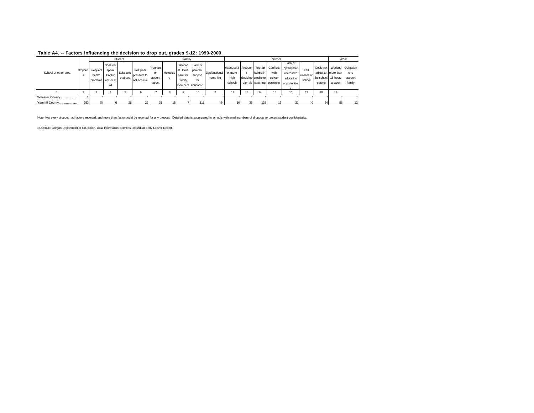|                      |     |                            |                                                            | Student             |                                         |                                     |         | Family                       |                                                                    |                            |                                                  |    |                                                                    | School                              |                                                                    |                             |         |                                                                                      | Work                      |
|----------------------|-----|----------------------------|------------------------------------------------------------|---------------------|-----------------------------------------|-------------------------------------|---------|------------------------------|--------------------------------------------------------------------|----------------------------|--------------------------------------------------|----|--------------------------------------------------------------------|-------------------------------------|--------------------------------------------------------------------|-----------------------------|---------|--------------------------------------------------------------------------------------|---------------------------|
| School or other area | s   | Dropout Frequent<br>health | Does not<br>speak<br>English<br>problems well or at<br>all | Substanc<br>e abuse | Felt peer<br>pressure to<br>not achieve | Pregnant<br>or<br>student<br>parent | Homeles | Needed<br>care for<br>family | Lack of<br>at Home parental<br>support<br>for<br>members education | Dysfunctional<br>home life | Attended 3 Frequen<br>or more<br>high<br>schools |    | behind in<br>discipline credits to<br>referrals catch up personnel | Too far Conflicts<br>with<br>school | Lack of<br>appropriate<br>alternative<br>education<br>opportunitie | Felt<br>unsafe at<br>school | setting | Could not Working Obligation<br>adjust to more than<br>the school 15 hours<br>a week | s to<br>support<br>family |
|                      |     |                            |                                                            |                     | 6                                       |                                     |         |                              | 10                                                                 |                            | 12                                               |    | 14                                                                 | 15                                  | 16                                                                 | 47                          | 18      | 19                                                                                   |                           |
| Wheeler County       |     |                            |                                                            |                     |                                         |                                     |         |                              |                                                                    |                            |                                                  |    |                                                                    |                                     |                                                                    |                             |         |                                                                                      |                           |
| Yamhill County       | 353 | 20                         | 6                                                          | 26                  | 22                                      | 35                                  | 15      |                              | 111                                                                | 94                         | 16                                               | 25 | 133                                                                | 12                                  | 21                                                                 |                             |         | 58                                                                                   | 12                        |

Note: Not every dropout had factors reported, and more than factor could be reported for any dropout. Detailed data is suppressed in schools with small numbers of dropouts to protect student confidentiality.

SOURCE: Oregon Department of Education, Data Information Services, Individual Early Leaver Report.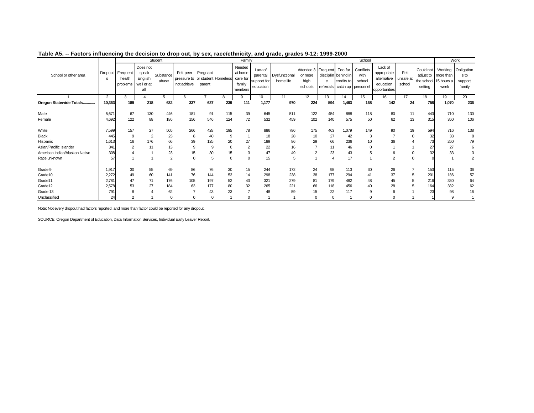|                                |               |                                |                                                   | Student            |                                                                |                    |          | Family                                             |                                                 |                            |                                                   |                |                                              | School                                            |                                                                     |                             |                                                            |                              | Work                                    |
|--------------------------------|---------------|--------------------------------|---------------------------------------------------|--------------------|----------------------------------------------------------------|--------------------|----------|----------------------------------------------------|-------------------------------------------------|----------------------------|---------------------------------------------------|----------------|----------------------------------------------|---------------------------------------------------|---------------------------------------------------------------------|-----------------------------|------------------------------------------------------------|------------------------------|-----------------------------------------|
| School or other area           | Dropout<br>S. | Frequent<br>health<br>problems | Does not<br>speak<br>English<br>well or at<br>all | Substance<br>abuse | Felt peer<br>pressure to  or student   Homeless<br>not achieve | Pregnant<br>parent |          | Needed<br>at home<br>care for<br>family<br>members | Lack of<br>parental<br>support for<br>education | Dysfunctional<br>home life | Attended 3 Frequent<br>or more<br>high<br>schools | e<br>referrals | Too far<br>disciplin behind in<br>credits to | Conflicts<br>with<br>school<br>catch up personnel | Lack of<br>appropriate<br>alternative<br>education<br>opportunities | Felt<br>unsafe at<br>school | Could not<br>adjust to<br>the school 15 hours a<br>setting | Working<br>more than<br>week | Obligation<br>s to<br>support<br>family |
|                                | 2             | 3                              |                                                   | 5                  | 6                                                              | -                  | R        | 9                                                  | 10                                              | 11                         | 12 <sup>2</sup>                                   | 13             | 14                                           | 15                                                | 16                                                                  | 17                          | 18                                                         | 19                           | 20                                      |
| Oregon Statewide Totals        | 10,363        | 189                            | 218                                               | 632                | 337                                                            | 637                | 239      | 111                                                | 1,177                                           | 970                        | 224                                               | 594            | 1,463                                        | 168                                               | 142                                                                 | 24                          | 758                                                        | 1,070                        | 236                                     |
| Male                           | 5,671         | 67                             | 130                                               | 446                | 181                                                            | 91                 | 115      | 39                                                 | 645                                             | 511                        | 122                                               | 454            | 888                                          | 118                                               | 80                                                                  | 11                          | 443                                                        | 710                          | 130                                     |
| Female                         | 4,692         | 122                            | 88                                                | 186                | 156                                                            | 546                | 124      | 72                                                 | 532                                             | 459                        | 102                                               | 140            | 575                                          | 50                                                | 62                                                                  | 13                          | 315                                                        | 360                          | 106                                     |
| White                          | 7,599         | 157                            | 27                                                | 505                | 266                                                            | 428                | 195      | 78                                                 | 886                                             | 786                        | 175                                               | 463            | 1,079                                        | 149                                               | 90                                                                  | 19                          | 594                                                        | 716                          | 138                                     |
| <b>Black</b>                   | 445           | 9                              |                                                   | 23                 |                                                                | 40                 | -9       |                                                    | 18                                              | 28                         | 10                                                | 27             | 42                                           | 3                                                 |                                                                     | $\Omega$                    | 32                                                         | 33                           |                                         |
| Hispanic                       | 1,613         | 16                             | 176                                               | 66                 | 39                                                             | 125                | 20       | 27                                                 | 189                                             | 86                         | 29                                                | 66             | 236                                          | 10                                                | 36                                                                  |                             |                                                            | 260                          | 79                                      |
| Asian/Pacific Islander         | 341           |                                | 11                                                | 13                 |                                                                | 9                  | $\Omega$ | $\overline{2}$                                     | 22                                              |                            |                                                   | 11             | 46                                           |                                                   |                                                                     |                             |                                                            | 27                           |                                         |
| American Indian/Alaskan Native | 308           |                                |                                                   | 23                 | 15                                                             | 30                 | 15       | 3                                                  | 47                                              |                            |                                                   | 23             | 43                                           | 5                                                 | 6                                                                   | 0                           | 32                                                         | 33                           |                                         |
| Race unknown                   | 57            |                                |                                                   | $\overline{2}$     |                                                                | 5                  | $\Omega$ | $\mathbf 0$                                        | 15                                              |                            |                                                   | 4              | 17                                           |                                                   | $\sim$                                                              | $\mathbf 0$                 |                                                            |                              | 2                                       |
| Grade 9                        | 1,917         | 30                             | 55                                                | 69                 | 86                                                             | 76                 | 30       | 15                                                 | 244                                             | 172                        | 24                                                | 98             | 113                                          | 30                                                | 26                                                                  |                             | 153                                                        | 115                          | 36                                      |
| Grade10                        | 2,272         | 49                             | 60                                                | 141                | 76                                                             | 144                | 53       | 14                                                 | 298                                             | 238                        | 38                                                | 177            | 294                                          | 41                                                | 37                                                                  | 5                           | 201                                                        | 186                          | 57                                      |
| Grade11                        | 2,781         | 47                             | 71                                                | 176                | 105                                                            | 197                | 52       | 43                                                 | 321                                             | 279                        | 81                                                | 179            | 482                                          | 48                                                | 45                                                                  | 5                           | 216                                                        | 330                          | 64                                      |
| Grade12                        | 2,578         | 53                             | 27                                                | 184                | 63                                                             | 177                | 80       | 32                                                 | 265                                             | 221                        | 66                                                | 118            | 456                                          | 40                                                | 28                                                                  |                             | 164                                                        | 332                          | 62                                      |
| Grade 13                       | 791           | 8                              |                                                   | 62                 |                                                                | 43                 | 23       |                                                    | 48                                              | 59                         | 15                                                | 22             | 117                                          | 9                                                 |                                                                     |                             | 23                                                         | 98                           | 16                                      |
| Unclassified                   | 24            | $\overline{2}$                 |                                                   |                    |                                                                |                    |          | $\Omega$                                           |                                                 |                            | $\Omega$                                          | $\Omega$       |                                              | O                                                 |                                                                     |                             |                                                            | q                            |                                         |

#### **Table A5. -- Factors influencing the decision to drop out, by sex, race/ethnicity, and grade, grades 9-12: 1999-2000**

Note: Not every dropout had factors reported, and more than factor could be reported for any dropout.

SOURCE: Oregon Department of Education, Data Information Services, Individual Early Leaver Report.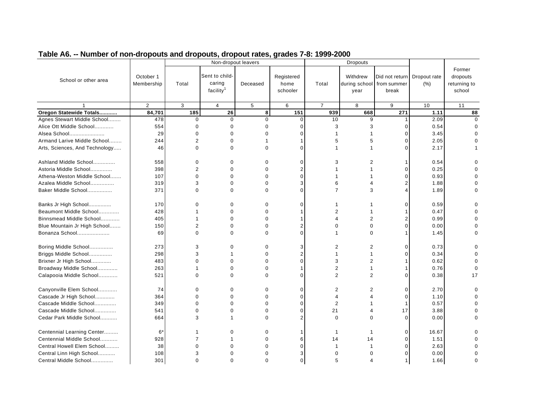|                                |                         |                | Non-dropout leavers                               |             |                                |                | <b>Dropouts</b>                   |                                        |                     |                                              |
|--------------------------------|-------------------------|----------------|---------------------------------------------------|-------------|--------------------------------|----------------|-----------------------------------|----------------------------------------|---------------------|----------------------------------------------|
| School or other area           | October 1<br>Membership | Total          | Sent to child-<br>caring<br>facility <sup>1</sup> | Deceased    | Registered<br>home<br>schooler | Total          | Withdrew<br>during school<br>year | Did not return<br>from summer<br>break | Dropout rate<br>(%) | Former<br>dropouts<br>returning to<br>school |
|                                | $\overline{2}$          | 3              | $\overline{4}$                                    | 5           | 6                              | $\overline{7}$ | 8                                 | 9                                      | 10                  | 11                                           |
| Oregon Statewide Totals        | $\overline{84,701}$     | 185            | 26                                                | 8           | 151                            | 939            | 668                               | 271                                    | 1.11                | 88                                           |
| Agnes Stewart Middle School    | 478                     | $\mathbf 0$    | $\Omega$                                          | $\Omega$    | $\Omega$                       | 10             | 9                                 | 1                                      | 2.09                | $\Omega$                                     |
| Alice Ott Middle School        | 554                     | $\Omega$       | $\mathbf 0$                                       | $\Omega$    | $\Omega$                       | 3              | 3                                 | $\Omega$                               | 0.54                | 0                                            |
| Alsea School                   | 29                      | $\overline{0}$ | $\Omega$                                          | $\Omega$    | $\Omega$                       |                |                                   | $\Omega$                               | 3.45                |                                              |
| Armand Larive Middle School    | 244                     | 2              | $\mathbf 0$                                       | 1           |                                | 5              | 5                                 | $\Omega$                               | 2.05                |                                              |
| Arts, Sciences, And Technology | 46                      | $\Omega$       | $\Omega$                                          | $\Omega$    | $\Omega$                       | 1              |                                   | $\Omega$                               | 2.17                |                                              |
| Ashland Middle School          | 558                     | 0              | $\Omega$                                          | $\Omega$    | $\Omega$                       | 3              | 2                                 |                                        | 0.54                | ŋ                                            |
| Astoria Middle School          | 398                     | 2              | $\Omega$                                          | $\Omega$    | 2                              |                |                                   | $\Omega$                               | 0.25                | $\Omega$                                     |
| Athena-Weston Middle School    | 107                     | $\mathbf 0$    | $\Omega$                                          | $\Omega$    | $\Omega$                       |                |                                   | O                                      | 0.93                | 0                                            |
| Azalea Middle School           | 319                     | 3              | $\Omega$                                          | $\Omega$    | 3                              | 6              |                                   |                                        | 1.88                |                                              |
| Baker Middle School            | 371                     | 0              | $\Omega$                                          | $\Omega$    | $\Omega$                       | $\overline{7}$ | 3                                 |                                        | 1.89                | 0                                            |
| Banks Jr High School           | 170                     | 0              | 0                                                 | $\mathbf 0$ | $\Omega$                       |                |                                   | C                                      | 0.59                | 0                                            |
| Beaumont Middle School         | 428                     | 1              | $\Omega$                                          | $\Omega$    |                                | $\overline{2}$ |                                   |                                        | 0.47                |                                              |
| Binnsmead Middle School        | 405                     | 1              | $\mathbf 0$                                       | $\Omega$    |                                | 4              | 2                                 | 2                                      | 0.99                | 0                                            |
| Blue Mountain Jr High School   | 150                     | $\overline{2}$ | $\Omega$                                          | $\Omega$    |                                | 0              | $\Omega$                          | $\Omega$                               | 0.00                | U                                            |
| Bonanza School                 | 69                      | $\Omega$       | $\Omega$                                          | $\Omega$    | $\Omega$                       |                | $\Omega$                          |                                        | 1.45                | 0                                            |
| Boring Middle School           | 273                     | 3              | 0                                                 | $\mathbf 0$ | 3                              | 2              | 2                                 | $\Omega$                               | 0.73                | 0                                            |
| Briggs Middle School           | 298                     | 3              | 1                                                 | $\mathbf 0$ | $\overline{2}$                 | 1              | 1                                 | O                                      | 0.34                | 0                                            |
| Brixner Jr High School         | 483                     | $\Omega$       | $\Omega$                                          | $\Omega$    | $\Omega$                       | 3              | $\overline{2}$                    |                                        | 0.62                | $\Omega$                                     |
| Broadway Middle School         | 263                     | 1              | $\mathbf 0$                                       | $\Omega$    |                                | 2              | 1                                 |                                        | 0.76                | $\mathbf 0$                                  |
| Calapooia Middle School        | 521                     | $\Omega$       | $\Omega$                                          | $\Omega$    | $\Omega$                       | $\overline{2}$ | $\overline{2}$                    | O                                      | 0.38                | 17                                           |
| Canyonville Elem School        | 74                      | 0              | $\mathbf 0$                                       | $\Omega$    | $\Omega$                       | 2              | $\overline{2}$                    | $\Omega$                               | 2.70                | $\Omega$                                     |
| Cascade Jr High School         | 364                     | $\mathbf 0$    | $\Omega$                                          | $\Omega$    | $\Omega$                       | 4              |                                   | $\Omega$                               | 1.10                | $\Omega$                                     |
| Cascade Middle School          | 349                     | $\mathbf 0$    | 0                                                 | $\mathbf 0$ | $\Omega$                       | $\overline{2}$ |                                   |                                        | 0.57                | 0                                            |
| Cascade Middle School          | 541                     | $\Omega$       | $\Omega$                                          | $\Omega$    | $\Omega$                       | 21             |                                   | 17                                     | 3.88                | 0                                            |
| Cedar Park Middle School       | 664                     | 3              |                                                   | $\Omega$    | $\mathcal{P}$                  | $\Omega$       | O                                 | $\Omega$                               | 0.00                | U                                            |
| Centennial Learning Center     | $6*$                    | 1              | $\mathbf 0$                                       | 0           |                                | $\mathbf 1$    | -1                                | $\Omega$                               | 16.67               | 0                                            |
| Centennial Middle School       | 928                     | 7              |                                                   | $\Omega$    | 6                              | 14             | 14                                | $\Omega$                               | 1.51                |                                              |
| Central Howell Elem School     | 38                      | $\Omega$       | $\Omega$                                          | $\Omega$    | $\Omega$                       | -1             |                                   | $\Omega$                               | 2.63                |                                              |
| Central Linn High School       | 108                     | 3              | $\Omega$                                          | 0           | 3                              | 0              |                                   |                                        | 0.00                | 0                                            |
| Central Middle School          | 301                     | $\Omega$       | $\Omega$                                          | $\Omega$    | $\mathbf 0$                    | 5              |                                   |                                        | 1.66                | $\Omega$                                     |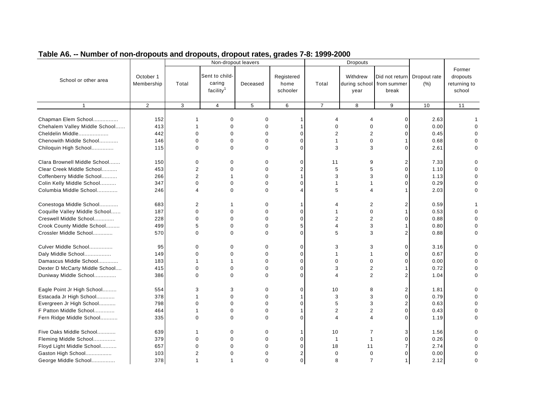|                                                                                                                                            |                                 |                                                                | Non-dropout leavers                                   |                                                                |                                                             |                                              | <b>Dropouts</b>                               |                                        |                                      |                                              |
|--------------------------------------------------------------------------------------------------------------------------------------------|---------------------------------|----------------------------------------------------------------|-------------------------------------------------------|----------------------------------------------------------------|-------------------------------------------------------------|----------------------------------------------|-----------------------------------------------|----------------------------------------|--------------------------------------|----------------------------------------------|
| School or other area                                                                                                                       | October 1<br>Membership         | Total                                                          | Sent to child-<br>caring<br>facility <sup>1</sup>     | Deceased                                                       | Registered<br>home<br>schooler                              | Total                                        | Withdrew<br>during school<br>year             | Did not return<br>from summer<br>break | Dropout rate<br>(% )                 | Former<br>dropouts<br>returning to<br>school |
| $\mathbf{1}$                                                                                                                               | 2                               | 3                                                              | $\overline{4}$                                        | 5                                                              | 6                                                           | $\overline{7}$                               | 8                                             | 9                                      | 10                                   | 11                                           |
| Chapman Elem School<br>Chehalem Valley Middle School<br>Cheldelin Middle                                                                   | 152<br>413<br>442               | 1<br>1<br>$\Omega$                                             | $\Omega$<br>$\mathbf 0$<br>$\Omega$                   | $\mathbf 0$<br>$\Omega$<br>$\Omega$                            | $\Omega$                                                    | $\Omega$<br>$\overline{2}$                   | $\Omega$<br>2                                 | 0<br>∩                                 | 2.63<br>0.00<br>0.45                 |                                              |
| Chenowith Middle School                                                                                                                    | 146                             | $\mathbf 0$                                                    | $\mathbf 0$                                           | $\Omega$                                                       | $\Omega$                                                    | 1                                            | $\Omega$                                      |                                        | 0.68                                 |                                              |
| Chiloquin High School                                                                                                                      | 115                             | $\Omega$                                                       | $\Omega$                                              | $\Omega$                                                       | $\Omega$                                                    | 3                                            | 3                                             | O                                      | 2.61                                 |                                              |
| Clara Brownell Middle School<br>Clear Creek Middle School<br>Coffenberry Middle School                                                     | 150<br>453<br>266               | $\mathbf 0$<br>$\overline{2}$<br>$\overline{2}$                | $\Omega$<br>$\Omega$                                  | $\Omega$<br>$\Omega$<br>$\Omega$                               | 0<br>$\overline{2}$<br>1                                    | 11<br>5<br>3                                 | 9<br>5<br>3                                   | 2<br>$\Omega$<br>C                     | 7.33<br>1.10<br>1.13                 |                                              |
| Colin Kelly Middle School                                                                                                                  | 347                             | $\Omega$                                                       | $\Omega$                                              | $\Omega$                                                       | $\Omega$                                                    | 1                                            |                                               |                                        | 0.29                                 | U                                            |
| Columbia Middle School                                                                                                                     | 246                             | 4                                                              | $\Omega$                                              | $\Omega$                                                       |                                                             | 5                                            |                                               |                                        | 2.03                                 | 0                                            |
| Conestoga Middle School<br>Coquille Valley Middle School<br>Creswell Middle School<br>Crook County Middle School<br>Crossler Middle School | 683<br>187<br>228<br>499<br>570 | $\overline{2}$<br>0<br>$\mathbf 0$<br>5<br>$\Omega$            | $\mathbf 0$<br>$\mathbf 0$<br>$\mathbf 0$<br>$\Omega$ | $\Omega$<br>$\mathbf 0$<br>$\Omega$<br>$\mathbf 0$<br>$\Omega$ | -1<br>$\mathbf 0$<br>$\Omega$<br>5<br>$\Omega$              | 4<br>2<br>4<br>5                             | 2<br>$\mathbf 0$<br>2<br>3<br>3               |                                        | 0.59<br>0.53<br>0.88<br>0.80<br>0.88 | O                                            |
| Culver Middle School<br>Daly Middle School<br>Damascus Middle School<br>Dexter D McCarty Middle School<br>Duniway Middle School            | 95<br>149<br>183<br>415<br>386  | 0<br>$\mathbf{0}$<br>1<br>$\Omega$<br>$\Omega$                 | 0<br>$\Omega$<br>1<br>$\Omega$<br>$\Omega$            | $\mathbf 0$<br>$\Omega$<br>$\mathbf 0$<br>$\Omega$<br>$\Omega$ | $\mathbf 0$<br>$\Omega$<br>$\Omega$<br>$\Omega$<br>$\Omega$ | 3<br>1<br>$\mathbf 0$<br>3<br>4              | 3<br>1<br>$\mathbf 0$<br>2<br>2               | $\Omega$                               | 3.16<br>0.67<br>0.00<br>0.72<br>1.04 | U<br>U                                       |
| Eagle Point Jr High School<br>Estacada Jr High School<br>Evergreen Jr High School<br>F Patton Middle School<br>Fern Ridge Middle School    | 554<br>378<br>798<br>464<br>335 | 3<br>1<br>$\mathbf 0$<br>1<br>$\Omega$                         | 3<br>0<br>$\mathbf 0$<br>$\mathbf 0$<br>$\Omega$      | $\mathbf 0$<br>$\Omega$<br>$\mathbf 0$<br>$\Omega$<br>$\Omega$ | 0<br>$\mathbf 0$<br>-1<br>$\Omega$                          | 10<br>3<br>5<br>$\overline{2}$<br>4          | 8<br>3<br>3<br>$\overline{2}$<br>4            | 2<br>$\Omega$<br>n<br>O                | 1.81<br>0.79<br>0.63<br>0.43<br>1.19 | 0<br>U<br>U<br>ŋ                             |
| Five Oaks Middle School<br>Fleming Middle School<br>Floyd Light Middle School<br>Gaston High School<br>George Middle School                | 639<br>379<br>657<br>103<br>378 | 1<br>$\mathbf 0$<br>$\Omega$<br>$\overline{2}$<br>$\mathbf{1}$ | $\mathbf 0$<br>$\mathbf 0$<br>$\Omega$<br>$\Omega$    | 0<br>$\mathbf 0$<br>$\Omega$<br>$\Omega$<br>$\Omega$           | $\Omega$<br>$\Omega$<br>2<br>$\Omega$                       | 10<br>$\mathbf{1}$<br>18<br>$\mathbf 0$<br>8 | 7<br>1<br>11<br>$\mathbf 0$<br>$\overline{7}$ |                                        | 1.56<br>0.26<br>2.74<br>0.00<br>2.12 | U<br>O                                       |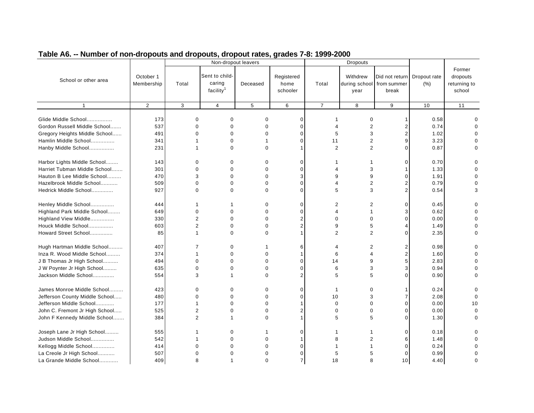| Former<br>Sent to child-<br>Withdrew<br>October 1<br>Registered<br>Did not return<br>dropouts<br>Dropout rate<br>School or other area<br>caring<br>Membership<br>(% )<br>Total<br>Deceased<br>home<br>Total<br>during school from summer<br>returning to<br>facility <sup>1</sup><br>school<br>schooler<br>break<br>year<br>$\overline{2}$<br>$\mathbf{1}$<br>3<br>$\overline{4}$<br>5<br>6<br>$\overline{7}$<br>8<br>9<br>10<br>11<br>Glide Middle School<br>173<br>$\Omega$<br>$\Omega$<br>0.58<br>$\Omega$<br>$\mathbf 0$<br>0<br>ŋ<br>1<br>Gordon Russell Middle School<br>537<br>0.74<br>$\Omega$<br>$\mathbf 0$<br>$\Omega$<br>$\overline{2}$<br>$\Omega$<br>$\Omega$<br>4<br>2<br>Gregory Heights Middle School<br>1.02<br>491<br>$\Omega$<br>$\Omega$<br>$\mathbf 0$<br>5<br>3<br>$\Omega$<br>Hamlin Middle School<br>11<br>$\overline{2}$<br>3.23<br>341<br>0<br>$\mathbf 0$<br>9<br>1<br>Hanby Middle School<br>231<br>$\Omega$<br>$\overline{2}$<br>$\overline{2}$<br>0.87<br>$\Omega$<br>U<br>1<br>$\mathbf 1$<br>C<br>Harbor Lights Middle School<br>143<br>$\mathbf 0$<br>0.70<br>0<br>0<br>0<br>0<br>ŋ<br>Harriet Tubman Middle School<br>301<br>$\mathbf 0$<br>$\mathbf 0$<br>1.33<br>0<br>$\mathbf 0$<br>3<br>4<br>3<br>Hauton B Lee Middle School<br>470<br>$\Omega$<br>3<br>9<br>1.91<br>$\Omega$<br>9<br>0<br>n<br>0.79<br>Hazelbrook Middle School<br>509<br>$\Omega$<br>$\Omega$<br>$\Omega$<br>$\overline{2}$<br>O<br>$\Omega$<br>927<br>0.54<br>Hedrick Middle School<br>0<br>0<br>$\Omega$<br>$\Omega$<br>5<br>3<br>3<br>Henley Middle School<br>444<br>$\Omega$<br>$\mathbf 0$<br>2<br>$\overline{2}$<br>$\Omega$<br>0.45<br>0<br>1<br>$\mathbf 0$<br>$\mathbf 0$<br>0.62<br>Highland Park Middle School<br>649<br>$\Omega$<br>$\mathbf 0$<br>4<br>$\overline{2}$<br>330<br>$\overline{2}$<br>0.00<br>Highland View Middle<br>0<br>$\Omega$<br>$\Omega$<br>$\Omega$<br>∩<br>603<br>$\overline{2}$<br>$\overline{2}$<br>1.49<br>Houck Middle School<br>$\Omega$<br>9<br>5<br>$\Omega$<br>$\overline{2}$<br>$\overline{2}$<br>Howard Street School<br>85<br>$\Omega$<br>2.35<br>O<br>1<br>$\Omega$<br>$\mathbf{1}$<br>C<br>Hugh Hartman Middle School<br>407<br>7<br>0<br>6<br>$\overline{2}$<br>2<br>0.98<br>ŋ<br>-1<br>4<br>Inza R. Wood Middle School<br>374<br>$\mathbf 0$<br>$\Omega$<br>6<br>1.60<br>1<br>4<br>$\mathbf 1$<br>J B Thomas Jr High School<br>2.83<br>494<br>$\mathbf 0$<br>$\mathbf 0$<br>$\mathbf 0$<br>$\mathbf 0$<br>14<br>9<br>0<br>J W Poynter Jr High School<br>635<br>$\mathbf 0$<br>0.94<br>$\Omega$<br>$\Omega$<br>$\Omega$<br>6<br>3<br>Jackson Middle School<br>554<br>3<br>0.90<br>$\Omega$<br>$\overline{2}$<br>5<br>5<br>U<br>O<br>1<br>James Monroe Middle School<br>423<br>0<br>0.24<br>$\mathbf 0$<br>0<br>0<br>$\mathbf 0$<br>$\mathbf{1}$<br>$\mathbf 0$<br>Jefferson County Middle School<br>480<br>$\mathbf 0$<br>2.08<br>$\Omega$<br>0<br>0<br>$\mathbf 0$<br>10<br>3<br>177<br>Jefferson Middle School<br>$\mathbf 0$<br>$\mathbf 0$<br>$\mathbf 0$<br>$\mathbf 0$<br>0.00<br>10<br>1<br>O<br>-1<br>$\overline{2}$<br>0.00<br>$\mathbf 0$<br>John C. Fremont Jr High School<br>525<br>$\Omega$<br>$\Omega$<br>$\overline{2}$<br>$\mathbf 0$<br>$\mathbf 0$<br>C<br>$\overline{2}$<br>384<br>5<br>5<br>O<br>John F Kennedy Middle School<br>$\Omega$<br>1.30<br>-1<br>C<br>Joseph Lane Jr High School<br>555<br>$\Omega$<br>$\mathbf 0$<br>0.18<br>O<br>Judson Middle School<br>1.48<br>542<br>$\mathbf 0$<br>$\Omega$<br>8<br>2<br>6<br>-1<br>Kellogg Middle School<br>0.24<br>414<br>$\Omega$<br>$\Omega$<br>$\Omega$<br>O<br>0.99<br>La Creole Jr High School<br>507<br>0<br>$\Omega$<br>$\mathbf 0$<br>5<br>$\Omega$<br>5 |                         |     |   | Non-dropout leavers |          |                |    | Dropouts |    |      |   |
|-------------------------------------------------------------------------------------------------------------------------------------------------------------------------------------------------------------------------------------------------------------------------------------------------------------------------------------------------------------------------------------------------------------------------------------------------------------------------------------------------------------------------------------------------------------------------------------------------------------------------------------------------------------------------------------------------------------------------------------------------------------------------------------------------------------------------------------------------------------------------------------------------------------------------------------------------------------------------------------------------------------------------------------------------------------------------------------------------------------------------------------------------------------------------------------------------------------------------------------------------------------------------------------------------------------------------------------------------------------------------------------------------------------------------------------------------------------------------------------------------------------------------------------------------------------------------------------------------------------------------------------------------------------------------------------------------------------------------------------------------------------------------------------------------------------------------------------------------------------------------------------------------------------------------------------------------------------------------------------------------------------------------------------------------------------------------------------------------------------------------------------------------------------------------------------------------------------------------------------------------------------------------------------------------------------------------------------------------------------------------------------------------------------------------------------------------------------------------------------------------------------------------------------------------------------------------------------------------------------------------------------------------------------------------------------------------------------------------------------------------------------------------------------------------------------------------------------------------------------------------------------------------------------------------------------------------------------------------------------------------------------------------------------------------------------------------------------------------------------------------------------------------------------------------------------------------------------------------------------------------------------------------------------------------------------------------------------------------------------------------------------------------------------------------------------------------------------------------------------------------------------------------------------------------------------------------------------------------------------------------------------------------------------------------------------------------|-------------------------|-----|---|---------------------|----------|----------------|----|----------|----|------|---|
|                                                                                                                                                                                                                                                                                                                                                                                                                                                                                                                                                                                                                                                                                                                                                                                                                                                                                                                                                                                                                                                                                                                                                                                                                                                                                                                                                                                                                                                                                                                                                                                                                                                                                                                                                                                                                                                                                                                                                                                                                                                                                                                                                                                                                                                                                                                                                                                                                                                                                                                                                                                                                                                                                                                                                                                                                                                                                                                                                                                                                                                                                                                                                                                                                                                                                                                                                                                                                                                                                                                                                                                                                                                                                                 |                         |     |   |                     |          |                |    |          |    |      |   |
|                                                                                                                                                                                                                                                                                                                                                                                                                                                                                                                                                                                                                                                                                                                                                                                                                                                                                                                                                                                                                                                                                                                                                                                                                                                                                                                                                                                                                                                                                                                                                                                                                                                                                                                                                                                                                                                                                                                                                                                                                                                                                                                                                                                                                                                                                                                                                                                                                                                                                                                                                                                                                                                                                                                                                                                                                                                                                                                                                                                                                                                                                                                                                                                                                                                                                                                                                                                                                                                                                                                                                                                                                                                                                                 |                         |     |   |                     |          |                |    |          |    |      |   |
|                                                                                                                                                                                                                                                                                                                                                                                                                                                                                                                                                                                                                                                                                                                                                                                                                                                                                                                                                                                                                                                                                                                                                                                                                                                                                                                                                                                                                                                                                                                                                                                                                                                                                                                                                                                                                                                                                                                                                                                                                                                                                                                                                                                                                                                                                                                                                                                                                                                                                                                                                                                                                                                                                                                                                                                                                                                                                                                                                                                                                                                                                                                                                                                                                                                                                                                                                                                                                                                                                                                                                                                                                                                                                                 |                         |     |   |                     |          |                |    |          |    |      |   |
|                                                                                                                                                                                                                                                                                                                                                                                                                                                                                                                                                                                                                                                                                                                                                                                                                                                                                                                                                                                                                                                                                                                                                                                                                                                                                                                                                                                                                                                                                                                                                                                                                                                                                                                                                                                                                                                                                                                                                                                                                                                                                                                                                                                                                                                                                                                                                                                                                                                                                                                                                                                                                                                                                                                                                                                                                                                                                                                                                                                                                                                                                                                                                                                                                                                                                                                                                                                                                                                                                                                                                                                                                                                                                                 |                         |     |   |                     |          |                |    |          |    |      |   |
|                                                                                                                                                                                                                                                                                                                                                                                                                                                                                                                                                                                                                                                                                                                                                                                                                                                                                                                                                                                                                                                                                                                                                                                                                                                                                                                                                                                                                                                                                                                                                                                                                                                                                                                                                                                                                                                                                                                                                                                                                                                                                                                                                                                                                                                                                                                                                                                                                                                                                                                                                                                                                                                                                                                                                                                                                                                                                                                                                                                                                                                                                                                                                                                                                                                                                                                                                                                                                                                                                                                                                                                                                                                                                                 |                         |     |   |                     |          |                |    |          |    |      |   |
|                                                                                                                                                                                                                                                                                                                                                                                                                                                                                                                                                                                                                                                                                                                                                                                                                                                                                                                                                                                                                                                                                                                                                                                                                                                                                                                                                                                                                                                                                                                                                                                                                                                                                                                                                                                                                                                                                                                                                                                                                                                                                                                                                                                                                                                                                                                                                                                                                                                                                                                                                                                                                                                                                                                                                                                                                                                                                                                                                                                                                                                                                                                                                                                                                                                                                                                                                                                                                                                                                                                                                                                                                                                                                                 |                         |     |   |                     |          |                |    |          |    |      |   |
|                                                                                                                                                                                                                                                                                                                                                                                                                                                                                                                                                                                                                                                                                                                                                                                                                                                                                                                                                                                                                                                                                                                                                                                                                                                                                                                                                                                                                                                                                                                                                                                                                                                                                                                                                                                                                                                                                                                                                                                                                                                                                                                                                                                                                                                                                                                                                                                                                                                                                                                                                                                                                                                                                                                                                                                                                                                                                                                                                                                                                                                                                                                                                                                                                                                                                                                                                                                                                                                                                                                                                                                                                                                                                                 |                         |     |   |                     |          |                |    |          |    |      |   |
|                                                                                                                                                                                                                                                                                                                                                                                                                                                                                                                                                                                                                                                                                                                                                                                                                                                                                                                                                                                                                                                                                                                                                                                                                                                                                                                                                                                                                                                                                                                                                                                                                                                                                                                                                                                                                                                                                                                                                                                                                                                                                                                                                                                                                                                                                                                                                                                                                                                                                                                                                                                                                                                                                                                                                                                                                                                                                                                                                                                                                                                                                                                                                                                                                                                                                                                                                                                                                                                                                                                                                                                                                                                                                                 |                         |     |   |                     |          |                |    |          |    |      |   |
|                                                                                                                                                                                                                                                                                                                                                                                                                                                                                                                                                                                                                                                                                                                                                                                                                                                                                                                                                                                                                                                                                                                                                                                                                                                                                                                                                                                                                                                                                                                                                                                                                                                                                                                                                                                                                                                                                                                                                                                                                                                                                                                                                                                                                                                                                                                                                                                                                                                                                                                                                                                                                                                                                                                                                                                                                                                                                                                                                                                                                                                                                                                                                                                                                                                                                                                                                                                                                                                                                                                                                                                                                                                                                                 |                         |     |   |                     |          |                |    |          |    |      |   |
|                                                                                                                                                                                                                                                                                                                                                                                                                                                                                                                                                                                                                                                                                                                                                                                                                                                                                                                                                                                                                                                                                                                                                                                                                                                                                                                                                                                                                                                                                                                                                                                                                                                                                                                                                                                                                                                                                                                                                                                                                                                                                                                                                                                                                                                                                                                                                                                                                                                                                                                                                                                                                                                                                                                                                                                                                                                                                                                                                                                                                                                                                                                                                                                                                                                                                                                                                                                                                                                                                                                                                                                                                                                                                                 |                         |     |   |                     |          |                |    |          |    |      |   |
|                                                                                                                                                                                                                                                                                                                                                                                                                                                                                                                                                                                                                                                                                                                                                                                                                                                                                                                                                                                                                                                                                                                                                                                                                                                                                                                                                                                                                                                                                                                                                                                                                                                                                                                                                                                                                                                                                                                                                                                                                                                                                                                                                                                                                                                                                                                                                                                                                                                                                                                                                                                                                                                                                                                                                                                                                                                                                                                                                                                                                                                                                                                                                                                                                                                                                                                                                                                                                                                                                                                                                                                                                                                                                                 |                         |     |   |                     |          |                |    |          |    |      |   |
|                                                                                                                                                                                                                                                                                                                                                                                                                                                                                                                                                                                                                                                                                                                                                                                                                                                                                                                                                                                                                                                                                                                                                                                                                                                                                                                                                                                                                                                                                                                                                                                                                                                                                                                                                                                                                                                                                                                                                                                                                                                                                                                                                                                                                                                                                                                                                                                                                                                                                                                                                                                                                                                                                                                                                                                                                                                                                                                                                                                                                                                                                                                                                                                                                                                                                                                                                                                                                                                                                                                                                                                                                                                                                                 |                         |     |   |                     |          |                |    |          |    |      |   |
|                                                                                                                                                                                                                                                                                                                                                                                                                                                                                                                                                                                                                                                                                                                                                                                                                                                                                                                                                                                                                                                                                                                                                                                                                                                                                                                                                                                                                                                                                                                                                                                                                                                                                                                                                                                                                                                                                                                                                                                                                                                                                                                                                                                                                                                                                                                                                                                                                                                                                                                                                                                                                                                                                                                                                                                                                                                                                                                                                                                                                                                                                                                                                                                                                                                                                                                                                                                                                                                                                                                                                                                                                                                                                                 |                         |     |   |                     |          |                |    |          |    |      |   |
|                                                                                                                                                                                                                                                                                                                                                                                                                                                                                                                                                                                                                                                                                                                                                                                                                                                                                                                                                                                                                                                                                                                                                                                                                                                                                                                                                                                                                                                                                                                                                                                                                                                                                                                                                                                                                                                                                                                                                                                                                                                                                                                                                                                                                                                                                                                                                                                                                                                                                                                                                                                                                                                                                                                                                                                                                                                                                                                                                                                                                                                                                                                                                                                                                                                                                                                                                                                                                                                                                                                                                                                                                                                                                                 |                         |     |   |                     |          |                |    |          |    |      |   |
|                                                                                                                                                                                                                                                                                                                                                                                                                                                                                                                                                                                                                                                                                                                                                                                                                                                                                                                                                                                                                                                                                                                                                                                                                                                                                                                                                                                                                                                                                                                                                                                                                                                                                                                                                                                                                                                                                                                                                                                                                                                                                                                                                                                                                                                                                                                                                                                                                                                                                                                                                                                                                                                                                                                                                                                                                                                                                                                                                                                                                                                                                                                                                                                                                                                                                                                                                                                                                                                                                                                                                                                                                                                                                                 |                         |     |   |                     |          |                |    |          |    |      |   |
|                                                                                                                                                                                                                                                                                                                                                                                                                                                                                                                                                                                                                                                                                                                                                                                                                                                                                                                                                                                                                                                                                                                                                                                                                                                                                                                                                                                                                                                                                                                                                                                                                                                                                                                                                                                                                                                                                                                                                                                                                                                                                                                                                                                                                                                                                                                                                                                                                                                                                                                                                                                                                                                                                                                                                                                                                                                                                                                                                                                                                                                                                                                                                                                                                                                                                                                                                                                                                                                                                                                                                                                                                                                                                                 |                         |     |   |                     |          |                |    |          |    |      |   |
|                                                                                                                                                                                                                                                                                                                                                                                                                                                                                                                                                                                                                                                                                                                                                                                                                                                                                                                                                                                                                                                                                                                                                                                                                                                                                                                                                                                                                                                                                                                                                                                                                                                                                                                                                                                                                                                                                                                                                                                                                                                                                                                                                                                                                                                                                                                                                                                                                                                                                                                                                                                                                                                                                                                                                                                                                                                                                                                                                                                                                                                                                                                                                                                                                                                                                                                                                                                                                                                                                                                                                                                                                                                                                                 |                         |     |   |                     |          |                |    |          |    |      |   |
|                                                                                                                                                                                                                                                                                                                                                                                                                                                                                                                                                                                                                                                                                                                                                                                                                                                                                                                                                                                                                                                                                                                                                                                                                                                                                                                                                                                                                                                                                                                                                                                                                                                                                                                                                                                                                                                                                                                                                                                                                                                                                                                                                                                                                                                                                                                                                                                                                                                                                                                                                                                                                                                                                                                                                                                                                                                                                                                                                                                                                                                                                                                                                                                                                                                                                                                                                                                                                                                                                                                                                                                                                                                                                                 |                         |     |   |                     |          |                |    |          |    |      |   |
|                                                                                                                                                                                                                                                                                                                                                                                                                                                                                                                                                                                                                                                                                                                                                                                                                                                                                                                                                                                                                                                                                                                                                                                                                                                                                                                                                                                                                                                                                                                                                                                                                                                                                                                                                                                                                                                                                                                                                                                                                                                                                                                                                                                                                                                                                                                                                                                                                                                                                                                                                                                                                                                                                                                                                                                                                                                                                                                                                                                                                                                                                                                                                                                                                                                                                                                                                                                                                                                                                                                                                                                                                                                                                                 |                         |     |   |                     |          |                |    |          |    |      |   |
|                                                                                                                                                                                                                                                                                                                                                                                                                                                                                                                                                                                                                                                                                                                                                                                                                                                                                                                                                                                                                                                                                                                                                                                                                                                                                                                                                                                                                                                                                                                                                                                                                                                                                                                                                                                                                                                                                                                                                                                                                                                                                                                                                                                                                                                                                                                                                                                                                                                                                                                                                                                                                                                                                                                                                                                                                                                                                                                                                                                                                                                                                                                                                                                                                                                                                                                                                                                                                                                                                                                                                                                                                                                                                                 |                         |     |   |                     |          |                |    |          |    |      |   |
|                                                                                                                                                                                                                                                                                                                                                                                                                                                                                                                                                                                                                                                                                                                                                                                                                                                                                                                                                                                                                                                                                                                                                                                                                                                                                                                                                                                                                                                                                                                                                                                                                                                                                                                                                                                                                                                                                                                                                                                                                                                                                                                                                                                                                                                                                                                                                                                                                                                                                                                                                                                                                                                                                                                                                                                                                                                                                                                                                                                                                                                                                                                                                                                                                                                                                                                                                                                                                                                                                                                                                                                                                                                                                                 |                         |     |   |                     |          |                |    |          |    |      |   |
|                                                                                                                                                                                                                                                                                                                                                                                                                                                                                                                                                                                                                                                                                                                                                                                                                                                                                                                                                                                                                                                                                                                                                                                                                                                                                                                                                                                                                                                                                                                                                                                                                                                                                                                                                                                                                                                                                                                                                                                                                                                                                                                                                                                                                                                                                                                                                                                                                                                                                                                                                                                                                                                                                                                                                                                                                                                                                                                                                                                                                                                                                                                                                                                                                                                                                                                                                                                                                                                                                                                                                                                                                                                                                                 |                         |     |   |                     |          |                |    |          |    |      |   |
|                                                                                                                                                                                                                                                                                                                                                                                                                                                                                                                                                                                                                                                                                                                                                                                                                                                                                                                                                                                                                                                                                                                                                                                                                                                                                                                                                                                                                                                                                                                                                                                                                                                                                                                                                                                                                                                                                                                                                                                                                                                                                                                                                                                                                                                                                                                                                                                                                                                                                                                                                                                                                                                                                                                                                                                                                                                                                                                                                                                                                                                                                                                                                                                                                                                                                                                                                                                                                                                                                                                                                                                                                                                                                                 |                         |     |   |                     |          |                |    |          |    |      |   |
|                                                                                                                                                                                                                                                                                                                                                                                                                                                                                                                                                                                                                                                                                                                                                                                                                                                                                                                                                                                                                                                                                                                                                                                                                                                                                                                                                                                                                                                                                                                                                                                                                                                                                                                                                                                                                                                                                                                                                                                                                                                                                                                                                                                                                                                                                                                                                                                                                                                                                                                                                                                                                                                                                                                                                                                                                                                                                                                                                                                                                                                                                                                                                                                                                                                                                                                                                                                                                                                                                                                                                                                                                                                                                                 |                         |     |   |                     |          |                |    |          |    |      |   |
|                                                                                                                                                                                                                                                                                                                                                                                                                                                                                                                                                                                                                                                                                                                                                                                                                                                                                                                                                                                                                                                                                                                                                                                                                                                                                                                                                                                                                                                                                                                                                                                                                                                                                                                                                                                                                                                                                                                                                                                                                                                                                                                                                                                                                                                                                                                                                                                                                                                                                                                                                                                                                                                                                                                                                                                                                                                                                                                                                                                                                                                                                                                                                                                                                                                                                                                                                                                                                                                                                                                                                                                                                                                                                                 |                         |     |   |                     |          |                |    |          |    |      |   |
|                                                                                                                                                                                                                                                                                                                                                                                                                                                                                                                                                                                                                                                                                                                                                                                                                                                                                                                                                                                                                                                                                                                                                                                                                                                                                                                                                                                                                                                                                                                                                                                                                                                                                                                                                                                                                                                                                                                                                                                                                                                                                                                                                                                                                                                                                                                                                                                                                                                                                                                                                                                                                                                                                                                                                                                                                                                                                                                                                                                                                                                                                                                                                                                                                                                                                                                                                                                                                                                                                                                                                                                                                                                                                                 |                         |     |   |                     |          |                |    |          |    |      |   |
|                                                                                                                                                                                                                                                                                                                                                                                                                                                                                                                                                                                                                                                                                                                                                                                                                                                                                                                                                                                                                                                                                                                                                                                                                                                                                                                                                                                                                                                                                                                                                                                                                                                                                                                                                                                                                                                                                                                                                                                                                                                                                                                                                                                                                                                                                                                                                                                                                                                                                                                                                                                                                                                                                                                                                                                                                                                                                                                                                                                                                                                                                                                                                                                                                                                                                                                                                                                                                                                                                                                                                                                                                                                                                                 |                         |     |   |                     |          |                |    |          |    |      |   |
|                                                                                                                                                                                                                                                                                                                                                                                                                                                                                                                                                                                                                                                                                                                                                                                                                                                                                                                                                                                                                                                                                                                                                                                                                                                                                                                                                                                                                                                                                                                                                                                                                                                                                                                                                                                                                                                                                                                                                                                                                                                                                                                                                                                                                                                                                                                                                                                                                                                                                                                                                                                                                                                                                                                                                                                                                                                                                                                                                                                                                                                                                                                                                                                                                                                                                                                                                                                                                                                                                                                                                                                                                                                                                                 |                         |     |   |                     |          |                |    |          |    |      |   |
|                                                                                                                                                                                                                                                                                                                                                                                                                                                                                                                                                                                                                                                                                                                                                                                                                                                                                                                                                                                                                                                                                                                                                                                                                                                                                                                                                                                                                                                                                                                                                                                                                                                                                                                                                                                                                                                                                                                                                                                                                                                                                                                                                                                                                                                                                                                                                                                                                                                                                                                                                                                                                                                                                                                                                                                                                                                                                                                                                                                                                                                                                                                                                                                                                                                                                                                                                                                                                                                                                                                                                                                                                                                                                                 |                         |     |   |                     |          |                |    |          |    |      |   |
|                                                                                                                                                                                                                                                                                                                                                                                                                                                                                                                                                                                                                                                                                                                                                                                                                                                                                                                                                                                                                                                                                                                                                                                                                                                                                                                                                                                                                                                                                                                                                                                                                                                                                                                                                                                                                                                                                                                                                                                                                                                                                                                                                                                                                                                                                                                                                                                                                                                                                                                                                                                                                                                                                                                                                                                                                                                                                                                                                                                                                                                                                                                                                                                                                                                                                                                                                                                                                                                                                                                                                                                                                                                                                                 |                         |     |   |                     |          |                |    |          |    |      |   |
|                                                                                                                                                                                                                                                                                                                                                                                                                                                                                                                                                                                                                                                                                                                                                                                                                                                                                                                                                                                                                                                                                                                                                                                                                                                                                                                                                                                                                                                                                                                                                                                                                                                                                                                                                                                                                                                                                                                                                                                                                                                                                                                                                                                                                                                                                                                                                                                                                                                                                                                                                                                                                                                                                                                                                                                                                                                                                                                                                                                                                                                                                                                                                                                                                                                                                                                                                                                                                                                                                                                                                                                                                                                                                                 |                         |     |   |                     |          |                |    |          |    |      |   |
|                                                                                                                                                                                                                                                                                                                                                                                                                                                                                                                                                                                                                                                                                                                                                                                                                                                                                                                                                                                                                                                                                                                                                                                                                                                                                                                                                                                                                                                                                                                                                                                                                                                                                                                                                                                                                                                                                                                                                                                                                                                                                                                                                                                                                                                                                                                                                                                                                                                                                                                                                                                                                                                                                                                                                                                                                                                                                                                                                                                                                                                                                                                                                                                                                                                                                                                                                                                                                                                                                                                                                                                                                                                                                                 |                         |     |   |                     |          |                |    |          |    |      |   |
|                                                                                                                                                                                                                                                                                                                                                                                                                                                                                                                                                                                                                                                                                                                                                                                                                                                                                                                                                                                                                                                                                                                                                                                                                                                                                                                                                                                                                                                                                                                                                                                                                                                                                                                                                                                                                                                                                                                                                                                                                                                                                                                                                                                                                                                                                                                                                                                                                                                                                                                                                                                                                                                                                                                                                                                                                                                                                                                                                                                                                                                                                                                                                                                                                                                                                                                                                                                                                                                                                                                                                                                                                                                                                                 |                         |     |   |                     |          |                |    |          |    |      |   |
|                                                                                                                                                                                                                                                                                                                                                                                                                                                                                                                                                                                                                                                                                                                                                                                                                                                                                                                                                                                                                                                                                                                                                                                                                                                                                                                                                                                                                                                                                                                                                                                                                                                                                                                                                                                                                                                                                                                                                                                                                                                                                                                                                                                                                                                                                                                                                                                                                                                                                                                                                                                                                                                                                                                                                                                                                                                                                                                                                                                                                                                                                                                                                                                                                                                                                                                                                                                                                                                                                                                                                                                                                                                                                                 |                         |     |   |                     |          |                |    |          |    |      |   |
|                                                                                                                                                                                                                                                                                                                                                                                                                                                                                                                                                                                                                                                                                                                                                                                                                                                                                                                                                                                                                                                                                                                                                                                                                                                                                                                                                                                                                                                                                                                                                                                                                                                                                                                                                                                                                                                                                                                                                                                                                                                                                                                                                                                                                                                                                                                                                                                                                                                                                                                                                                                                                                                                                                                                                                                                                                                                                                                                                                                                                                                                                                                                                                                                                                                                                                                                                                                                                                                                                                                                                                                                                                                                                                 |                         |     |   |                     |          |                |    |          |    |      |   |
|                                                                                                                                                                                                                                                                                                                                                                                                                                                                                                                                                                                                                                                                                                                                                                                                                                                                                                                                                                                                                                                                                                                                                                                                                                                                                                                                                                                                                                                                                                                                                                                                                                                                                                                                                                                                                                                                                                                                                                                                                                                                                                                                                                                                                                                                                                                                                                                                                                                                                                                                                                                                                                                                                                                                                                                                                                                                                                                                                                                                                                                                                                                                                                                                                                                                                                                                                                                                                                                                                                                                                                                                                                                                                                 |                         |     |   |                     |          |                |    |          |    |      |   |
|                                                                                                                                                                                                                                                                                                                                                                                                                                                                                                                                                                                                                                                                                                                                                                                                                                                                                                                                                                                                                                                                                                                                                                                                                                                                                                                                                                                                                                                                                                                                                                                                                                                                                                                                                                                                                                                                                                                                                                                                                                                                                                                                                                                                                                                                                                                                                                                                                                                                                                                                                                                                                                                                                                                                                                                                                                                                                                                                                                                                                                                                                                                                                                                                                                                                                                                                                                                                                                                                                                                                                                                                                                                                                                 | La Grande Middle School | 409 | 8 |                     | $\Omega$ | $\overline{7}$ | 18 | 8        | 10 | 4.40 | O |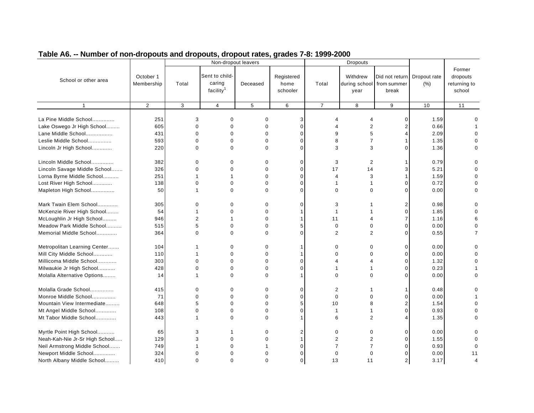|                                |                         |                | Non-dropout leavers                               |             |                                |                | Dropouts         |                                                      |                      |                                              |
|--------------------------------|-------------------------|----------------|---------------------------------------------------|-------------|--------------------------------|----------------|------------------|------------------------------------------------------|----------------------|----------------------------------------------|
| School or other area           | October 1<br>Membership | Total          | Sent to child-<br>caring<br>facility <sup>1</sup> | Deceased    | Registered<br>home<br>schooler | Total          | Withdrew<br>year | Did not return<br>during school from summer<br>break | Dropout rate<br>(% ) | Former<br>dropouts<br>returning to<br>school |
| $\mathbf{1}$                   | $\overline{2}$          | 3              | $\overline{4}$                                    | 5           | 6                              | $\overline{7}$ | 8                | 9                                                    | 10                   | 11                                           |
|                                |                         |                |                                                   |             |                                |                |                  |                                                      |                      |                                              |
| La Pine Middle School          | 251                     | 3              | $\Omega$                                          | $\Omega$    | 3                              |                | 4                | $\Omega$                                             | 1.59                 |                                              |
| Lake Oswego Jr High School     | 605                     | $\Omega$       | $\mathbf 0$                                       | $\Omega$    | $\Omega$                       |                | $\overline{2}$   |                                                      | 0.66                 |                                              |
| Lane Middle School             | 431                     | $\Omega$       | $\Omega$                                          | $\Omega$    | $\Omega$                       | q              | 5                |                                                      | 2.09                 |                                              |
| Leslie Middle School           | 593                     | $\mathbf 0$    | $\mathbf 0$                                       | 0           | $\mathbf 0$                    | 8              | $\overline{7}$   |                                                      | 1.35                 |                                              |
| Lincoln Jr High School         | 220                     | 0              | $\Omega$                                          | $\Omega$    | $\mathbf 0$                    | 3              | 3                |                                                      | 1.36                 |                                              |
|                                |                         |                |                                                   |             |                                |                |                  |                                                      |                      |                                              |
| Lincoln Middle School          | 382                     | 0              | $\Omega$                                          | $\Omega$    | $\Omega$                       | 3              | 2                |                                                      | 0.79                 | U                                            |
| Lincoln Savage Middle School   | 326                     | $\mathbf 0$    | $\mathbf 0$                                       | $\mathbf 0$ | $\mathbf 0$                    | 17             | 14               |                                                      | 5.21                 |                                              |
| Lorna Byrne Middle School      | 251                     | 1              | 1                                                 | 0           | $\mathbf 0$                    | 4              | 3                |                                                      | 1.59                 | 0                                            |
| Lost River High School         | 138                     | 0              | $\Omega$                                          | $\Omega$    | $\Omega$                       | 1              | -1               | O                                                    | 0.72                 | 0                                            |
| Mapleton High School           | 50                      | 1              | $\Omega$                                          | $\Omega$    | $\Omega$                       | $\Omega$       | $\Omega$         | $\Omega$                                             | 0.00                 | 0                                            |
| Mark Twain Elem School         | 305                     | 0              | 0                                                 | 0           | 0                              | 3              |                  | 2                                                    | 0.98                 | 0                                            |
| McKenzie River High School     | 54                      | 1              | $\Omega$                                          | $\Omega$    | -1                             | 1              |                  | O                                                    | 1.85                 |                                              |
| McLoughlin Jr High School      | 946                     | $\overline{2}$ |                                                   | $\Omega$    | -1                             | 11             |                  |                                                      | 1.16                 | 6                                            |
| Meadow Park Middle School      | 515                     | 5              | $\mathbf 0$                                       | $\mathbf 0$ | 5                              | 0              | $\mathbf 0$      | $\Omega$                                             | 0.00                 | $\Omega$                                     |
| Memorial Middle School         | 364                     | $\mathbf 0$    | $\Omega$                                          | $\Omega$    | $\Omega$                       | $\overline{2}$ | $\overline{2}$   | C                                                    | 0.55                 | $\overline{7}$                               |
|                                |                         |                |                                                   |             |                                |                |                  |                                                      |                      |                                              |
| Metropolitan Learning Center   | 104                     | 1              | 0                                                 | 0           | $\mathbf 1$                    | $\mathbf 0$    | $\mathbf 0$      | $\Omega$                                             | 0.00                 |                                              |
| Mill City Middle School        | 110                     | 1              | $\mathbf 0$                                       | $\mathbf 0$ | $\mathbf 1$                    | $\Omega$       | $\Omega$         | O                                                    | 0.00                 |                                              |
| Millicoma Middle School        | 303                     | $\mathbf 0$    | $\mathbf 0$                                       | $\Omega$    | $\Omega$                       | 4              | 4                | O                                                    | 1.32                 | ŋ                                            |
| Milwaukie Jr High School       | 428                     | $\Omega$       | $\Omega$                                          | $\Omega$    | $\Omega$                       |                |                  | C                                                    | 0.23                 |                                              |
| Molalla Alternative Options    | 14                      | 1              | $\Omega$                                          | $\Omega$    | $\mathbf 1$                    | $\Omega$       | $\Omega$         | U                                                    | 0.00                 | U                                            |
|                                |                         |                |                                                   |             |                                |                |                  |                                                      |                      |                                              |
| Molalla Grade School           | 415                     | 0              | 0                                                 | $\Omega$    | $\mathbf 0$                    | 2              |                  |                                                      | 0.48                 | 0                                            |
| Monroe Middle School           | 71                      | $\mathbf 0$    | 0                                                 | $\Omega$    | $\mathbf 0$                    | $\mathbf 0$    | $\Omega$         | O                                                    | 0.00                 |                                              |
| Mountain View Intermediate     | 648                     | 5              | $\Omega$                                          | $\Omega$    | 5                              | 10             | 8                |                                                      | 1.54                 |                                              |
| Mt Angel Middle School         | 108                     | $\mathbf 0$    | 0                                                 | 0           | $\mathbf 0$                    | 1              |                  |                                                      | 0.93                 |                                              |
| Mt Tabor Middle School         | 443                     | 1              | $\Omega$                                          | $\Omega$    | -1                             | 6              | 2                |                                                      | 1.35                 | U                                            |
| Myrtle Point High School       | 65                      | 3              |                                                   | $\Omega$    | $\overline{2}$                 | $\Omega$       | $\Omega$         | $\Omega$                                             | 0.00                 |                                              |
| Neah-Kah-Nie Jr-Sr High School | 129                     | 3              | 0                                                 | 0           | 1                              | 2              | 2                | O                                                    | 1.55                 | 0                                            |
| Neil Armstrong Middle School   | 749                     |                | $\Omega$                                          |             | $\Omega$                       | 7              |                  |                                                      | 0.93                 | $\Omega$                                     |
| Newport Middle School          | 324                     | $\Omega$       | $\Omega$                                          | $\Omega$    | $\Omega$                       | $\Omega$       | $\Omega$         |                                                      | 0.00                 | 11                                           |
| North Albany Middle School     | 410                     | $\Omega$       | $\Omega$                                          | $\Omega$    | $\Omega$                       | 13             | 11               |                                                      | 3.17                 | 4                                            |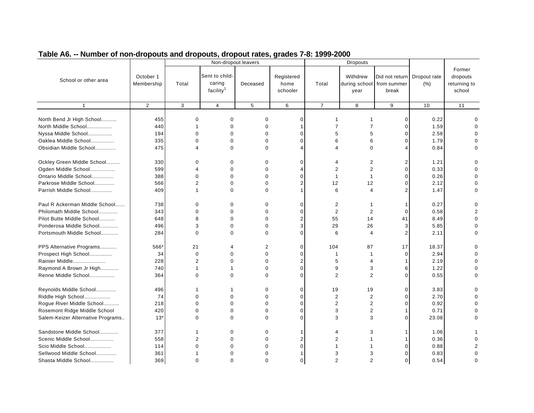|                                   |                         |                |                                                   | Non-dropout leavers |                                |                | <b>Dropouts</b>  |                                                      |                      |                                              |
|-----------------------------------|-------------------------|----------------|---------------------------------------------------|---------------------|--------------------------------|----------------|------------------|------------------------------------------------------|----------------------|----------------------------------------------|
| School or other area              | October 1<br>Membership | Total          | Sent to child-<br>caring<br>facility <sup>1</sup> | Deceased            | Registered<br>home<br>schooler | Total          | Withdrew<br>year | Did not return<br>during school from summer<br>break | Dropout rate<br>(% ) | Former<br>dropouts<br>returning to<br>school |
| $\mathbf{1}$                      | 2                       | 3              | $\overline{4}$                                    | 5                   | 6                              | $\overline{7}$ | 8                | 9                                                    | 10                   | 11                                           |
| North Bend Jr High School         | 455                     | $\Omega$       | $\Omega$                                          | $\Omega$            | $\mathbf 0$                    | 1              | -1               | $\mathbf 0$                                          | 0.22                 | ∩                                            |
| North Middle School               | 440                     | 1              | $\mathbf 0$                                       | $\mathbf 0$         | $\mathbf 1$                    | $\overline{7}$ | $\overline{7}$   | 0                                                    | 1.59                 |                                              |
| Nyssa Middle School               | 194                     | $\Omega$       | $\Omega$                                          | $\Omega$            | $\mathbf 0$                    | 5              | 5                | 0                                                    | 2.58                 |                                              |
| Oaklea Middle School              | 335                     | 0              | 0                                                 | $\Omega$            | $\Omega$                       | 6              | 6                | 0                                                    | 1.79                 |                                              |
| Obsidian Middle School            | 475                     | 4              | $\Omega$                                          | $\Omega$            |                                | 4              | $\Omega$         |                                                      | 0.84                 |                                              |
|                                   |                         |                |                                                   |                     |                                |                |                  |                                                      |                      |                                              |
| Ockley Green Middle School        | 330                     | 0              | 0                                                 | $\Omega$            | 0                              | 4              | 2                | 2                                                    | 1.21                 |                                              |
| Ogden Middle School               | 599                     | 4              | $\mathbf 0$                                       | $\Omega$            |                                | 2              | 2                | 0                                                    | 0.33                 |                                              |
| Ontario Middle School             | 388                     | $\mathbf{0}$   | $\Omega$                                          | $\Omega$            | $\Omega$                       | 1              |                  | 0                                                    | 0.26                 |                                              |
| Parkrose Middle School            | 566                     | $\overline{2}$ | $\Omega$                                          | $\Omega$            | $\overline{2}$                 | 12             | 12               | $\Omega$                                             | 2.12                 | $\Omega$                                     |
| Parrish Middle School             | 409                     | 1              | $\Omega$                                          | $\Omega$            |                                | 6              | 4                | $\overline{2}$                                       | 1.47                 | $\Omega$                                     |
| Paul R Ackerman Middle School     | 738                     | 0              | 0                                                 | 0                   | $\mathbf 0$                    | 2              |                  | 1                                                    | 0.27                 |                                              |
| Philomath Middle School           | 343                     | $\Omega$       | $\mathbf 0$                                       | $\Omega$            | $\mathbf 0$                    | $\overline{2}$ | 2                | $\Omega$                                             | 0.58                 | 2                                            |
| Pilot Butte Middle School         | 648                     | 8              | $\Omega$                                          | $\Omega$            | $\overline{2}$                 | 55             | 14               | 41                                                   | 8.49                 |                                              |
| Ponderosa Middle School           | 496                     | 3              | $\Omega$                                          | $\Omega$            | 3                              | 29             | 26               | 3                                                    | 5.85                 | $\Omega$                                     |
| Portsmouth Middle School          | 284                     | $\Omega$       | $\Omega$                                          | $\Omega$            | $\mathbf 0$                    | 6              | $\overline{4}$   | 2                                                    | 2.11                 | O                                            |
|                                   |                         |                |                                                   |                     |                                |                |                  |                                                      |                      |                                              |
| PPS Alternative Programs          | 566*                    | 21             | 4                                                 | 2                   | $\mathbf 0$                    | 104            | 87               | 17                                                   | 18.37                |                                              |
| Prospect High School              | 34                      | $\mathbf 0$    | $\Omega$                                          | $\Omega$            | $\mathbf 0$                    | $\mathbf{1}$   | $\mathbf{1}$     | $\mathbf 0$                                          | 2.94                 |                                              |
| Rainier Middle                    | 228                     | $\overline{2}$ | $\mathbf 0$                                       | $\mathbf 0$         | $\overline{2}$                 | 5              | $\overline{4}$   |                                                      | 2.19                 | $\Omega$                                     |
| Raymond A Brown Jr High           | 740                     | 1              |                                                   | 0                   | $\mathbf 0$                    | 9              | 3                | 6                                                    | 1.22                 |                                              |
| Renne Middle School               | 364                     | $\Omega$       | $\Omega$                                          | $\Omega$            | $\Omega$                       | 2              | 2                | $\Omega$                                             | 0.55                 | O                                            |
| Reynolds Middle School            | 496                     | 1              |                                                   | $\Omega$            | $\Omega$                       | 19             | 19               | $\Omega$                                             | 3.83                 | $\Omega$                                     |
| Riddle High School                | 74                      | $\Omega$       | $\mathbf 0$                                       | $\Omega$            | $\mathbf 0$                    | $\overline{2}$ | $\overline{2}$   | 0                                                    | 2.70                 |                                              |
| Rogue River Middle School         | 218                     | 0              | $\mathbf 0$                                       | $\Omega$            | $\mathbf 0$                    | $\overline{2}$ | 2                | 0                                                    | 0.92                 |                                              |
| Rosemont Ridge Middle School      | 420                     | $\mathbf 0$    | $\mathbf 0$                                       | 0                   | $\mathbf 0$                    | 3              | $\overline{c}$   | 1                                                    | 0.71                 |                                              |
| Salem-Keizer Alternative Programs | $13*$                   | $\Omega$       | $\Omega$                                          | $\Omega$            | $\Omega$                       | 3              | 3                | 0                                                    | 23.08                | $\Omega$                                     |
|                                   |                         |                |                                                   |                     |                                |                |                  |                                                      |                      |                                              |
| Sandstone Middle School           | 377                     | 1              | 0                                                 | 0                   |                                | 4              | 3                | 1                                                    | 1.06                 |                                              |
| Scenic Middle School              | 558                     | $\overline{2}$ | $\Omega$                                          | $\Omega$            | $\overline{2}$                 | 2              |                  |                                                      | 0.36                 |                                              |
| Scio Middle School                | 114                     | $\Omega$       | $\Omega$                                          | $\Omega$            | $\Omega$                       |                |                  | $\Omega$                                             | 0.88                 | 2                                            |
| Sellwood Middle School            | 361                     |                | $\Omega$                                          | ∩                   |                                | 3              | 3                | O                                                    | 0.83                 | $\Omega$                                     |
| Shasta Middle School              | 369                     | $\Omega$       | $\Omega$                                          | $\Omega$            | $\Omega$                       | 2              | $\mathfrak{p}$   | $\Omega$                                             | 0.54                 | $\Omega$                                     |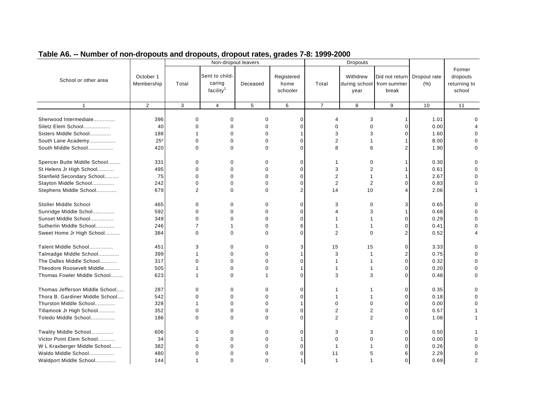|                                                                                                                                |                                 |                                    | Non-dropout leavers                               |                                                             |                                                   |                     | <b>Dropouts</b>                               |                         |                                      |                                              |
|--------------------------------------------------------------------------------------------------------------------------------|---------------------------------|------------------------------------|---------------------------------------------------|-------------------------------------------------------------|---------------------------------------------------|---------------------|-----------------------------------------------|-------------------------|--------------------------------------|----------------------------------------------|
| School or other area                                                                                                           | October 1<br>Membership         | Total                              | Sent to child-<br>caring<br>facility <sup>1</sup> | Deceased                                                    | Registered<br>home<br>schooler                    | Total               | Withdrew<br>during school from summer<br>year | Did not return<br>break | Dropout rate<br>(% )                 | Former<br>dropouts<br>returning to<br>school |
| $\mathbf{1}$                                                                                                                   | $\overline{2}$                  | 3                                  | $\overline{4}$                                    | 5                                                           | 6                                                 | $\overline{7}$      | 8                                             | 9                       | 10                                   | 11                                           |
| Sherwood Intermediate<br>Siletz Elem School                                                                                    | 396<br>40                       | 0<br>0                             | $\Omega$<br>$\Omega$                              | $\Omega$<br>$\Omega$                                        | $\Omega$<br>$\Omega$                              | Δ<br>U              | 3<br>$\Omega$                                 | $\Omega$                | 1.01<br>0.00                         | U                                            |
| Sisters Middle School                                                                                                          | 188                             | 1                                  | $\Omega$                                          | $\Omega$                                                    |                                                   | 3                   | 3                                             |                         | 1.60                                 |                                              |
| South Lane Academy                                                                                                             | $25*$                           | $\Omega$                           | $\Omega$                                          | $\Omega$                                                    | $\Omega$                                          | $\overline{2}$      |                                               |                         | 8.00                                 |                                              |
| South Middle School                                                                                                            | 420                             | 0                                  | $\Omega$                                          | 0                                                           | $\Omega$                                          | 8                   | 6                                             |                         | 1.90                                 |                                              |
| Spencer Butte Middle School<br>St Helens Jr High School                                                                        | 331<br>495                      | 0<br>0                             | $\Omega$<br>$\mathbf 0$                           | 0<br>$\mathbf 0$                                            | $\Omega$<br>$\mathbf 0$                           | 1<br>3              | 0<br>$\overline{2}$                           |                         | 0.30<br>0.61                         | ∩                                            |
| Stanfield Secondary School                                                                                                     | 75                              | $\Omega$                           | $\Omega$                                          | $\Omega$                                                    | $\Omega$                                          | $\overline{2}$      | -1                                            |                         | 2.67                                 |                                              |
| Stayton Middle School                                                                                                          | 242                             | 0                                  | $\Omega$                                          | $\Omega$                                                    | $\Omega$                                          | $\overline{2}$      | $\overline{2}$                                |                         | 0.83                                 |                                              |
| Stephens Middle School                                                                                                         | 679                             | $\overline{2}$                     | $\Omega$                                          | $\Omega$                                                    | $\overline{2}$                                    | 14                  | 10                                            |                         | 2.06                                 |                                              |
| Stoller Middle School<br>Sunridge Middle Schol<br>Sunset Middle School<br>Sutherlin Middle School<br>Sweet Home Jr High School | 465<br>592<br>349<br>246<br>384 | 0<br>0<br>0<br>$\overline{7}$<br>0 | $\Omega$<br>$\Omega$<br>$\Omega$<br>$\Omega$      | $\Omega$<br>$\Omega$<br>$\mathbf 0$<br>$\Omega$<br>$\Omega$ | $\Omega$<br>$\Omega$<br>$\Omega$<br>6<br>$\Omega$ | 3<br>$\overline{2}$ | $\Omega$<br>3<br>$\Omega$                     |                         | 0.65<br>0.68<br>0.29<br>0.41<br>0.52 |                                              |
| Talent Middle School                                                                                                           | 451                             | 3                                  | 0                                                 | 0                                                           | 3                                                 | 15                  | 15                                            | $\Omega$                | 3.33                                 |                                              |
| Talmadge Middle School                                                                                                         | 399                             | 1                                  | $\Omega$                                          | $\Omega$                                                    |                                                   | 3                   |                                               |                         | 0.75                                 |                                              |
| The Dalles Middle School                                                                                                       | 317                             | $\Omega$                           | $\Omega$                                          | $\Omega$                                                    | $\Omega$                                          | 1                   |                                               | $\Omega$                | 0.32                                 |                                              |
| Theodore Roosevelt Middle                                                                                                      | 505                             |                                    | $\Omega$                                          | $\mathbf 0$                                                 |                                                   |                     |                                               |                         | 0.20                                 |                                              |
| Thomas Fowler Middle School                                                                                                    | 623                             | 1                                  | $\Omega$                                          |                                                             | $\Omega$                                          | 3                   | 3                                             | U                       | 0.48                                 | U                                            |
| Thomas Jefferson Middle School                                                                                                 | 287                             | 0                                  | 0                                                 | 0                                                           | 0                                                 | 1                   |                                               | $\Omega$                | 0.35                                 |                                              |
| Thora B. Gardiner Middle School                                                                                                | 542                             | 0                                  | 0                                                 | $\mathbf 0$                                                 | $\Omega$                                          |                     | -1                                            | $\Omega$                | 0.18                                 |                                              |
| Thurston Middle School                                                                                                         | 328                             | 1                                  | $\Omega$                                          | $\Omega$                                                    |                                                   | $\Omega$            | $\Omega$                                      |                         | 0.00                                 |                                              |
| Tillamook Jr High School                                                                                                       | 352                             | 0                                  | $\Omega$                                          | $\Omega$                                                    | $\Omega$                                          | $\overline{2}$      | 2                                             | U                       | 0.57                                 |                                              |
| Toledo Middle School                                                                                                           | 186                             | $\Omega$                           | $\Omega$                                          | $\Omega$                                                    | $\Omega$                                          | $\overline{2}$      | 2                                             |                         | 1.08                                 |                                              |
| Twality Middle School<br>Victor Point Elem School                                                                              | 606<br>34                       | 0<br>1                             | 0<br>$\Omega$                                     | $\mathbf 0$<br>$\mathbf 0$                                  | $\mathbf 0$                                       | 3<br>$\Omega$       | 3<br>$\Omega$                                 | $\Omega$<br>U           | 0.50<br>0.00                         |                                              |
| W L Kraxberger Middle School                                                                                                   | 382                             | 0                                  | $\Omega$                                          | 0                                                           | $\Omega$                                          | 1                   |                                               |                         | 0.26                                 |                                              |
| Waldo Middle School                                                                                                            | 480                             | $\Omega$                           | $\Omega$                                          | $\Omega$                                                    | $\Omega$                                          | 11                  | 5                                             | ค                       | 2.29                                 |                                              |
| Waldport Middle School                                                                                                         | 144                             | 1                                  | $\Omega$                                          | $\Omega$                                                    | $\mathbf{1}$                                      | $\overline{1}$      |                                               | $\Omega$                | 0.69                                 | 2                                            |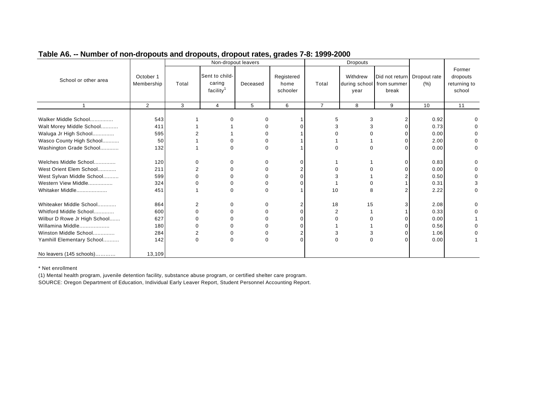|                              |            |                |                       | Non-dropout leavers |            |                | <b>Dropouts</b> |                             |      |              |
|------------------------------|------------|----------------|-----------------------|---------------------|------------|----------------|-----------------|-----------------------------|------|--------------|
|                              |            |                |                       |                     |            |                |                 |                             |      | Former       |
| School or other area         | October 1  |                | Sent to child-        |                     | Registered |                | Withdrew        | Did not return Dropout rate |      | dropouts     |
|                              | Membership | Total          | caring                | Deceased            | home       | Total          | during school   | from summer                 | (% ) | returning to |
|                              |            |                | facility <sup>1</sup> |                     | schooler   |                | year            | break                       |      | school       |
|                              | 2          | 3              | $\overline{4}$        | 5                   | 6          | $\overline{7}$ | 8               | 9                           | 10   | 11           |
|                              |            |                |                       |                     |            |                |                 |                             |      |              |
| Walker Middle School         | 543        |                |                       | 0                   |            | 5              | 3               | 2                           | 0.92 |              |
| Walt Morey Middle School     | 411        |                |                       | $\Omega$            |            |                |                 | <sup>0</sup>                | 0.73 |              |
| Waluga Jr High School        | 595        |                |                       |                     |            |                |                 |                             | 0.00 |              |
| Wasco County High School     | 50         |                |                       |                     |            |                |                 |                             | 2.00 |              |
| Washington Grade School      | 132        |                |                       | 0                   |            | 0              |                 | ∩                           | 0.00 | 0            |
| Welches Middle School        | 120        | 0              | 0                     | 0                   | ∩          |                |                 | ŋ                           | 0.83 | 0            |
| West Orient Elem School      | 211        | 2              |                       |                     |            |                |                 |                             | 0.00 |              |
| West Sylvan Middle School    | 599        | n              |                       |                     |            |                |                 |                             | 0.50 |              |
| Western View Middle          | 324        |                |                       |                     |            |                |                 |                             | 0.31 |              |
| Whitaker Middle              | 451        |                | 0                     | 0                   |            | 10             |                 |                             | 2.22 | 0            |
|                              |            |                |                       |                     |            |                |                 |                             |      |              |
| Whiteaker Middle School      | 864        | $\overline{2}$ | 0                     | 0                   |            | 18             | 15              |                             | 2.08 | U            |
| Whitford Middle School       | 600        | 0              |                       | 0                   |            | 2              |                 |                             | 0.33 |              |
| Wilbur D Rowe Jr High School | 627        |                |                       |                     |            |                |                 |                             | 0.00 |              |
| Willamina Middle             | 180        |                |                       |                     |            |                |                 |                             | 0.56 |              |
| Winston Middle School        | 284        | 2              |                       | 0                   |            | 3              |                 |                             | 1.06 |              |
| Yamhill Elementary School    | 142        | $\Omega$       | $\Omega$              | $\Omega$            | $\Omega$   | 0              |                 | C                           | 0.00 |              |
| No leavers (145 schools)     | 13,109     |                |                       |                     |            |                |                 |                             |      |              |

\* Net enrollment

(1) Mental health program, juvenile detention facility, substance abuse program, or certified shelter care program.

SOURCE: Oregon Department of Education, Individual Early Leaver Report, Student Personnel Accounting Report.